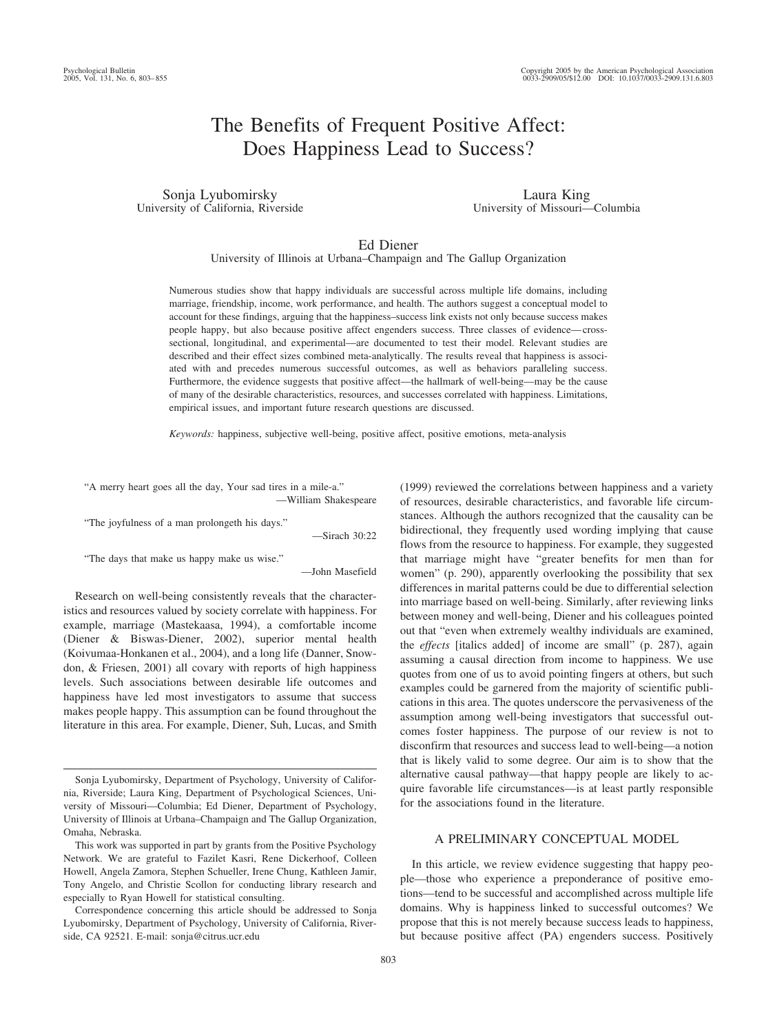# The Benefits of Frequent Positive Affect: Does Happiness Lead to Success?

Sonja Lyubomirsky University of California, Riverside

Laura King University of Missouri—Columbia

### Ed Diener

University of Illinois at Urbana–Champaign and The Gallup Organization

Numerous studies show that happy individuals are successful across multiple life domains, including marriage, friendship, income, work performance, and health. The authors suggest a conceptual model to account for these findings, arguing that the happiness–success link exists not only because success makes people happy, but also because positive affect engenders success. Three classes of evidence— crosssectional, longitudinal, and experimental—are documented to test their model. Relevant studies are described and their effect sizes combined meta-analytically. The results reveal that happiness is associated with and precedes numerous successful outcomes, as well as behaviors paralleling success. Furthermore, the evidence suggests that positive affect—the hallmark of well-being—may be the cause of many of the desirable characteristics, resources, and successes correlated with happiness. Limitations, empirical issues, and important future research questions are discussed.

*Keywords:* happiness, subjective well-being, positive affect, positive emotions, meta-analysis

"A merry heart goes all the day, Your sad tires in a mile-a." —William Shakespeare

"The joyfulness of a man prolongeth his days."

 $-$ Sirach 30:22

"The days that make us happy make us wise."

—John Masefield

Research on well-being consistently reveals that the characteristics and resources valued by society correlate with happiness. For example, marriage (Mastekaasa, 1994), a comfortable income (Diener & Biswas-Diener, 2002), superior mental health (Koivumaa-Honkanen et al., 2004), and a long life (Danner, Snowdon, & Friesen, 2001) all covary with reports of high happiness levels. Such associations between desirable life outcomes and happiness have led most investigators to assume that success makes people happy. This assumption can be found throughout the literature in this area. For example, Diener, Suh, Lucas, and Smith

Correspondence concerning this article should be addressed to Sonja Lyubomirsky, Department of Psychology, University of California, Riverside, CA 92521. E-mail: sonja@citrus.ucr.edu

(1999) reviewed the correlations between happiness and a variety of resources, desirable characteristics, and favorable life circumstances. Although the authors recognized that the causality can be bidirectional, they frequently used wording implying that cause flows from the resource to happiness. For example, they suggested that marriage might have "greater benefits for men than for women" (p. 290), apparently overlooking the possibility that sex differences in marital patterns could be due to differential selection into marriage based on well-being. Similarly, after reviewing links between money and well-being, Diener and his colleagues pointed out that "even when extremely wealthy individuals are examined, the *effects* [italics added] of income are small" (p. 287), again assuming a causal direction from income to happiness. We use quotes from one of us to avoid pointing fingers at others, but such examples could be garnered from the majority of scientific publications in this area. The quotes underscore the pervasiveness of the assumption among well-being investigators that successful outcomes foster happiness. The purpose of our review is not to disconfirm that resources and success lead to well-being—a notion that is likely valid to some degree. Our aim is to show that the alternative causal pathway—that happy people are likely to acquire favorable life circumstances—is at least partly responsible for the associations found in the literature.

## A PRELIMINARY CONCEPTUAL MODEL

In this article, we review evidence suggesting that happy people—those who experience a preponderance of positive emotions—tend to be successful and accomplished across multiple life domains. Why is happiness linked to successful outcomes? We propose that this is not merely because success leads to happiness, but because positive affect (PA) engenders success. Positively

Sonja Lyubomirsky, Department of Psychology, University of California, Riverside; Laura King, Department of Psychological Sciences, University of Missouri—Columbia; Ed Diener, Department of Psychology, University of Illinois at Urbana–Champaign and The Gallup Organization, Omaha, Nebraska.

This work was supported in part by grants from the Positive Psychology Network. We are grateful to Fazilet Kasri, Rene Dickerhoof, Colleen Howell, Angela Zamora, Stephen Schueller, Irene Chung, Kathleen Jamir, Tony Angelo, and Christie Scollon for conducting library research and especially to Ryan Howell for statistical consulting.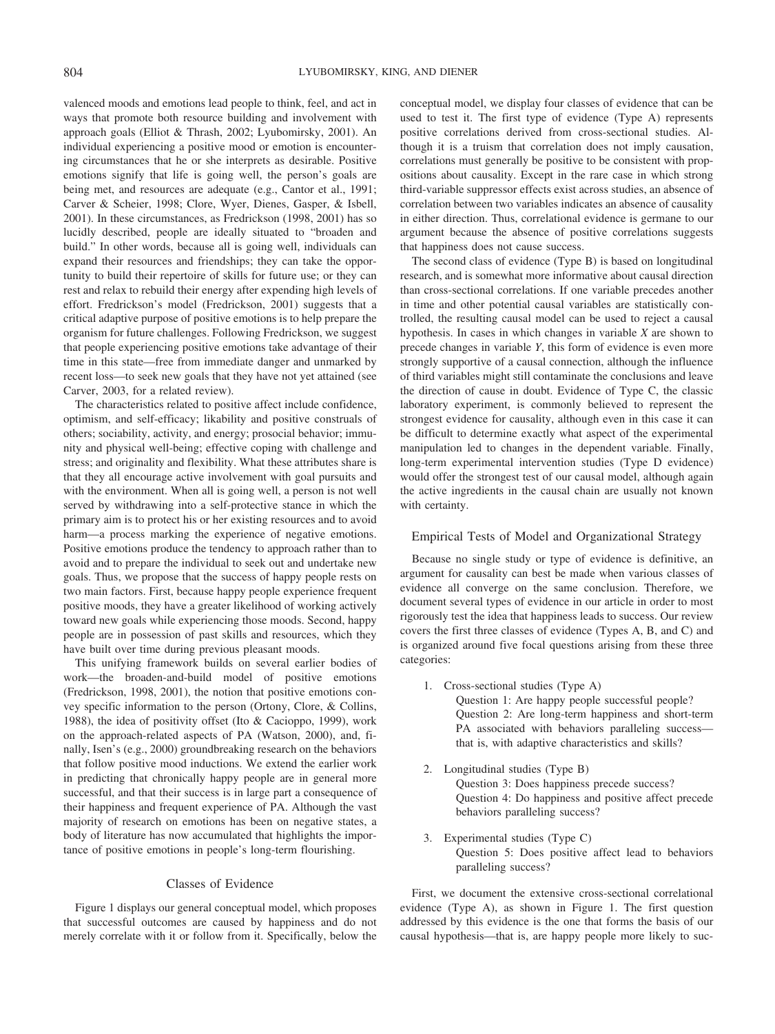valenced moods and emotions lead people to think, feel, and act in ways that promote both resource building and involvement with approach goals (Elliot & Thrash, 2002; Lyubomirsky, 2001). An individual experiencing a positive mood or emotion is encountering circumstances that he or she interprets as desirable. Positive emotions signify that life is going well, the person's goals are being met, and resources are adequate (e.g., Cantor et al., 1991; Carver & Scheier, 1998; Clore, Wyer, Dienes, Gasper, & Isbell, 2001). In these circumstances, as Fredrickson (1998, 2001) has so lucidly described, people are ideally situated to "broaden and build." In other words, because all is going well, individuals can expand their resources and friendships; they can take the opportunity to build their repertoire of skills for future use; or they can rest and relax to rebuild their energy after expending high levels of effort. Fredrickson's model (Fredrickson, 2001) suggests that a critical adaptive purpose of positive emotions is to help prepare the organism for future challenges. Following Fredrickson, we suggest that people experiencing positive emotions take advantage of their time in this state—free from immediate danger and unmarked by recent loss—to seek new goals that they have not yet attained (see Carver, 2003, for a related review).

The characteristics related to positive affect include confidence, optimism, and self-efficacy; likability and positive construals of others; sociability, activity, and energy; prosocial behavior; immunity and physical well-being; effective coping with challenge and stress; and originality and flexibility. What these attributes share is that they all encourage active involvement with goal pursuits and with the environment. When all is going well, a person is not well served by withdrawing into a self-protective stance in which the primary aim is to protect his or her existing resources and to avoid harm—a process marking the experience of negative emotions. Positive emotions produce the tendency to approach rather than to avoid and to prepare the individual to seek out and undertake new goals. Thus, we propose that the success of happy people rests on two main factors. First, because happy people experience frequent positive moods, they have a greater likelihood of working actively toward new goals while experiencing those moods. Second, happy people are in possession of past skills and resources, which they have built over time during previous pleasant moods.

This unifying framework builds on several earlier bodies of work—the broaden-and-build model of positive emotions (Fredrickson, 1998, 2001), the notion that positive emotions convey specific information to the person (Ortony, Clore, & Collins, 1988), the idea of positivity offset (Ito & Cacioppo, 1999), work on the approach-related aspects of PA (Watson, 2000), and, finally, Isen's (e.g., 2000) groundbreaking research on the behaviors that follow positive mood inductions. We extend the earlier work in predicting that chronically happy people are in general more successful, and that their success is in large part a consequence of their happiness and frequent experience of PA. Although the vast majority of research on emotions has been on negative states, a body of literature has now accumulated that highlights the importance of positive emotions in people's long-term flourishing.

## Classes of Evidence

Figure 1 displays our general conceptual model, which proposes that successful outcomes are caused by happiness and do not merely correlate with it or follow from it. Specifically, below the conceptual model, we display four classes of evidence that can be used to test it. The first type of evidence (Type A) represents positive correlations derived from cross-sectional studies. Although it is a truism that correlation does not imply causation, correlations must generally be positive to be consistent with propositions about causality. Except in the rare case in which strong third-variable suppressor effects exist across studies, an absence of correlation between two variables indicates an absence of causality in either direction. Thus, correlational evidence is germane to our argument because the absence of positive correlations suggests that happiness does not cause success.

The second class of evidence (Type B) is based on longitudinal research, and is somewhat more informative about causal direction than cross-sectional correlations. If one variable precedes another in time and other potential causal variables are statistically controlled, the resulting causal model can be used to reject a causal hypothesis. In cases in which changes in variable *X* are shown to precede changes in variable *Y*, this form of evidence is even more strongly supportive of a causal connection, although the influence of third variables might still contaminate the conclusions and leave the direction of cause in doubt. Evidence of Type C, the classic laboratory experiment, is commonly believed to represent the strongest evidence for causality, although even in this case it can be difficult to determine exactly what aspect of the experimental manipulation led to changes in the dependent variable. Finally, long-term experimental intervention studies (Type D evidence) would offer the strongest test of our causal model, although again the active ingredients in the causal chain are usually not known with certainty.

### Empirical Tests of Model and Organizational Strategy

Because no single study or type of evidence is definitive, an argument for causality can best be made when various classes of evidence all converge on the same conclusion. Therefore, we document several types of evidence in our article in order to most rigorously test the idea that happiness leads to success. Our review covers the first three classes of evidence (Types A, B, and C) and is organized around five focal questions arising from these three categories:

- 1. Cross-sectional studies (Type A) Question 1: Are happy people successful people? Question 2: Are long-term happiness and short-term PA associated with behaviors paralleling successthat is, with adaptive characteristics and skills?
- 2. Longitudinal studies (Type B) Question 3: Does happiness precede success? Question 4: Do happiness and positive affect precede behaviors paralleling success?
- 3. Experimental studies (Type C) Question 5: Does positive affect lead to behaviors paralleling success?

First, we document the extensive cross-sectional correlational evidence (Type A), as shown in Figure 1. The first question addressed by this evidence is the one that forms the basis of our causal hypothesis—that is, are happy people more likely to suc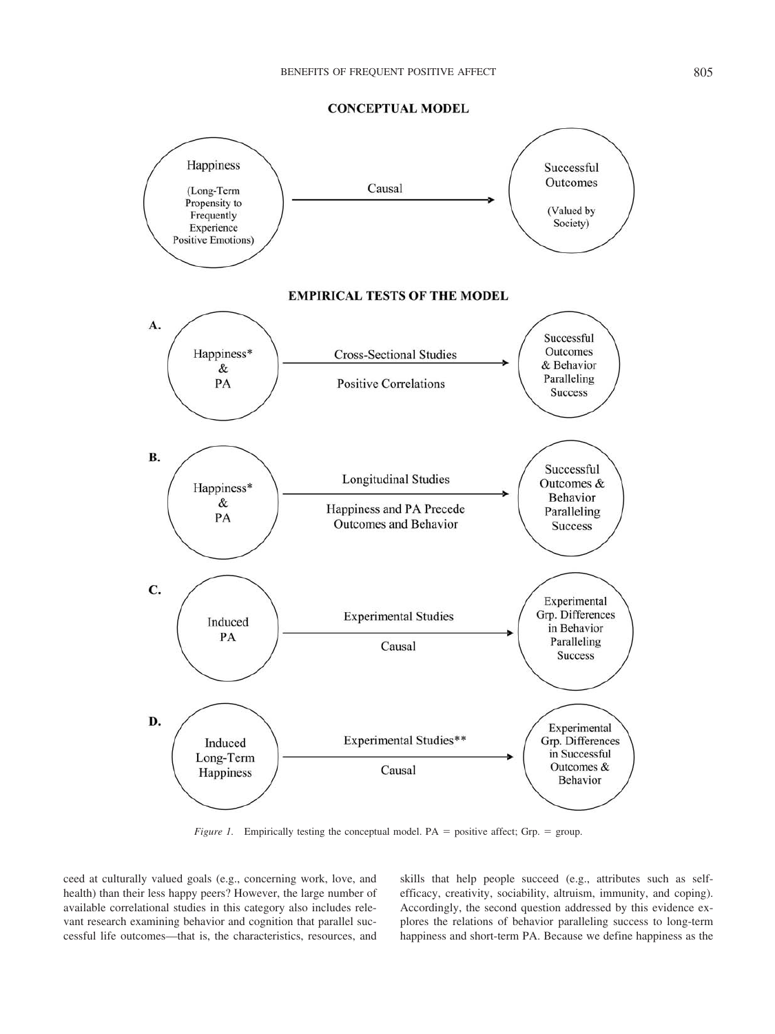**CONCEPTUAL MODEL** 



*Figure 1.* Empirically testing the conceptual model.  $PA =$  positive affect; Grp. = group.

ceed at culturally valued goals (e.g., concerning work, love, and health) than their less happy peers? However, the large number of available correlational studies in this category also includes relevant research examining behavior and cognition that parallel successful life outcomes—that is, the characteristics, resources, and skills that help people succeed (e.g., attributes such as selfefficacy, creativity, sociability, altruism, immunity, and coping). Accordingly, the second question addressed by this evidence explores the relations of behavior paralleling success to long-term happiness and short-term PA. Because we define happiness as the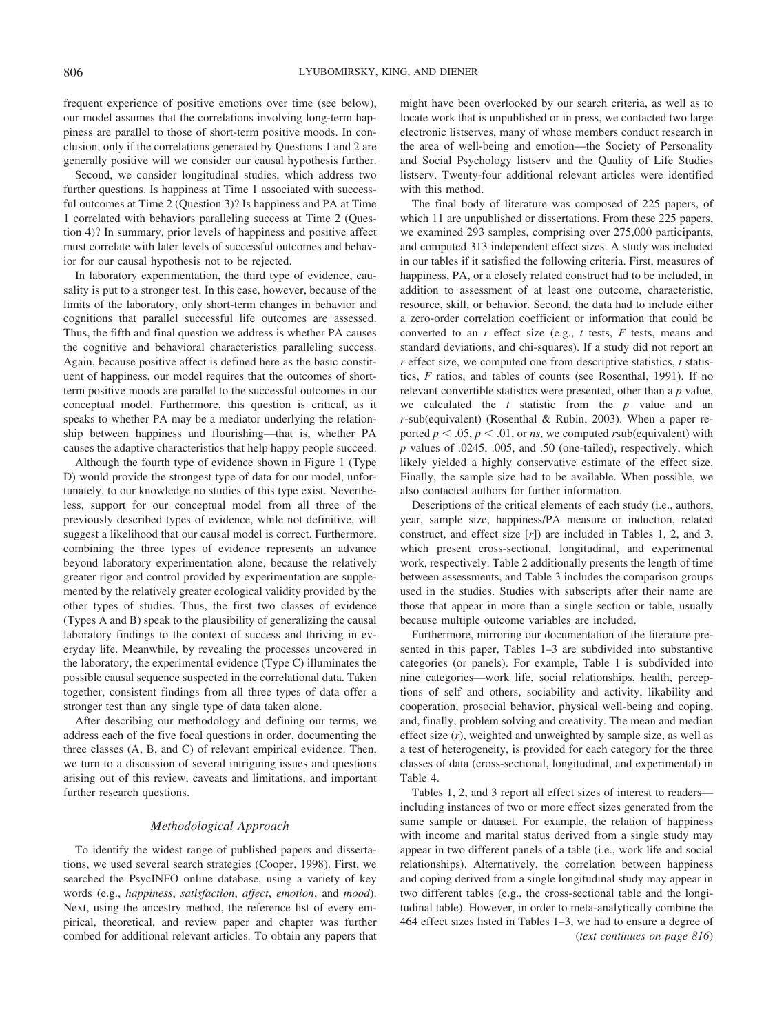frequent experience of positive emotions over time (see below), our model assumes that the correlations involving long-term happiness are parallel to those of short-term positive moods. In conclusion, only if the correlations generated by Questions 1 and 2 are generally positive will we consider our causal hypothesis further.

Second, we consider longitudinal studies, which address two further questions. Is happiness at Time 1 associated with successful outcomes at Time 2 (Question 3)? Is happiness and PA at Time 1 correlated with behaviors paralleling success at Time 2 (Question 4)? In summary, prior levels of happiness and positive affect must correlate with later levels of successful outcomes and behavior for our causal hypothesis not to be rejected.

In laboratory experimentation, the third type of evidence, causality is put to a stronger test. In this case, however, because of the limits of the laboratory, only short-term changes in behavior and cognitions that parallel successful life outcomes are assessed. Thus, the fifth and final question we address is whether PA causes the cognitive and behavioral characteristics paralleling success. Again, because positive affect is defined here as the basic constituent of happiness, our model requires that the outcomes of shortterm positive moods are parallel to the successful outcomes in our conceptual model. Furthermore, this question is critical, as it speaks to whether PA may be a mediator underlying the relationship between happiness and flourishing—that is, whether PA causes the adaptive characteristics that help happy people succeed.

Although the fourth type of evidence shown in Figure 1 (Type D) would provide the strongest type of data for our model, unfortunately, to our knowledge no studies of this type exist. Nevertheless, support for our conceptual model from all three of the previously described types of evidence, while not definitive, will suggest a likelihood that our causal model is correct. Furthermore, combining the three types of evidence represents an advance beyond laboratory experimentation alone, because the relatively greater rigor and control provided by experimentation are supplemented by the relatively greater ecological validity provided by the other types of studies. Thus, the first two classes of evidence (Types A and B) speak to the plausibility of generalizing the causal laboratory findings to the context of success and thriving in everyday life. Meanwhile, by revealing the processes uncovered in the laboratory, the experimental evidence (Type C) illuminates the possible causal sequence suspected in the correlational data. Taken together, consistent findings from all three types of data offer a stronger test than any single type of data taken alone.

After describing our methodology and defining our terms, we address each of the five focal questions in order, documenting the three classes (A, B, and C) of relevant empirical evidence. Then, we turn to a discussion of several intriguing issues and questions arising out of this review, caveats and limitations, and important further research questions.

### *Methodological Approach*

To identify the widest range of published papers and dissertations, we used several search strategies (Cooper, 1998). First, we searched the PsycINFO online database, using a variety of key words (e.g., *happiness*, *satisfaction*, *affect*, *emotion*, and *mood*). Next, using the ancestry method, the reference list of every empirical, theoretical, and review paper and chapter was further combed for additional relevant articles. To obtain any papers that might have been overlooked by our search criteria, as well as to locate work that is unpublished or in press, we contacted two large electronic listserves, many of whose members conduct research in the area of well-being and emotion—the Society of Personality and Social Psychology listserv and the Quality of Life Studies listserv. Twenty-four additional relevant articles were identified with this method.

The final body of literature was composed of 225 papers, of which 11 are unpublished or dissertations. From these 225 papers, we examined 293 samples, comprising over 275,000 participants, and computed 313 independent effect sizes. A study was included in our tables if it satisfied the following criteria. First, measures of happiness, PA, or a closely related construct had to be included, in addition to assessment of at least one outcome, characteristic, resource, skill, or behavior. Second, the data had to include either a zero-order correlation coefficient or information that could be converted to an *r* effect size (e.g., *t* tests, *F* tests, means and standard deviations, and chi-squares). If a study did not report an *r* effect size, we computed one from descriptive statistics, *t* statistics, *F* ratios, and tables of counts (see Rosenthal, 1991). If no relevant convertible statistics were presented, other than a *p* value, we calculated the *t* statistic from the *p* value and an *r*-sub(equivalent) (Rosenthal & Rubin, 2003). When a paper reported  $p < .05$ ,  $p < .01$ , or *ns*, we computed *r*sub(equivalent) with *p* values of .0245, .005, and .50 (one-tailed), respectively, which likely yielded a highly conservative estimate of the effect size. Finally, the sample size had to be available. When possible, we also contacted authors for further information.

Descriptions of the critical elements of each study (i.e., authors, year, sample size, happiness/PA measure or induction, related construct, and effect size [*r*]) are included in Tables 1, 2, and 3, which present cross-sectional, longitudinal, and experimental work, respectively. Table 2 additionally presents the length of time between assessments, and Table 3 includes the comparison groups used in the studies. Studies with subscripts after their name are those that appear in more than a single section or table, usually because multiple outcome variables are included.

Furthermore, mirroring our documentation of the literature presented in this paper, Tables 1–3 are subdivided into substantive categories (or panels). For example, Table 1 is subdivided into nine categories—work life, social relationships, health, perceptions of self and others, sociability and activity, likability and cooperation, prosocial behavior, physical well-being and coping, and, finally, problem solving and creativity. The mean and median effect size (*r*), weighted and unweighted by sample size, as well as a test of heterogeneity, is provided for each category for the three classes of data (cross-sectional, longitudinal, and experimental) in Table 4.

Tables 1, 2, and 3 report all effect sizes of interest to readers including instances of two or more effect sizes generated from the same sample or dataset. For example, the relation of happiness with income and marital status derived from a single study may appear in two different panels of a table (i.e., work life and social relationships). Alternatively, the correlation between happiness and coping derived from a single longitudinal study may appear in two different tables (e.g., the cross-sectional table and the longitudinal table). However, in order to meta-analytically combine the 464 effect sizes listed in Tables 1–3, we had to ensure a degree of (*text continues on page 816*)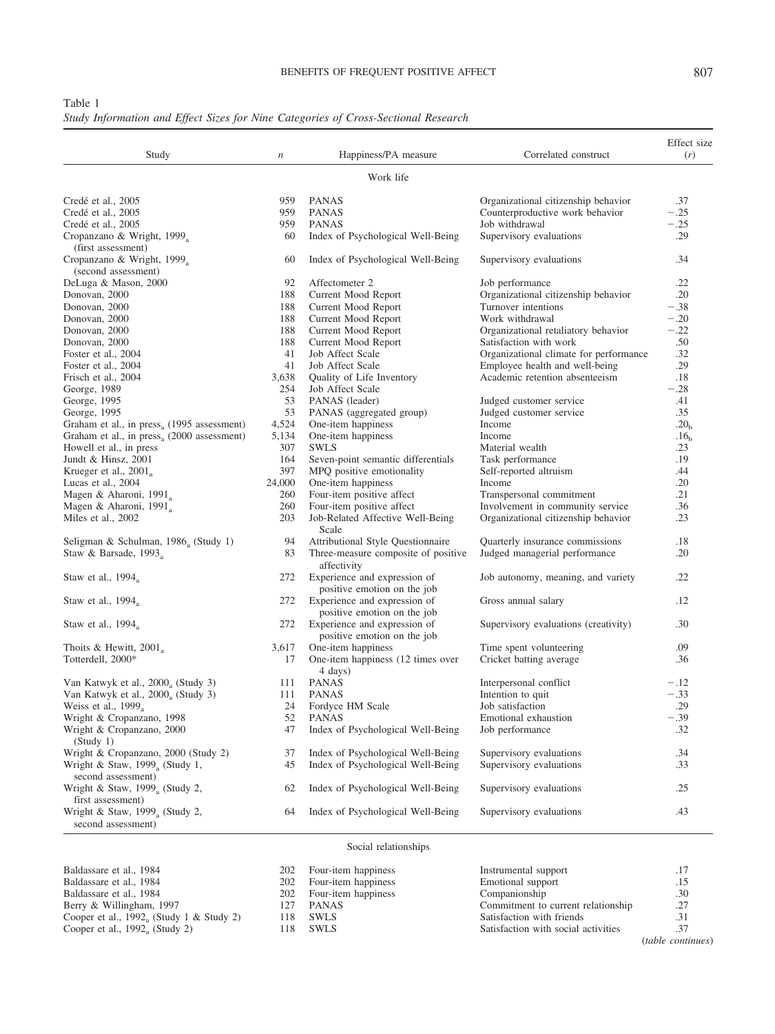Table 1 *Study Information and Effect Sizes for Nine Categories of Cross-Sectional Research*

| Study                                                            | $\, n$ | Happiness/PA measure                                        | Correlated construct                   | Effect size<br>(r) |
|------------------------------------------------------------------|--------|-------------------------------------------------------------|----------------------------------------|--------------------|
|                                                                  |        | Work life                                                   |                                        |                    |
| Credé et al., 2005                                               | 959    | <b>PANAS</b>                                                | Organizational citizenship behavior    | .37                |
| Credé et al., 2005                                               | 959    | <b>PANAS</b>                                                | Counterproductive work behavior        | $-.25$             |
| Credé et al., 2005                                               | 959    | <b>PANAS</b>                                                | Job withdrawal                         | $-.25$             |
| Cropanzano & Wright, 1999 <sub>a</sub><br>(first assessment)     | 60     | Index of Psychological Well-Being                           | Supervisory evaluations                | .29                |
| Cropanzano & Wright, 1999 <sub>a</sub><br>(second assessment)    | 60     | Index of Psychological Well-Being                           | Supervisory evaluations                | .34                |
| DeLuga & Mason, 2000                                             | 92     | Affectometer 2                                              | Job performance                        | .22                |
| Donovan, 2000                                                    | 188    | Current Mood Report                                         | Organizational citizenship behavior    | .20                |
| Donovan, 2000                                                    | 188    | Current Mood Report                                         | Turnover intentions                    | $-.38$             |
| Donovan, 2000                                                    | 188    | Current Mood Report                                         | Work withdrawal                        | $-.20$             |
| Donovan, 2000                                                    | 188    | Current Mood Report                                         | Organizational retaliatory behavior    | $-.22$             |
| Donovan, 2000                                                    | 188    | Current Mood Report                                         | Satisfaction with work                 | .50                |
| Foster et al., 2004                                              | 41     | Job Affect Scale                                            | Organizational climate for performance | .32                |
| Foster et al., 2004                                              | 41     | Job Affect Scale                                            | Employee health and well-being         | .29                |
| Frisch et al., 2004                                              | 3,638  | Quality of Life Inventory                                   | Academic retention absenteeism         | .18                |
| George, 1989                                                     | 254    | Job Affect Scale                                            |                                        | $-.28$             |
| George, 1995                                                     | 53     | PANAS (leader)                                              | Judged customer service                | .41                |
| George, 1995                                                     | 53     | PANAS (aggregated group)                                    | Judged customer service                | .35                |
| Graham et al., in press <sub>a</sub> (1995 assessment)           | 4,524  | One-item happiness                                          | Income                                 | .20 <sub>b</sub>   |
| Graham et al., in press <sub>a</sub> (2000 assessment)           | 5,134  | One-item happiness                                          | Income                                 | .16 <sub>b</sub>   |
| Howell et al., in press                                          | 307    | <b>SWLS</b>                                                 | Material wealth                        | .23                |
| Jundt & Hinsz, 2001                                              | 164    | Seven-point semantic differentials                          | Task performance                       | .19                |
| Krueger et al., $2001_a$                                         | 397    | MPQ positive emotionality                                   | Self-reported altruism                 | .44                |
| Lucas et al., 2004                                               | 24,000 | One-item happiness                                          | Income                                 | .20                |
| Magen & Aharoni, 1991 <sub>a</sub>                               | 260    | Four-item positive affect                                   | Transpersonal commitment               | .21                |
| Magen & Aharoni, 1991 <sub>a</sub>                               | 260    | Four-item positive affect                                   | Involvement in community service       | .36                |
| Miles et al., 2002                                               | 203    | Job-Related Affective Well-Being<br>Scale                   | Organizational citizenship behavior    | .23                |
| Seligman & Schulman, 1986 <sub>a</sub> (Study 1)                 | 94     | Attributional Style Questionnaire                           | Quarterly insurance commissions        | .18                |
| Staw & Barsade, 1993 <sub>a</sub>                                | 83     | Three-measure composite of positive<br>affectivity          | Judged managerial performance          | .20                |
| Staw et al., 1994 <sub>a</sub>                                   | 272    | Experience and expression of<br>positive emotion on the job | Job autonomy, meaning, and variety     | .22                |
| Staw et al., 1994 <sub>a</sub>                                   | 272    | Experience and expression of<br>positive emotion on the job | Gross annual salary                    | .12                |
| Staw et al., $1994_a$                                            | 272    | Experience and expression of<br>positive emotion on the job | Supervisory evaluations (creativity)   | .30                |
| Thoits & Hewitt, $2001_a$                                        | 3,617  | One-item happiness                                          | Time spent volunteering                | .09                |
| Totterdell, 2000*                                                | 17     | One-item happiness (12 times over<br>4 days)                | Cricket batting average                | .36                |
| Van Katwyk et al., 2000 <sub>a</sub> (Study 3)                   | 111    | <b>PANAS</b>                                                | Interpersonal conflict                 | $-.12$             |
| Van Katwyk et al., 2000 <sub>a</sub> (Study 3)                   | 111    | <b>PANAS</b>                                                | Intention to quit                      | $-.33$             |
| Weiss et al., $1999_a$                                           | 24     | Fordyce HM Scale                                            | Job satisfaction                       | .29                |
| Wright & Cropanzano, 1998                                        | 52     | <b>PANAS</b>                                                | Emotional exhaustion                   | $-.39$             |
| Wright & Cropanzano, 2000<br>(Study 1)                           | 47     | Index of Psychological Well-Being                           | Job performance                        | .32                |
| Wright & Cropanzano, 2000 (Study 2)                              | 37     | Index of Psychological Well-Being                           | Supervisory evaluations                | .34                |
| Wright & Staw, 1999 <sub>a</sub> (Study 1,                       | 45     | Index of Psychological Well-Being                           | Supervisory evaluations                | .33                |
| second assessment)                                               |        |                                                             |                                        |                    |
| Wright & Staw, 1999 <sub>a</sub> (Study 2,<br>first assessment)  | 62     | Index of Psychological Well-Being                           | Supervisory evaluations                | .25                |
| Wright & Staw, 1999 <sub>a</sub> (Study 2,<br>second assessment) | 64     | Index of Psychological Well-Being                           | Supervisory evaluations                | .43                |

## Social relationships

| Baldassare et al., 1984                     | 202 | Four-item happiness     | Instrumental support                | .17 |
|---------------------------------------------|-----|-------------------------|-------------------------------------|-----|
| Baldassare et al., 1984                     |     | 202 Four-item happiness | Emotional support                   | .15 |
| Baldassare et al., 1984                     |     | 202 Four-item happiness | Companionship                       | .30 |
| Berry & Willingham, 1997                    |     | <b>PANAS</b>            | Commitment to current relationship  | .27 |
| Cooper et al., $1992$ , (Study 1 & Study 2) | 18  | SWLS                    | Satisfaction with friends           | .31 |
| Cooper et al., 1992, (Study 2)              | 18  | SWLS                    | Satisfaction with social activities |     |
|                                             |     |                         |                                     |     |

(*table continues*)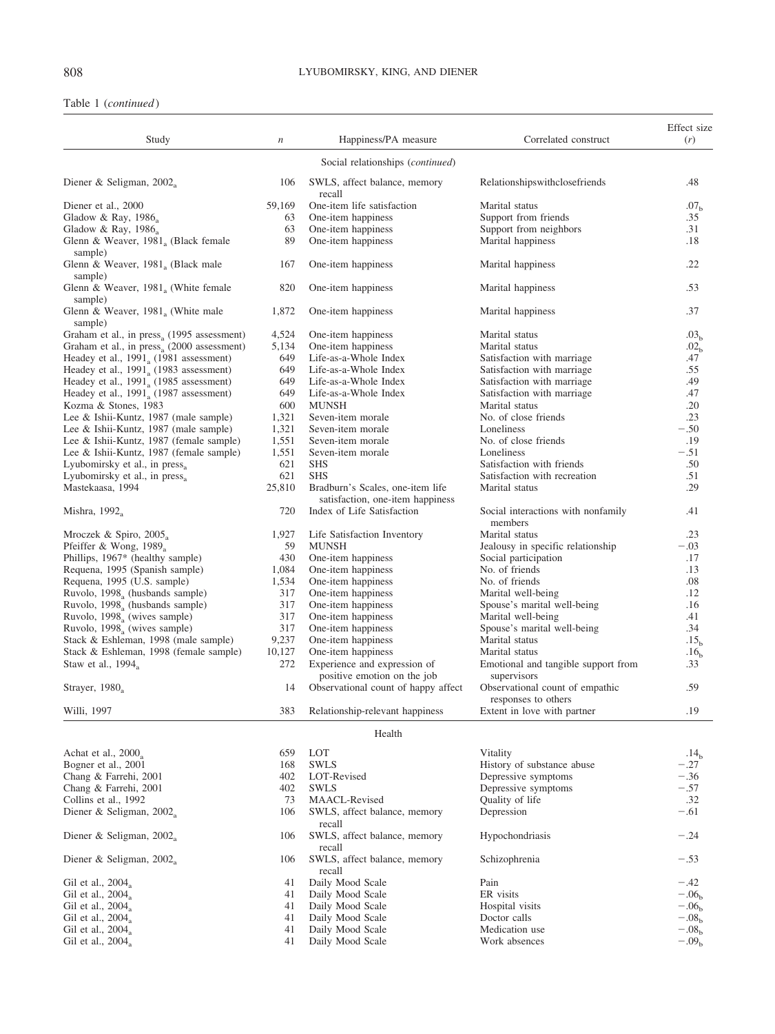|  |  | Table 1 (continued) |
|--|--|---------------------|
|--|--|---------------------|

| Study                                                                          | $\boldsymbol{n}$ | Happiness/PA measure                                                 | Correlated construct                                   | Effect size<br>(r)      |
|--------------------------------------------------------------------------------|------------------|----------------------------------------------------------------------|--------------------------------------------------------|-------------------------|
|                                                                                |                  | Social relationships (continued)                                     |                                                        |                         |
| Diener & Seligman, $2002_a$                                                    | 106              | SWLS, affect balance, memory<br>recall                               | Relationshipswithclosefriends                          | .48                     |
| Diener et al., 2000                                                            | 59,169           | One-item life satisfaction                                           | Marital status                                         | .07 <sub>b</sub>        |
| Gladow & Ray, $1986_a$                                                         | 63               | One-item happiness                                                   | Support from friends                                   | .35                     |
| Gladow & Ray, $1986_a$                                                         | 63               | One-item happiness                                                   | Support from neighbors                                 | .31                     |
| Glenn & Weaver, $1981_a$ (Black female<br>sample)                              | 89               | One-item happiness                                                   | Marital happiness                                      | .18                     |
| Glenn & Weaver, $1981_a$ (Black male<br>sample)                                | 167              | One-item happiness                                                   | Marital happiness                                      | .22                     |
| Glenn & Weaver, 1981 <sub>a</sub> (White female<br>sample)                     | 820              | One-item happiness                                                   | Marital happiness                                      | .53                     |
| Glenn & Weaver, $1981_a$ (White male<br>sample)                                | 1,872            | One-item happiness                                                   | Marital happiness                                      | .37                     |
| Graham et al., in press <sub>a</sub> (1995 assessment)                         | 4,524            | One-item happiness                                                   | Marital status                                         | .03 <sub>b</sub>        |
| Graham et al., in press <sub>a</sub> (2000 assessment)                         | 5,134            | One-item happiness                                                   | Marital status                                         | .02 <sub>b</sub>        |
| Headey et al., 1991 <sub>a</sub> (1981 assessment)                             | 649              | Life-as-a-Whole Index                                                | Satisfaction with marriage                             | .47                     |
| Headey et al., 1991 <sub>a</sub> (1983 assessment)                             | 649              | Life-as-a-Whole Index                                                | Satisfaction with marriage                             | .55                     |
| Headey et al., 1991 <sub>a</sub> (1985 assessment)                             | 649              | Life-as-a-Whole Index                                                | Satisfaction with marriage                             | .49                     |
| Headey et al., 1991 <sub>a</sub> (1987 assessment)                             | 649<br>600       | Life-as-a-Whole Index<br><b>MUNSH</b>                                | Satisfaction with marriage<br>Marital status           | .47<br>.20              |
| Kozma & Stones, 1983                                                           | 1,321            | Seven-item morale                                                    | No. of close friends                                   | .23                     |
| Lee & Ishii-Kuntz, 1987 (male sample)<br>Lee & Ishii-Kuntz, 1987 (male sample) | 1,321            | Seven-item morale                                                    | Loneliness                                             | $-.50$                  |
| Lee & Ishii-Kuntz, 1987 (female sample)                                        | 1,551            | Seven-item morale                                                    | No. of close friends                                   | .19                     |
| Lee & Ishii-Kuntz, 1987 (female sample)                                        | 1,551            | Seven-item morale                                                    | Loneliness                                             | $-.51$                  |
| Lyubomirsky et al., in press <sub>a</sub>                                      | 621              | <b>SHS</b>                                                           | Satisfaction with friends                              | .50                     |
| Lyubomirsky et al., in $press_a$                                               | 621              | <b>SHS</b>                                                           | Satisfaction with recreation                           | .51                     |
| Mastekaasa, 1994                                                               | 25,810           | Bradburn's Scales, one-item life<br>satisfaction, one-item happiness | Marital status                                         | .29                     |
| Mishra, 1992 <sub>a</sub>                                                      | 720              | Index of Life Satisfaction                                           | Social interactions with nonfamily<br>members          | .41                     |
| Mroczek & Spiro, $2005_a$                                                      | 1,927            | Life Satisfaction Inventory                                          | Marital status                                         | .23                     |
| Pfeiffer & Wong, $1989_a$                                                      | 59               | MUNSH                                                                | Jealousy in specific relationship                      | $-.03$                  |
| Phillips, 1967* (healthy sample)                                               | 430              | One-item happiness                                                   | Social participation                                   | .17                     |
| Requena, 1995 (Spanish sample)                                                 | 1,084            | One-item happiness                                                   | No. of friends                                         | .13                     |
| Requena, 1995 (U.S. sample)                                                    | 1,534            | One-item happiness                                                   | No. of friends                                         | .08                     |
| Ruvolo, 1998 <sub>a</sub> (husbands sample)                                    | 317              | One-item happiness                                                   | Marital well-being                                     | .12                     |
| Ruvolo, 1998 <sub>a</sub> (husbands sample)                                    | 317              | One-item happiness                                                   | Spouse's marital well-being                            | .16                     |
| Ruvolo, 1998 <sub>a</sub> (wives sample)                                       | 317              | One-item happiness                                                   | Marital well-being                                     | .41                     |
| Ruvolo, 1998 <sub>a</sub> (wives sample)                                       | 317<br>9,237     | One-item happiness<br>One-item happiness                             | Spouse's marital well-being                            | .34                     |
| Stack & Eshleman, 1998 (male sample)<br>Stack & Eshleman, 1998 (female sample) | 10,127           | One-item happiness                                                   | Marital status<br>Marital status                       | .15 <sub>b</sub>        |
| Staw et al., 1994 <sub>a</sub>                                                 | 272              | Experience and expression of                                         | Emotional and tangible support from                    | .16 <sub>b</sub><br>.33 |
|                                                                                |                  | positive emotion on the job                                          | supervisors                                            |                         |
| Strayer, $1980_a$                                                              | 14               | Observational count of happy affect                                  | Observational count of empathic<br>responses to others | .59                     |
| Willi, 1997                                                                    | 383              | Relationship-relevant happiness                                      | Extent in love with partner                            | .19                     |
|                                                                                |                  | Health                                                               |                                                        |                         |
| Achat et al., $2000_a$                                                         | 659              | LOT                                                                  | Vitality                                               | .14 <sub>b</sub>        |
| Bogner et al., 2001                                                            | 168              | <b>SWLS</b>                                                          | History of substance abuse                             | $-.27$                  |
| Chang & Farrehi, 2001                                                          | 402              | LOT-Revised                                                          | Depressive symptoms                                    | $-.36$                  |
| Chang & Farrehi, 2001                                                          | 402              | <b>SWLS</b>                                                          | Depressive symptoms                                    | $-.57$                  |
| Collins et al., 1992                                                           | 73               | MAACL-Revised                                                        | Quality of life                                        | .32                     |
| Diener & Seligman, 2002 <sub>a</sub>                                           | 106              | SWLS, affect balance, memory<br>recall                               | Depression                                             | $-.61$                  |
| Diener & Seligman, $2002_a$                                                    | 106              | SWLS, affect balance, memory<br>recall                               | Hypochondriasis                                        | $-.24$                  |
| Diener & Seligman, 2002 <sub>a</sub>                                           | 106              | SWLS, affect balance, memory<br>recall                               | Schizophrenia                                          | $-.53$                  |
| Gil et al., $2004_a$                                                           | 41               | Daily Mood Scale                                                     | Pain                                                   | $-.42$                  |
| Gil et al., $2004_a$                                                           | 41               | Daily Mood Scale                                                     | ER visits                                              | $-.06b$                 |
| Gil et al., $2004_a$                                                           | 41               | Daily Mood Scale                                                     | Hospital visits                                        | $-.06b$                 |
| Gil et al., $2004_a$                                                           | 41               | Daily Mood Scale                                                     | Doctor calls                                           | $-.08b$                 |
| Gil et al., $2004_a$                                                           | 41               | Daily Mood Scale                                                     | Medication use                                         | $-.08b$                 |
| Gil et al., $2004_a$                                                           | 41               | Daily Mood Scale                                                     | Work absences                                          | $-.09b$                 |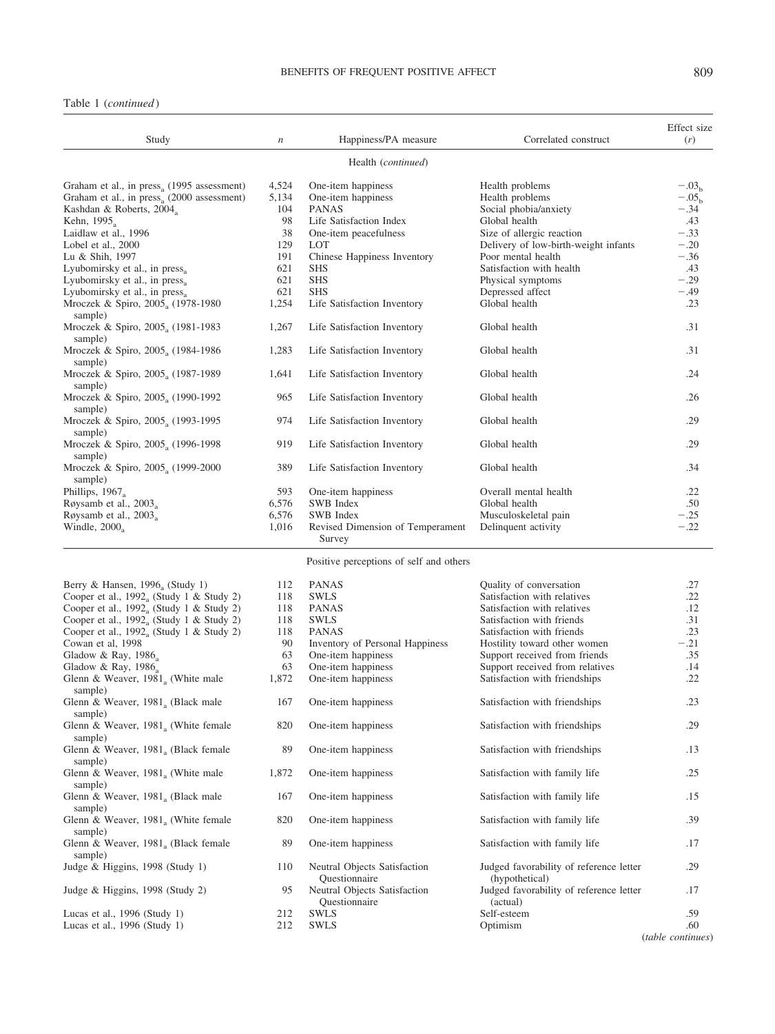| Study                                                                | $\boldsymbol{n}$ | Happiness/PA measure                          | Correlated construct                                      | Effect size<br>(r) |
|----------------------------------------------------------------------|------------------|-----------------------------------------------|-----------------------------------------------------------|--------------------|
|                                                                      |                  | Health (continued)                            |                                                           |                    |
| Graham et al., in press <sub>a</sub> (1995 assessment)               | 4,524            | One-item happiness                            | Health problems                                           | $-.03b$            |
| Graham et al., in press <sub>a</sub> (2000 assessment)               | 5,134            | One-item happiness                            | Health problems                                           | $-.05b$            |
| Kashdan & Roberts, $2004_a$                                          | 104              | <b>PANAS</b>                                  | Social phobia/anxiety                                     | $-.34$             |
| Kehn, 1995 <sub>a</sub>                                              | 98               | Life Satisfaction Index                       | Global health                                             | .43                |
| Laidlaw et al., 1996                                                 | 38               | One-item peacefulness                         | Size of allergic reaction                                 | $-.33$             |
| Lobel et al., 2000                                                   | 129              | LOT                                           | Delivery of low-birth-weight infants                      | $-.20$             |
| Lu & Shih, 1997                                                      | 191              | Chinese Happiness Inventory                   | Poor mental health                                        | $-.36$             |
| Lyubomirsky et al., in $press_a$                                     | 621              | <b>SHS</b>                                    | Satisfaction with health                                  | .43                |
| Lyubomirsky et al., in press <sub>a</sub>                            | 621              | <b>SHS</b>                                    | Physical symptoms                                         | $-.29$             |
| Lyubomirsky et al., in press <sub>a</sub>                            | 621              | <b>SHS</b>                                    | Depressed affect                                          | $-.49$             |
|                                                                      | 1,254            |                                               | Global health                                             | .23                |
| Mroczek & Spiro, 2005 <sub>a</sub> (1978-1980                        |                  | Life Satisfaction Inventory                   |                                                           |                    |
| sample)<br>Mroczek & Spiro, 2005 <sub>a</sub> (1981-1983<br>sample)  | 1,267            | Life Satisfaction Inventory                   | Global health                                             | .31                |
| Mroczek & Spiro, 2005 <sub>a</sub> (1984-1986)                       | 1,283            | Life Satisfaction Inventory                   | Global health                                             | .31                |
| sample)<br>Mroczek & Spiro, 2005 <sub>a</sub> (1987-1989)<br>sample) | 1,641            | Life Satisfaction Inventory                   | Global health                                             | .24                |
| Mroczek & Spiro, 2005 <sub>a</sub> (1990-1992)<br>sample)            | 965              | Life Satisfaction Inventory                   | Global health                                             | .26                |
| Mroczek & Spiro, 2005 <sub>a</sub> (1993-1995<br>sample)             | 974              | Life Satisfaction Inventory                   | Global health                                             | .29                |
| Mroczek & Spiro, 2005 <sub>a</sub> (1996-1998)<br>sample)            | 919              | Life Satisfaction Inventory                   | Global health                                             | .29                |
| Mroczek & Spiro, 2005 <sub>a</sub> (1999-2000<br>sample)             | 389              | Life Satisfaction Inventory                   | Global health                                             | .34                |
| Phillips, 1967 <sub>a</sub>                                          | 593              | One-item happiness                            | Overall mental health                                     | .22                |
| Røysamb et al., 2003 <sub>a</sub>                                    | 6,576            | SWB Index                                     | Global health                                             | .50                |
| Røysamb et al., 2003 <sub>a</sub>                                    | 6,576            | SWB Index                                     | Musculoskeletal pain                                      | $-.25$             |
| Windle, $2000_a$                                                     | 1,016            | Revised Dimension of Temperament<br>Survey    | Delinquent activity                                       | $-.22$             |
|                                                                      |                  | Positive perceptions of self and others       |                                                           |                    |
| Berry & Hansen, $1996_a$ (Study 1)                                   | 112              | <b>PANAS</b>                                  | Quality of conversation                                   | .27                |
| Cooper et al., 1992 <sub>a</sub> (Study 1 & Study 2)                 | 118              | <b>SWLS</b>                                   | Satisfaction with relatives                               | .22                |
|                                                                      |                  |                                               |                                                           | .12                |
| Cooper et al., $1992_a$ (Study 1 & Study 2)                          | 118              | <b>PANAS</b>                                  | Satisfaction with relatives                               | .31                |
| Cooper et al., $1992_a$ (Study 1 & Study 2)                          | 118              | <b>SWLS</b>                                   | Satisfaction with friends                                 |                    |
| Cooper et al., $1992_a$ (Study 1 & Study 2)                          | 118              | <b>PANAS</b>                                  | Satisfaction with friends                                 | .23                |
| Cowan et al, 1998                                                    | 90               | Inventory of Personal Happiness               | Hostility toward other women                              | $-.21$             |
| Gladow & Ray, $1986_a$                                               | 63               | One-item happiness                            | Support received from friends                             | .35                |
| Gladow & Ray, 1986 <sub>a</sub>                                      | 63               | One-item happiness                            | Support received from relatives                           | .14                |
| Glenn & Weaver, $1981_a$ (White male<br>sample)                      | 1,872            | One-item happiness                            | Satisfaction with friendships                             | .22                |
| Glenn & Weaver, 1981 <sub>a</sub> (Black male<br>sample)             | 167              | One-item happiness                            | Satisfaction with friendships                             | .23                |
| Glenn & Weaver, 1981 <sub>a</sub> (White female<br>sample)           | 820              | One-item happiness                            | Satisfaction with friendships                             | .29                |
| Glenn & Weaver, 1981, (Black female<br>sample)                       | 89               | One-item happiness                            | Satisfaction with friendships                             | .13                |
| Glenn & Weaver, $1981_a$ (White male<br>sample)                      | 1,872            | One-item happiness                            | Satisfaction with family life                             | .25                |
| Glenn & Weaver, 1981, (Black male<br>sample)                         | 167              | One-item happiness                            | Satisfaction with family life                             | .15                |
| Glenn & Weaver, $1981_a$ (White female<br>sample)                    | 820              | One-item happiness                            | Satisfaction with family life                             | .39                |
| Glenn & Weaver, 1981 <sub>a</sub> (Black female<br>sample)           | 89               | One-item happiness                            | Satisfaction with family life                             | .17                |
| Judge & Higgins, 1998 (Study 1)                                      | 110              | Neutral Objects Satisfaction<br>Questionnaire | Judged favorability of reference letter<br>(hypothetical) | .29                |
| Judge & Higgins, 1998 (Study 2)                                      | 95               | Neutral Objects Satisfaction<br>Questionnaire | Judged favorability of reference letter<br>(actual)       | .17                |
| Lucas et al., $1996$ (Study 1)                                       | 212              | <b>SWLS</b>                                   | Self-esteem                                               | .59                |
| Lucas et al., $1996$ (Study 1)                                       | 212              | <b>SWLS</b>                                   | Optimism                                                  | .60                |
|                                                                      |                  |                                               |                                                           | (table continues)  |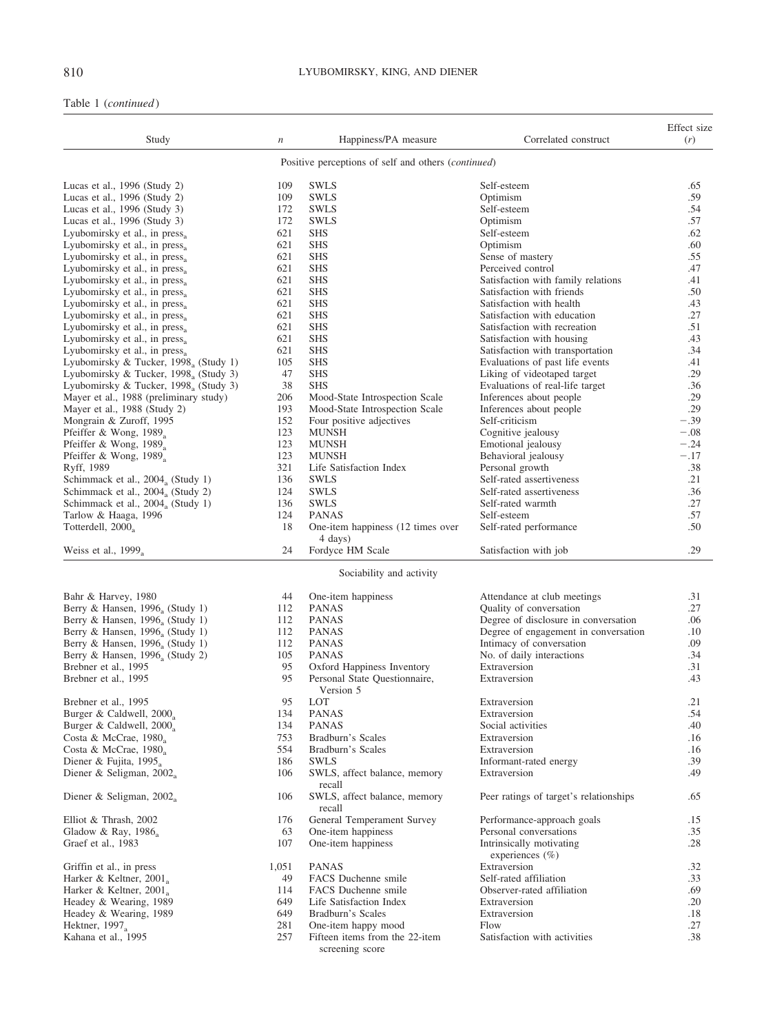| Study                                             | $\boldsymbol{n}$ | Happiness/PA measure                                         | Correlated construct                            | Effect size<br>(r) |
|---------------------------------------------------|------------------|--------------------------------------------------------------|-------------------------------------------------|--------------------|
|                                                   |                  | Positive perceptions of self and others ( <i>continued</i> ) |                                                 |                    |
| Lucas et al., $1996$ (Study 2)                    | 109              | SWLS                                                         | Self-esteem                                     | .65                |
| Lucas et al., $1996$ (Study 2)                    | 109              | SWLS                                                         | Optimism                                        | .59                |
| Lucas et al., $1996$ (Study 3)                    | 172              | SWLS                                                         | Self-esteem                                     | .54                |
| Lucas et al., $1996$ (Study 3)                    | 172              | SWLS                                                         | Optimism                                        | .57                |
| Lyubomirsky et al., in press <sub>a</sub>         | 621              | <b>SHS</b>                                                   | Self-esteem                                     | .62                |
| Lyubomirsky et al., in press <sub>a</sub>         | 621              | <b>SHS</b>                                                   | Optimism                                        | .60                |
| Lyubomirsky et al., in press <sub>a</sub>         | 621              | <b>SHS</b>                                                   | Sense of mastery                                | .55                |
| Lyubomirsky et al., in press <sub>a</sub>         | 621              | <b>SHS</b>                                                   | Perceived control                               | .47                |
| Lyubomirsky et al., in press <sub>a</sub>         | 621              | <b>SHS</b>                                                   | Satisfaction with family relations              | .41                |
| Lyubomirsky et al., in press <sub>a</sub>         | 621              | <b>SHS</b>                                                   | Satisfaction with friends                       | .50                |
| Lyubomirsky et al., in press <sub>a</sub>         | 621              | <b>SHS</b>                                                   | Satisfaction with health                        | .43                |
| Lyubomirsky et al., in press <sub>a</sub>         | 621              | <b>SHS</b>                                                   | Satisfaction with education                     | .27                |
| Lyubomirsky et al., in press <sub>a</sub>         | 621              | <b>SHS</b>                                                   | Satisfaction with recreation                    | .51                |
| Lyubomirsky et al., in press <sub>a</sub>         | 621              | <b>SHS</b>                                                   | Satisfaction with housing                       | .43                |
| Lyubomirsky et al., in press <sub>a</sub>         | 621              | <b>SHS</b>                                                   | Satisfaction with transportation                | .34                |
| Lyubomirsky & Tucker, 1998 <sub>a</sub> (Study 1) | 105              | <b>SHS</b>                                                   | Evaluations of past life events                 | .41                |
| Lyubomirsky & Tucker, 1998 <sub>a</sub> (Study 3) | 47               | <b>SHS</b>                                                   | Liking of videotaped target                     | .29                |
| Lyubomirsky & Tucker, 1998 <sub>a</sub> (Study 3) | 38               | <b>SHS</b>                                                   | Evaluations of real-life target                 | .36                |
| Mayer et al., 1988 (preliminary study)            | 206              | Mood-State Introspection Scale                               | Inferences about people                         | .29                |
| Mayer et al., 1988 (Study 2)                      | 193              | Mood-State Introspection Scale                               | Inferences about people                         | .29                |
| Mongrain & Zuroff, 1995                           | 152              | Four positive adjectives                                     | Self-criticism                                  | $-.39$             |
| Pfeiffer $&$ Wong, 1989,                          | 123              | MUNSH                                                        | Cognitive jealousy                              | $-.08$             |
| Pfeiffer & Wong, $1989_a$                         | 123              | <b>MUNSH</b>                                                 | Emotional jealousy                              | $-.24$             |
| Pfeiffer & Wong, $1989_a$                         | 123              | <b>MUNSH</b>                                                 | Behavioral jealousy                             | $-.17$             |
| Ryff, 1989                                        | 321              | Life Satisfaction Index                                      | Personal growth                                 | .38                |
| Schimmack et al., $2004_a$ (Study 1)              | 136              | SWLS                                                         | Self-rated assertiveness                        | .21                |
| Schimmack et al., 2004 <sub>a</sub> (Study 2)     | 124              | SWLS                                                         | Self-rated assertiveness                        | .36                |
| Schimmack et al., 2004 <sub>a</sub> (Study 1)     | 136              | <b>SWLS</b>                                                  | Self-rated warmth                               | .27                |
| Tarlow & Haaga, 1996                              | 124              | <b>PANAS</b>                                                 | Self-esteem                                     | .57                |
| Totterdell, $2000_a$                              | 18               | One-item happiness (12 times over                            | Self-rated performance                          | .50                |
| Weiss et al., $1999_a$                            | 24               | 4 days)<br>Fordyce HM Scale                                  | Satisfaction with job                           | .29                |
|                                                   |                  | Sociability and activity                                     |                                                 |                    |
| Bahr & Harvey, 1980                               | 44               | One-item happiness                                           | Attendance at club meetings                     | .31                |
| Berry & Hansen, $1996_a$ (Study 1)                | 112              | <b>PANAS</b>                                                 | Quality of conversation                         | .27                |
| Berry & Hansen, $1996_a$ (Study 1)                | 112              | <b>PANAS</b>                                                 | Degree of disclosure in conversation            | .06                |
| Berry & Hansen, $1996_a$ (Study 1)                | 112              | <b>PANAS</b>                                                 | Degree of engagement in conversation            | .10                |
| Berry & Hansen, $1996_a$ (Study 1)                | 112              | <b>PANAS</b>                                                 | Intimacy of conversation                        | .09                |
| Berry & Hansen, $1996_a$ (Study 2)                | 105              | <b>PANAS</b>                                                 | No. of daily interactions                       | .34                |
| Brebner et al., 1995                              | 95               | Oxford Happiness Inventory                                   | Extraversion                                    | .31                |
| Brebner et al., 1995                              | 95               | Personal State Questionnaire,<br>Version 5                   | Extraversion                                    | .43                |
| Brebner et al., 1995                              | 95               | LOT                                                          | Extraversion                                    | .21                |
| Burger & Caldwell, 2000 <sub>a</sub>              | 134              | <b>PANAS</b>                                                 | Extraversion                                    | .54                |
| Burger & Caldwell, 2000 <sub>a</sub>              | 134              | <b>PANAS</b>                                                 | Social activities                               | .40                |
| Costa & McCrae, $1980_a$                          | 753              | Bradburn's Scales                                            | Extraversion                                    | .16                |
| Costa & McCrae, $1980_a$                          | 554              | Bradburn's Scales                                            | Extraversion                                    | .16                |
| Diener & Fujita, 1995 <sub>a</sub>                | 186              | <b>SWLS</b>                                                  | Informant-rated energy                          | .39                |
| Diener & Seligman, 2002 <sub>a</sub>              | 106              | SWLS, affect balance, memory<br>recall                       | Extraversion                                    | .49                |
| Diener & Seligman, $2002_a$                       | 106              | SWLS, affect balance, memory<br>recall                       | Peer ratings of target's relationships          | .65                |
| Elliot & Thrash, 2002                             | 176              | General Temperament Survey                                   | Performance-approach goals                      | .15                |
| Gladow & Ray, $1986_a$                            | 63               | One-item happiness                                           | Personal conversations                          | .35                |
| Graef et al., 1983                                | 107              | One-item happiness                                           | Intrinsically motivating<br>experiences $(\% )$ | .28                |
| Griffin et al., in press                          | 1,051            | <b>PANAS</b>                                                 | Extraversion                                    | .32                |
| Harker & Keltner, $2001_a$                        | 49               | FACS Duchenne smile                                          | Self-rated affiliation                          | .33                |
| Harker & Keltner, $2001_a$                        | 114              | FACS Duchenne smile                                          | Observer-rated affiliation                      | .69                |
| Headey & Wearing, 1989                            | 649              | Life Satisfaction Index                                      | Extraversion                                    | .20                |
| Headey & Wearing, 1989                            | 649              | Bradburn's Scales                                            | Extraversion                                    | .18                |
| Hektner, $1997_a$                                 | 281              | One-item happy mood                                          | Flow                                            | .27                |
| Kahana et al., 1995                               | 257              | Fifteen items from the 22-item<br>screening score            | Satisfaction with activities                    | .38                |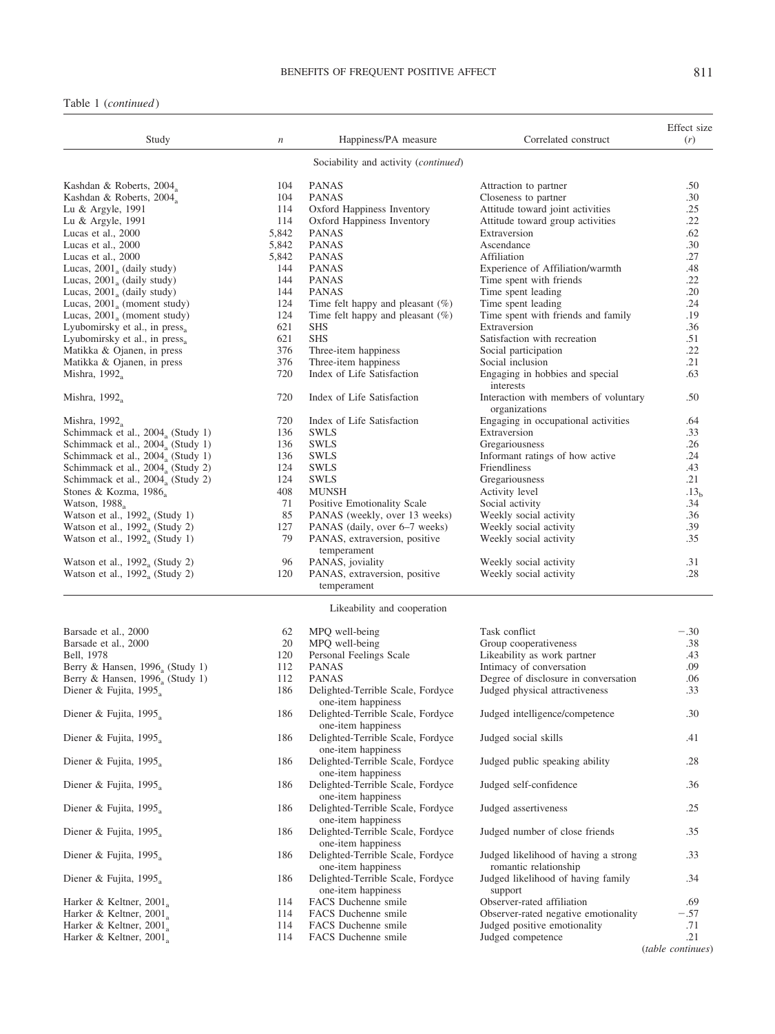| Study                                         | $\boldsymbol{n}$ | Happiness/PA measure                                                          | Correlated construct                                          | Effect size<br>(r)         |
|-----------------------------------------------|------------------|-------------------------------------------------------------------------------|---------------------------------------------------------------|----------------------------|
|                                               |                  | Sociability and activity ( <i>continued</i> )                                 |                                                               |                            |
| Kashdan & Roberts, 2004 <sub>a</sub>          | 104              | PANAS                                                                         | Attraction to partner                                         | .50                        |
| Kashdan & Roberts, 2004 <sub>a</sub>          | 104              | PANAS                                                                         | Closeness to partner                                          | .30                        |
| Lu & Argyle, 1991                             | 114              | Oxford Happiness Inventory                                                    | Attitude toward joint activities                              | .25                        |
| Lu & Argyle, 1991                             | 114              | Oxford Happiness Inventory                                                    | Attitude toward group activities                              | .22                        |
| Lucas et al., 2000                            | 5,842            | PANAS                                                                         | Extraversion                                                  | .62                        |
| Lucas et al., 2000                            | 5,842            | <b>PANAS</b>                                                                  | Ascendance                                                    | .30                        |
| Lucas et al., 2000                            | 5,842            | <b>PANAS</b>                                                                  | Affiliation                                                   | .27                        |
| Lucas, $2001_a$ (daily study)                 | 144              | <b>PANAS</b>                                                                  | Experience of Affiliation/warmth                              | .48                        |
| Lucas, $2001_a$ (daily study)                 | 144              | PANAS                                                                         | Time spent with friends                                       | .22                        |
| Lucas, $2001_a$ (daily study)                 | 144              | <b>PANAS</b>                                                                  | Time spent leading                                            | .20                        |
| Lucas, $2001_a$ (moment study)                | 124              | Time felt happy and pleasant $(\%)$                                           | Time spent leading                                            | .24                        |
| Lucas, $2001_a$ (moment study)                | 124              | Time felt happy and pleasant $(\%)$                                           | Time spent with friends and family                            | .19                        |
| Lyubomirsky et al., in $press_a$              | 621              | <b>SHS</b>                                                                    | Extraversion                                                  | .36                        |
| Lyubomirsky et al., in $press_a$              | 621              | <b>SHS</b>                                                                    | Satisfaction with recreation                                  | .51                        |
| Matikka & Ojanen, in press                    | 376              | Three-item happiness                                                          | Social participation                                          | .22                        |
| Matikka & Ojanen, in press                    | 376              | Three-item happiness                                                          | Social inclusion                                              | .21                        |
| Mishra, $1992_a$                              | 720              | Index of Life Satisfaction                                                    | Engaging in hobbies and special<br>interests                  | .63                        |
| Mishra, $1992_a$                              | 720              | Index of Life Satisfaction                                                    | Interaction with members of voluntary<br>organizations        | .50                        |
| Mishra, $1992_a$                              | 720              | Index of Life Satisfaction                                                    | Engaging in occupational activities                           | .64                        |
| Schimmack et al., 2004 <sub>a</sub> (Study 1) | 136              | SWLS                                                                          | Extraversion                                                  | .33                        |
| Schimmack et al., 2004 <sub>a</sub> (Study 1) | 136              | SWLS                                                                          | Gregariousness                                                | .26                        |
| Schimmack et al., 2004 <sub>a</sub> (Study 1) | 136              | <b>SWLS</b>                                                                   | Informant ratings of how active                               | .24                        |
| Schimmack et al., 2004 <sub>a</sub> (Study 2) | 124              | SWLS                                                                          | Friendliness                                                  | .43                        |
| Schimmack et al., 2004 <sub>a</sub> (Study 2) | 124              | <b>SWLS</b>                                                                   | Gregariousness                                                | .21                        |
| Stones & Kozma, $1986_a$                      | 408              | <b>MUNSH</b>                                                                  | Activity level                                                | .13 <sub>b</sub>           |
| Watson, 1988 <sub>a</sub>                     | 71               | Positive Emotionality Scale                                                   | Social activity                                               | .34                        |
| Watson et al., $1992_a$ (Study 1)             | 85               | PANAS (weekly, over 13 weeks)                                                 | Weekly social activity                                        | .36                        |
| Watson et al., $1992_a$ (Study 2)             | 127              | PANAS (daily, over 6–7 weeks)                                                 | Weekly social activity                                        | .39                        |
| Watson et al., $1992_a$ (Study 1)             | 79               | PANAS, extraversion, positive<br>temperament                                  | Weekly social activity                                        | .35                        |
| Watson et al., $1992_a$ (Study 2)             | 96               | PANAS, joviality                                                              | Weekly social activity                                        | .31                        |
| Watson et al., $1992_a$ (Study 2)             | 120              | PANAS, extraversion, positive<br>temperament                                  | Weekly social activity                                        | .28                        |
|                                               |                  | Likeability and cooperation                                                   |                                                               |                            |
| Barsade et al., 2000                          | 62               | MPQ well-being                                                                | Task conflict                                                 | $-.30$                     |
| Barsade et al., 2000                          | 20               | MPQ well-being                                                                | Group cooperativeness                                         | .38                        |
| Bell, 1978                                    | 120              | Personal Feelings Scale                                                       | Likeability as work partner                                   | .43                        |
| Berry & Hansen, 1996 <sub>a</sub> (Study 1)   | 112              | <b>PANAS</b>                                                                  | Intimacy of conversation                                      | .09                        |
| Berry & Hansen, $1996_a$ (Study 1)            | 112              | <b>PANAS</b>                                                                  | Degree of disclosure in conversation                          | .06                        |
| Diener & Fujita, 1995 <sub>a</sub>            | 186              | Delighted-Terrible Scale, Fordyce                                             | Judged physical attractiveness                                | .33                        |
| Diener & Fujita, 1995 <sub>a</sub>            | 186              | one-item happiness<br>Delighted-Terrible Scale, Fordyce                       | Judged intelligence/competence                                | .30                        |
| Diener & Fujita, 1995 <sub>a</sub>            | 186              | one-item happiness<br>Delighted-Terrible Scale, Fordyce                       | Judged social skills                                          | .41                        |
| Diener & Fujita, 1995 <sub>a</sub>            | 186              | one-item happiness<br>Delighted-Terrible Scale, Fordyce                       | Judged public speaking ability                                | .28                        |
| Diener & Fujita, 1995 <sub>a</sub>            | 186              | one-item happiness<br>Delighted-Terrible Scale, Fordyce<br>one-item happiness | Judged self-confidence                                        | .36                        |
| Diener & Fujita, 1995 <sub>a</sub>            | 186              | Delighted-Terrible Scale, Fordyce<br>one-item happiness                       | Judged assertiveness                                          | .25                        |
| Diener & Fujita, 1995 <sub>a</sub>            | 186              | Delighted-Terrible Scale, Fordyce<br>one-item happiness                       | Judged number of close friends                                | .35                        |
| Diener & Fujita, 1995 <sub>a</sub>            | 186              | Delighted-Terrible Scale, Fordyce<br>one-item happiness                       | Judged likelihood of having a strong<br>romantic relationship | .33                        |
| Diener & Fujita, 1995 <sub>a</sub>            | 186              | Delighted-Terrible Scale, Fordyce<br>one-item happiness                       | Judged likelihood of having family<br>support                 | .34                        |
| Harker & Keltner, $2001_a$                    | 114              | FACS Duchenne smile                                                           | Observer-rated affiliation                                    | .69                        |
| Harker & Keltner, $2001_a$                    | 114              | FACS Duchenne smile                                                           | Observer-rated negative emotionality                          | $-.57$                     |
| Harker & Keltner, $2001_a$                    | 114              | FACS Duchenne smile                                                           | Judged positive emotionality                                  | .71                        |
| Harker & Keltner, $2001_a$                    | 114              | FACS Duchenne smile                                                           | Judged competence                                             | .21                        |
|                                               |                  |                                                                               |                                                               | ( <i>table continues</i> ) |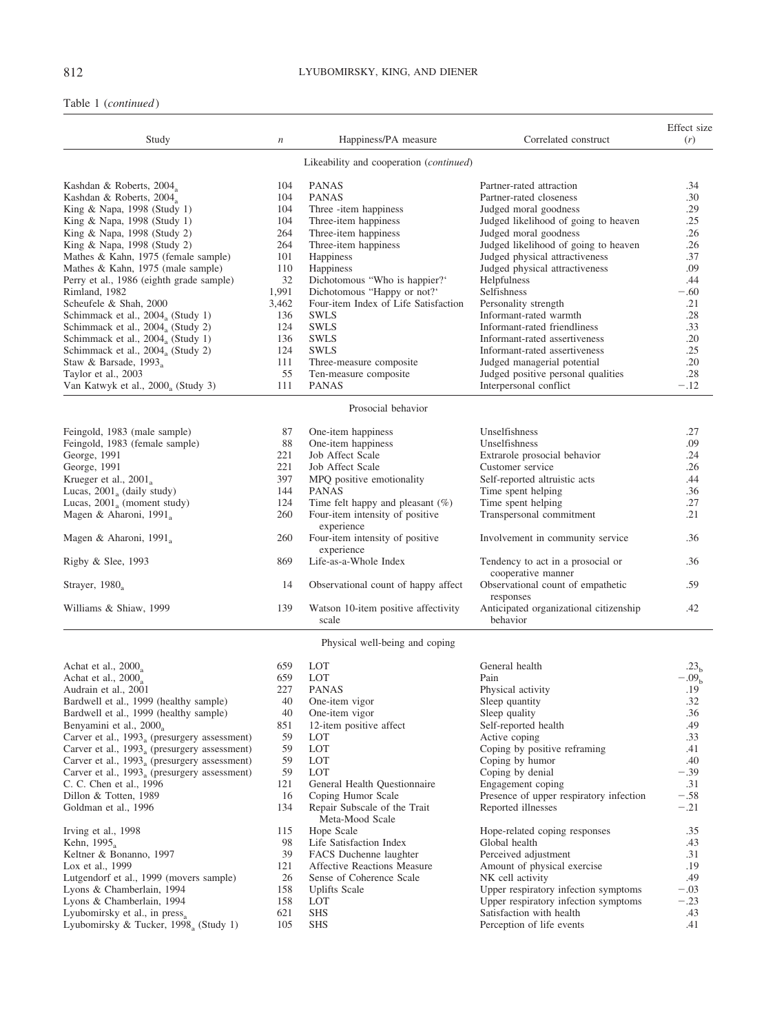| Study                                                    | $\boldsymbol{n}$ | Happiness/PA measure                             | Correlated construct                                    | Effect size<br>(r) |
|----------------------------------------------------------|------------------|--------------------------------------------------|---------------------------------------------------------|--------------------|
|                                                          |                  | Likeability and cooperation ( <i>continued</i> ) |                                                         |                    |
| Kashdan & Roberts, 2004.                                 | 104              | <b>PANAS</b>                                     | Partner-rated attraction                                | .34                |
| Kashdan & Roberts, $2004_a$                              | 104              | <b>PANAS</b>                                     | Partner-rated closeness                                 | .30                |
| King & Napa, 1998 (Study 1)                              | 104              | Three -item happiness                            | Judged moral goodness                                   | .29                |
| King & Napa, 1998 (Study 1)                              | 104              | Three-item happiness                             | Judged likelihood of going to heaven                    | .25                |
| King & Napa, 1998 (Study 2)                              | 264              | Three-item happiness                             | Judged moral goodness                                   | .26                |
| King & Napa, 1998 (Study 2)                              | 264              | Three-item happiness                             | Judged likelihood of going to heaven                    | .26                |
| Mathes & Kahn, 1975 (female sample)                      | 101              | Happiness                                        | Judged physical attractiveness                          | .37                |
| Mathes & Kahn, 1975 (male sample)                        | 110              | Happiness                                        | Judged physical attractiveness                          | .09                |
| Perry et al., 1986 (eighth grade sample)                 | 32               | Dichotomous "Who is happier?"                    | Helpfulness                                             | .44                |
| Rimland, 1982                                            | 1,991            | Dichotomous "Happy or not?"                      | Selfishness                                             | $-.60$             |
| Scheufele & Shah, 2000                                   | 3,462            | Four-item Index of Life Satisfaction             | Personality strength                                    | .21                |
| Schimmack et al., $2004_a$ (Study 1)                     | 136              | <b>SWLS</b>                                      | Informant-rated warmth                                  | .28                |
| Schimmack et al., 2004 <sub>a</sub> (Study 2)            | 124              | <b>SWLS</b>                                      | Informant-rated friendliness                            | .33                |
| Schimmack et al., 2004 <sub>a</sub> (Study 1)            | 136              | <b>SWLS</b>                                      | Informant-rated assertiveness                           | .20                |
| Schimmack et al., 2004 <sub>a</sub> (Study 2)            | 124              | <b>SWLS</b>                                      | Informant-rated assertiveness                           | .25                |
| Staw & Barsade, $1993_a$                                 | 111              | Three-measure composite                          | Judged managerial potential                             | .20                |
| Taylor et al., 2003                                      | 55               | Ten-measure composite                            | Judged positive personal qualities                      | .28                |
| Van Katwyk et al., 2000 <sub>a</sub> (Study 3)           | 111              | <b>PANAS</b>                                     | Interpersonal conflict                                  | $-.12$             |
|                                                          |                  | Prosocial behavior                               |                                                         |                    |
| Feingold, 1983 (male sample)                             | 87               | One-item happiness                               | Unselfishness                                           | .27                |
| Feingold, 1983 (female sample)                           | 88               | One-item happiness                               | Unselfishness                                           | .09                |
| George, 1991                                             | 221              | Job Affect Scale                                 | Extrarole prosocial behavior                            | .24                |
| George, 1991                                             | 221              | Job Affect Scale                                 | Customer service                                        | .26                |
| Krueger et al., 2001 <sub>a</sub>                        | 397              | MPQ positive emotionality                        | Self-reported altruistic acts                           | .44                |
| Lucas, $2001_a$ (daily study)                            | 144              | <b>PANAS</b>                                     | Time spent helping                                      | .36                |
| Lucas, $2001_a$ (moment study)                           | 124              | Time felt happy and pleasant $(\%)$              | Time spent helping                                      | .27                |
| Magen & Aharoni, 1991 <sub>a</sub>                       | 260              | Four-item intensity of positive<br>experience    | Transpersonal commitment                                | .21                |
| Magen & Aharoni, 1991 <sub>a</sub>                       | 260              | Four-item intensity of positive<br>experience    | Involvement in community service                        | .36                |
| Rigby & Slee, 1993                                       | 869              | Life-as-a-Whole Index                            | Tendency to act in a prosocial or<br>cooperative manner | .36                |
| Strayer, $1980_a$                                        | 14               | Observational count of happy affect              | Observational count of empathetic<br>responses          | .59                |
| Williams & Shiaw, 1999                                   | 139              | Watson 10-item positive affectivity<br>scale     | Anticipated organizational citizenship<br>behavior      | .42                |
|                                                          |                  | Physical well-being and coping                   |                                                         |                    |
| Achat et al., $2000_a$                                   | 659              | LOT                                              | General health                                          | .23 <sub>b</sub>   |
| Achat et al., $2000_a$                                   | 659              | LOT                                              | Pain                                                    | $-.09b$            |
| Audrain et al., 2001                                     | 227              | <b>PANAS</b>                                     | Physical activity                                       | .19                |
| Bardwell et al., 1999 (healthy sample)                   | 40               | One-item vigor                                   | Sleep quantity                                          | 32                 |
| Bardwell et al., 1999 (healthy sample)                   | 40               | One-item vigor                                   | Sleep quality                                           | .36                |
| Benyamini et al., 2000,                                  | 851              | 12-item positive affect                          | Self-reported health                                    | .49                |
| Carver et al., 1993 <sub>a</sub> (presurgery assessment) | 59               | LOT                                              | Active coping                                           | .33                |
| Carver et al., 1993 <sub>a</sub> (presurgery assessment) | 59               | LOT                                              | Coping by positive reframing                            | .41                |
| Carver et al., 1993 <sub>a</sub> (presurgery assessment) | 59               | LOT                                              | Coping by humor                                         | .40                |
| Carver et al., 1993 <sub>a</sub> (presurgery assessment) | 59               | LOT                                              | Coping by denial                                        | $-.39$             |
| C. C. Chen et al., 1996                                  | 121              | General Health Questionnaire                     | Engagement coping                                       | .31                |
| Dillon & Totten, 1989                                    | 16               | Coping Humor Scale                               | Presence of upper respiratory infection                 | $-.58$             |
| Goldman et al., 1996                                     | 134              | Repair Subscale of the Trait<br>Meta-Mood Scale  | Reported illnesses                                      | $-.21$             |
| 1000                                                     |                  |                                                  |                                                         | $\Omega$           |

Irving et al., 1998 115 Hope Scale Hope-related coping responses 35<br>
Kehn, 1995<sub>a</sub> 98 Life Satisfaction Index Global health 1995<sub>a</sub> 343 Irving et al., 1998 115 Hope Scale Hope-related coping responses 135<br>
Kehn, 1995<sub>a</sub> 98 Life Satisfaction Index Global health 1995<sub>a</sub> 98 Life Satisfaction Index Global health 1995<sub>a</sub> 143<br>
Keltner & Bonanno, 1997 39 FACS Duc Keltner & Bonanno, 1997 39 FACS Duchenne laughter Perceived adjustment .31<br>1999 121 Affective Reactions Measure Amount of physical exercise 121 Affective Reactions Measure Amount of physical exercise .19<br>26 Sense of Coherence Scale MK cell activity .49 Lutgendorf et al., 1999 (movers sample) 26 Sense of Coherence Scale NK cell activity .49<br>
Lyons & Chamberlain, 1994 158 Uplifts Scale Upper respiratory infection symptoms -.03 Lyons & Chamberlain, 1994 158 Uplifts Scale Upper respiratory infection symptoms -03 Lyons & Chamberlain, 1994 158 LOT Upper respiratory infection symptoms  $-23$ Lyubomirsky et al., in press<sub>a</sub> 621 SHS SHS Satisfaction with health .43 Lyubomirsky & Tucker, 1998<sub>a</sub> (Study 1) 105 SHS Perception of life events .41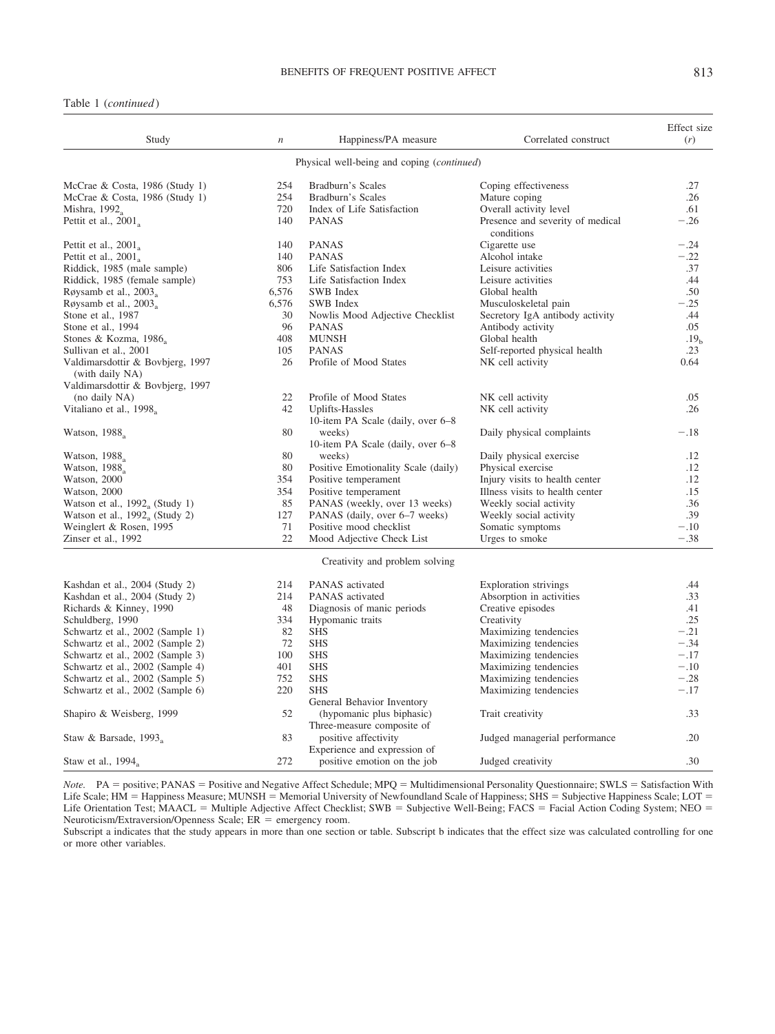| Study                                               | $\boldsymbol{n}$ | Happiness/PA measure                                        | Correlated construct                           | Effect size<br>(r) |
|-----------------------------------------------------|------------------|-------------------------------------------------------------|------------------------------------------------|--------------------|
|                                                     |                  | Physical well-being and coping ( <i>continued</i> )         |                                                |                    |
| McCrae & Costa, 1986 (Study 1)                      | 254              | Bradburn's Scales                                           | Coping effectiveness                           | .27                |
| McCrae & Costa, 1986 (Study 1)                      | 254              | Bradburn's Scales                                           | Mature coping                                  | .26                |
| Mishra, $1992_a$                                    | 720              | Index of Life Satisfaction                                  | Overall activity level                         | .61                |
| Pettit et al., $2001_a$                             | 140              | <b>PANAS</b>                                                | Presence and severity of medical<br>conditions | $-.26$             |
| Pettit et al., $2001_a$                             | 140              | <b>PANAS</b>                                                | Cigarette use                                  | $-.24$             |
| Pettit et al., $2001_a$                             | 140              | <b>PANAS</b>                                                | Alcohol intake                                 | $-.22$             |
| Riddick, 1985 (male sample)                         | 806              | Life Satisfaction Index                                     | Leisure activities                             | .37                |
| Riddick, 1985 (female sample)                       | 753              | Life Satisfaction Index                                     | Leisure activities                             | .44                |
| Røysamb et al., $2003_a$                            | 6,576            | SWB Index                                                   | Global health                                  | .50                |
| Røysamb et al., $2003_a$                            | 6,576            | SWB Index                                                   | Musculoskeletal pain                           | $-.25$             |
| Stone et al., 1987                                  | 30               | Nowlis Mood Adjective Checklist                             | Secretory IgA antibody activity                | .44                |
| Stone et al., 1994                                  | 96               | <b>PANAS</b>                                                | Antibody activity                              | .05                |
| Stones & Kozma, $1986_a$                            | 408              | <b>MUNSH</b>                                                | Global health                                  | .19 <sub>h</sub>   |
| Sullivan et al., 2001                               | 105              | <b>PANAS</b>                                                | Self-reported physical health                  | .23                |
| Valdimarsdottir & Bovbjerg, 1997<br>(with daily NA) | 26               | Profile of Mood States                                      | NK cell activity                               | 0.64               |
| Valdimarsdottir & Bovbjerg, 1997                    |                  |                                                             |                                                |                    |
| (no daily NA)                                       | 22               | Profile of Mood States                                      | NK cell activity                               | .05                |
| Vitaliano et al., 1998 <sub>a</sub>                 | 42               | <b>Uplifts-Hassles</b><br>10-item PA Scale (daily, over 6-8 | NK cell activity                               | .26                |
| Watson, 1988 <sub>a</sub>                           | 80               | weeks)<br>10-item PA Scale (daily, over 6–8                 | Daily physical complaints                      | $-.18$             |
| Watson, 1988 <sub>a</sub>                           | 80               | weeks)                                                      | Daily physical exercise                        | .12                |
| Watson, 1988 <sub>a</sub>                           | 80               | Positive Emotionality Scale (daily)                         | Physical exercise                              | .12                |
| Watson, 2000                                        | 354              | Positive temperament                                        | Injury visits to health center                 | .12                |
| Watson, 2000                                        | 354              | Positive temperament                                        | Illness visits to health center                | .15                |
| Watson et al., 1992 <sub>a</sub> (Study 1)          | 85               | PANAS (weekly, over 13 weeks)                               | Weekly social activity                         | .36                |
| Watson et al., $1992_a$ (Study 2)                   | 127              | PANAS (daily, over 6–7 weeks)                               | Weekly social activity                         | .39                |
| Weinglert & Rosen, 1995                             | 71               | Positive mood checklist                                     | Somatic symptoms                               | $-.10$             |
| Zinser et al., 1992                                 | 22               | Mood Adjective Check List                                   | Urges to smoke                                 | $-.38$             |
|                                                     |                  | Creativity and problem solving                              |                                                |                    |
| Kashdan et al., 2004 (Study 2)                      | 214              | PANAS activated                                             | <b>Exploration</b> strivings                   | .44                |
| Kashdan et al., 2004 (Study 2)                      | 214              | PANAS activated                                             | Absorption in activities                       | .33                |
| Richards & Kinney, 1990                             | 48               | Diagnosis of manic periods                                  | Creative episodes                              | .41                |
| Schuldberg, 1990                                    | 334              | Hypomanic traits                                            | Creativity                                     | .25                |
| Schwartz et al., 2002 (Sample 1)                    | 82               | <b>SHS</b>                                                  | Maximizing tendencies                          | $-.21$             |
| Schwartz et al., 2002 (Sample 2)                    | 72               | <b>SHS</b>                                                  | Maximizing tendencies                          | $-.34$             |
| Schwartz et al., 2002 (Sample 3)                    | 100              | <b>SHS</b>                                                  | Maximizing tendencies                          | $-.17$             |
| Schwartz et al., 2002 (Sample 4)                    | 401              | <b>SHS</b>                                                  | Maximizing tendencies                          | $-.10$             |
| Schwartz et al., 2002 (Sample 5)                    | 752              | <b>SHS</b>                                                  | Maximizing tendencies                          | $-.28$             |
| Schwartz et al., 2002 (Sample 6)                    | 220              | <b>SHS</b>                                                  | Maximizing tendencies                          | $-.17$             |
| Shapiro & Weisberg, 1999                            | 52               | General Behavior Inventory<br>(hypomanic plus biphasic)     | Trait creativity                               | .33                |
| Staw & Barsade, $1993_a$                            | 83               | Three-measure composite of<br>positive affectivity          | Judged managerial performance                  | .20                |
| Staw et al., $1994_a$                               | 272              | Experience and expression of<br>positive emotion on the job | Judged creativity                              | .30                |

*Note.* PA = positive; PANAS = Positive and Negative Affect Schedule; MPQ = Multidimensional Personality Questionnaire; SWLS = Satisfaction With Life Scale; HM = Happiness Measure; MUNSH = Memorial University of Newfoundland Scale of Happiness; SHS = Subjective Happiness Scale; LOT = Life Orientation Test; MAACL = Multiple Adjective Affect Checklist; SWB = Subjective Well-Being; FACS = Facial Action Coding System; NEO = Neuroticism/Extraversion/Openness Scale;  $ER$  = emergency room.

Subscript a indicates that the study appears in more than one section or table. Subscript b indicates that the effect size was calculated controlling for one or more other variables.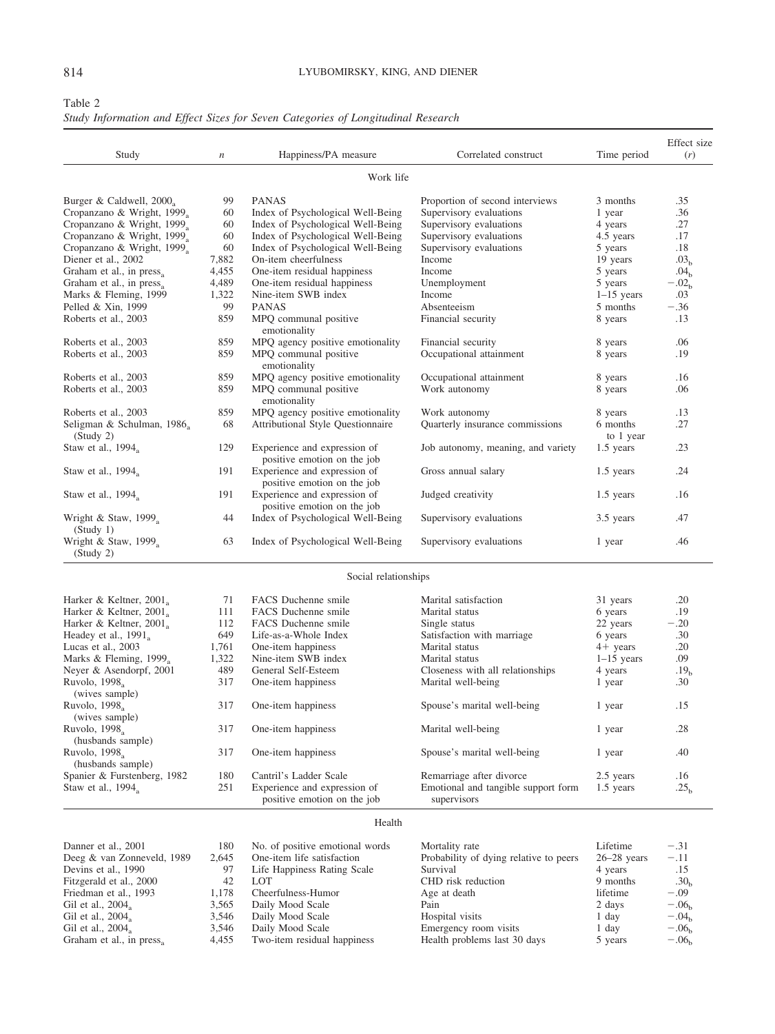## 814 LYUBOMIRSKY, KING, AND DIENER

| Table 2 |                                                                                  |  |
|---------|----------------------------------------------------------------------------------|--|
|         | Study Information and Effect Sizes for Seven Categories of Longitudinal Research |  |

| Study                                               | $\boldsymbol{n}$ | Happiness/PA measure                                        | Correlated construct               | Time period           | Effect size<br>(r) |
|-----------------------------------------------------|------------------|-------------------------------------------------------------|------------------------------------|-----------------------|--------------------|
|                                                     |                  | Work life                                                   |                                    |                       |                    |
| Burger & Caldwell, $2000_a$                         | 99               | <b>PANAS</b>                                                | Proportion of second interviews    | 3 months              | .35                |
| Cropanzano & Wright, 1999 <sub>a</sub>              | 60               | Index of Psychological Well-Being                           | Supervisory evaluations            | 1 year                | .36                |
| Cropanzano & Wright, 1999 <sub>a</sub>              | 60               | Index of Psychological Well-Being                           | Supervisory evaluations            | 4 years               | .27                |
| Cropanzano & Wright, 1999 <sub>a</sub>              | 60               | Index of Psychological Well-Being                           | Supervisory evaluations            | 4.5 years             | .17                |
| Cropanzano & Wright, 1999 <sub>a</sub>              | 60               | Index of Psychological Well-Being                           | Supervisory evaluations            | 5 years               | .18                |
| Diener et al., 2002                                 | 7,882            | On-item cheerfulness                                        | Income                             | 19 years              | .03 <sub>b</sub>   |
| Graham et al., in press <sub>a</sub>                | 4,455            | One-item residual happiness                                 | Income                             | 5 years               | .04 <sub>b</sub>   |
| Graham et al., in press <sub>a</sub>                | 4,489            | One-item residual happiness                                 | Unemployment                       | 5 years               | $-.02b$            |
| Marks & Fleming, 1999                               | 1,322            | Nine-item SWB index                                         | Income                             | $1-15$ years          | .03                |
| Pelled & Xin, 1999                                  | 99               | <b>PANAS</b>                                                | Absenteeism                        | 5 months              | $-.36$             |
| Roberts et al., 2003                                | 859              | MPQ communal positive<br>emotionality                       | Financial security                 | 8 years               | .13                |
| Roberts et al., 2003                                | 859              | MPQ agency positive emotionality                            | Financial security                 | 8 years               | .06                |
| Roberts et al., 2003                                | 859              | MPQ communal positive<br>emotionality                       | Occupational attainment            | 8 years               | .19                |
| Roberts et al., 2003                                | 859              | MPQ agency positive emotionality                            | Occupational attainment            | 8 years               | .16                |
| Roberts et al., 2003                                | 859              | MPQ communal positive<br>emotionality                       | Work autonomy                      | 8 years               | .06                |
| Roberts et al., 2003                                | 859              | MPQ agency positive emotionality                            | Work autonomy                      | 8 years               | .13                |
| Seligman & Schulman, 1986 <sub>a</sub><br>(Study 2) | 68               | <b>Attributional Style Questionnaire</b>                    | Quarterly insurance commissions    | 6 months<br>to 1 year | .27                |
| Staw et al., 1994 <sub>a</sub>                      | 129              | Experience and expression of<br>positive emotion on the job | Job autonomy, meaning, and variety | 1.5 years             | .23                |
| Staw et al., 1994 <sub>a</sub>                      | 191              | Experience and expression of<br>positive emotion on the job | Gross annual salary                | 1.5 years             | .24                |
| Staw et al., 1994 <sub>a</sub>                      | 191              | Experience and expression of<br>positive emotion on the job | Judged creativity                  | 1.5 years             | .16                |
| Wright & Staw, $1999_a$<br>(Study 1)                | 44               | Index of Psychological Well-Being                           | Supervisory evaluations            | 3.5 years             | .47                |
| Wright & Staw, 1999 <sub>a</sub><br>(Study 2)       | 63               | Index of Psychological Well-Being                           | Supervisory evaluations            | 1 year                | .46                |
|                                                     |                  | Social relationships                                        |                                    |                       |                    |
| Harker & Keltner, $2001_a$                          | 71               | FACS Duchenne smile                                         | Marital satisfaction               | 31 years              | .20                |
| Harker & Keltner, 2001.                             | 111              | FACS Duchenne smile                                         | Marital status                     | 6 years               | .19                |
| Harker & Keltner, 2001.                             | 112              | FACS Duchenne smile                                         | Single status                      | 22 years              | $-.20$             |
| Headey et al., $1991_a$                             | 649              | Life-as-a-Whole Index                                       | Satisfaction with marriage         | 6 years               | .30                |
| Lucas et al., 2003                                  | 1,761            | One-item happiness                                          | Marital status                     | $4+$ years            | .20                |
| Marks & Fleming, 1999 <sub>a</sub>                  | 1,322            | Nine-item SWB index                                         | Marital status                     | $1-15$ years          | .09                |
| Neyer & Asendorpf, 2001                             | 489              | General Self-Esteem                                         | Closeness with all relationships   | 4 years               | .19 <sub>h</sub>   |
| Ruvolo, 1998 <sub>a</sub><br>(wives sample)         | 317              | One-item happiness                                          | Marital well-being                 | 1 year                | .30                |
| Ruvolo, 1998 <sub>a</sub><br>(wives sample)         | 317              | One-item happiness                                          | Spouse's marital well-being        | 1 year                | .15                |
| Ruvolo, 1998 <sub>a</sub><br>(husbands sample)      | 317              | One-item happiness                                          | Marital well-being                 | 1 year                | .28                |
| Ruvolo, 1998 <sub>a</sub><br>(husbands sample)      | 317              | One-item happiness                                          | Spouse's marital well-being        | 1 year                | .40                |

## Health

Emotional and tangible support form

2.5 years  $.16$ <br>1.5 years  $.25<sub>b</sub>$ 

supervisors

16. Spanier & Furstenberg, 1982 180 Cantril's Ladder Scale Remarriage after divorce 2.5 years 2.5 years .16

Staw et al., 1994<sub>a</sub> 251 Experience and expression of positive emotion on the job

| Danner et al., 2001        | 180   | No. of positive emotional words | Mortality rate                         | Lifetime        | $-.31$           |
|----------------------------|-------|---------------------------------|----------------------------------------|-----------------|------------------|
|                            |       |                                 |                                        |                 |                  |
| Deeg & van Zonneveld, 1989 | 2.645 | One-item life satisfaction      | Probability of dying relative to peers | $26 - 28$ years | $-.11$           |
| Devins et al., 1990        | 97    | Life Happiness Rating Scale     | Survival                               | 4 years         | .15              |
| Fitzgerald et al., 2000    | 42    | LOT                             | CHD risk reduction                     | 9 months        | .30 <sub>b</sub> |
| Friedman et al., 1993      | 1.178 | Cheerfulness-Humor              | Age at death                           | lifetime        | $-.09$           |
| Gil et al., 2004.          | 3.565 | Daily Mood Scale                | Pain                                   | 2 days          | $-.06b$          |
| Gil et al., 2004,          | 3.546 | Daily Mood Scale                | Hospital visits                        | 1 day           | $-.04b$          |
| Gil et al., 2004.          | 3.546 | Daily Mood Scale                | Emergency room visits                  | 1 day           | $-.06b$          |
| Graham et al., in press,   | 4.455 | Two-item residual happiness     | Health problems last 30 days           | 5 years         | $-.06b$          |
|                            |       |                                 |                                        |                 |                  |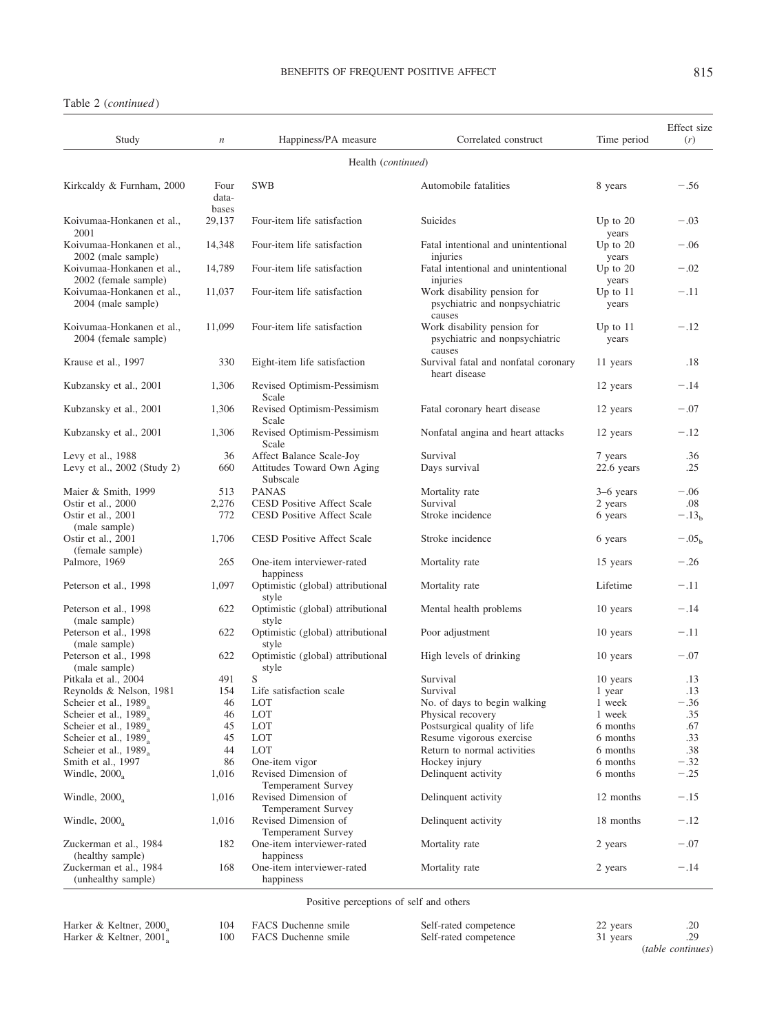| Study<br>$\boldsymbol{n}$                         |                 | Happiness/PA measure                              | Correlated construct                                                    | Time period         | Effect size<br>(r) |
|---------------------------------------------------|-----------------|---------------------------------------------------|-------------------------------------------------------------------------|---------------------|--------------------|
|                                                   |                 | Health (continued)                                |                                                                         |                     |                    |
| Kirkcaldy & Furnham, 2000                         | Four<br>data-   | <b>SWB</b>                                        | Automobile fatalities                                                   | 8 years             | $-.56$             |
| Koivumaa-Honkanen et al.,<br>2001                 | bases<br>29,137 | Four-item life satisfaction                       | Suicides                                                                | Up to $20$<br>years | $-.03$             |
| Koivumaa-Honkanen et al.,<br>2002 (male sample)   | 14,348          | Four-item life satisfaction                       | Fatal intentional and unintentional<br>injuries                         | Up to $20$<br>years | $-.06$             |
| Koivumaa-Honkanen et al.,<br>2002 (female sample) | 14,789          | Four-item life satisfaction                       | Fatal intentional and unintentional<br>injuries                         | Up to $20$<br>years | $-.02$             |
| Koivumaa-Honkanen et al.,<br>2004 (male sample)   | 11,037          | Four-item life satisfaction                       | Work disability pension for<br>psychiatric and nonpsychiatric<br>causes | Up to $11$<br>years | $-.11$             |
| Koivumaa-Honkanen et al.,<br>2004 (female sample) | 11,099          | Four-item life satisfaction                       | Work disability pension for<br>psychiatric and nonpsychiatric<br>causes | Up to $11$<br>years | $-.12$             |
| Krause et al., 1997                               | 330             | Eight-item life satisfaction                      | Survival fatal and nonfatal coronary<br>heart disease                   | 11 years            | .18                |
| Kubzansky et al., 2001                            | 1,306           | Revised Optimism-Pessimism<br>Scale               |                                                                         | 12 years            | $-.14$             |
| Kubzansky et al., 2001                            | 1,306           | Revised Optimism-Pessimism<br>Scale               | Fatal coronary heart disease                                            | 12 years            | $-.07$             |
| Kubzansky et al., 2001                            | 1,306           | Revised Optimism-Pessimism<br>Scale               | Nonfatal angina and heart attacks                                       | 12 years            | $-.12$             |
| Levy et al., $1988$                               | 36              | Affect Balance Scale-Joy                          | Survival                                                                | 7 years             | .36                |
| Levy et al., 2002 (Study 2)                       | 660             | Attitudes Toward Own Aging<br>Subscale            | Days survival                                                           | 22.6 years          | .25                |
| Maier & Smith, 1999                               | 513             | <b>PANAS</b>                                      | Mortality rate                                                          | $3-6$ years         | $-.06$             |
| Ostir et al., 2000                                | 2,276           | <b>CESD Positive Affect Scale</b>                 | Survival                                                                | 2 years             | .08                |
| Ostir et al., 2001<br>(male sample)               | 772             | <b>CESD Positive Affect Scale</b>                 | Stroke incidence                                                        | 6 years             | $-.13b$            |
| Ostir et al., 2001<br>(female sample)             | 1,706           | <b>CESD Positive Affect Scale</b>                 | Stroke incidence                                                        | 6 years             | $-.05b$            |
| Palmore, 1969                                     | 265             | One-item interviewer-rated<br>happiness           | Mortality rate                                                          | 15 years            | $-.26$             |
| Peterson et al., 1998                             | 1,097           | Optimistic (global) attributional<br>style        | Mortality rate                                                          | Lifetime            | $-.11$             |
| Peterson et al., 1998<br>(male sample)            | 622             | Optimistic (global) attributional<br>style        | Mental health problems                                                  | 10 years            | $-.14$             |
| Peterson et al., 1998<br>(male sample)            | 622             | Optimistic (global) attributional<br>style        | Poor adjustment                                                         | 10 years            | $-.11$             |
| Peterson et al., 1998<br>(male sample)            | 622             | Optimistic (global) attributional<br>style        | High levels of drinking                                                 | 10 years            | $-.07$             |
| Pitkala et al., 2004                              | 491             | S                                                 | Survival                                                                | 10 years            | .13                |
| Reynolds & Nelson, 1981                           | 154             | Life satisfaction scale                           | Survival                                                                | 1 year              | .13                |
| Scheier et al., 1989 <sub>a</sub>                 | 46              | LOT                                               | No. of days to begin walking                                            | 1 week              | $-.36$             |
| Scheier et al., 1989 <sub>a</sub>                 | 46              | LOT                                               | Physical recovery                                                       | 1 week              | .35                |
| Scheier et al., 1989,                             | 45              | LOT                                               | Postsurgical quality of life                                            | 6 months            | .67                |
| Scheier et al., 1989 <sub>a</sub>                 | 45              | LOT                                               | Resume vigorous exercise                                                | 6 months            | .33                |
| Scheier et al., 1989 <sub>a</sub>                 | 44              | LOT                                               | Return to normal activities                                             | 6 months            | .38                |
| Smith et al., 1997                                | 86              | One-item vigor                                    | Hockey injury                                                           | 6 months            | $-.32$             |
| Windle, $2000_a$                                  | 1,016           | Revised Dimension of<br><b>Temperament Survey</b> | Delinquent activity                                                     | 6 months            | $-.25$             |
| Windle, 2000 <sub>3</sub>                         | 1,016           | Revised Dimension of<br><b>Temperament Survey</b> | Delinquent activity                                                     | 12 months           | $-.15$             |
| Windle, $2000_a$                                  | 1,016           | Revised Dimension of<br><b>Temperament Survey</b> | Delinquent activity                                                     | 18 months           | $-.12$             |
| Zuckerman et al., 1984<br>(healthy sample)        | 182             | One-item interviewer-rated<br>happiness           | Mortality rate                                                          | 2 years             | $-.07$             |
| Zuckerman et al., 1984<br>(unhealthy sample)      | 168             | One-item interviewer-rated<br>happiness           | Mortality rate                                                          | 2 years             | $-.14$             |

Positive perceptions of self and others

|  | Harker & Keltner, 2000. |  |
|--|-------------------------|--|
|  | Harker & Keltner, 2001. |  |

Harker & Keltner, 2000<sub>a</sub> 104 FACS Duchenne smile Self-rated competence 22 years .20 Harker & Keltner, 2001<sub>a</sub> 100 FACS Duchenne smile Self-rated competence 31 years .29

(*table continues*)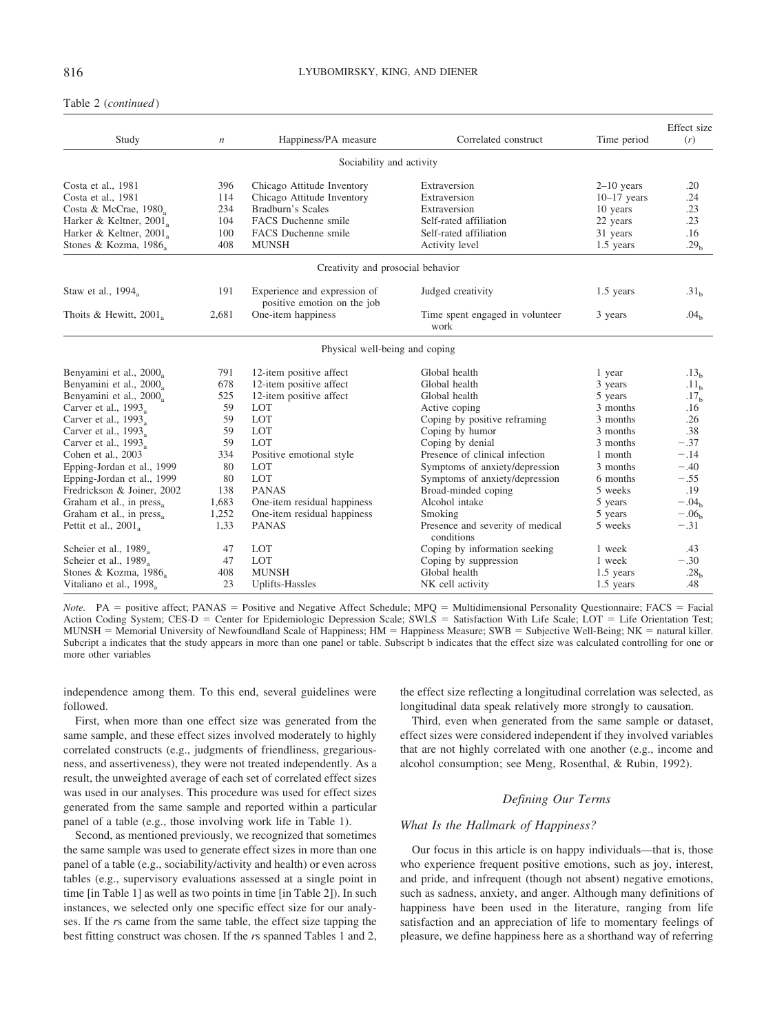| Study                                | $\boldsymbol{n}$ | Happiness/PA measure                                        | Correlated construct                           | Time period   | Effect size<br>(r) |
|--------------------------------------|------------------|-------------------------------------------------------------|------------------------------------------------|---------------|--------------------|
|                                      |                  | Sociability and activity                                    |                                                |               |                    |
| Costa et al., 1981                   | 396              | Chicago Attitude Inventory                                  | Extraversion                                   | $2-10$ years  | .20                |
| Costa et al., 1981                   | 114              | Chicago Attitude Inventory                                  | Extraversion                                   | $10-17$ years | .24                |
| Costa & McCrae, 1980,                | 234              | Bradburn's Scales                                           | Extraversion                                   | 10 years      | .23                |
| Harker & Keltner, 2001,              | 104              | FACS Duchenne smile                                         | Self-rated affiliation                         | 22 years      | .23                |
| Harker & Keltner, 2001.              | 100              | FACS Duchenne smile                                         | Self-rated affiliation                         | 31 years      | .16                |
| Stones & Kozma, 1986.                | 408              | <b>MUNSH</b>                                                | Activity level                                 | 1.5 years     | .29 <sub>b</sub>   |
|                                      |                  | Creativity and prosocial behavior                           |                                                |               |                    |
| Staw et al., 1994 <sub>a</sub>       | 191              | Experience and expression of<br>positive emotion on the job | Judged creativity                              | 1.5 years     | .31 <sub>b</sub>   |
| Thoits & Hewitt, $2001_a$            | 2,681            | One-item happiness                                          | Time spent engaged in volunteer<br>work        | 3 years       | .04 <sub>b</sub>   |
|                                      |                  | Physical well-being and coping                              |                                                |               |                    |
| Benyamini et al., 2000.              | 791              | 12-item positive affect                                     | Global health                                  | 1 year        | .13 <sub>b</sub>   |
| Benyamini et al., 2000 <sub>a</sub>  | 678              | 12-item positive affect                                     | Global health                                  | 3 years       | .11 <sub>b</sub>   |
| Benyamini et al., 2000 <sub>a</sub>  | 525              | 12-item positive affect                                     | Global health                                  | 5 years       | .17 <sub>h</sub>   |
| Carver et al., 1993 <sub>a</sub>     | 59               | <b>LOT</b>                                                  | Active coping                                  | 3 months      | .16                |
| Carver et al., $1993_a$              | 59               | <b>LOT</b>                                                  | Coping by positive reframing                   | 3 months      | .26                |
| Carver et al., $1993_a$              | 59               | LOT                                                         | Coping by humor                                | 3 months      | .38                |
| Carver et al., $1993_a$              | 59               | <b>LOT</b>                                                  | Coping by denial                               | 3 months      | $-.37$             |
| Cohen et al., 2003                   | 334              | Positive emotional style                                    | Presence of clinical infection                 | 1 month       | $-.14$             |
| Epping-Jordan et al., 1999           | 80               | <b>LOT</b>                                                  | Symptoms of anxiety/depression                 | 3 months      | $-.40$             |
| Epping-Jordan et al., 1999           | 80               | LOT                                                         | Symptoms of anxiety/depression                 | 6 months      | $-.55$             |
| Fredrickson & Joiner, 2002           | 138              | <b>PANAS</b>                                                | Broad-minded coping                            | 5 weeks       | .19                |
| Graham et al., in press.             | 1,683            | One-item residual happiness                                 | Alcohol intake                                 | 5 years       | $-.04b$            |
| Graham et al., in press <sub>a</sub> | 1,252            | One-item residual happiness                                 | Smoking                                        | 5 years       | $-.06b$            |
| Pettit et al., $2001_a$              | 1,33             | <b>PANAS</b>                                                | Presence and severity of medical<br>conditions | 5 weeks       | $-.31$             |
| Scheier et al., 1989 <sub>a</sub>    | 47               | LOT                                                         | Coping by information seeking                  | 1 week        | .43                |
| Scheier et al., 1989 <sub>a</sub>    | 47               | <b>LOT</b>                                                  | Coping by suppression                          | 1 week        | $-.30$             |
| Stones & Kozma, 1986 <sub>a</sub>    | 408              | <b>MUNSH</b>                                                | Global health                                  | 1.5 years     | .28 <sub>h</sub>   |
| Vitaliano et al., 1998 <sub>a</sub>  | 23               | Uplifts-Hassles                                             | NK cell activity                               | 1.5 years     | .48                |

*Note.* PA = positive affect; PANAS = Positive and Negative Affect Schedule; MPQ = Multidimensional Personality Questionnaire; FACS = Facial Action Coding System; CES-D = Center for Epidemiologic Depression Scale; SWLS = Satisfaction With Life Scale; LOT = Life Orientation Test; MUNSH = Memorial University of Newfoundland Scale of Happiness; HM = Happiness Measure; SWB = Subjective Well-Being; NK = natural killer. Subcript a indicates that the study appears in more than one panel or table. Subscript b indicates that the effect size was calculated controlling for one or more other variables

independence among them. To this end, several guidelines were followed.

First, when more than one effect size was generated from the same sample, and these effect sizes involved moderately to highly correlated constructs (e.g., judgments of friendliness, gregariousness, and assertiveness), they were not treated independently. As a result, the unweighted average of each set of correlated effect sizes was used in our analyses. This procedure was used for effect sizes generated from the same sample and reported within a particular panel of a table (e.g., those involving work life in Table 1).

Second, as mentioned previously, we recognized that sometimes the same sample was used to generate effect sizes in more than one panel of a table (e.g., sociability/activity and health) or even across tables (e.g., supervisory evaluations assessed at a single point in time [in Table 1] as well as two points in time [in Table 2]). In such instances, we selected only one specific effect size for our analyses. If the *r*s came from the same table, the effect size tapping the best fitting construct was chosen. If the *r*s spanned Tables 1 and 2,

the effect size reflecting a longitudinal correlation was selected, as longitudinal data speak relatively more strongly to causation.

Third, even when generated from the same sample or dataset, effect sizes were considered independent if they involved variables that are not highly correlated with one another (e.g., income and alcohol consumption; see Meng, Rosenthal, & Rubin, 1992).

### *Defining Our Terms*

## *What Is the Hallmark of Happiness?*

Our focus in this article is on happy individuals—that is, those who experience frequent positive emotions, such as joy, interest, and pride, and infrequent (though not absent) negative emotions, such as sadness, anxiety, and anger. Although many definitions of happiness have been used in the literature, ranging from life satisfaction and an appreciation of life to momentary feelings of pleasure, we define happiness here as a shorthand way of referring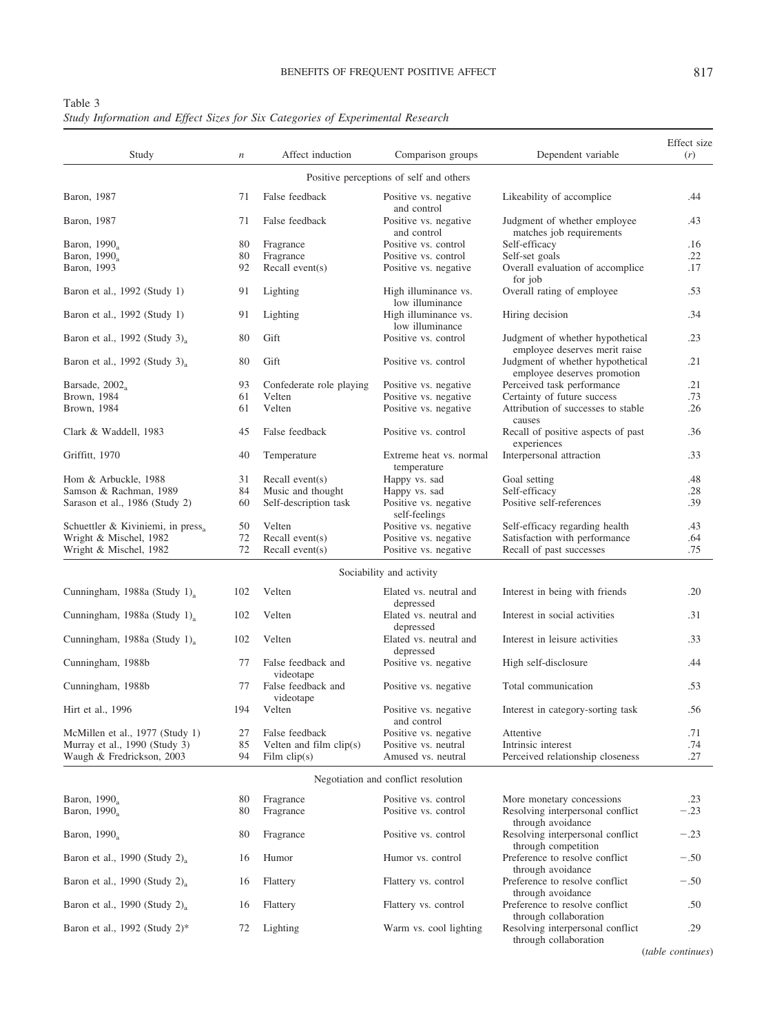| Table 3 |  |  |  |  |                                                                                |  |
|---------|--|--|--|--|--------------------------------------------------------------------------------|--|
|         |  |  |  |  | Study Information and Effect Sizes for Six Categories of Experimental Research |  |

| Study                                                    | $\boldsymbol{n}$ | Affect induction                             | Comparison groups                                       | Dependent variable                                                | Effect size<br>(r) |
|----------------------------------------------------------|------------------|----------------------------------------------|---------------------------------------------------------|-------------------------------------------------------------------|--------------------|
|                                                          |                  |                                              | Positive perceptions of self and others                 |                                                                   |                    |
| Baron, 1987                                              | 71               | False feedback                               | Positive vs. negative<br>and control                    | Likeability of accomplice                                         | .44                |
| Baron, 1987                                              | 71               | False feedback                               | Positive vs. negative<br>and control                    | Judgment of whether employee<br>matches job requirements          | .43                |
| Baron, 1990 <sub>a</sub>                                 | 80               | Fragrance                                    | Positive vs. control                                    | Self-efficacy                                                     | .16                |
| Baron, 1990 <sub>a</sub>                                 | 80               | Fragrance                                    | Positive vs. control                                    | Self-set goals                                                    | .22                |
| Baron, 1993                                              | 92               | Recall event(s)                              | Positive vs. negative                                   | Overall evaluation of accomplice<br>for job                       | .17                |
| Baron et al., 1992 (Study 1)                             | 91               | Lighting                                     | High illuminance vs.<br>low illuminance                 | Overall rating of employee                                        | .53                |
| Baron et al., 1992 (Study 1)                             | 91               | Lighting                                     | High illuminance vs.<br>low illuminance                 | Hiring decision                                                   | .34                |
| Baron et al., 1992 (Study 3) <sub>a</sub>                | 80               | Gift                                         | Positive vs. control                                    | Judgment of whether hypothetical<br>employee deserves merit raise | .23                |
| Baron et al., 1992 (Study 3) <sub>a</sub>                | 80               | Gift                                         | Positive vs. control                                    | Judgment of whether hypothetical<br>employee deserves promotion   | .21                |
| Barsade, 2002 <sub>a</sub>                               | 93               | Confederate role playing                     | Positive vs. negative                                   | Perceived task performance                                        | .21                |
| Brown, 1984                                              | 61               | Velten                                       | Positive vs. negative                                   | Certainty of future success                                       | .73                |
| Brown, 1984                                              | 61               | Velten                                       | Positive vs. negative                                   | Attribution of successes to stable<br>causes                      | .26                |
| Clark & Waddell, 1983                                    | 45               | False feedback                               | Positive vs. control                                    | Recall of positive aspects of past<br>experiences                 | .36                |
| Griffitt, 1970                                           | 40               | Temperature                                  | Extreme heat vs. normal<br>temperature                  | Interpersonal attraction                                          | .33                |
| Hom & Arbuckle, 1988                                     | 31               | Recall event( $s$ )                          | Happy vs. sad                                           | Goal setting                                                      | .48                |
| Samson & Rachman, 1989<br>Sarason et al., 1986 (Study 2) | 84<br>60         | Music and thought<br>Self-description task   | Happy vs. sad<br>Positive vs. negative<br>self-feelings | Self-efficacy<br>Positive self-references                         | .28<br>.39         |
| Schuettler & Kiviniemi, in press <sub>a</sub>            | 50               | Velten                                       | Positive vs. negative                                   | Self-efficacy regarding health                                    | .43                |
| Wright & Mischel, 1982                                   | 72               | Recall event(s)                              | Positive vs. negative                                   | Satisfaction with performance                                     | .64                |
| Wright & Mischel, 1982                                   | 72               | Recall event(s)                              | Positive vs. negative                                   | Recall of past successes                                          | .75                |
|                                                          |                  |                                              | Sociability and activity                                |                                                                   |                    |
| Cunningham, 1988a (Study 1) <sub>a</sub>                 | 102              | Velten                                       | Elated vs. neutral and                                  | Interest in being with friends                                    | .20                |
| Cunningham, 1988a (Study 1) <sub>a</sub>                 | 102              | Velten                                       | depressed<br>Elated vs. neutral and                     | Interest in social activities                                     | .31                |
| Cunningham, 1988a (Study 1) <sub>a</sub>                 | 102              | Velten                                       | depressed<br>Elated vs. neutral and<br>depressed        | Interest in leisure activities                                    | .33                |
| Cunningham, 1988b                                        | 77               | False feedback and                           | Positive vs. negative                                   | High self-disclosure                                              | .44                |
| Cunningham, 1988b                                        | 77               | videotape<br>False feedback and<br>videotape | Positive vs. negative                                   | Total communication                                               | .53                |
| Hirt et al., 1996                                        | 194              | Velten                                       | Positive vs. negative<br>and control                    | Interest in category-sorting task                                 | .56                |
| McMillen et al., 1977 (Study 1)                          | 27               | False feedback                               | Positive vs. negative                                   | Attentive                                                         | .71                |
| Murray et al., 1990 (Study 3)                            | 85               | Velten and film $clip(s)$                    | Positive vs. neutral                                    | Intrinsic interest                                                | .74                |
| Waugh & Fredrickson, 2003                                | 94               | Film $clip(s)$                               | Amused vs. neutral                                      | Perceived relationship closeness                                  | .27                |
|                                                          |                  |                                              | Negotiation and conflict resolution                     |                                                                   |                    |
| Baron, 1990 <sub>a</sub>                                 | 80               | Fragrance                                    | Positive vs. control                                    | More monetary concessions                                         | .23                |
| Baron, 1990 <sub>a</sub>                                 | 80               | Fragrance                                    | Positive vs. control                                    | Resolving interpersonal conflict<br>through avoidance             | $-.23$             |
| Baron, 1990 <sub>a</sub>                                 | 80               | Fragrance                                    | Positive vs. control                                    | Resolving interpersonal conflict<br>through competition           | $-.23$             |
| Baron et al., 1990 (Study $2)_{a}$ )                     | 16               | Humor                                        | Humor vs. control                                       | Preference to resolve conflict<br>through avoidance               | $-.50$             |
| Baron et al., 1990 (Study $2)_{a}$ )                     | 16               | Flattery                                     | Flattery vs. control                                    | Preference to resolve conflict<br>through avoidance               | $-.50$             |
| Baron et al., 1990 (Study $2)_{a}$ )                     | 16               | Flattery                                     | Flattery vs. control                                    | Preference to resolve conflict<br>through collaboration           | .50                |
| Baron et al., 1992 (Study 2)*                            | 72               | Lighting                                     | Warm vs. cool lighting                                  | Resolving interpersonal conflict<br>through collaboration         | .29                |

(*table continues*)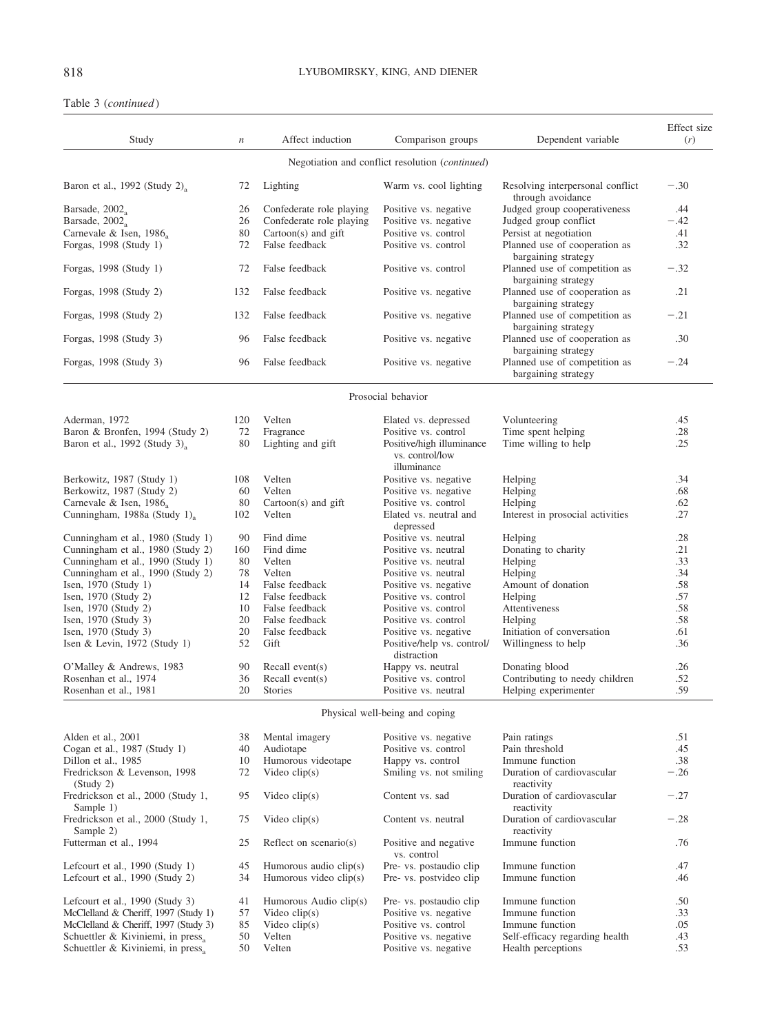|                                                      |          |                                  |                                                                    |                                                       | Effect size |
|------------------------------------------------------|----------|----------------------------------|--------------------------------------------------------------------|-------------------------------------------------------|-------------|
| Study                                                | $\,$     | Affect induction                 | Comparison groups                                                  | Dependent variable                                    | (r)         |
|                                                      |          |                                  | Negotiation and conflict resolution (continued)                    |                                                       |             |
| Baron et al., 1992 (Study $2)_{a}$ )                 | 72       | Lighting                         | Warm vs. cool lighting                                             | Resolving interpersonal conflict<br>through avoidance | $-.30$      |
| Barsade, $2002_a$                                    | 26       | Confederate role playing         | Positive vs. negative                                              | Judged group cooperativeness                          | .44         |
| Barsade, 2002 <sub>a</sub>                           | 26       | Confederate role playing         | Positive vs. negative                                              | Judged group conflict                                 | $-.42$      |
| Carnevale & Isen, 1986 <sub>a</sub>                  | 80       | Cartoon(s) and gift              | Positive vs. control                                               | Persist at negotiation                                | .41         |
| Forgas, 1998 (Study 1)                               | 72       | False feedback                   | Positive vs. control                                               | Planned use of cooperation as<br>bargaining strategy  | .32         |
| Forgas, 1998 (Study 1)                               | 72       | False feedback                   | Positive vs. control                                               | Planned use of competition as<br>bargaining strategy  | $-.32$      |
| Forgas, 1998 (Study 2)                               | 132      | False feedback                   | Positive vs. negative                                              | Planned use of cooperation as<br>bargaining strategy  | .21         |
| Forgas, 1998 (Study 2)                               | 132      | False feedback                   | Positive vs. negative                                              | Planned use of competition as<br>bargaining strategy  | $-.21$      |
| Forgas, 1998 (Study 3)                               | 96       | False feedback                   | Positive vs. negative                                              | Planned use of cooperation as<br>bargaining strategy  | .30         |
| Forgas, 1998 (Study 3)                               | 96       | False feedback                   | Positive vs. negative                                              | Planned use of competition as<br>bargaining strategy  | $-.24$      |
|                                                      |          |                                  | Prosocial behavior                                                 |                                                       |             |
| Aderman, 1972                                        | 120      | Velten                           | Elated vs. depressed                                               | Volunteering                                          | .45         |
| Baron & Bronfen, 1994 (Study 2)                      | 72       | Fragrance                        | Positive vs. control                                               | Time spent helping                                    | .28         |
| Baron et al., 1992 (Study 3) <sub>a</sub>            | 80       | Lighting and gift                | Positive/high illuminance<br>vs. control/low<br>illuminance        | Time willing to help                                  | .25         |
| Berkowitz, 1987 (Study 1)                            | 108      | Velten                           | Positive vs. negative                                              | Helping                                               | .34         |
| Berkowitz, 1987 (Study 2)                            | 60       | Velten                           | Positive vs. negative                                              | Helping                                               | .68         |
| Carnevale & Isen, 1986 <sub>a</sub>                  | 80       | $Cartoon(s)$ and gift            | Positive vs. control                                               | Helping                                               | .62         |
| Cunningham, 1988a (Study 1) <sub>a</sub>             | 102      | Velten                           | Elated vs. neutral and<br>depressed                                | Interest in prosocial activities                      | .27         |
| Cunningham et al., 1980 (Study 1)                    | 90       | Find dime                        | Positive vs. neutral                                               | Helping                                               | .28         |
| Cunningham et al., 1980 (Study 2)                    | 160      | Find dime                        | Positive vs. neutral                                               | Donating to charity                                   | .21         |
| Cunningham et al., 1990 (Study 1)                    | 80       | Velten                           | Positive vs. neutral                                               | Helping                                               | .33         |
| Cunningham et al., 1990 (Study 2)                    | 78       | Velten                           | Positive vs. neutral                                               | Helping                                               | .34         |
| Isen, 1970 (Study 1)                                 | 14       | False feedback                   | Positive vs. negative                                              | Amount of donation                                    | .58         |
| Isen, 1970 (Study 2)                                 | 12       | False feedback                   | Positive vs. control                                               | Helping                                               | .57         |
| Isen, 1970 (Study 2)                                 | 10       | False feedback                   | Positive vs. control                                               | Attentiveness                                         | .58         |
| Isen, 1970 (Study 3)                                 | 20<br>20 | False feedback<br>False feedback | Positive vs. control                                               | Helping<br>Initiation of conversation                 | .58<br>.61  |
| Isen, 1970 (Study 3)<br>Isen & Levin, 1972 (Study 1) | 52       | Gift                             | Positive vs. negative<br>Positive/help vs. control/<br>distraction | Willingness to help                                   | .36         |
| O'Malley & Andrews, 1983                             | 90       | Recall event( $s$ )              | Happy vs. neutral                                                  | Donating blood                                        | .26         |
| Rosenhan et al., 1974                                | 36       | Recall event(s)                  | Positive vs. control                                               | Contributing to needy children                        | .52         |
| Rosenhan et al., 1981                                | 20       | <b>Stories</b>                   | Positive vs. neutral                                               | Helping experimenter                                  | .59         |
|                                                      |          |                                  | Physical well-being and coping                                     |                                                       |             |
| Alden et al., 2001                                   | 38       | Mental imagery                   | Positive vs. negative                                              | Pain ratings                                          | .51         |
| Cogan et al., 1987 (Study 1)                         | 40       | Audiotape                        | Positive vs. control                                               | Pain threshold                                        | .45         |
| Dillon et al., 1985                                  | 10       | Humorous videotape               | Happy vs. control                                                  | Immune function                                       | .38         |
| Fredrickson & Levenson, 1998<br>(Study 2)            | 72       | Video $clip(s)$                  | Smiling vs. not smiling                                            | Duration of cardiovascular<br>reactivity              | $-.26$      |
| Fredrickson et al., 2000 (Study 1,<br>Sample 1)      | 95       | Video $clip(s)$                  | Content vs. sad                                                    | Duration of cardiovascular<br>reactivity              | $-.27$      |
| Fredrickson et al., 2000 (Study 1,<br>Sample 2)      | 75       | Video $clip(s)$                  | Content vs. neutral                                                | Duration of cardiovascular<br>reactivity              | $-.28$      |
| Futterman et al., 1994                               | 25       | Reflect on scenario(s)           | Positive and negative<br>vs. control                               | Immune function                                       | .76         |
| Lefcourt et al., 1990 (Study 1)                      | 45       | Humorous audio $clip(s)$         | Pre- vs. postaudio clip                                            | Immune function                                       | .47         |
| Lefcourt et al., 1990 (Study 2)                      | 34       | Humorous video $clip(s)$         | Pre- vs. postvideo clip                                            | Immune function                                       | .46         |
| Lefcourt et al., 1990 (Study 3)                      | 41       | Humorous Audio clip(s)           | Pre- vs. postaudio clip                                            | Immune function                                       | .50         |
| McClelland & Cheriff, 1997 (Study 1)                 | 57       | Video $clip(s)$                  | Positive vs. negative                                              | Immune function                                       | .33         |
| McClelland & Cheriff, 1997 (Study 3)                 | 85       | Video $clip(s)$                  | Positive vs. control                                               | Immune function                                       | .05         |
| Schuettler & Kiviniemi, in press <sub>a</sub>        | 50       | Velten                           | Positive vs. negative                                              | Self-efficacy regarding health                        | .43         |
| Schuettler & Kiviniemi, in press <sub>a</sub>        | 50       | Velten                           | Positive vs. negative                                              | Health perceptions                                    | .53         |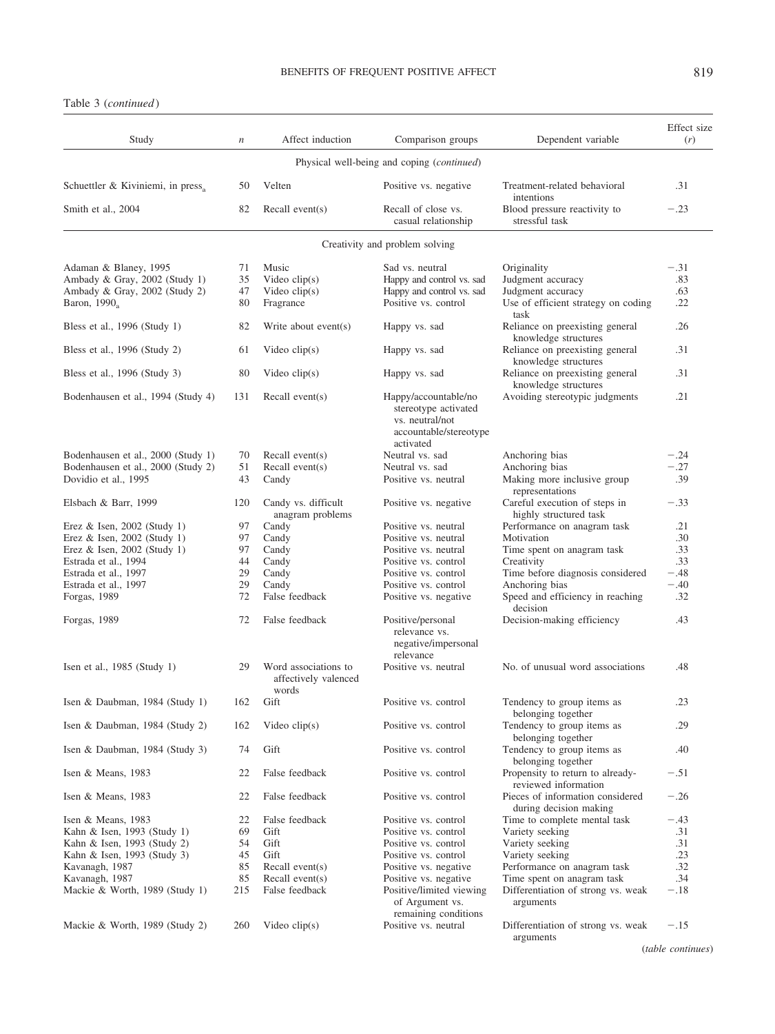| Study                                            | $\boldsymbol{n}$ | Affect induction                                      | Comparison groups                                                                                      | Dependent variable                                               | Effect size<br>(r) |
|--------------------------------------------------|------------------|-------------------------------------------------------|--------------------------------------------------------------------------------------------------------|------------------------------------------------------------------|--------------------|
|                                                  |                  |                                                       | Physical well-being and coping (continued)                                                             |                                                                  |                    |
| Schuettler & Kiviniemi, in press <sub>a</sub>    | 50               | Velten                                                | Positive vs. negative                                                                                  | Treatment-related behavioral<br>intentions                       | .31                |
| Smith et al., 2004                               | 82               | Recall event( $s$ )                                   | Recall of close vs.<br>casual relationship                                                             | Blood pressure reactivity to<br>stressful task                   | $-.23$             |
|                                                  |                  |                                                       | Creativity and problem solving                                                                         |                                                                  |                    |
|                                                  |                  |                                                       |                                                                                                        |                                                                  |                    |
| Adaman & Blaney, 1995                            | 71               | Music                                                 | Sad vs. neutral                                                                                        | Originality                                                      | $-.31$             |
| Ambady & Gray, 2002 (Study 1)                    | 35               | Video $clip(s)$                                       | Happy and control vs. sad                                                                              | Judgment accuracy                                                | .83                |
| Ambady & Gray, 2002 (Study 2)<br>Baron, $1990_a$ | 47<br>80         | Video $clip(s)$<br>Fragrance                          | Happy and control vs. sad<br>Positive vs. control                                                      | Judgment accuracy<br>Use of efficient strategy on coding<br>task | .63<br>.22         |
| Bless et al., 1996 (Study 1)                     | 82               | Write about event(s)                                  | Happy vs. sad                                                                                          | Reliance on preexisting general<br>knowledge structures          | .26                |
| Bless et al., 1996 (Study 2)                     | 61               | Video $clip(s)$                                       | Happy vs. sad                                                                                          | Reliance on preexisting general<br>knowledge structures          | .31                |
| Bless et al., 1996 (Study 3)                     | 80               | Video $clip(s)$                                       | Happy vs. sad                                                                                          | Reliance on preexisting general<br>knowledge structures          | .31                |
| Bodenhausen et al., 1994 (Study 4)               | 131              | Recall event(s)                                       | Happy/accountable/no<br>stereotype activated<br>vs. neutral/not<br>accountable/stereotype<br>activated | Avoiding stereotypic judgments                                   | .21                |
| Bodenhausen et al., 2000 (Study 1)               | 70               | Recall event( $s$ )                                   | Neutral vs. sad                                                                                        | Anchoring bias                                                   | $-.24$             |
| Bodenhausen et al., 2000 (Study 2)               | 51               | Recall event(s)                                       | Neutral vs. sad                                                                                        | Anchoring bias                                                   | $-.27$             |
| Dovidio et al., 1995                             | 43               | Candy                                                 | Positive vs. neutral                                                                                   | Making more inclusive group<br>representations                   | .39                |
| Elsbach & Barr, 1999                             | 120              | Candy vs. difficult<br>anagram problems               | Positive vs. negative                                                                                  | Careful execution of steps in<br>highly structured task          | $-.33$             |
| Erez & Isen, $2002$ (Study 1)                    | 97               | Candy                                                 | Positive vs. neutral                                                                                   | Performance on anagram task                                      | .21                |
| Erez & Isen, $2002$ (Study 1)                    | 97               | Candy                                                 | Positive vs. neutral                                                                                   | Motivation                                                       | .30                |
| Erez & Isen, 2002 (Study 1)                      | 97               | Candy                                                 | Positive vs. neutral                                                                                   | Time spent on anagram task                                       | .33                |
| Estrada et al., 1994                             | 44               | Candy                                                 | Positive vs. control                                                                                   | Creativity                                                       | .33                |
| Estrada et al., 1997                             | 29               | Candy                                                 | Positive vs. control                                                                                   | Time before diagnosis considered                                 | $-.48$             |
| Estrada et al., 1997<br>Forgas, 1989             | 29<br>72         | Candy<br>False feedback                               | Positive vs. control<br>Positive vs. negative                                                          | Anchoring bias<br>Speed and efficiency in reaching<br>decision   | $-.40$<br>.32      |
| Forgas, 1989                                     | 72               | False feedback                                        | Positive/personal<br>relevance vs.<br>negative/impersonal<br>relevance                                 | Decision-making efficiency                                       | .43                |
| Isen et al., 1985 (Study 1)                      | 29               | Word associations to<br>affectively valenced<br>words | Positive vs. neutral                                                                                   | No. of unusual word associations                                 | .48                |
| Isen & Daubman, 1984 (Study 1)                   | 162              | Gift                                                  | Positive vs. control                                                                                   | Tendency to group items as<br>belonging together                 | .23                |
| Isen & Daubman, 1984 (Study 2)                   | 162              | Video $clip(s)$                                       | Positive vs. control                                                                                   | Tendency to group items as<br>belonging together                 | .29                |
| Isen & Daubman, 1984 (Study 3)                   | 74               | Gift                                                  | Positive vs. control                                                                                   | Tendency to group items as<br>belonging together                 | .40                |
| Isen & Means, 1983                               | 22               | False feedback                                        | Positive vs. control                                                                                   | Propensity to return to already-<br>reviewed information         | $-.51$             |
| Isen & Means, 1983                               | 22               | False feedback                                        | Positive vs. control                                                                                   | Pieces of information considered<br>during decision making       | $-.26$             |
| Isen & Means, 1983                               | 22               | False feedback                                        | Positive vs. control                                                                                   | Time to complete mental task                                     | $-.43$             |
| Kahn & Isen, 1993 (Study 1)                      | 69               | Gift                                                  | Positive vs. control                                                                                   | Variety seeking                                                  | .31                |
| Kahn & Isen, 1993 (Study 2)                      | 54               | Gift                                                  | Positive vs. control                                                                                   | Variety seeking                                                  | .31                |
| Kahn & Isen, 1993 (Study 3)                      | 45               | Gift                                                  | Positive vs. control                                                                                   | Variety seeking                                                  | .23                |
| Kavanagh, 1987                                   | 85               | Recall event(s)                                       | Positive vs. negative                                                                                  | Performance on anagram task                                      | .32                |
| Kavanagh, 1987                                   | 85               | Recall event(s)                                       | Positive vs. negative                                                                                  | Time spent on anagram task                                       | .34                |
| Mackie & Worth, 1989 (Study 1)                   | 215              | False feedback                                        | Positive/limited viewing<br>of Argument vs.<br>remaining conditions                                    | Differentiation of strong vs. weak<br>arguments                  | $-.18$             |
| Mackie & Worth, 1989 (Study 2)                   | 260              | Video $clip(s)$                                       | Positive vs. neutral                                                                                   | Differentiation of strong vs. weak<br>arguments                  | $-.15$             |

(*table continues*)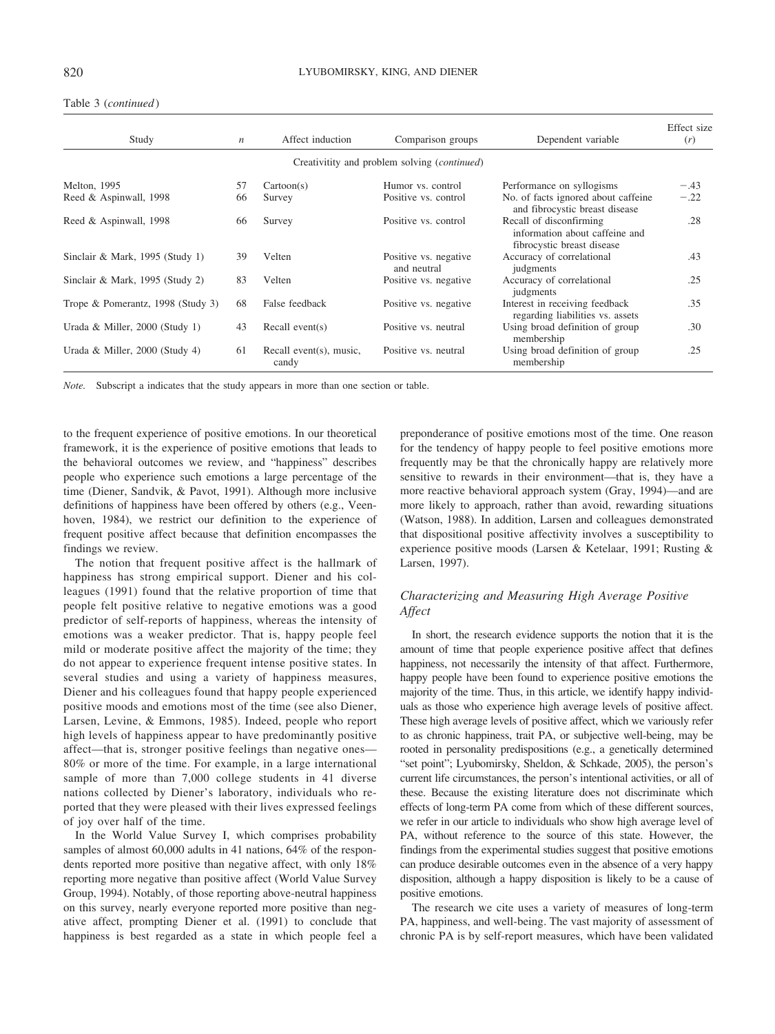| Study                             | $\boldsymbol{n}$ | Affect induction                 | Comparison groups                                     | Dependent variable                                                                      | Effect size<br>(r) |
|-----------------------------------|------------------|----------------------------------|-------------------------------------------------------|-----------------------------------------------------------------------------------------|--------------------|
|                                   |                  |                                  | Creativitity and problem solving ( <i>continued</i> ) |                                                                                         |                    |
| Melton, 1995                      | 57               | Cartoon(s)                       | Humor vs. control                                     | Performance on syllogisms                                                               | $-.43$             |
| Reed & Aspinwall, 1998            | 66               | Survey                           | Positive vs. control                                  | No. of facts ignored about caffeine<br>and fibrocystic breast disease                   | $-.22$             |
| Reed & Aspinwall, 1998            | 66               | Survey                           | Positive vs. control                                  | Recall of disconfirming<br>information about caffeine and<br>fibrocystic breast disease | .28                |
| Sinclair & Mark, 1995 (Study 1)   | 39               | Velten                           | Positive vs. negative<br>and neutral                  | Accuracy of correlational<br>judgments                                                  | .43                |
| Sinclair & Mark, 1995 (Study 2)   | 83               | Velten                           | Positive vs. negative                                 | Accuracy of correlational<br>judgments                                                  | .25                |
| Trope & Pomerantz, 1998 (Study 3) | 68               | False feedback                   | Positive vs. negative                                 | Interest in receiving feedback<br>regarding liabilities vs. assets                      | .35                |
| Urada & Miller, 2000 (Study 1)    | 43               | Recall event( $s$ )              | Positive vs. neutral                                  | Using broad definition of group<br>membership                                           | .30                |
| Urada & Miller, 2000 (Study 4)    | 61               | Recall event(s), music,<br>candy | Positive vs. neutral                                  | Using broad definition of group<br>membership                                           | .25                |

*Note.* Subscript a indicates that the study appears in more than one section or table.

to the frequent experience of positive emotions. In our theoretical framework, it is the experience of positive emotions that leads to the behavioral outcomes we review, and "happiness" describes people who experience such emotions a large percentage of the time (Diener, Sandvik, & Pavot, 1991). Although more inclusive definitions of happiness have been offered by others (e.g., Veenhoven, 1984), we restrict our definition to the experience of frequent positive affect because that definition encompasses the findings we review.

The notion that frequent positive affect is the hallmark of happiness has strong empirical support. Diener and his colleagues (1991) found that the relative proportion of time that people felt positive relative to negative emotions was a good predictor of self-reports of happiness, whereas the intensity of emotions was a weaker predictor. That is, happy people feel mild or moderate positive affect the majority of the time; they do not appear to experience frequent intense positive states. In several studies and using a variety of happiness measures, Diener and his colleagues found that happy people experienced positive moods and emotions most of the time (see also Diener, Larsen, Levine, & Emmons, 1985). Indeed, people who report high levels of happiness appear to have predominantly positive affect—that is, stronger positive feelings than negative ones— 80% or more of the time. For example, in a large international sample of more than 7,000 college students in 41 diverse nations collected by Diener's laboratory, individuals who reported that they were pleased with their lives expressed feelings of joy over half of the time.

In the World Value Survey I, which comprises probability samples of almost 60,000 adults in 41 nations, 64% of the respondents reported more positive than negative affect, with only 18% reporting more negative than positive affect (World Value Survey Group, 1994). Notably, of those reporting above-neutral happiness on this survey, nearly everyone reported more positive than negative affect, prompting Diener et al. (1991) to conclude that happiness is best regarded as a state in which people feel a preponderance of positive emotions most of the time. One reason for the tendency of happy people to feel positive emotions more frequently may be that the chronically happy are relatively more sensitive to rewards in their environment—that is, they have a more reactive behavioral approach system (Gray, 1994)—and are more likely to approach, rather than avoid, rewarding situations (Watson, 1988). In addition, Larsen and colleagues demonstrated that dispositional positive affectivity involves a susceptibility to experience positive moods (Larsen & Ketelaar, 1991; Rusting & Larsen, 1997).

## *Characterizing and Measuring High Average Positive Affect*

In short, the research evidence supports the notion that it is the amount of time that people experience positive affect that defines happiness, not necessarily the intensity of that affect. Furthermore, happy people have been found to experience positive emotions the majority of the time. Thus, in this article, we identify happy individuals as those who experience high average levels of positive affect. These high average levels of positive affect, which we variously refer to as chronic happiness, trait PA, or subjective well-being, may be rooted in personality predispositions (e.g., a genetically determined "set point"; Lyubomirsky, Sheldon, & Schkade, 2005), the person's current life circumstances, the person's intentional activities, or all of these. Because the existing literature does not discriminate which effects of long-term PA come from which of these different sources, we refer in our article to individuals who show high average level of PA, without reference to the source of this state. However, the findings from the experimental studies suggest that positive emotions can produce desirable outcomes even in the absence of a very happy disposition, although a happy disposition is likely to be a cause of positive emotions.

The research we cite uses a variety of measures of long-term PA, happiness, and well-being. The vast majority of assessment of chronic PA is by self-report measures, which have been validated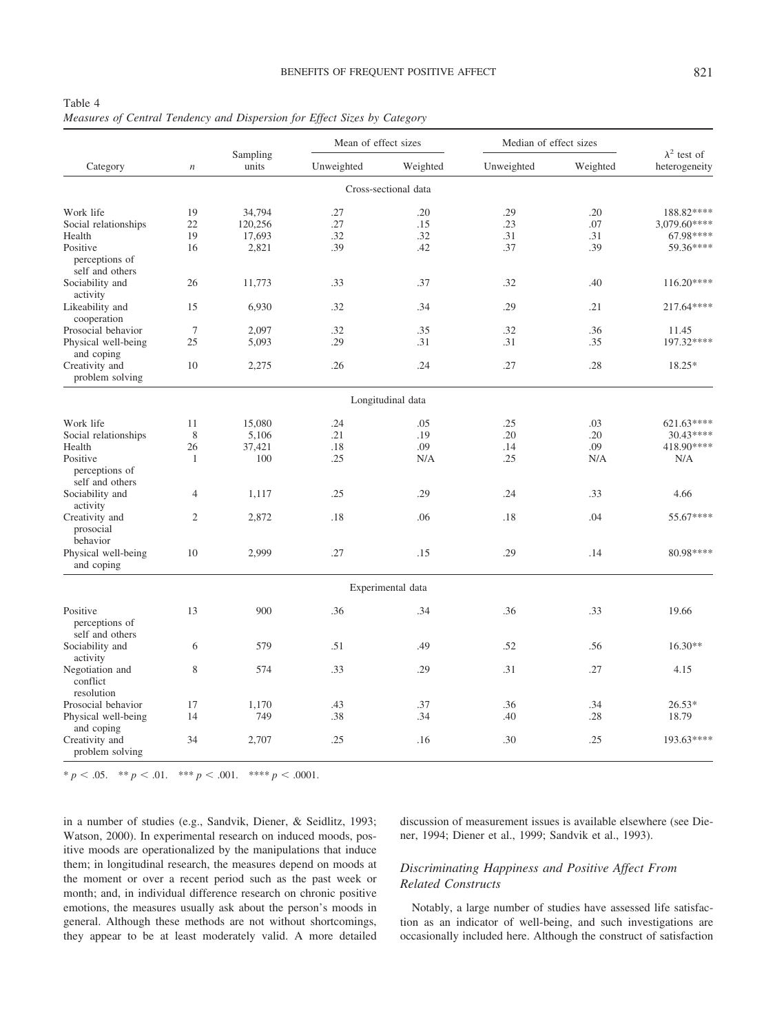| Table 4                                                                  |  |  |  |  |
|--------------------------------------------------------------------------|--|--|--|--|
| Measures of Central Tendency and Dispersion for Effect Sizes by Category |  |  |  |  |

|                                               |                  |                   | Mean of effect sizes |                      | Median of effect sizes |          |                                      |
|-----------------------------------------------|------------------|-------------------|----------------------|----------------------|------------------------|----------|--------------------------------------|
| Category                                      | $\boldsymbol{n}$ | Sampling<br>units | Unweighted           | Weighted             | Unweighted             | Weighted | $\lambda^2$ test of<br>heterogeneity |
|                                               |                  |                   |                      | Cross-sectional data |                        |          |                                      |
| Work life                                     | 19               | 34.794            | .27                  | .20                  | .29                    | .20      | 188.82****                           |
| Social relationships                          | 22               | 120,256           | .27                  | .15                  | .23                    | .07      | 3,079.60****                         |
| Health                                        | 19               | 17,693            | .32                  | .32                  | .31                    | .31      | 67.98****                            |
| Positive<br>perceptions of<br>self and others | 16               | 2,821             | .39                  | .42                  | .37                    | .39      | 59.36****                            |
| Sociability and<br>activity                   | 26               | 11,773            | .33                  | .37                  | .32                    | .40      | $116.20***$                          |
| Likeability and<br>cooperation                | 15               | 6,930             | .32                  | .34                  | .29                    | .21      | 217.64****                           |
| Prosocial behavior                            | $\overline{7}$   | 2,097             | .32                  | .35                  | .32                    | .36      | 11.45                                |
| Physical well-being<br>and coping             | 25               | 5,093             | .29                  | .31                  | .31                    | .35      | 197.32****                           |
| Creativity and<br>problem solving             | 10               | 2,275             | .26                  | .24                  | .27                    | .28      | 18.25*                               |
|                                               |                  |                   |                      | Longitudinal data    |                        |          |                                      |
| Work life                                     | 11               | 15.080            | .24                  | .05                  | .25                    | .03      | 621.63****                           |
| Social relationships                          | 8                | 5.106             | .21                  | .19                  | .20                    | .20      | $30.43***$                           |
| Health                                        | 26               | 37,421            | .18                  | .09                  | .14                    | .09      | 418.90****                           |
| Positive<br>perceptions of<br>self and others | 1                | 100               | .25                  | N/A                  | .25                    | N/A      | N/A                                  |
| Sociability and<br>activity                   | $\overline{4}$   | 1,117             | .25                  | .29                  | .24                    | .33      | 4.66                                 |
| Creativity and<br>prosocial<br>behavior       | $\mathfrak{2}$   | 2,872             | .18                  | .06                  | .18                    | .04      | 55.67****                            |
| Physical well-being<br>and coping             | 10               | 2,999             | .27                  | .15                  | .29                    | .14      | 80.98****                            |
|                                               |                  |                   |                      | Experimental data    |                        |          |                                      |
| Positive<br>perceptions of<br>self and others | 13               | 900               | .36                  | .34                  | .36                    | .33      | 19.66                                |
| Sociability and<br>activity                   | 6                | 579               | .51                  | .49                  | .52                    | .56      | $16.30**$                            |
| Negotiation and<br>conflict<br>resolution     | 8                | 574               | .33                  | .29                  | .31                    | .27      | 4.15                                 |
| Prosocial behavior                            | 17               | 1.170             | .43                  | .37                  | .36                    | .34      | $26.53*$                             |
| Physical well-being<br>and coping             | 14               | 749               | .38                  | .34                  | .40                    | .28      | 18.79                                |
| Creativity and<br>problem solving             | 34               | 2,707             | .25                  | .16                  | .30                    | .25      | 193.63****                           |

 $* p < 0.05.$   $* p < 0.01.$   $* p < 0.001.$   $* p < 0.0001.$ 

in a number of studies (e.g., Sandvik, Diener, & Seidlitz, 1993; Watson, 2000). In experimental research on induced moods, positive moods are operationalized by the manipulations that induce them; in longitudinal research, the measures depend on moods at the moment or over a recent period such as the past week or month; and, in individual difference research on chronic positive emotions, the measures usually ask about the person's moods in general. Although these methods are not without shortcomings, they appear to be at least moderately valid. A more detailed discussion of measurement issues is available elsewhere (see Diener, 1994; Diener et al., 1999; Sandvik et al., 1993).

## *Discriminating Happiness and Positive Affect From Related Constructs*

Notably, a large number of studies have assessed life satisfaction as an indicator of well-being, and such investigations are occasionally included here. Although the construct of satisfaction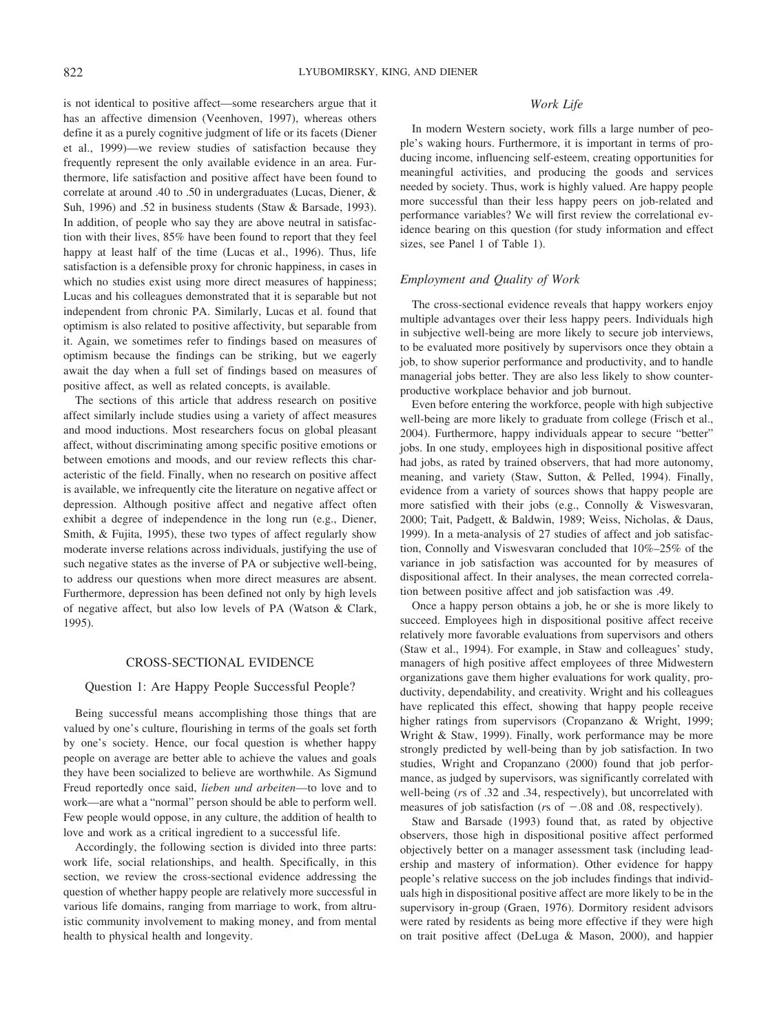is not identical to positive affect—some researchers argue that it has an affective dimension (Veenhoven, 1997), whereas others define it as a purely cognitive judgment of life or its facets (Diener et al., 1999)—we review studies of satisfaction because they frequently represent the only available evidence in an area. Furthermore, life satisfaction and positive affect have been found to correlate at around .40 to .50 in undergraduates (Lucas, Diener, & Suh, 1996) and .52 in business students (Staw & Barsade, 1993). In addition, of people who say they are above neutral in satisfaction with their lives, 85% have been found to report that they feel happy at least half of the time (Lucas et al., 1996). Thus, life satisfaction is a defensible proxy for chronic happiness, in cases in which no studies exist using more direct measures of happiness; Lucas and his colleagues demonstrated that it is separable but not independent from chronic PA. Similarly, Lucas et al. found that optimism is also related to positive affectivity, but separable from it. Again, we sometimes refer to findings based on measures of optimism because the findings can be striking, but we eagerly await the day when a full set of findings based on measures of positive affect, as well as related concepts, is available.

The sections of this article that address research on positive affect similarly include studies using a variety of affect measures and mood inductions. Most researchers focus on global pleasant affect, without discriminating among specific positive emotions or between emotions and moods, and our review reflects this characteristic of the field. Finally, when no research on positive affect is available, we infrequently cite the literature on negative affect or depression. Although positive affect and negative affect often exhibit a degree of independence in the long run (e.g., Diener, Smith, & Fujita, 1995), these two types of affect regularly show moderate inverse relations across individuals, justifying the use of such negative states as the inverse of PA or subjective well-being, to address our questions when more direct measures are absent. Furthermore, depression has been defined not only by high levels of negative affect, but also low levels of PA (Watson & Clark, 1995).

### CROSS-SECTIONAL EVIDENCE

### Question 1: Are Happy People Successful People?

Being successful means accomplishing those things that are valued by one's culture, flourishing in terms of the goals set forth by one's society. Hence, our focal question is whether happy people on average are better able to achieve the values and goals they have been socialized to believe are worthwhile. As Sigmund Freud reportedly once said, *lieben und arbeiten*—to love and to work—are what a "normal" person should be able to perform well. Few people would oppose, in any culture, the addition of health to love and work as a critical ingredient to a successful life.

Accordingly, the following section is divided into three parts: work life, social relationships, and health. Specifically, in this section, we review the cross-sectional evidence addressing the question of whether happy people are relatively more successful in various life domains, ranging from marriage to work, from altruistic community involvement to making money, and from mental health to physical health and longevity.

## *Work Life*

In modern Western society, work fills a large number of people's waking hours. Furthermore, it is important in terms of producing income, influencing self-esteem, creating opportunities for meaningful activities, and producing the goods and services needed by society. Thus, work is highly valued. Are happy people more successful than their less happy peers on job-related and performance variables? We will first review the correlational evidence bearing on this question (for study information and effect sizes, see Panel 1 of Table 1).

### *Employment and Quality of Work*

The cross-sectional evidence reveals that happy workers enjoy multiple advantages over their less happy peers. Individuals high in subjective well-being are more likely to secure job interviews, to be evaluated more positively by supervisors once they obtain a job, to show superior performance and productivity, and to handle managerial jobs better. They are also less likely to show counterproductive workplace behavior and job burnout.

Even before entering the workforce, people with high subjective well-being are more likely to graduate from college (Frisch et al., 2004). Furthermore, happy individuals appear to secure "better" jobs. In one study, employees high in dispositional positive affect had jobs, as rated by trained observers, that had more autonomy, meaning, and variety (Staw, Sutton, & Pelled, 1994). Finally, evidence from a variety of sources shows that happy people are more satisfied with their jobs (e.g., Connolly & Viswesvaran, 2000; Tait, Padgett, & Baldwin, 1989; Weiss, Nicholas, & Daus, 1999). In a meta-analysis of 27 studies of affect and job satisfaction, Connolly and Viswesvaran concluded that 10%–25% of the variance in job satisfaction was accounted for by measures of dispositional affect. In their analyses, the mean corrected correlation between positive affect and job satisfaction was .49.

Once a happy person obtains a job, he or she is more likely to succeed. Employees high in dispositional positive affect receive relatively more favorable evaluations from supervisors and others (Staw et al., 1994). For example, in Staw and colleagues' study, managers of high positive affect employees of three Midwestern organizations gave them higher evaluations for work quality, productivity, dependability, and creativity. Wright and his colleagues have replicated this effect, showing that happy people receive higher ratings from supervisors (Cropanzano & Wright, 1999; Wright & Staw, 1999). Finally, work performance may be more strongly predicted by well-being than by job satisfaction. In two studies, Wright and Cropanzano (2000) found that job performance, as judged by supervisors, was significantly correlated with well-being (*r*s of .32 and .34, respectively), but uncorrelated with measures of job satisfaction ( $rs$  of  $-.08$  and  $.08$ , respectively).

Staw and Barsade (1993) found that, as rated by objective observers, those high in dispositional positive affect performed objectively better on a manager assessment task (including leadership and mastery of information). Other evidence for happy people's relative success on the job includes findings that individuals high in dispositional positive affect are more likely to be in the supervisory in-group (Graen, 1976). Dormitory resident advisors were rated by residents as being more effective if they were high on trait positive affect (DeLuga & Mason, 2000), and happier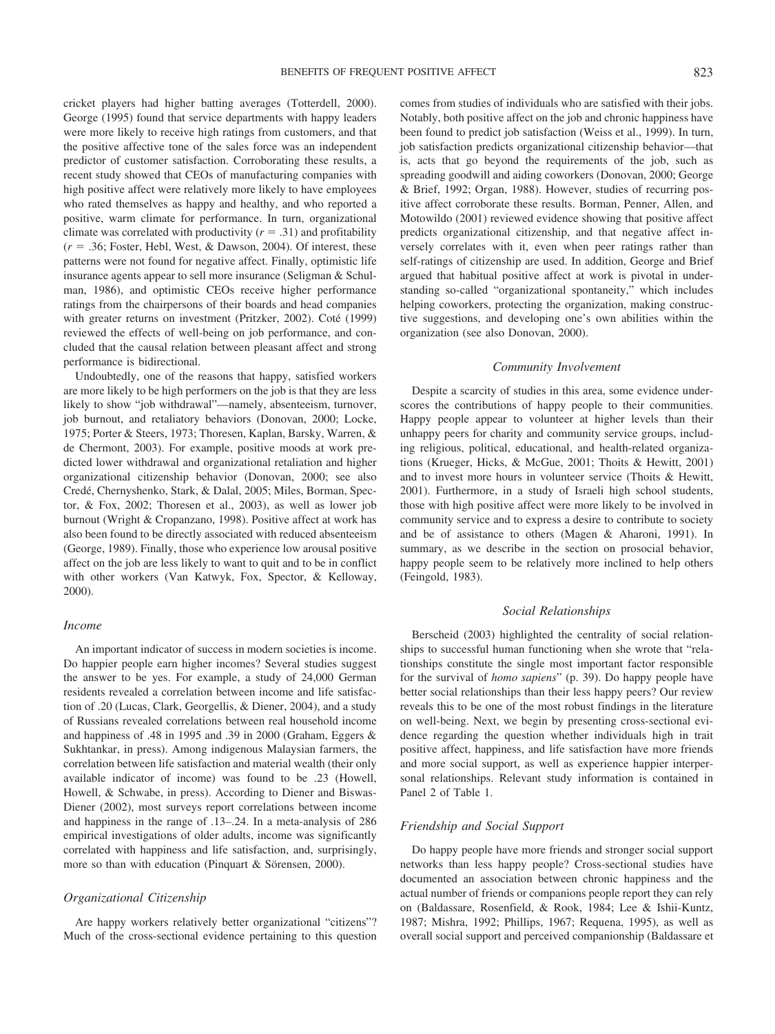cricket players had higher batting averages (Totterdell, 2000). George (1995) found that service departments with happy leaders were more likely to receive high ratings from customers, and that the positive affective tone of the sales force was an independent predictor of customer satisfaction. Corroborating these results, a recent study showed that CEOs of manufacturing companies with high positive affect were relatively more likely to have employees who rated themselves as happy and healthy, and who reported a positive, warm climate for performance. In turn, organizational climate was correlated with productivity  $(r = .31)$  and profitability  $(r = .36;$  Foster, Hebl, West, & Dawson, 2004). Of interest, these patterns were not found for negative affect. Finally, optimistic life insurance agents appear to sell more insurance (Seligman & Schulman, 1986), and optimistic CEOs receive higher performance ratings from the chairpersons of their boards and head companies with greater returns on investment (Pritzker, 2002). Coté (1999) reviewed the effects of well-being on job performance, and concluded that the causal relation between pleasant affect and strong performance is bidirectional.

Undoubtedly, one of the reasons that happy, satisfied workers are more likely to be high performers on the job is that they are less likely to show "job withdrawal"—namely, absenteeism, turnover, job burnout, and retaliatory behaviors (Donovan, 2000; Locke, 1975; Porter & Steers, 1973; Thoresen, Kaplan, Barsky, Warren, & de Chermont, 2003). For example, positive moods at work predicted lower withdrawal and organizational retaliation and higher organizational citizenship behavior (Donovan, 2000; see also Credé, Chernyshenko, Stark, & Dalal, 2005; Miles, Borman, Spector, & Fox, 2002; Thoresen et al., 2003), as well as lower job burnout (Wright & Cropanzano, 1998). Positive affect at work has also been found to be directly associated with reduced absenteeism (George, 1989). Finally, those who experience low arousal positive affect on the job are less likely to want to quit and to be in conflict with other workers (Van Katwyk, Fox, Spector, & Kelloway, 2000).

## *Income*

An important indicator of success in modern societies is income. Do happier people earn higher incomes? Several studies suggest the answer to be yes. For example, a study of 24,000 German residents revealed a correlation between income and life satisfaction of .20 (Lucas, Clark, Georgellis, & Diener, 2004), and a study of Russians revealed correlations between real household income and happiness of .48 in 1995 and .39 in 2000 (Graham, Eggers & Sukhtankar, in press). Among indigenous Malaysian farmers, the correlation between life satisfaction and material wealth (their only available indicator of income) was found to be .23 (Howell, Howell, & Schwabe, in press). According to Diener and Biswas-Diener (2002), most surveys report correlations between income and happiness in the range of .13–.24. In a meta-analysis of 286 empirical investigations of older adults, income was significantly correlated with happiness and life satisfaction, and, surprisingly, more so than with education (Pinquart  $&$  Sörensen, 2000).

## *Organizational Citizenship*

Are happy workers relatively better organizational "citizens"? Much of the cross-sectional evidence pertaining to this question comes from studies of individuals who are satisfied with their jobs. Notably, both positive affect on the job and chronic happiness have been found to predict job satisfaction (Weiss et al., 1999). In turn, job satisfaction predicts organizational citizenship behavior—that is, acts that go beyond the requirements of the job, such as spreading goodwill and aiding coworkers (Donovan, 2000; George & Brief, 1992; Organ, 1988). However, studies of recurring positive affect corroborate these results. Borman, Penner, Allen, and Motowildo (2001) reviewed evidence showing that positive affect predicts organizational citizenship, and that negative affect inversely correlates with it, even when peer ratings rather than self-ratings of citizenship are used. In addition, George and Brief argued that habitual positive affect at work is pivotal in understanding so-called "organizational spontaneity," which includes helping coworkers, protecting the organization, making constructive suggestions, and developing one's own abilities within the organization (see also Donovan, 2000).

### *Community Involvement*

Despite a scarcity of studies in this area, some evidence underscores the contributions of happy people to their communities. Happy people appear to volunteer at higher levels than their unhappy peers for charity and community service groups, including religious, political, educational, and health-related organizations (Krueger, Hicks, & McGue, 2001; Thoits & Hewitt, 2001) and to invest more hours in volunteer service (Thoits & Hewitt, 2001). Furthermore, in a study of Israeli high school students, those with high positive affect were more likely to be involved in community service and to express a desire to contribute to society and be of assistance to others (Magen & Aharoni, 1991). In summary, as we describe in the section on prosocial behavior, happy people seem to be relatively more inclined to help others (Feingold, 1983).

### *Social Relationships*

Berscheid (2003) highlighted the centrality of social relationships to successful human functioning when she wrote that "relationships constitute the single most important factor responsible for the survival of *homo sapiens*" (p. 39). Do happy people have better social relationships than their less happy peers? Our review reveals this to be one of the most robust findings in the literature on well-being. Next, we begin by presenting cross-sectional evidence regarding the question whether individuals high in trait positive affect, happiness, and life satisfaction have more friends and more social support, as well as experience happier interpersonal relationships. Relevant study information is contained in Panel 2 of Table 1.

### *Friendship and Social Support*

Do happy people have more friends and stronger social support networks than less happy people? Cross-sectional studies have documented an association between chronic happiness and the actual number of friends or companions people report they can rely on (Baldassare, Rosenfield, & Rook, 1984; Lee & Ishii-Kuntz, 1987; Mishra, 1992; Phillips, 1967; Requena, 1995), as well as overall social support and perceived companionship (Baldassare et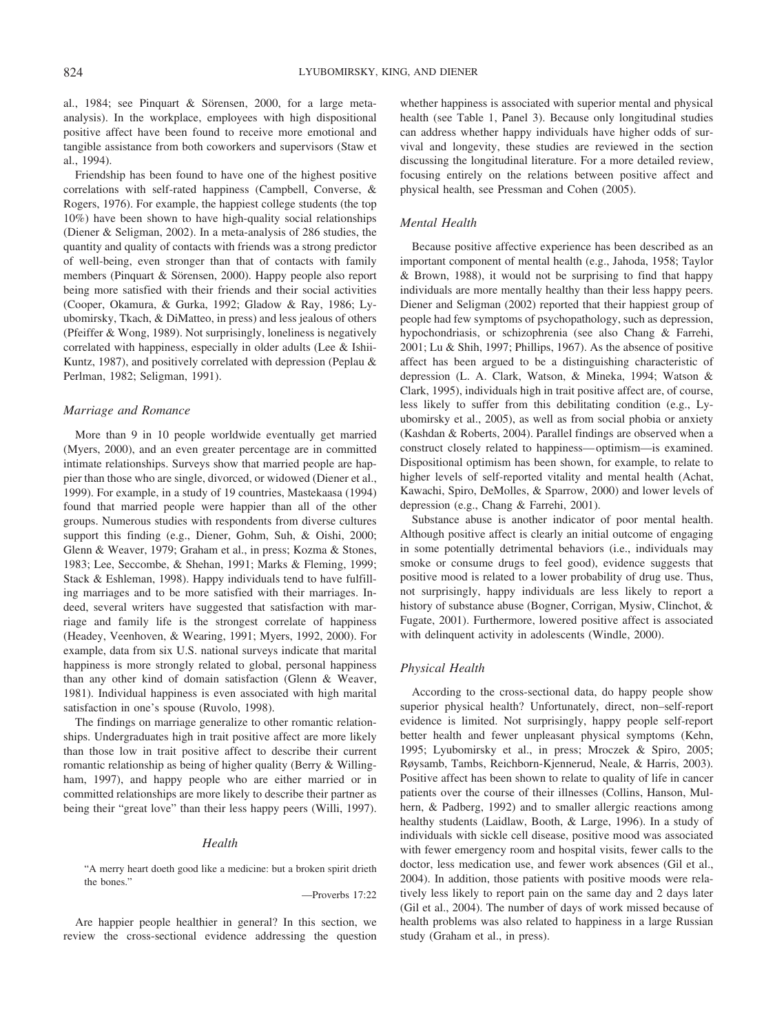al., 1984; see Pinquart & Sörensen, 2000, for a large metaanalysis). In the workplace, employees with high dispositional positive affect have been found to receive more emotional and tangible assistance from both coworkers and supervisors (Staw et al., 1994).

Friendship has been found to have one of the highest positive correlations with self-rated happiness (Campbell, Converse, & Rogers, 1976). For example, the happiest college students (the top 10%) have been shown to have high-quality social relationships (Diener & Seligman, 2002). In a meta-analysis of 286 studies, the quantity and quality of contacts with friends was a strong predictor of well-being, even stronger than that of contacts with family members (Pinquart & Sörensen, 2000). Happy people also report being more satisfied with their friends and their social activities (Cooper, Okamura, & Gurka, 1992; Gladow & Ray, 1986; Lyubomirsky, Tkach, & DiMatteo, in press) and less jealous of others (Pfeiffer & Wong, 1989). Not surprisingly, loneliness is negatively correlated with happiness, especially in older adults (Lee & Ishii-Kuntz, 1987), and positively correlated with depression (Peplau & Perlman, 1982; Seligman, 1991).

### *Marriage and Romance*

More than 9 in 10 people worldwide eventually get married (Myers, 2000), and an even greater percentage are in committed intimate relationships. Surveys show that married people are happier than those who are single, divorced, or widowed (Diener et al., 1999). For example, in a study of 19 countries, Mastekaasa (1994) found that married people were happier than all of the other groups. Numerous studies with respondents from diverse cultures support this finding (e.g., Diener, Gohm, Suh, & Oishi, 2000; Glenn & Weaver, 1979; Graham et al., in press; Kozma & Stones, 1983; Lee, Seccombe, & Shehan, 1991; Marks & Fleming, 1999; Stack & Eshleman, 1998). Happy individuals tend to have fulfilling marriages and to be more satisfied with their marriages. Indeed, several writers have suggested that satisfaction with marriage and family life is the strongest correlate of happiness (Headey, Veenhoven, & Wearing, 1991; Myers, 1992, 2000). For example, data from six U.S. national surveys indicate that marital happiness is more strongly related to global, personal happiness than any other kind of domain satisfaction (Glenn & Weaver, 1981). Individual happiness is even associated with high marital satisfaction in one's spouse (Ruvolo, 1998).

The findings on marriage generalize to other romantic relationships. Undergraduates high in trait positive affect are more likely than those low in trait positive affect to describe their current romantic relationship as being of higher quality (Berry & Willingham, 1997), and happy people who are either married or in committed relationships are more likely to describe their partner as being their "great love" than their less happy peers (Willi, 1997).

### *Health*

"A merry heart doeth good like a medicine: but a broken spirit drieth the bones."

—Proverbs 17:22

Are happier people healthier in general? In this section, we review the cross-sectional evidence addressing the question whether happiness is associated with superior mental and physical health (see Table 1, Panel 3). Because only longitudinal studies can address whether happy individuals have higher odds of survival and longevity, these studies are reviewed in the section discussing the longitudinal literature. For a more detailed review, focusing entirely on the relations between positive affect and physical health, see Pressman and Cohen (2005).

### *Mental Health*

Because positive affective experience has been described as an important component of mental health (e.g., Jahoda, 1958; Taylor & Brown, 1988), it would not be surprising to find that happy individuals are more mentally healthy than their less happy peers. Diener and Seligman (2002) reported that their happiest group of people had few symptoms of psychopathology, such as depression, hypochondriasis, or schizophrenia (see also Chang & Farrehi, 2001; Lu & Shih, 1997; Phillips, 1967). As the absence of positive affect has been argued to be a distinguishing characteristic of depression (L. A. Clark, Watson, & Mineka, 1994; Watson & Clark, 1995), individuals high in trait positive affect are, of course, less likely to suffer from this debilitating condition (e.g., Lyubomirsky et al., 2005), as well as from social phobia or anxiety (Kashdan & Roberts, 2004). Parallel findings are observed when a construct closely related to happiness— optimism—is examined. Dispositional optimism has been shown, for example, to relate to higher levels of self-reported vitality and mental health (Achat, Kawachi, Spiro, DeMolles, & Sparrow, 2000) and lower levels of depression (e.g., Chang & Farrehi, 2001).

Substance abuse is another indicator of poor mental health. Although positive affect is clearly an initial outcome of engaging in some potentially detrimental behaviors (i.e., individuals may smoke or consume drugs to feel good), evidence suggests that positive mood is related to a lower probability of drug use. Thus, not surprisingly, happy individuals are less likely to report a history of substance abuse (Bogner, Corrigan, Mysiw, Clinchot, & Fugate, 2001). Furthermore, lowered positive affect is associated with delinquent activity in adolescents (Windle, 2000).

### *Physical Health*

According to the cross-sectional data, do happy people show superior physical health? Unfortunately, direct, non–self-report evidence is limited. Not surprisingly, happy people self-report better health and fewer unpleasant physical symptoms (Kehn, 1995; Lyubomirsky et al., in press; Mroczek & Spiro, 2005; Røysamb, Tambs, Reichborn-Kjennerud, Neale, & Harris, 2003). Positive affect has been shown to relate to quality of life in cancer patients over the course of their illnesses (Collins, Hanson, Mulhern, & Padberg, 1992) and to smaller allergic reactions among healthy students (Laidlaw, Booth, & Large, 1996). In a study of individuals with sickle cell disease, positive mood was associated with fewer emergency room and hospital visits, fewer calls to the doctor, less medication use, and fewer work absences (Gil et al., 2004). In addition, those patients with positive moods were relatively less likely to report pain on the same day and 2 days later (Gil et al., 2004). The number of days of work missed because of health problems was also related to happiness in a large Russian study (Graham et al., in press).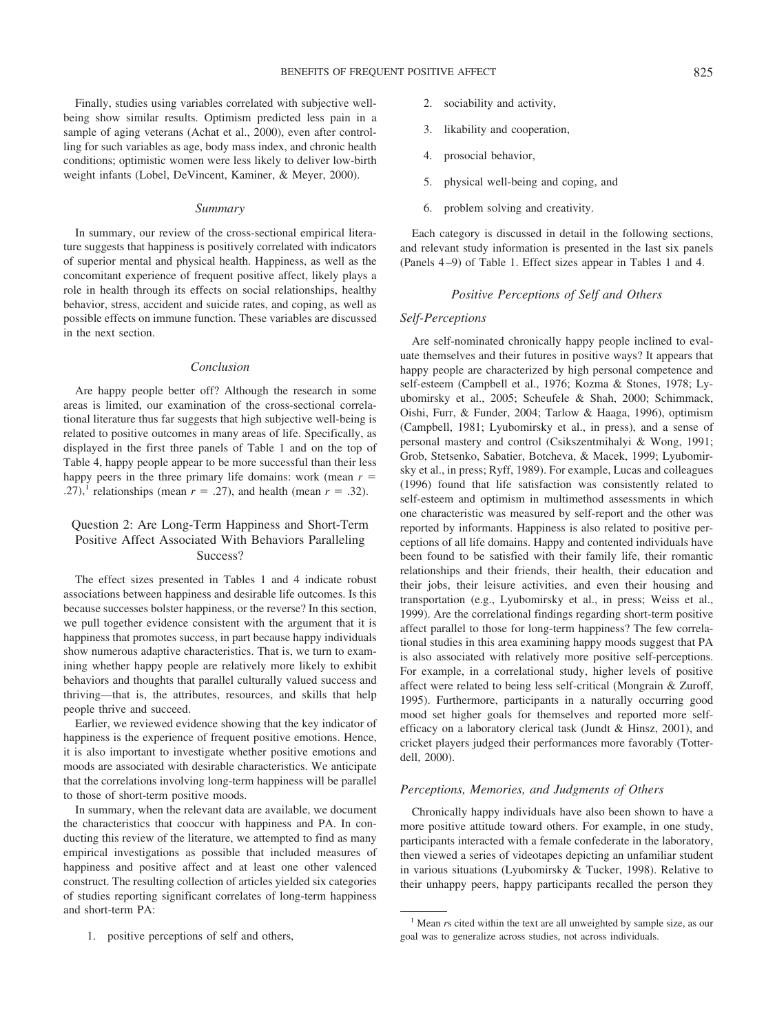Finally, studies using variables correlated with subjective wellbeing show similar results. Optimism predicted less pain in a sample of aging veterans (Achat et al., 2000), even after controlling for such variables as age, body mass index, and chronic health conditions; optimistic women were less likely to deliver low-birth weight infants (Lobel, DeVincent, Kaminer, & Meyer, 2000).

### *Summary*

In summary, our review of the cross-sectional empirical literature suggests that happiness is positively correlated with indicators of superior mental and physical health. Happiness, as well as the concomitant experience of frequent positive affect, likely plays a role in health through its effects on social relationships, healthy behavior, stress, accident and suicide rates, and coping, as well as possible effects on immune function. These variables are discussed in the next section.

## *Conclusion*

Are happy people better off? Although the research in some areas is limited, our examination of the cross-sectional correlational literature thus far suggests that high subjective well-being is related to positive outcomes in many areas of life. Specifically, as displayed in the first three panels of Table 1 and on the top of Table 4, happy people appear to be more successful than their less happy peers in the three primary life domains: work (mean  $r =$ .27),<sup>1</sup> relationships (mean  $r = .27$ ), and health (mean  $r = .32$ ).

## Question 2: Are Long-Term Happiness and Short-Term Positive Affect Associated With Behaviors Paralleling Success?

The effect sizes presented in Tables 1 and 4 indicate robust associations between happiness and desirable life outcomes. Is this because successes bolster happiness, or the reverse? In this section, we pull together evidence consistent with the argument that it is happiness that promotes success, in part because happy individuals show numerous adaptive characteristics. That is, we turn to examining whether happy people are relatively more likely to exhibit behaviors and thoughts that parallel culturally valued success and thriving—that is, the attributes, resources, and skills that help people thrive and succeed.

Earlier, we reviewed evidence showing that the key indicator of happiness is the experience of frequent positive emotions. Hence, it is also important to investigate whether positive emotions and moods are associated with desirable characteristics. We anticipate that the correlations involving long-term happiness will be parallel to those of short-term positive moods.

In summary, when the relevant data are available, we document the characteristics that cooccur with happiness and PA. In conducting this review of the literature, we attempted to find as many empirical investigations as possible that included measures of happiness and positive affect and at least one other valenced construct. The resulting collection of articles yielded six categories of studies reporting significant correlates of long-term happiness and short-term PA:

1. positive perceptions of self and others,

- 2. sociability and activity,
- 3. likability and cooperation,
- 4. prosocial behavior,
- 5. physical well-being and coping, and
- 6. problem solving and creativity.

Each category is discussed in detail in the following sections, and relevant study information is presented in the last six panels (Panels 4 –9) of Table 1. Effect sizes appear in Tables 1 and 4.

### *Positive Perceptions of Self and Others*

### *Self-Perceptions*

Are self-nominated chronically happy people inclined to evaluate themselves and their futures in positive ways? It appears that happy people are characterized by high personal competence and self-esteem (Campbell et al., 1976; Kozma & Stones, 1978; Lyubomirsky et al., 2005; Scheufele & Shah, 2000; Schimmack, Oishi, Furr, & Funder, 2004; Tarlow & Haaga, 1996), optimism (Campbell, 1981; Lyubomirsky et al., in press), and a sense of personal mastery and control (Csikszentmihalyi & Wong, 1991; Grob, Stetsenko, Sabatier, Botcheva, & Macek, 1999; Lyubomirsky et al., in press; Ryff, 1989). For example, Lucas and colleagues (1996) found that life satisfaction was consistently related to self-esteem and optimism in multimethod assessments in which one characteristic was measured by self-report and the other was reported by informants. Happiness is also related to positive perceptions of all life domains. Happy and contented individuals have been found to be satisfied with their family life, their romantic relationships and their friends, their health, their education and their jobs, their leisure activities, and even their housing and transportation (e.g., Lyubomirsky et al., in press; Weiss et al., 1999). Are the correlational findings regarding short-term positive affect parallel to those for long-term happiness? The few correlational studies in this area examining happy moods suggest that PA is also associated with relatively more positive self-perceptions. For example, in a correlational study, higher levels of positive affect were related to being less self-critical (Mongrain & Zuroff, 1995). Furthermore, participants in a naturally occurring good mood set higher goals for themselves and reported more selfefficacy on a laboratory clerical task (Jundt & Hinsz, 2001), and cricket players judged their performances more favorably (Totterdell, 2000).

### *Perceptions, Memories, and Judgments of Others*

Chronically happy individuals have also been shown to have a more positive attitude toward others. For example, in one study, participants interacted with a female confederate in the laboratory, then viewed a series of videotapes depicting an unfamiliar student in various situations (Lyubomirsky & Tucker, 1998). Relative to their unhappy peers, happy participants recalled the person they

<sup>&</sup>lt;sup>1</sup> Mean *rs* cited within the text are all unweighted by sample size, as our goal was to generalize across studies, not across individuals.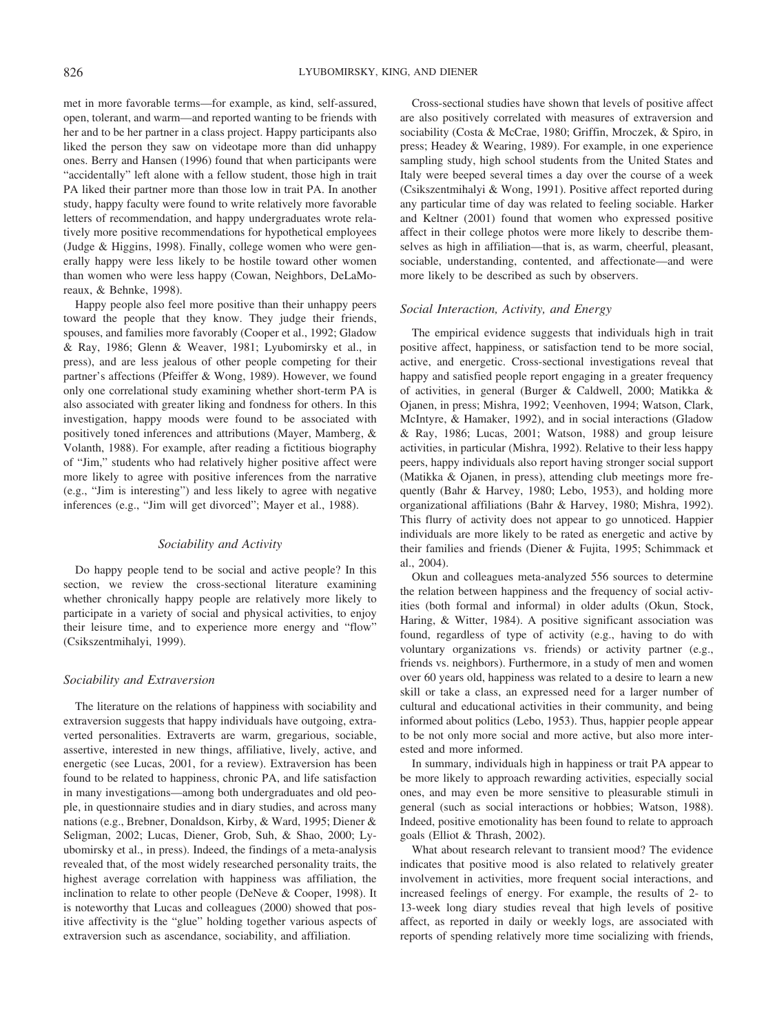met in more favorable terms—for example, as kind, self-assured, open, tolerant, and warm—and reported wanting to be friends with her and to be her partner in a class project. Happy participants also liked the person they saw on videotape more than did unhappy ones. Berry and Hansen (1996) found that when participants were "accidentally" left alone with a fellow student, those high in trait PA liked their partner more than those low in trait PA. In another study, happy faculty were found to write relatively more favorable letters of recommendation, and happy undergraduates wrote relatively more positive recommendations for hypothetical employees (Judge & Higgins, 1998). Finally, college women who were generally happy were less likely to be hostile toward other women than women who were less happy (Cowan, Neighbors, DeLaMoreaux, & Behnke, 1998).

Happy people also feel more positive than their unhappy peers toward the people that they know. They judge their friends, spouses, and families more favorably (Cooper et al., 1992; Gladow & Ray, 1986; Glenn & Weaver, 1981; Lyubomirsky et al., in press), and are less jealous of other people competing for their partner's affections (Pfeiffer & Wong, 1989). However, we found only one correlational study examining whether short-term PA is also associated with greater liking and fondness for others. In this investigation, happy moods were found to be associated with positively toned inferences and attributions (Mayer, Mamberg, & Volanth, 1988). For example, after reading a fictitious biography of "Jim," students who had relatively higher positive affect were more likely to agree with positive inferences from the narrative (e.g., "Jim is interesting") and less likely to agree with negative inferences (e.g., "Jim will get divorced"; Mayer et al., 1988).

### *Sociability and Activity*

Do happy people tend to be social and active people? In this section, we review the cross-sectional literature examining whether chronically happy people are relatively more likely to participate in a variety of social and physical activities, to enjoy their leisure time, and to experience more energy and "flow" (Csikszentmihalyi, 1999).

### *Sociability and Extraversion*

The literature on the relations of happiness with sociability and extraversion suggests that happy individuals have outgoing, extraverted personalities. Extraverts are warm, gregarious, sociable, assertive, interested in new things, affiliative, lively, active, and energetic (see Lucas, 2001, for a review). Extraversion has been found to be related to happiness, chronic PA, and life satisfaction in many investigations—among both undergraduates and old people, in questionnaire studies and in diary studies, and across many nations (e.g., Brebner, Donaldson, Kirby, & Ward, 1995; Diener & Seligman, 2002; Lucas, Diener, Grob, Suh, & Shao, 2000; Lyubomirsky et al., in press). Indeed, the findings of a meta-analysis revealed that, of the most widely researched personality traits, the highest average correlation with happiness was affiliation, the inclination to relate to other people (DeNeve & Cooper, 1998). It is noteworthy that Lucas and colleagues (2000) showed that positive affectivity is the "glue" holding together various aspects of extraversion such as ascendance, sociability, and affiliation.

Cross-sectional studies have shown that levels of positive affect are also positively correlated with measures of extraversion and sociability (Costa & McCrae, 1980; Griffin, Mroczek, & Spiro, in press; Headey & Wearing, 1989). For example, in one experience sampling study, high school students from the United States and Italy were beeped several times a day over the course of a week (Csikszentmihalyi & Wong, 1991). Positive affect reported during any particular time of day was related to feeling sociable. Harker and Keltner (2001) found that women who expressed positive affect in their college photos were more likely to describe themselves as high in affiliation—that is, as warm, cheerful, pleasant, sociable, understanding, contented, and affectionate—and were more likely to be described as such by observers.

### *Social Interaction, Activity, and Energy*

The empirical evidence suggests that individuals high in trait positive affect, happiness, or satisfaction tend to be more social, active, and energetic. Cross-sectional investigations reveal that happy and satisfied people report engaging in a greater frequency of activities, in general (Burger & Caldwell, 2000; Matikka & Ojanen, in press; Mishra, 1992; Veenhoven, 1994; Watson, Clark, McIntyre, & Hamaker, 1992), and in social interactions (Gladow & Ray, 1986; Lucas, 2001; Watson, 1988) and group leisure activities, in particular (Mishra, 1992). Relative to their less happy peers, happy individuals also report having stronger social support (Matikka & Ojanen, in press), attending club meetings more frequently (Bahr & Harvey, 1980; Lebo, 1953), and holding more organizational affiliations (Bahr & Harvey, 1980; Mishra, 1992). This flurry of activity does not appear to go unnoticed. Happier individuals are more likely to be rated as energetic and active by their families and friends (Diener & Fujita, 1995; Schimmack et al., 2004).

Okun and colleagues meta-analyzed 556 sources to determine the relation between happiness and the frequency of social activities (both formal and informal) in older adults (Okun, Stock, Haring, & Witter, 1984). A positive significant association was found, regardless of type of activity (e.g., having to do with voluntary organizations vs. friends) or activity partner (e.g., friends vs. neighbors). Furthermore, in a study of men and women over 60 years old, happiness was related to a desire to learn a new skill or take a class, an expressed need for a larger number of cultural and educational activities in their community, and being informed about politics (Lebo, 1953). Thus, happier people appear to be not only more social and more active, but also more interested and more informed.

In summary, individuals high in happiness or trait PA appear to be more likely to approach rewarding activities, especially social ones, and may even be more sensitive to pleasurable stimuli in general (such as social interactions or hobbies; Watson, 1988). Indeed, positive emotionality has been found to relate to approach goals (Elliot & Thrash, 2002).

What about research relevant to transient mood? The evidence indicates that positive mood is also related to relatively greater involvement in activities, more frequent social interactions, and increased feelings of energy. For example, the results of 2- to 13-week long diary studies reveal that high levels of positive affect, as reported in daily or weekly logs, are associated with reports of spending relatively more time socializing with friends,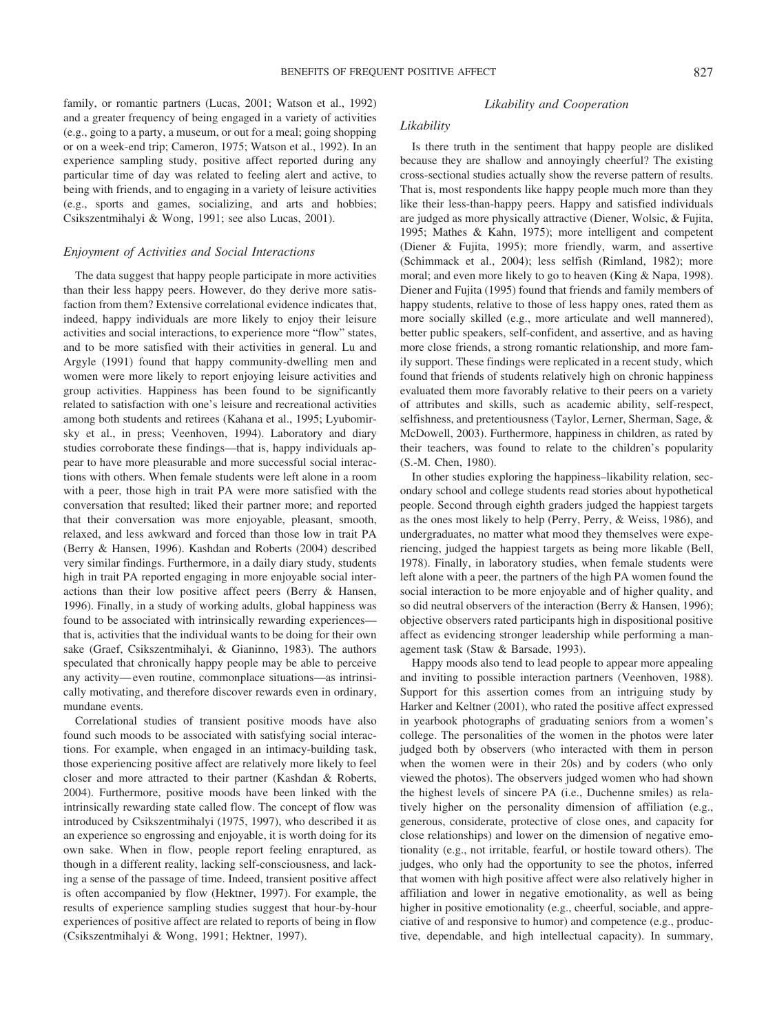family, or romantic partners (Lucas, 2001; Watson et al., 1992) and a greater frequency of being engaged in a variety of activities (e.g., going to a party, a museum, or out for a meal; going shopping or on a week-end trip; Cameron, 1975; Watson et al., 1992). In an experience sampling study, positive affect reported during any particular time of day was related to feeling alert and active, to being with friends, and to engaging in a variety of leisure activities (e.g., sports and games, socializing, and arts and hobbies; Csikszentmihalyi & Wong, 1991; see also Lucas, 2001).

### *Enjoyment of Activities and Social Interactions*

The data suggest that happy people participate in more activities than their less happy peers. However, do they derive more satisfaction from them? Extensive correlational evidence indicates that, indeed, happy individuals are more likely to enjoy their leisure activities and social interactions, to experience more "flow" states, and to be more satisfied with their activities in general. Lu and Argyle (1991) found that happy community-dwelling men and women were more likely to report enjoying leisure activities and group activities. Happiness has been found to be significantly related to satisfaction with one's leisure and recreational activities among both students and retirees (Kahana et al., 1995; Lyubomirsky et al., in press; Veenhoven, 1994). Laboratory and diary studies corroborate these findings—that is, happy individuals appear to have more pleasurable and more successful social interactions with others. When female students were left alone in a room with a peer, those high in trait PA were more satisfied with the conversation that resulted; liked their partner more; and reported that their conversation was more enjoyable, pleasant, smooth, relaxed, and less awkward and forced than those low in trait PA (Berry & Hansen, 1996). Kashdan and Roberts (2004) described very similar findings. Furthermore, in a daily diary study, students high in trait PA reported engaging in more enjoyable social interactions than their low positive affect peers (Berry & Hansen, 1996). Finally, in a study of working adults, global happiness was found to be associated with intrinsically rewarding experiences that is, activities that the individual wants to be doing for their own sake (Graef, Csikszentmihalyi, & Gianinno, 1983). The authors speculated that chronically happy people may be able to perceive any activity— even routine, commonplace situations—as intrinsically motivating, and therefore discover rewards even in ordinary, mundane events.

Correlational studies of transient positive moods have also found such moods to be associated with satisfying social interactions. For example, when engaged in an intimacy-building task, those experiencing positive affect are relatively more likely to feel closer and more attracted to their partner (Kashdan & Roberts, 2004). Furthermore, positive moods have been linked with the intrinsically rewarding state called flow. The concept of flow was introduced by Csikszentmihalyi (1975, 1997), who described it as an experience so engrossing and enjoyable, it is worth doing for its own sake. When in flow, people report feeling enraptured, as though in a different reality, lacking self-consciousness, and lacking a sense of the passage of time. Indeed, transient positive affect is often accompanied by flow (Hektner, 1997). For example, the results of experience sampling studies suggest that hour-by-hour experiences of positive affect are related to reports of being in flow (Csikszentmihalyi & Wong, 1991; Hektner, 1997).

### *Likability and Cooperation*

### *Likability*

Is there truth in the sentiment that happy people are disliked because they are shallow and annoyingly cheerful? The existing cross-sectional studies actually show the reverse pattern of results. That is, most respondents like happy people much more than they like their less-than-happy peers. Happy and satisfied individuals are judged as more physically attractive (Diener, Wolsic, & Fujita, 1995; Mathes & Kahn, 1975); more intelligent and competent (Diener & Fujita, 1995); more friendly, warm, and assertive (Schimmack et al., 2004); less selfish (Rimland, 1982); more moral; and even more likely to go to heaven (King & Napa, 1998). Diener and Fujita (1995) found that friends and family members of happy students, relative to those of less happy ones, rated them as more socially skilled (e.g., more articulate and well mannered), better public speakers, self-confident, and assertive, and as having more close friends, a strong romantic relationship, and more family support. These findings were replicated in a recent study, which found that friends of students relatively high on chronic happiness evaluated them more favorably relative to their peers on a variety of attributes and skills, such as academic ability, self-respect, selfishness, and pretentiousness (Taylor, Lerner, Sherman, Sage, & McDowell, 2003). Furthermore, happiness in children, as rated by their teachers, was found to relate to the children's popularity (S.-M. Chen, 1980).

In other studies exploring the happiness–likability relation, secondary school and college students read stories about hypothetical people. Second through eighth graders judged the happiest targets as the ones most likely to help (Perry, Perry, & Weiss, 1986), and undergraduates, no matter what mood they themselves were experiencing, judged the happiest targets as being more likable (Bell, 1978). Finally, in laboratory studies, when female students were left alone with a peer, the partners of the high PA women found the social interaction to be more enjoyable and of higher quality, and so did neutral observers of the interaction (Berry & Hansen, 1996); objective observers rated participants high in dispositional positive affect as evidencing stronger leadership while performing a management task (Staw & Barsade, 1993).

Happy moods also tend to lead people to appear more appealing and inviting to possible interaction partners (Veenhoven, 1988). Support for this assertion comes from an intriguing study by Harker and Keltner (2001), who rated the positive affect expressed in yearbook photographs of graduating seniors from a women's college. The personalities of the women in the photos were later judged both by observers (who interacted with them in person when the women were in their 20s) and by coders (who only viewed the photos). The observers judged women who had shown the highest levels of sincere PA (i.e., Duchenne smiles) as relatively higher on the personality dimension of affiliation (e.g., generous, considerate, protective of close ones, and capacity for close relationships) and lower on the dimension of negative emotionality (e.g., not irritable, fearful, or hostile toward others). The judges, who only had the opportunity to see the photos, inferred that women with high positive affect were also relatively higher in affiliation and lower in negative emotionality, as well as being higher in positive emotionality (e.g., cheerful, sociable, and appreciative of and responsive to humor) and competence (e.g., productive, dependable, and high intellectual capacity). In summary,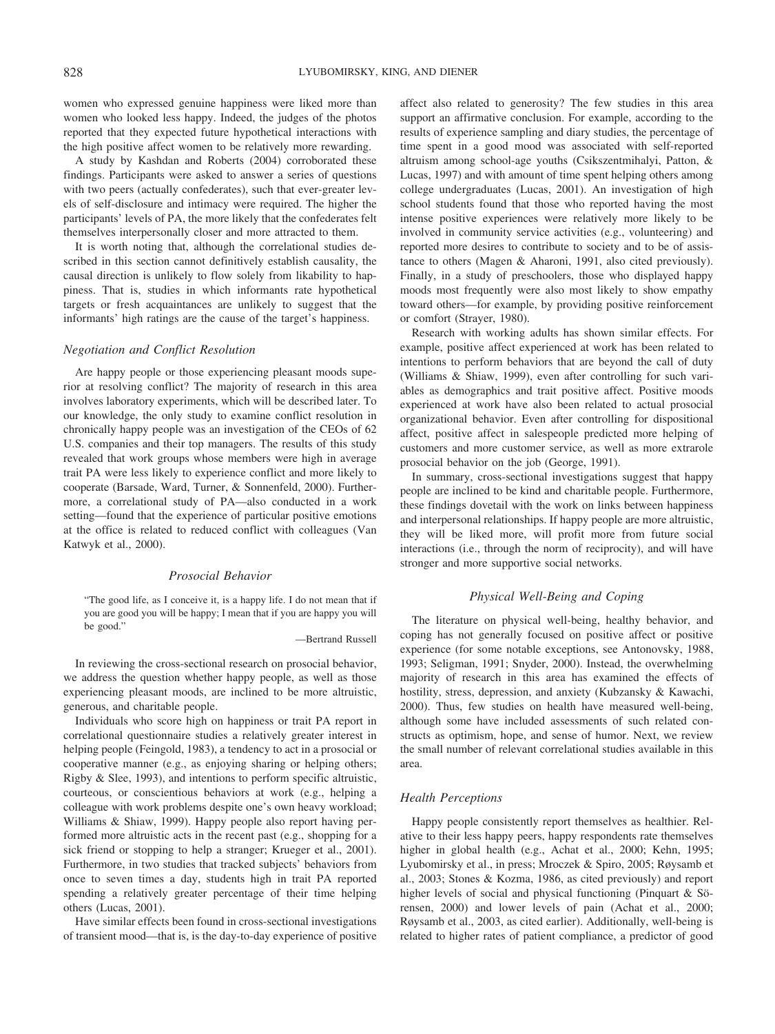women who expressed genuine happiness were liked more than women who looked less happy. Indeed, the judges of the photos reported that they expected future hypothetical interactions with the high positive affect women to be relatively more rewarding.

A study by Kashdan and Roberts (2004) corroborated these findings. Participants were asked to answer a series of questions with two peers (actually confederates), such that ever-greater levels of self-disclosure and intimacy were required. The higher the participants' levels of PA, the more likely that the confederates felt themselves interpersonally closer and more attracted to them.

It is worth noting that, although the correlational studies described in this section cannot definitively establish causality, the causal direction is unlikely to flow solely from likability to happiness. That is, studies in which informants rate hypothetical targets or fresh acquaintances are unlikely to suggest that the informants' high ratings are the cause of the target's happiness.

### *Negotiation and Conflict Resolution*

Are happy people or those experiencing pleasant moods superior at resolving conflict? The majority of research in this area involves laboratory experiments, which will be described later. To our knowledge, the only study to examine conflict resolution in chronically happy people was an investigation of the CEOs of 62 U.S. companies and their top managers. The results of this study revealed that work groups whose members were high in average trait PA were less likely to experience conflict and more likely to cooperate (Barsade, Ward, Turner, & Sonnenfeld, 2000). Furthermore, a correlational study of PA—also conducted in a work setting—found that the experience of particular positive emotions at the office is related to reduced conflict with colleagues (Van Katwyk et al., 2000).

### *Prosocial Behavior*

"The good life, as I conceive it, is a happy life. I do not mean that if you are good you will be happy; I mean that if you are happy you will be good."

### —Bertrand Russell

In reviewing the cross-sectional research on prosocial behavior, we address the question whether happy people, as well as those experiencing pleasant moods, are inclined to be more altruistic, generous, and charitable people.

Individuals who score high on happiness or trait PA report in correlational questionnaire studies a relatively greater interest in helping people (Feingold, 1983), a tendency to act in a prosocial or cooperative manner (e.g., as enjoying sharing or helping others; Rigby & Slee, 1993), and intentions to perform specific altruistic, courteous, or conscientious behaviors at work (e.g., helping a colleague with work problems despite one's own heavy workload; Williams & Shiaw, 1999). Happy people also report having performed more altruistic acts in the recent past (e.g., shopping for a sick friend or stopping to help a stranger; Krueger et al., 2001). Furthermore, in two studies that tracked subjects' behaviors from once to seven times a day, students high in trait PA reported spending a relatively greater percentage of their time helping others (Lucas, 2001).

Have similar effects been found in cross-sectional investigations of transient mood—that is, is the day-to-day experience of positive affect also related to generosity? The few studies in this area support an affirmative conclusion. For example, according to the results of experience sampling and diary studies, the percentage of time spent in a good mood was associated with self-reported altruism among school-age youths (Csikszentmihalyi, Patton, & Lucas, 1997) and with amount of time spent helping others among college undergraduates (Lucas, 2001). An investigation of high school students found that those who reported having the most intense positive experiences were relatively more likely to be involved in community service activities (e.g., volunteering) and reported more desires to contribute to society and to be of assistance to others (Magen & Aharoni, 1991, also cited previously). Finally, in a study of preschoolers, those who displayed happy moods most frequently were also most likely to show empathy toward others—for example, by providing positive reinforcement or comfort (Strayer, 1980).

Research with working adults has shown similar effects. For example, positive affect experienced at work has been related to intentions to perform behaviors that are beyond the call of duty (Williams & Shiaw, 1999), even after controlling for such variables as demographics and trait positive affect. Positive moods experienced at work have also been related to actual prosocial organizational behavior. Even after controlling for dispositional affect, positive affect in salespeople predicted more helping of customers and more customer service, as well as more extrarole prosocial behavior on the job (George, 1991).

In summary, cross-sectional investigations suggest that happy people are inclined to be kind and charitable people. Furthermore, these findings dovetail with the work on links between happiness and interpersonal relationships. If happy people are more altruistic, they will be liked more, will profit more from future social interactions (i.e., through the norm of reciprocity), and will have stronger and more supportive social networks.

### *Physical Well-Being and Coping*

The literature on physical well-being, healthy behavior, and coping has not generally focused on positive affect or positive experience (for some notable exceptions, see Antonovsky, 1988, 1993; Seligman, 1991; Snyder, 2000). Instead, the overwhelming majority of research in this area has examined the effects of hostility, stress, depression, and anxiety (Kubzansky & Kawachi, 2000). Thus, few studies on health have measured well-being, although some have included assessments of such related constructs as optimism, hope, and sense of humor. Next, we review the small number of relevant correlational studies available in this area.

### *Health Perceptions*

Happy people consistently report themselves as healthier. Relative to their less happy peers, happy respondents rate themselves higher in global health (e.g., Achat et al., 2000; Kehn, 1995; Lyubomirsky et al., in press; Mroczek & Spiro, 2005; Røysamb et al., 2003; Stones & Kozma, 1986, as cited previously) and report higher levels of social and physical functioning (Pinquart  $\&$  Sörensen, 2000) and lower levels of pain (Achat et al., 2000; Røysamb et al., 2003, as cited earlier). Additionally, well-being is related to higher rates of patient compliance, a predictor of good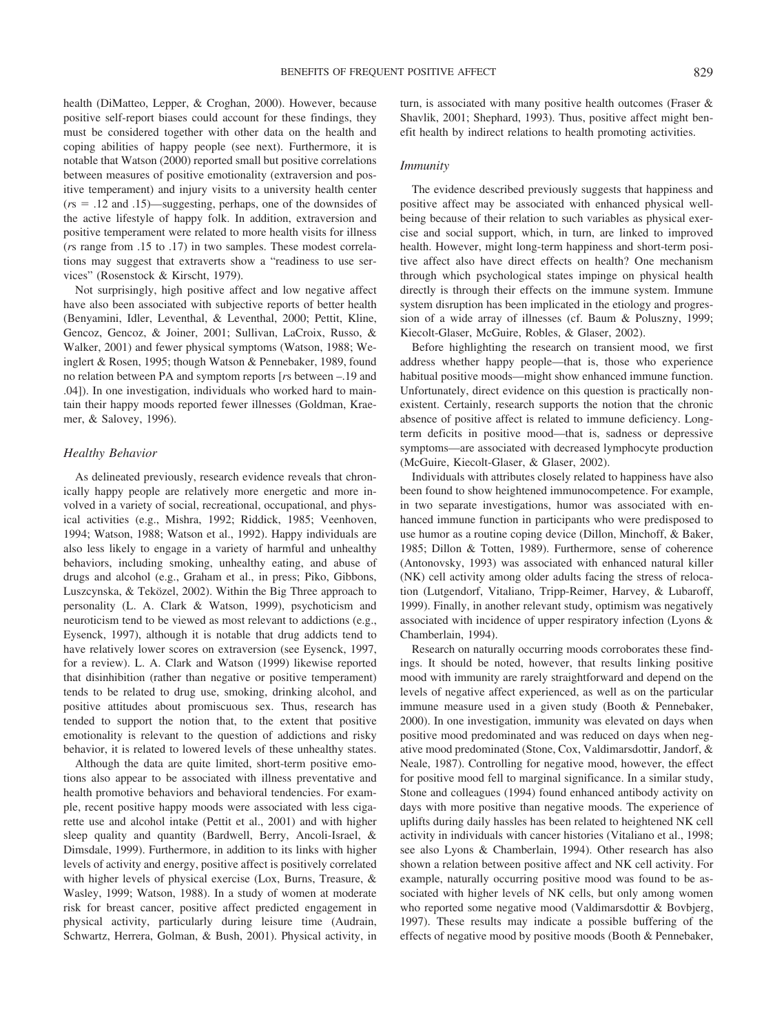health (DiMatteo, Lepper, & Croghan, 2000). However, because positive self-report biases could account for these findings, they must be considered together with other data on the health and coping abilities of happy people (see next). Furthermore, it is notable that Watson (2000) reported small but positive correlations between measures of positive emotionality (extraversion and positive temperament) and injury visits to a university health center  $(rs = .12$  and  $.15)$ —suggesting, perhaps, one of the downsides of the active lifestyle of happy folk. In addition, extraversion and positive temperament were related to more health visits for illness (*r*s range from .15 to .17) in two samples. These modest correlations may suggest that extraverts show a "readiness to use services" (Rosenstock & Kirscht, 1979).

Not surprisingly, high positive affect and low negative affect have also been associated with subjective reports of better health (Benyamini, Idler, Leventhal, & Leventhal, 2000; Pettit, Kline, Gencoz, Gencoz, & Joiner, 2001; Sullivan, LaCroix, Russo, & Walker, 2001) and fewer physical symptoms (Watson, 1988; Weinglert & Rosen, 1995; though Watson & Pennebaker, 1989, found no relation between PA and symptom reports [*r*s between –.19 and .04]). In one investigation, individuals who worked hard to maintain their happy moods reported fewer illnesses (Goldman, Kraemer, & Salovey, 1996).

### *Healthy Behavior*

As delineated previously, research evidence reveals that chronically happy people are relatively more energetic and more involved in a variety of social, recreational, occupational, and physical activities (e.g., Mishra, 1992; Riddick, 1985; Veenhoven, 1994; Watson, 1988; Watson et al., 1992). Happy individuals are also less likely to engage in a variety of harmful and unhealthy behaviors, including smoking, unhealthy eating, and abuse of drugs and alcohol (e.g., Graham et al., in press; Piko, Gibbons, Luszcynska, & Teközel, 2002). Within the Big Three approach to personality (L. A. Clark & Watson, 1999), psychoticism and neuroticism tend to be viewed as most relevant to addictions (e.g., Eysenck, 1997), although it is notable that drug addicts tend to have relatively lower scores on extraversion (see Eysenck, 1997, for a review). L. A. Clark and Watson (1999) likewise reported that disinhibition (rather than negative or positive temperament) tends to be related to drug use, smoking, drinking alcohol, and positive attitudes about promiscuous sex. Thus, research has tended to support the notion that, to the extent that positive emotionality is relevant to the question of addictions and risky behavior, it is related to lowered levels of these unhealthy states.

Although the data are quite limited, short-term positive emotions also appear to be associated with illness preventative and health promotive behaviors and behavioral tendencies. For example, recent positive happy moods were associated with less cigarette use and alcohol intake (Pettit et al., 2001) and with higher sleep quality and quantity (Bardwell, Berry, Ancoli-Israel, & Dimsdale, 1999). Furthermore, in addition to its links with higher levels of activity and energy, positive affect is positively correlated with higher levels of physical exercise (Lox, Burns, Treasure, & Wasley, 1999; Watson, 1988). In a study of women at moderate risk for breast cancer, positive affect predicted engagement in physical activity, particularly during leisure time (Audrain, Schwartz, Herrera, Golman, & Bush, 2001). Physical activity, in turn, is associated with many positive health outcomes (Fraser & Shavlik, 2001; Shephard, 1993). Thus, positive affect might benefit health by indirect relations to health promoting activities.

## *Immunity*

The evidence described previously suggests that happiness and positive affect may be associated with enhanced physical wellbeing because of their relation to such variables as physical exercise and social support, which, in turn, are linked to improved health. However, might long-term happiness and short-term positive affect also have direct effects on health? One mechanism through which psychological states impinge on physical health directly is through their effects on the immune system. Immune system disruption has been implicated in the etiology and progression of a wide array of illnesses (cf. Baum & Poluszny, 1999; Kiecolt-Glaser, McGuire, Robles, & Glaser, 2002).

Before highlighting the research on transient mood, we first address whether happy people—that is, those who experience habitual positive moods—might show enhanced immune function. Unfortunately, direct evidence on this question is practically nonexistent. Certainly, research supports the notion that the chronic absence of positive affect is related to immune deficiency. Longterm deficits in positive mood—that is, sadness or depressive symptoms—are associated with decreased lymphocyte production (McGuire, Kiecolt-Glaser, & Glaser, 2002).

Individuals with attributes closely related to happiness have also been found to show heightened immunocompetence. For example, in two separate investigations, humor was associated with enhanced immune function in participants who were predisposed to use humor as a routine coping device (Dillon, Minchoff, & Baker, 1985; Dillon & Totten, 1989). Furthermore, sense of coherence (Antonovsky, 1993) was associated with enhanced natural killer (NK) cell activity among older adults facing the stress of relocation (Lutgendorf, Vitaliano, Tripp-Reimer, Harvey, & Lubaroff, 1999). Finally, in another relevant study, optimism was negatively associated with incidence of upper respiratory infection (Lyons & Chamberlain, 1994).

Research on naturally occurring moods corroborates these findings. It should be noted, however, that results linking positive mood with immunity are rarely straightforward and depend on the levels of negative affect experienced, as well as on the particular immune measure used in a given study (Booth & Pennebaker, 2000). In one investigation, immunity was elevated on days when positive mood predominated and was reduced on days when negative mood predominated (Stone, Cox, Valdimarsdottir, Jandorf, & Neale, 1987). Controlling for negative mood, however, the effect for positive mood fell to marginal significance. In a similar study, Stone and colleagues (1994) found enhanced antibody activity on days with more positive than negative moods. The experience of uplifts during daily hassles has been related to heightened NK cell activity in individuals with cancer histories (Vitaliano et al., 1998; see also Lyons & Chamberlain, 1994). Other research has also shown a relation between positive affect and NK cell activity. For example, naturally occurring positive mood was found to be associated with higher levels of NK cells, but only among women who reported some negative mood (Valdimarsdottir & Bovbjerg, 1997). These results may indicate a possible buffering of the effects of negative mood by positive moods (Booth & Pennebaker,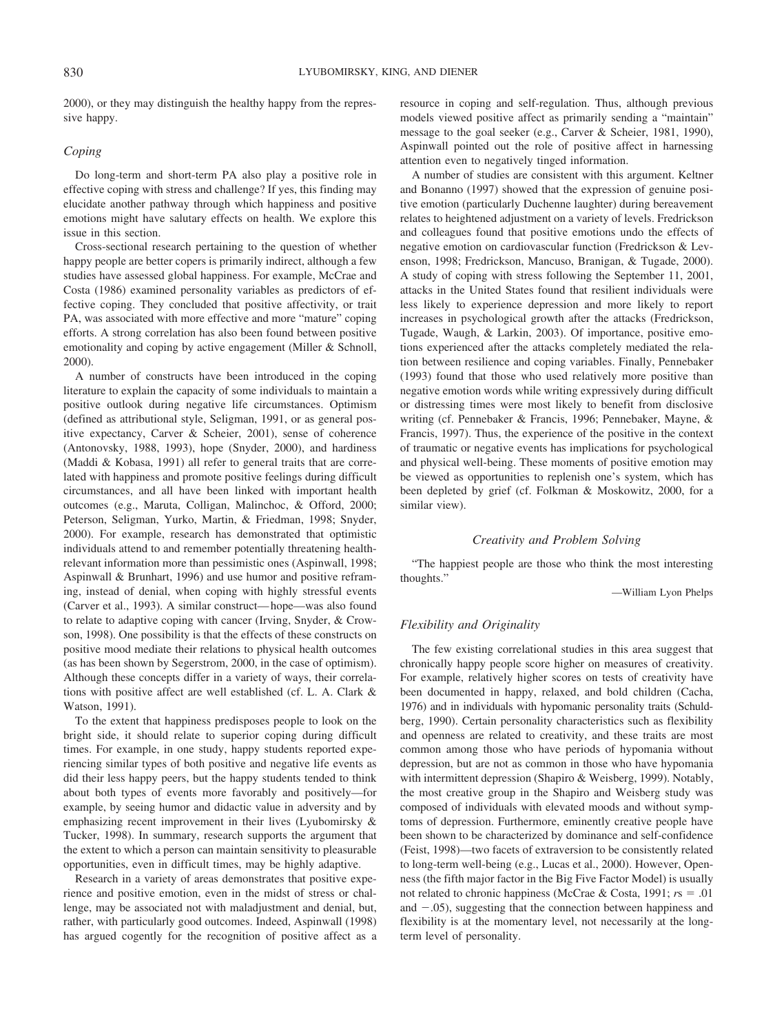2000), or they may distinguish the healthy happy from the repressive happy.

## *Coping*

Do long-term and short-term PA also play a positive role in effective coping with stress and challenge? If yes, this finding may elucidate another pathway through which happiness and positive emotions might have salutary effects on health. We explore this issue in this section.

Cross-sectional research pertaining to the question of whether happy people are better copers is primarily indirect, although a few studies have assessed global happiness. For example, McCrae and Costa (1986) examined personality variables as predictors of effective coping. They concluded that positive affectivity, or trait PA, was associated with more effective and more "mature" coping efforts. A strong correlation has also been found between positive emotionality and coping by active engagement (Miller & Schnoll, 2000).

A number of constructs have been introduced in the coping literature to explain the capacity of some individuals to maintain a positive outlook during negative life circumstances. Optimism (defined as attributional style, Seligman, 1991, or as general positive expectancy, Carver & Scheier, 2001), sense of coherence (Antonovsky, 1988, 1993), hope (Snyder, 2000), and hardiness (Maddi & Kobasa, 1991) all refer to general traits that are correlated with happiness and promote positive feelings during difficult circumstances, and all have been linked with important health outcomes (e.g., Maruta, Colligan, Malinchoc, & Offord, 2000; Peterson, Seligman, Yurko, Martin, & Friedman, 1998; Snyder, 2000). For example, research has demonstrated that optimistic individuals attend to and remember potentially threatening healthrelevant information more than pessimistic ones (Aspinwall, 1998; Aspinwall & Brunhart, 1996) and use humor and positive reframing, instead of denial, when coping with highly stressful events (Carver et al., 1993). A similar construct— hope—was also found to relate to adaptive coping with cancer (Irving, Snyder, & Crowson, 1998). One possibility is that the effects of these constructs on positive mood mediate their relations to physical health outcomes (as has been shown by Segerstrom, 2000, in the case of optimism). Although these concepts differ in a variety of ways, their correlations with positive affect are well established (cf. L. A. Clark & Watson, 1991).

To the extent that happiness predisposes people to look on the bright side, it should relate to superior coping during difficult times. For example, in one study, happy students reported experiencing similar types of both positive and negative life events as did their less happy peers, but the happy students tended to think about both types of events more favorably and positively—for example, by seeing humor and didactic value in adversity and by emphasizing recent improvement in their lives (Lyubomirsky & Tucker, 1998). In summary, research supports the argument that the extent to which a person can maintain sensitivity to pleasurable opportunities, even in difficult times, may be highly adaptive.

Research in a variety of areas demonstrates that positive experience and positive emotion, even in the midst of stress or challenge, may be associated not with maladjustment and denial, but, rather, with particularly good outcomes. Indeed, Aspinwall (1998) has argued cogently for the recognition of positive affect as a resource in coping and self-regulation. Thus, although previous models viewed positive affect as primarily sending a "maintain" message to the goal seeker (e.g., Carver & Scheier, 1981, 1990), Aspinwall pointed out the role of positive affect in harnessing attention even to negatively tinged information.

A number of studies are consistent with this argument. Keltner and Bonanno (1997) showed that the expression of genuine positive emotion (particularly Duchenne laughter) during bereavement relates to heightened adjustment on a variety of levels. Fredrickson and colleagues found that positive emotions undo the effects of negative emotion on cardiovascular function (Fredrickson & Levenson, 1998; Fredrickson, Mancuso, Branigan, & Tugade, 2000). A study of coping with stress following the September 11, 2001, attacks in the United States found that resilient individuals were less likely to experience depression and more likely to report increases in psychological growth after the attacks (Fredrickson, Tugade, Waugh, & Larkin, 2003). Of importance, positive emotions experienced after the attacks completely mediated the relation between resilience and coping variables. Finally, Pennebaker (1993) found that those who used relatively more positive than negative emotion words while writing expressively during difficult or distressing times were most likely to benefit from disclosive writing (cf. Pennebaker & Francis, 1996; Pennebaker, Mayne, & Francis, 1997). Thus, the experience of the positive in the context of traumatic or negative events has implications for psychological and physical well-being. These moments of positive emotion may be viewed as opportunities to replenish one's system, which has been depleted by grief (cf. Folkman & Moskowitz, 2000, for a similar view).

### *Creativity and Problem Solving*

"The happiest people are those who think the most interesting thoughts."

—William Lyon Phelps

### *Flexibility and Originality*

The few existing correlational studies in this area suggest that chronically happy people score higher on measures of creativity. For example, relatively higher scores on tests of creativity have been documented in happy, relaxed, and bold children (Cacha, 1976) and in individuals with hypomanic personality traits (Schuldberg, 1990). Certain personality characteristics such as flexibility and openness are related to creativity, and these traits are most common among those who have periods of hypomania without depression, but are not as common in those who have hypomania with intermittent depression (Shapiro & Weisberg, 1999). Notably, the most creative group in the Shapiro and Weisberg study was composed of individuals with elevated moods and without symptoms of depression. Furthermore, eminently creative people have been shown to be characterized by dominance and self-confidence (Feist, 1998)—two facets of extraversion to be consistently related to long-term well-being (e.g., Lucas et al., 2000). However, Openness (the fifth major factor in the Big Five Factor Model) is usually not related to chronic happiness (McCrae & Costa, 1991;  $rs = .01$ and  $-.05$ ), suggesting that the connection between happiness and flexibility is at the momentary level, not necessarily at the longterm level of personality.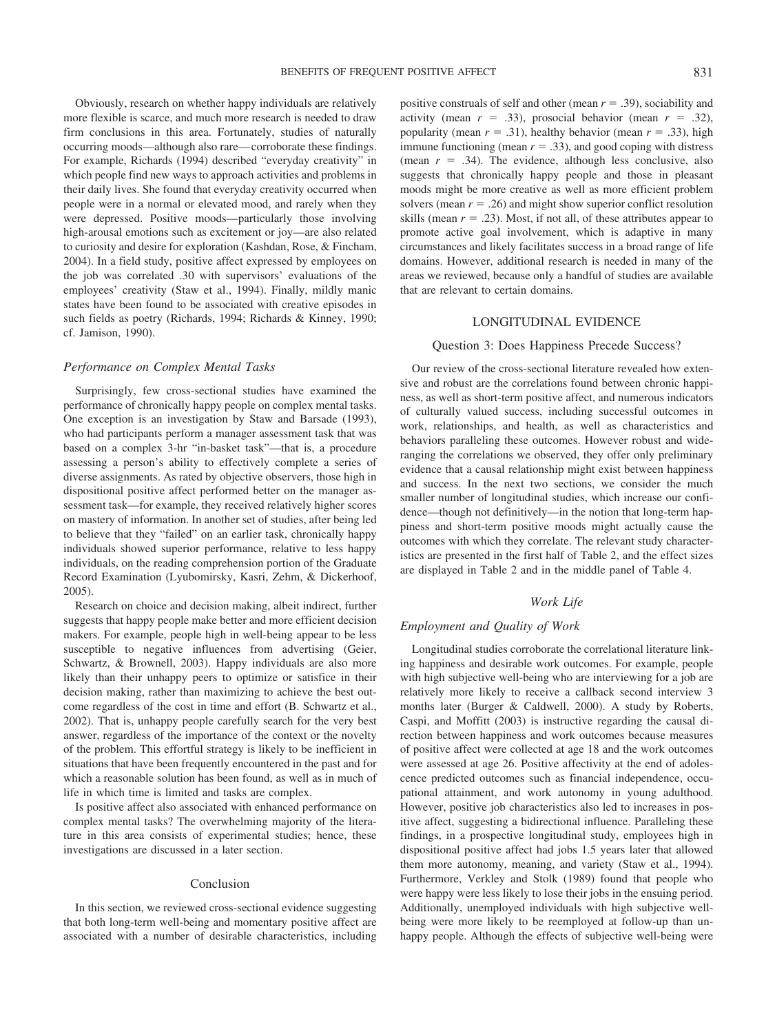Obviously, research on whether happy individuals are relatively more flexible is scarce, and much more research is needed to draw firm conclusions in this area. Fortunately, studies of naturally occurring moods—although also rare— corroborate these findings. For example, Richards (1994) described "everyday creativity" in which people find new ways to approach activities and problems in their daily lives. She found that everyday creativity occurred when people were in a normal or elevated mood, and rarely when they were depressed. Positive moods—particularly those involving high-arousal emotions such as excitement or joy—are also related to curiosity and desire for exploration (Kashdan, Rose, & Fincham, 2004). In a field study, positive affect expressed by employees on the job was correlated .30 with supervisors' evaluations of the employees' creativity (Staw et al., 1994). Finally, mildly manic states have been found to be associated with creative episodes in such fields as poetry (Richards, 1994; Richards & Kinney, 1990;

### *Performance on Complex Mental Tasks*

cf. Jamison, 1990).

Surprisingly, few cross-sectional studies have examined the performance of chronically happy people on complex mental tasks. One exception is an investigation by Staw and Barsade (1993), who had participants perform a manager assessment task that was based on a complex 3-hr "in-basket task"—that is, a procedure assessing a person's ability to effectively complete a series of diverse assignments. As rated by objective observers, those high in dispositional positive affect performed better on the manager assessment task—for example, they received relatively higher scores on mastery of information. In another set of studies, after being led to believe that they "failed" on an earlier task, chronically happy individuals showed superior performance, relative to less happy individuals, on the reading comprehension portion of the Graduate Record Examination (Lyubomirsky, Kasri, Zehm, & Dickerhoof, 2005).

Research on choice and decision making, albeit indirect, further suggests that happy people make better and more efficient decision makers. For example, people high in well-being appear to be less susceptible to negative influences from advertising (Geier, Schwartz, & Brownell, 2003). Happy individuals are also more likely than their unhappy peers to optimize or satisfice in their decision making, rather than maximizing to achieve the best outcome regardless of the cost in time and effort (B. Schwartz et al., 2002). That is, unhappy people carefully search for the very best answer, regardless of the importance of the context or the novelty of the problem. This effortful strategy is likely to be inefficient in situations that have been frequently encountered in the past and for which a reasonable solution has been found, as well as in much of life in which time is limited and tasks are complex.

Is positive affect also associated with enhanced performance on complex mental tasks? The overwhelming majority of the literature in this area consists of experimental studies; hence, these investigations are discussed in a later section.

## Conclusion

In this section, we reviewed cross-sectional evidence suggesting that both long-term well-being and momentary positive affect are associated with a number of desirable characteristics, including positive construals of self and other (mean  $r = .39$ ), sociability and activity (mean  $r = .33$ ), prosocial behavior (mean  $r = .32$ ), popularity (mean  $r = .31$ ), healthy behavior (mean  $r = .33$ ), high immune functioning (mean  $r = .33$ ), and good coping with distress (mean  $r = .34$ ). The evidence, although less conclusive, also suggests that chronically happy people and those in pleasant moods might be more creative as well as more efficient problem solvers (mean  $r = .26$ ) and might show superior conflict resolution skills (mean  $r = .23$ ). Most, if not all, of these attributes appear to promote active goal involvement, which is adaptive in many circumstances and likely facilitates success in a broad range of life domains. However, additional research is needed in many of the areas we reviewed, because only a handful of studies are available that are relevant to certain domains.

## LONGITUDINAL EVIDENCE

### Question 3: Does Happiness Precede Success?

Our review of the cross-sectional literature revealed how extensive and robust are the correlations found between chronic happiness, as well as short-term positive affect, and numerous indicators of culturally valued success, including successful outcomes in work, relationships, and health, as well as characteristics and behaviors paralleling these outcomes. However robust and wideranging the correlations we observed, they offer only preliminary evidence that a causal relationship might exist between happiness and success. In the next two sections, we consider the much smaller number of longitudinal studies, which increase our confidence—though not definitively—in the notion that long-term happiness and short-term positive moods might actually cause the outcomes with which they correlate. The relevant study characteristics are presented in the first half of Table 2, and the effect sizes are displayed in Table 2 and in the middle panel of Table 4.

### *Work Life*

## *Employment and Quality of Work*

Longitudinal studies corroborate the correlational literature linking happiness and desirable work outcomes. For example, people with high subjective well-being who are interviewing for a job are relatively more likely to receive a callback second interview 3 months later (Burger & Caldwell, 2000). A study by Roberts, Caspi, and Moffitt (2003) is instructive regarding the causal direction between happiness and work outcomes because measures of positive affect were collected at age 18 and the work outcomes were assessed at age 26. Positive affectivity at the end of adolescence predicted outcomes such as financial independence, occupational attainment, and work autonomy in young adulthood. However, positive job characteristics also led to increases in positive affect, suggesting a bidirectional influence. Paralleling these findings, in a prospective longitudinal study, employees high in dispositional positive affect had jobs 1.5 years later that allowed them more autonomy, meaning, and variety (Staw et al., 1994). Furthermore, Verkley and Stolk (1989) found that people who were happy were less likely to lose their jobs in the ensuing period. Additionally, unemployed individuals with high subjective wellbeing were more likely to be reemployed at follow-up than unhappy people. Although the effects of subjective well-being were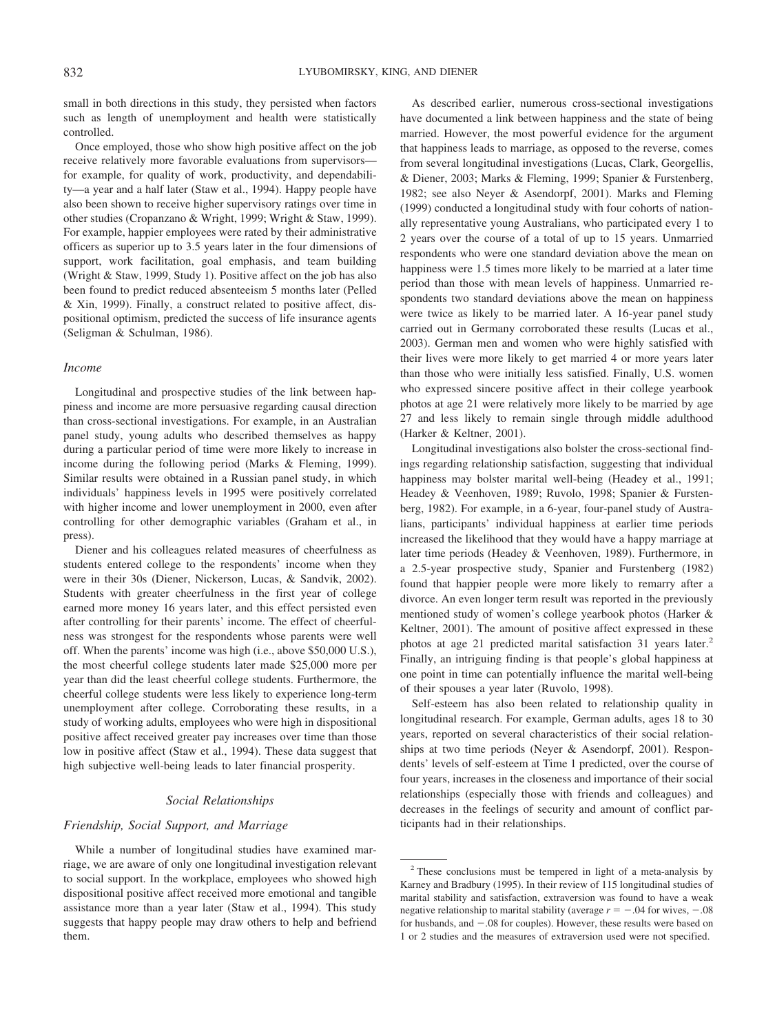small in both directions in this study, they persisted when factors such as length of unemployment and health were statistically controlled.

Once employed, those who show high positive affect on the job receive relatively more favorable evaluations from supervisors for example, for quality of work, productivity, and dependability—a year and a half later (Staw et al., 1994). Happy people have also been shown to receive higher supervisory ratings over time in other studies (Cropanzano & Wright, 1999; Wright & Staw, 1999). For example, happier employees were rated by their administrative officers as superior up to 3.5 years later in the four dimensions of support, work facilitation, goal emphasis, and team building (Wright & Staw, 1999, Study 1). Positive affect on the job has also been found to predict reduced absenteeism 5 months later (Pelled & Xin, 1999). Finally, a construct related to positive affect, dispositional optimism, predicted the success of life insurance agents (Seligman & Schulman, 1986).

### *Income*

Longitudinal and prospective studies of the link between happiness and income are more persuasive regarding causal direction than cross-sectional investigations. For example, in an Australian panel study, young adults who described themselves as happy during a particular period of time were more likely to increase in income during the following period (Marks & Fleming, 1999). Similar results were obtained in a Russian panel study, in which individuals' happiness levels in 1995 were positively correlated with higher income and lower unemployment in 2000, even after controlling for other demographic variables (Graham et al., in press).

Diener and his colleagues related measures of cheerfulness as students entered college to the respondents' income when they were in their 30s (Diener, Nickerson, Lucas, & Sandvik, 2002). Students with greater cheerfulness in the first year of college earned more money 16 years later, and this effect persisted even after controlling for their parents' income. The effect of cheerfulness was strongest for the respondents whose parents were well off. When the parents' income was high (i.e., above \$50,000 U.S.), the most cheerful college students later made \$25,000 more per year than did the least cheerful college students. Furthermore, the cheerful college students were less likely to experience long-term unemployment after college. Corroborating these results, in a study of working adults, employees who were high in dispositional positive affect received greater pay increases over time than those low in positive affect (Staw et al., 1994). These data suggest that high subjective well-being leads to later financial prosperity.

## *Social Relationships*

### *Friendship, Social Support, and Marriage*

While a number of longitudinal studies have examined marriage, we are aware of only one longitudinal investigation relevant to social support. In the workplace, employees who showed high dispositional positive affect received more emotional and tangible assistance more than a year later (Staw et al., 1994). This study suggests that happy people may draw others to help and befriend them.

As described earlier, numerous cross-sectional investigations have documented a link between happiness and the state of being married. However, the most powerful evidence for the argument that happiness leads to marriage, as opposed to the reverse, comes from several longitudinal investigations (Lucas, Clark, Georgellis, & Diener, 2003; Marks & Fleming, 1999; Spanier & Furstenberg, 1982; see also Neyer & Asendorpf, 2001). Marks and Fleming (1999) conducted a longitudinal study with four cohorts of nationally representative young Australians, who participated every 1 to 2 years over the course of a total of up to 15 years. Unmarried respondents who were one standard deviation above the mean on happiness were 1.5 times more likely to be married at a later time period than those with mean levels of happiness. Unmarried respondents two standard deviations above the mean on happiness were twice as likely to be married later. A 16-year panel study carried out in Germany corroborated these results (Lucas et al., 2003). German men and women who were highly satisfied with their lives were more likely to get married 4 or more years later than those who were initially less satisfied. Finally, U.S. women who expressed sincere positive affect in their college yearbook photos at age 21 were relatively more likely to be married by age 27 and less likely to remain single through middle adulthood (Harker & Keltner, 2001).

Longitudinal investigations also bolster the cross-sectional findings regarding relationship satisfaction, suggesting that individual happiness may bolster marital well-being (Headey et al., 1991; Headey & Veenhoven, 1989; Ruvolo, 1998; Spanier & Furstenberg, 1982). For example, in a 6-year, four-panel study of Australians, participants' individual happiness at earlier time periods increased the likelihood that they would have a happy marriage at later time periods (Headey & Veenhoven, 1989). Furthermore, in a 2.5-year prospective study, Spanier and Furstenberg (1982) found that happier people were more likely to remarry after a divorce. An even longer term result was reported in the previously mentioned study of women's college yearbook photos (Harker & Keltner, 2001). The amount of positive affect expressed in these photos at age 21 predicted marital satisfaction 31 years later.<sup>2</sup> Finally, an intriguing finding is that people's global happiness at one point in time can potentially influence the marital well-being of their spouses a year later (Ruvolo, 1998).

Self-esteem has also been related to relationship quality in longitudinal research. For example, German adults, ages 18 to 30 years, reported on several characteristics of their social relationships at two time periods (Neyer & Asendorpf, 2001). Respondents' levels of self-esteem at Time 1 predicted, over the course of four years, increases in the closeness and importance of their social relationships (especially those with friends and colleagues) and decreases in the feelings of security and amount of conflict participants had in their relationships.

<sup>2</sup> These conclusions must be tempered in light of a meta-analysis by Karney and Bradbury (1995). In their review of 115 longitudinal studies of marital stability and satisfaction, extraversion was found to have a weak negative relationship to marital stability (average  $r = -.04$  for wives,  $-.08$ for husbands, and  $-.08$  for couples). However, these results were based on 1 or 2 studies and the measures of extraversion used were not specified.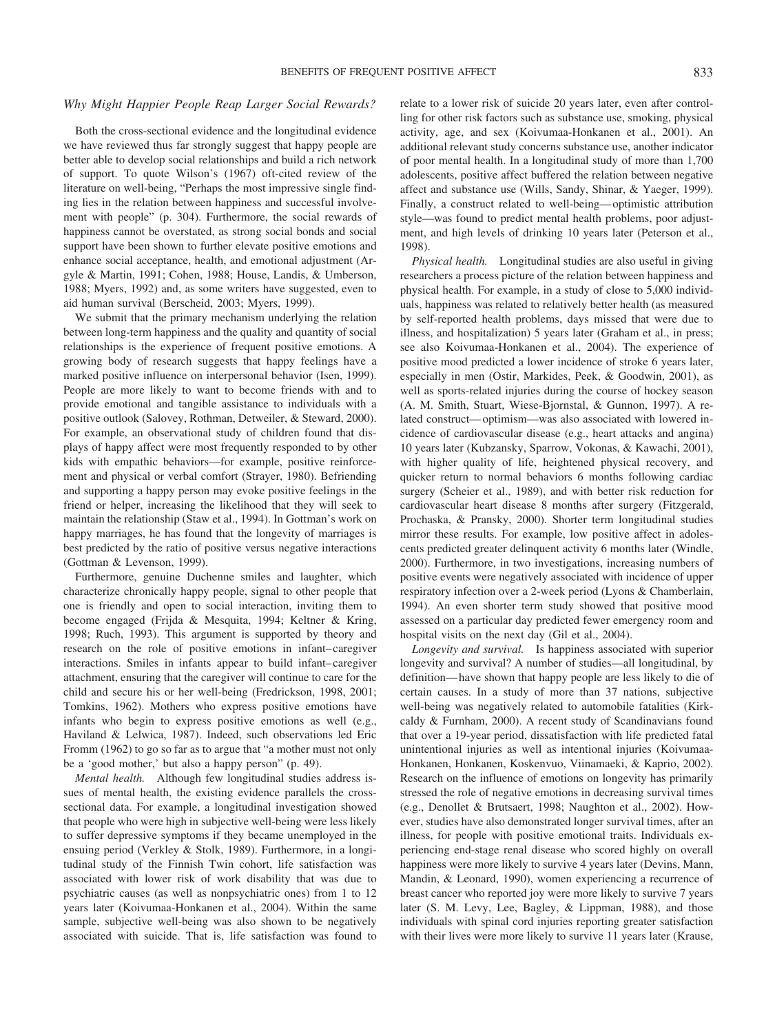### *Why Might Happier People Reap Larger Social Rewards?*

Both the cross-sectional evidence and the longitudinal evidence we have reviewed thus far strongly suggest that happy people are better able to develop social relationships and build a rich network of support. To quote Wilson's (1967) oft-cited review of the literature on well-being, "Perhaps the most impressive single finding lies in the relation between happiness and successful involvement with people" (p. 304). Furthermore, the social rewards of happiness cannot be overstated, as strong social bonds and social support have been shown to further elevate positive emotions and enhance social acceptance, health, and emotional adjustment (Argyle & Martin, 1991; Cohen, 1988; House, Landis, & Umberson, 1988; Myers, 1992) and, as some writers have suggested, even to aid human survival (Berscheid, 2003; Myers, 1999).

We submit that the primary mechanism underlying the relation between long-term happiness and the quality and quantity of social relationships is the experience of frequent positive emotions. A growing body of research suggests that happy feelings have a marked positive influence on interpersonal behavior (Isen, 1999). People are more likely to want to become friends with and to provide emotional and tangible assistance to individuals with a positive outlook (Salovey, Rothman, Detweiler, & Steward, 2000). For example, an observational study of children found that displays of happy affect were most frequently responded to by other kids with empathic behaviors—for example, positive reinforcement and physical or verbal comfort (Strayer, 1980). Befriending and supporting a happy person may evoke positive feelings in the friend or helper, increasing the likelihood that they will seek to maintain the relationship (Staw et al., 1994). In Gottman's work on happy marriages, he has found that the longevity of marriages is best predicted by the ratio of positive versus negative interactions (Gottman & Levenson, 1999).

Furthermore, genuine Duchenne smiles and laughter, which characterize chronically happy people, signal to other people that one is friendly and open to social interaction, inviting them to become engaged (Frijda & Mesquita, 1994; Keltner & Kring, 1998; Ruch, 1993). This argument is supported by theory and research on the role of positive emotions in infant– caregiver interactions. Smiles in infants appear to build infant– caregiver attachment, ensuring that the caregiver will continue to care for the child and secure his or her well-being (Fredrickson, 1998, 2001; Tomkins, 1962). Mothers who express positive emotions have infants who begin to express positive emotions as well (e.g., Haviland & Lelwica, 1987). Indeed, such observations led Eric Fromm (1962) to go so far as to argue that "a mother must not only be a 'good mother,' but also a happy person" (p. 49).

*Mental health.* Although few longitudinal studies address issues of mental health, the existing evidence parallels the crosssectional data. For example, a longitudinal investigation showed that people who were high in subjective well-being were less likely to suffer depressive symptoms if they became unemployed in the ensuing period (Verkley & Stolk, 1989). Furthermore, in a longitudinal study of the Finnish Twin cohort, life satisfaction was associated with lower risk of work disability that was due to psychiatric causes (as well as nonpsychiatric ones) from 1 to 12 years later (Koivumaa-Honkanen et al., 2004). Within the same sample, subjective well-being was also shown to be negatively associated with suicide. That is, life satisfaction was found to relate to a lower risk of suicide 20 years later, even after controlling for other risk factors such as substance use, smoking, physical activity, age, and sex (Koivumaa-Honkanen et al., 2001). An additional relevant study concerns substance use, another indicator of poor mental health. In a longitudinal study of more than 1,700 adolescents, positive affect buffered the relation between negative affect and substance use (Wills, Sandy, Shinar, & Yaeger, 1999). Finally, a construct related to well-being— optimistic attribution style—was found to predict mental health problems, poor adjustment, and high levels of drinking 10 years later (Peterson et al., 1998).

*Physical health.* Longitudinal studies are also useful in giving researchers a process picture of the relation between happiness and physical health. For example, in a study of close to 5,000 individuals, happiness was related to relatively better health (as measured by self-reported health problems, days missed that were due to illness, and hospitalization) 5 years later (Graham et al., in press; see also Koivumaa-Honkanen et al., 2004). The experience of positive mood predicted a lower incidence of stroke 6 years later, especially in men (Ostir, Markides, Peek, & Goodwin, 2001), as well as sports-related injuries during the course of hockey season (A. M. Smith, Stuart, Wiese-Bjornstal, & Gunnon, 1997). A related construct— optimism—was also associated with lowered incidence of cardiovascular disease (e.g., heart attacks and angina) 10 years later (Kubzansky, Sparrow, Vokonas, & Kawachi, 2001), with higher quality of life, heightened physical recovery, and quicker return to normal behaviors 6 months following cardiac surgery (Scheier et al., 1989), and with better risk reduction for cardiovascular heart disease 8 months after surgery (Fitzgerald, Prochaska, & Pransky, 2000). Shorter term longitudinal studies mirror these results. For example, low positive affect in adolescents predicted greater delinquent activity 6 months later (Windle, 2000). Furthermore, in two investigations, increasing numbers of positive events were negatively associated with incidence of upper respiratory infection over a 2-week period (Lyons & Chamberlain, 1994). An even shorter term study showed that positive mood assessed on a particular day predicted fewer emergency room and hospital visits on the next day (Gil et al., 2004).

*Longevity and survival.* Is happiness associated with superior longevity and survival? A number of studies—all longitudinal, by definition— have shown that happy people are less likely to die of certain causes. In a study of more than 37 nations, subjective well-being was negatively related to automobile fatalities (Kirkcaldy & Furnham, 2000). A recent study of Scandinavians found that over a 19-year period, dissatisfaction with life predicted fatal unintentional injuries as well as intentional injuries (Koivumaa-Honkanen, Honkanen, Koskenvuo, Viinamaeki, & Kaprio, 2002). Research on the influence of emotions on longevity has primarily stressed the role of negative emotions in decreasing survival times (e.g., Denollet & Brutsaert, 1998; Naughton et al., 2002). However, studies have also demonstrated longer survival times, after an illness, for people with positive emotional traits. Individuals experiencing end-stage renal disease who scored highly on overall happiness were more likely to survive 4 years later (Devins, Mann, Mandin, & Leonard, 1990), women experiencing a recurrence of breast cancer who reported joy were more likely to survive 7 years later (S. M. Levy, Lee, Bagley, & Lippman, 1988), and those individuals with spinal cord injuries reporting greater satisfaction with their lives were more likely to survive 11 years later (Krause,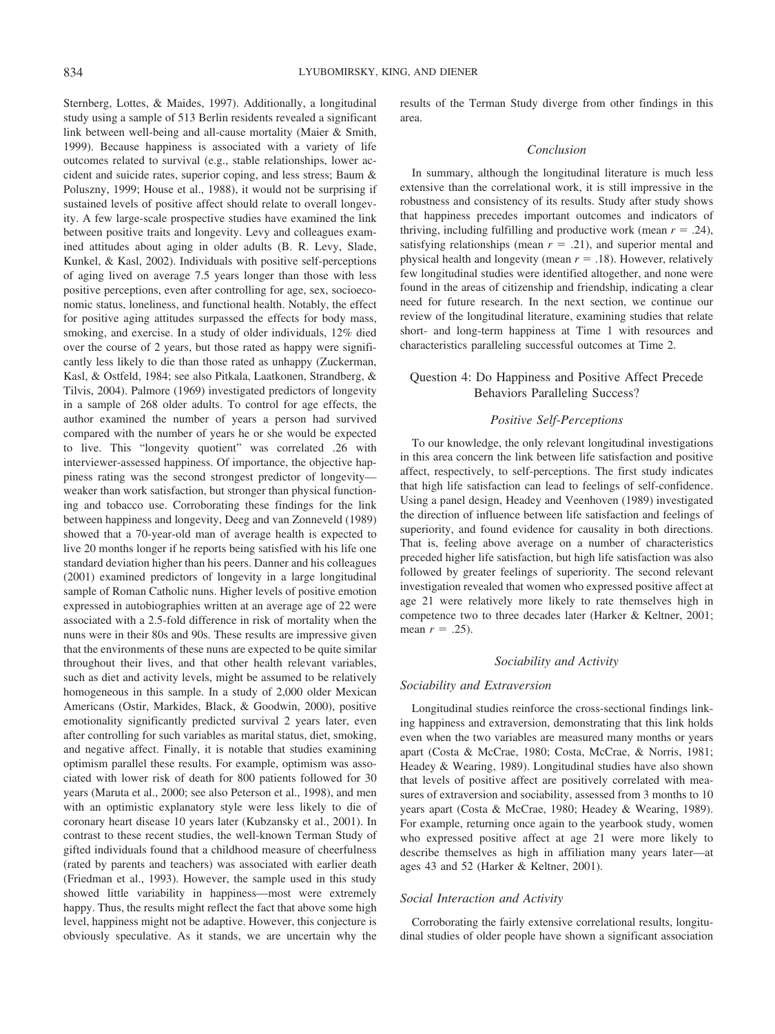Sternberg, Lottes, & Maides, 1997). Additionally, a longitudinal study using a sample of 513 Berlin residents revealed a significant link between well-being and all-cause mortality (Maier & Smith, 1999). Because happiness is associated with a variety of life outcomes related to survival (e.g., stable relationships, lower accident and suicide rates, superior coping, and less stress; Baum & Poluszny, 1999; House et al., 1988), it would not be surprising if sustained levels of positive affect should relate to overall longevity. A few large-scale prospective studies have examined the link between positive traits and longevity. Levy and colleagues examined attitudes about aging in older adults (B. R. Levy, Slade, Kunkel, & Kasl, 2002). Individuals with positive self-perceptions of aging lived on average 7.5 years longer than those with less positive perceptions, even after controlling for age, sex, socioeconomic status, loneliness, and functional health. Notably, the effect for positive aging attitudes surpassed the effects for body mass, smoking, and exercise. In a study of older individuals, 12% died over the course of 2 years, but those rated as happy were significantly less likely to die than those rated as unhappy (Zuckerman, Kasl, & Ostfeld, 1984; see also Pitkala, Laatkonen, Strandberg, & Tilvis, 2004). Palmore (1969) investigated predictors of longevity in a sample of 268 older adults. To control for age effects, the author examined the number of years a person had survived compared with the number of years he or she would be expected to live. This "longevity quotient" was correlated .26 with interviewer-assessed happiness. Of importance, the objective happiness rating was the second strongest predictor of longevity weaker than work satisfaction, but stronger than physical functioning and tobacco use. Corroborating these findings for the link between happiness and longevity, Deeg and van Zonneveld (1989) showed that a 70-year-old man of average health is expected to live 20 months longer if he reports being satisfied with his life one standard deviation higher than his peers. Danner and his colleagues (2001) examined predictors of longevity in a large longitudinal sample of Roman Catholic nuns. Higher levels of positive emotion expressed in autobiographies written at an average age of 22 were associated with a 2.5-fold difference in risk of mortality when the nuns were in their 80s and 90s. These results are impressive given that the environments of these nuns are expected to be quite similar throughout their lives, and that other health relevant variables, such as diet and activity levels, might be assumed to be relatively homogeneous in this sample. In a study of 2,000 older Mexican Americans (Ostir, Markides, Black, & Goodwin, 2000), positive emotionality significantly predicted survival 2 years later, even after controlling for such variables as marital status, diet, smoking, and negative affect. Finally, it is notable that studies examining optimism parallel these results. For example, optimism was associated with lower risk of death for 800 patients followed for 30 years (Maruta et al., 2000; see also Peterson et al., 1998), and men with an optimistic explanatory style were less likely to die of coronary heart disease 10 years later (Kubzansky et al., 2001). In contrast to these recent studies, the well-known Terman Study of gifted individuals found that a childhood measure of cheerfulness (rated by parents and teachers) was associated with earlier death (Friedman et al., 1993). However, the sample used in this study showed little variability in happiness—most were extremely happy. Thus, the results might reflect the fact that above some high level, happiness might not be adaptive. However, this conjecture is obviously speculative. As it stands, we are uncertain why the results of the Terman Study diverge from other findings in this area.

## *Conclusion*

In summary, although the longitudinal literature is much less extensive than the correlational work, it is still impressive in the robustness and consistency of its results. Study after study shows that happiness precedes important outcomes and indicators of thriving, including fulfilling and productive work (mean  $r = .24$ ), satisfying relationships (mean  $r = .21$ ), and superior mental and physical health and longevity (mean  $r = .18$ ). However, relatively few longitudinal studies were identified altogether, and none were found in the areas of citizenship and friendship, indicating a clear need for future research. In the next section, we continue our review of the longitudinal literature, examining studies that relate short- and long-term happiness at Time 1 with resources and characteristics paralleling successful outcomes at Time 2.

## Question 4: Do Happiness and Positive Affect Precede Behaviors Paralleling Success?

### *Positive Self-Perceptions*

To our knowledge, the only relevant longitudinal investigations in this area concern the link between life satisfaction and positive affect, respectively, to self-perceptions. The first study indicates that high life satisfaction can lead to feelings of self-confidence. Using a panel design, Headey and Veenhoven (1989) investigated the direction of influence between life satisfaction and feelings of superiority, and found evidence for causality in both directions. That is, feeling above average on a number of characteristics preceded higher life satisfaction, but high life satisfaction was also followed by greater feelings of superiority. The second relevant investigation revealed that women who expressed positive affect at age 21 were relatively more likely to rate themselves high in competence two to three decades later (Harker & Keltner, 2001; mean  $r = .25$ ).

### *Sociability and Activity*

### *Sociability and Extraversion*

Longitudinal studies reinforce the cross-sectional findings linking happiness and extraversion, demonstrating that this link holds even when the two variables are measured many months or years apart (Costa & McCrae, 1980; Costa, McCrae, & Norris, 1981; Headey & Wearing, 1989). Longitudinal studies have also shown that levels of positive affect are positively correlated with measures of extraversion and sociability, assessed from 3 months to 10 years apart (Costa & McCrae, 1980; Headey & Wearing, 1989). For example, returning once again to the yearbook study, women who expressed positive affect at age 21 were more likely to describe themselves as high in affiliation many years later—at ages 43 and 52 (Harker & Keltner, 2001).

### *Social Interaction and Activity*

Corroborating the fairly extensive correlational results, longitudinal studies of older people have shown a significant association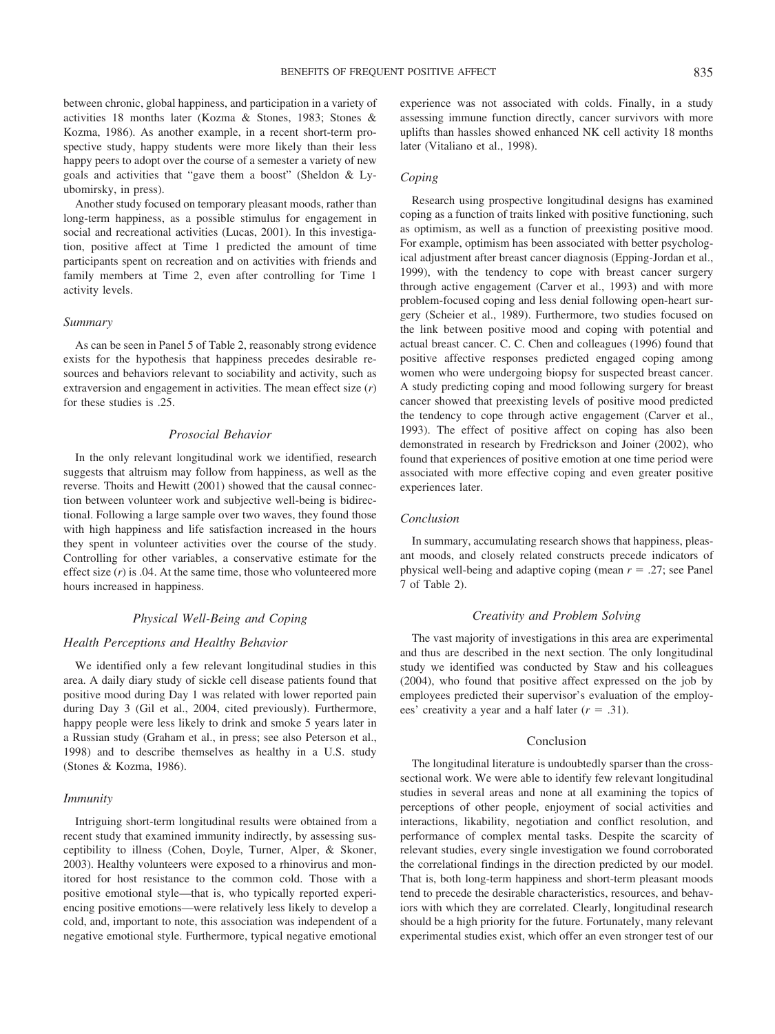between chronic, global happiness, and participation in a variety of activities 18 months later (Kozma & Stones, 1983; Stones & Kozma, 1986). As another example, in a recent short-term prospective study, happy students were more likely than their less happy peers to adopt over the course of a semester a variety of new goals and activities that "gave them a boost" (Sheldon & Lyubomirsky, in press).

Another study focused on temporary pleasant moods, rather than long-term happiness, as a possible stimulus for engagement in social and recreational activities (Lucas, 2001). In this investigation, positive affect at Time 1 predicted the amount of time participants spent on recreation and on activities with friends and family members at Time 2, even after controlling for Time 1 activity levels.

### *Summary*

As can be seen in Panel 5 of Table 2, reasonably strong evidence exists for the hypothesis that happiness precedes desirable resources and behaviors relevant to sociability and activity, such as extraversion and engagement in activities. The mean effect size (*r*) for these studies is .25.

### *Prosocial Behavior*

In the only relevant longitudinal work we identified, research suggests that altruism may follow from happiness, as well as the reverse. Thoits and Hewitt (2001) showed that the causal connection between volunteer work and subjective well-being is bidirectional. Following a large sample over two waves, they found those with high happiness and life satisfaction increased in the hours they spent in volunteer activities over the course of the study. Controlling for other variables, a conservative estimate for the effect size (*r*) is .04. At the same time, those who volunteered more hours increased in happiness.

### *Physical Well-Being and Coping*

### *Health Perceptions and Healthy Behavior*

We identified only a few relevant longitudinal studies in this area. A daily diary study of sickle cell disease patients found that positive mood during Day 1 was related with lower reported pain during Day 3 (Gil et al., 2004, cited previously). Furthermore, happy people were less likely to drink and smoke 5 years later in a Russian study (Graham et al., in press; see also Peterson et al., 1998) and to describe themselves as healthy in a U.S. study (Stones & Kozma, 1986).

### *Immunity*

Intriguing short-term longitudinal results were obtained from a recent study that examined immunity indirectly, by assessing susceptibility to illness (Cohen, Doyle, Turner, Alper, & Skoner, 2003). Healthy volunteers were exposed to a rhinovirus and monitored for host resistance to the common cold. Those with a positive emotional style—that is, who typically reported experiencing positive emotions—were relatively less likely to develop a cold, and, important to note, this association was independent of a negative emotional style. Furthermore, typical negative emotional experience was not associated with colds. Finally, in a study assessing immune function directly, cancer survivors with more uplifts than hassles showed enhanced NK cell activity 18 months later (Vitaliano et al., 1998).

### *Coping*

Research using prospective longitudinal designs has examined coping as a function of traits linked with positive functioning, such as optimism, as well as a function of preexisting positive mood. For example, optimism has been associated with better psychological adjustment after breast cancer diagnosis (Epping-Jordan et al., 1999), with the tendency to cope with breast cancer surgery through active engagement (Carver et al., 1993) and with more problem-focused coping and less denial following open-heart surgery (Scheier et al., 1989). Furthermore, two studies focused on the link between positive mood and coping with potential and actual breast cancer. C. C. Chen and colleagues (1996) found that positive affective responses predicted engaged coping among women who were undergoing biopsy for suspected breast cancer. A study predicting coping and mood following surgery for breast cancer showed that preexisting levels of positive mood predicted the tendency to cope through active engagement (Carver et al., 1993). The effect of positive affect on coping has also been demonstrated in research by Fredrickson and Joiner (2002), who found that experiences of positive emotion at one time period were associated with more effective coping and even greater positive experiences later.

### *Conclusion*

In summary, accumulating research shows that happiness, pleasant moods, and closely related constructs precede indicators of physical well-being and adaptive coping (mean  $r = .27$ ; see Panel 7 of Table 2).

### *Creativity and Problem Solving*

The vast majority of investigations in this area are experimental and thus are described in the next section. The only longitudinal study we identified was conducted by Staw and his colleagues (2004), who found that positive affect expressed on the job by employees predicted their supervisor's evaluation of the employees' creativity a year and a half later  $(r = .31)$ .

### Conclusion

The longitudinal literature is undoubtedly sparser than the crosssectional work. We were able to identify few relevant longitudinal studies in several areas and none at all examining the topics of perceptions of other people, enjoyment of social activities and interactions, likability, negotiation and conflict resolution, and performance of complex mental tasks. Despite the scarcity of relevant studies, every single investigation we found corroborated the correlational findings in the direction predicted by our model. That is, both long-term happiness and short-term pleasant moods tend to precede the desirable characteristics, resources, and behaviors with which they are correlated. Clearly, longitudinal research should be a high priority for the future. Fortunately, many relevant experimental studies exist, which offer an even stronger test of our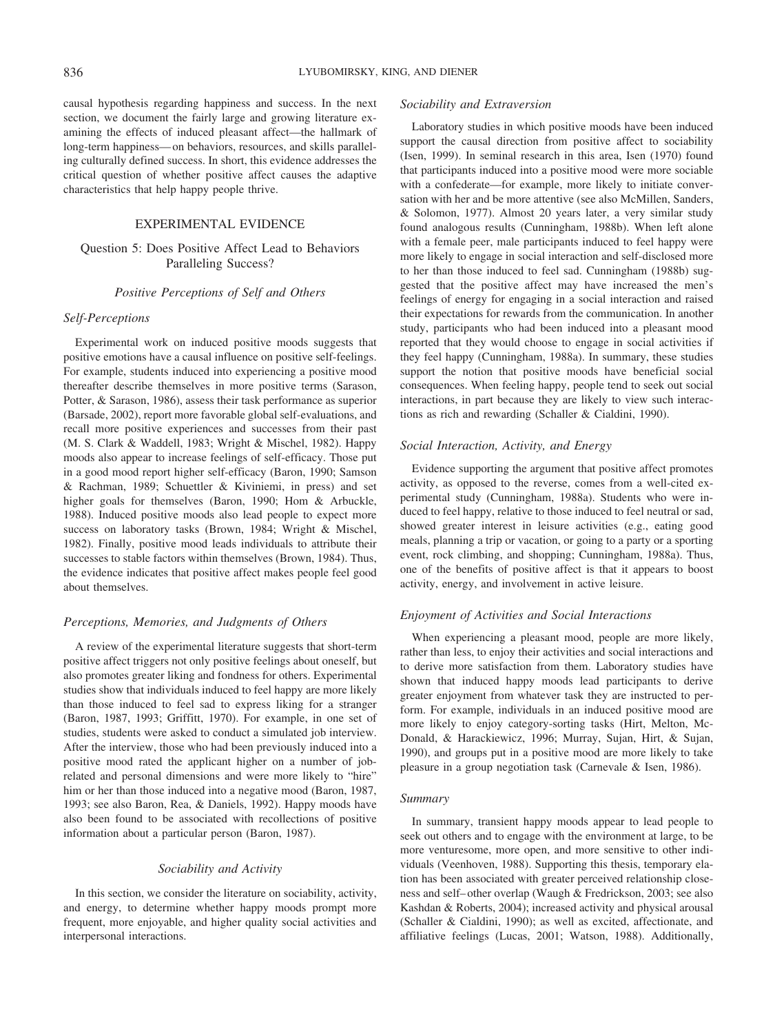causal hypothesis regarding happiness and success. In the next section, we document the fairly large and growing literature examining the effects of induced pleasant affect—the hallmark of long-term happiness— on behaviors, resources, and skills paralleling culturally defined success. In short, this evidence addresses the critical question of whether positive affect causes the adaptive characteristics that help happy people thrive.

## EXPERIMENTAL EVIDENCE

## Question 5: Does Positive Affect Lead to Behaviors Paralleling Success?

### *Positive Perceptions of Self and Others*

### *Self-Perceptions*

Experimental work on induced positive moods suggests that positive emotions have a causal influence on positive self-feelings. For example, students induced into experiencing a positive mood thereafter describe themselves in more positive terms (Sarason, Potter, & Sarason, 1986), assess their task performance as superior (Barsade, 2002), report more favorable global self-evaluations, and recall more positive experiences and successes from their past (M. S. Clark & Waddell, 1983; Wright & Mischel, 1982). Happy moods also appear to increase feelings of self-efficacy. Those put in a good mood report higher self-efficacy (Baron, 1990; Samson & Rachman, 1989; Schuettler & Kiviniemi, in press) and set higher goals for themselves (Baron, 1990; Hom & Arbuckle, 1988). Induced positive moods also lead people to expect more success on laboratory tasks (Brown, 1984; Wright & Mischel, 1982). Finally, positive mood leads individuals to attribute their successes to stable factors within themselves (Brown, 1984). Thus, the evidence indicates that positive affect makes people feel good about themselves.

### *Perceptions, Memories, and Judgments of Others*

A review of the experimental literature suggests that short-term positive affect triggers not only positive feelings about oneself, but also promotes greater liking and fondness for others. Experimental studies show that individuals induced to feel happy are more likely than those induced to feel sad to express liking for a stranger (Baron, 1987, 1993; Griffitt, 1970). For example, in one set of studies, students were asked to conduct a simulated job interview. After the interview, those who had been previously induced into a positive mood rated the applicant higher on a number of jobrelated and personal dimensions and were more likely to "hire" him or her than those induced into a negative mood (Baron, 1987, 1993; see also Baron, Rea, & Daniels, 1992). Happy moods have also been found to be associated with recollections of positive information about a particular person (Baron, 1987).

### *Sociability and Activity*

In this section, we consider the literature on sociability, activity, and energy, to determine whether happy moods prompt more frequent, more enjoyable, and higher quality social activities and interpersonal interactions.

### *Sociability and Extraversion*

Laboratory studies in which positive moods have been induced support the causal direction from positive affect to sociability (Isen, 1999). In seminal research in this area, Isen (1970) found that participants induced into a positive mood were more sociable with a confederate—for example, more likely to initiate conversation with her and be more attentive (see also McMillen, Sanders, & Solomon, 1977). Almost 20 years later, a very similar study found analogous results (Cunningham, 1988b). When left alone with a female peer, male participants induced to feel happy were more likely to engage in social interaction and self-disclosed more to her than those induced to feel sad. Cunningham (1988b) suggested that the positive affect may have increased the men's feelings of energy for engaging in a social interaction and raised their expectations for rewards from the communication. In another study, participants who had been induced into a pleasant mood reported that they would choose to engage in social activities if they feel happy (Cunningham, 1988a). In summary, these studies support the notion that positive moods have beneficial social consequences. When feeling happy, people tend to seek out social interactions, in part because they are likely to view such interactions as rich and rewarding (Schaller & Cialdini, 1990).

### *Social Interaction, Activity, and Energy*

Evidence supporting the argument that positive affect promotes activity, as opposed to the reverse, comes from a well-cited experimental study (Cunningham, 1988a). Students who were induced to feel happy, relative to those induced to feel neutral or sad, showed greater interest in leisure activities (e.g., eating good meals, planning a trip or vacation, or going to a party or a sporting event, rock climbing, and shopping; Cunningham, 1988a). Thus, one of the benefits of positive affect is that it appears to boost activity, energy, and involvement in active leisure.

### *Enjoyment of Activities and Social Interactions*

When experiencing a pleasant mood, people are more likely, rather than less, to enjoy their activities and social interactions and to derive more satisfaction from them. Laboratory studies have shown that induced happy moods lead participants to derive greater enjoyment from whatever task they are instructed to perform. For example, individuals in an induced positive mood are more likely to enjoy category-sorting tasks (Hirt, Melton, Mc-Donald, & Harackiewicz, 1996; Murray, Sujan, Hirt, & Sujan, 1990), and groups put in a positive mood are more likely to take pleasure in a group negotiation task (Carnevale & Isen, 1986).

### *Summary*

In summary, transient happy moods appear to lead people to seek out others and to engage with the environment at large, to be more venturesome, more open, and more sensitive to other individuals (Veenhoven, 1988). Supporting this thesis, temporary elation has been associated with greater perceived relationship closeness and self– other overlap (Waugh & Fredrickson, 2003; see also Kashdan & Roberts, 2004); increased activity and physical arousal (Schaller & Cialdini, 1990); as well as excited, affectionate, and affiliative feelings (Lucas, 2001; Watson, 1988). Additionally,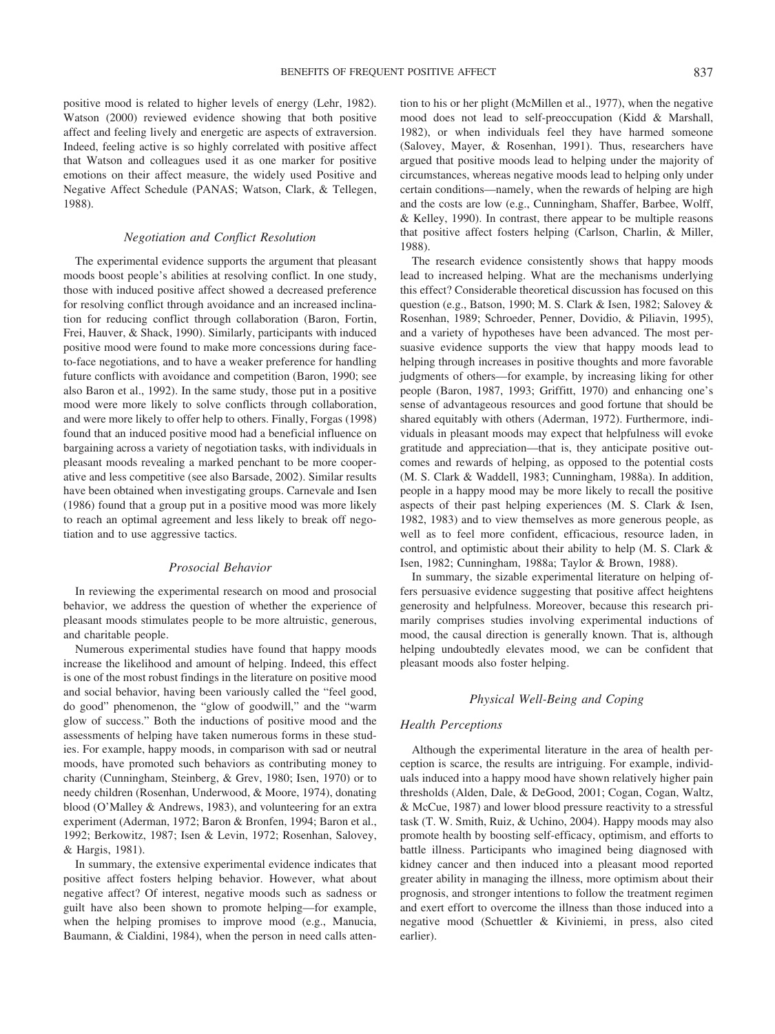positive mood is related to higher levels of energy (Lehr, 1982). Watson (2000) reviewed evidence showing that both positive affect and feeling lively and energetic are aspects of extraversion. Indeed, feeling active is so highly correlated with positive affect that Watson and colleagues used it as one marker for positive emotions on their affect measure, the widely used Positive and Negative Affect Schedule (PANAS; Watson, Clark, & Tellegen, 1988).

### *Negotiation and Conflict Resolution*

The experimental evidence supports the argument that pleasant moods boost people's abilities at resolving conflict. In one study, those with induced positive affect showed a decreased preference for resolving conflict through avoidance and an increased inclination for reducing conflict through collaboration (Baron, Fortin, Frei, Hauver, & Shack, 1990). Similarly, participants with induced positive mood were found to make more concessions during faceto-face negotiations, and to have a weaker preference for handling future conflicts with avoidance and competition (Baron, 1990; see also Baron et al., 1992). In the same study, those put in a positive mood were more likely to solve conflicts through collaboration, and were more likely to offer help to others. Finally, Forgas (1998) found that an induced positive mood had a beneficial influence on bargaining across a variety of negotiation tasks, with individuals in pleasant moods revealing a marked penchant to be more cooperative and less competitive (see also Barsade, 2002). Similar results have been obtained when investigating groups. Carnevale and Isen (1986) found that a group put in a positive mood was more likely to reach an optimal agreement and less likely to break off negotiation and to use aggressive tactics.

### *Prosocial Behavior*

In reviewing the experimental research on mood and prosocial behavior, we address the question of whether the experience of pleasant moods stimulates people to be more altruistic, generous, and charitable people.

Numerous experimental studies have found that happy moods increase the likelihood and amount of helping. Indeed, this effect is one of the most robust findings in the literature on positive mood and social behavior, having been variously called the "feel good, do good" phenomenon, the "glow of goodwill," and the "warm glow of success." Both the inductions of positive mood and the assessments of helping have taken numerous forms in these studies. For example, happy moods, in comparison with sad or neutral moods, have promoted such behaviors as contributing money to charity (Cunningham, Steinberg, & Grev, 1980; Isen, 1970) or to needy children (Rosenhan, Underwood, & Moore, 1974), donating blood (O'Malley & Andrews, 1983), and volunteering for an extra experiment (Aderman, 1972; Baron & Bronfen, 1994; Baron et al., 1992; Berkowitz, 1987; Isen & Levin, 1972; Rosenhan, Salovey, & Hargis, 1981).

In summary, the extensive experimental evidence indicates that positive affect fosters helping behavior. However, what about negative affect? Of interest, negative moods such as sadness or guilt have also been shown to promote helping—for example, when the helping promises to improve mood (e.g., Manucia, Baumann, & Cialdini, 1984), when the person in need calls attention to his or her plight (McMillen et al., 1977), when the negative mood does not lead to self-preoccupation (Kidd & Marshall, 1982), or when individuals feel they have harmed someone (Salovey, Mayer, & Rosenhan, 1991). Thus, researchers have argued that positive moods lead to helping under the majority of circumstances, whereas negative moods lead to helping only under certain conditions—namely, when the rewards of helping are high and the costs are low (e.g., Cunningham, Shaffer, Barbee, Wolff, & Kelley, 1990). In contrast, there appear to be multiple reasons that positive affect fosters helping (Carlson, Charlin, & Miller, 1988).

The research evidence consistently shows that happy moods lead to increased helping. What are the mechanisms underlying this effect? Considerable theoretical discussion has focused on this question (e.g., Batson, 1990; M. S. Clark & Isen, 1982; Salovey & Rosenhan, 1989; Schroeder, Penner, Dovidio, & Piliavin, 1995), and a variety of hypotheses have been advanced. The most persuasive evidence supports the view that happy moods lead to helping through increases in positive thoughts and more favorable judgments of others—for example, by increasing liking for other people (Baron, 1987, 1993; Griffitt, 1970) and enhancing one's sense of advantageous resources and good fortune that should be shared equitably with others (Aderman, 1972). Furthermore, individuals in pleasant moods may expect that helpfulness will evoke gratitude and appreciation—that is, they anticipate positive outcomes and rewards of helping, as opposed to the potential costs (M. S. Clark & Waddell, 1983; Cunningham, 1988a). In addition, people in a happy mood may be more likely to recall the positive aspects of their past helping experiences (M. S. Clark & Isen, 1982, 1983) and to view themselves as more generous people, as well as to feel more confident, efficacious, resource laden, in control, and optimistic about their ability to help (M. S. Clark & Isen, 1982; Cunningham, 1988a; Taylor & Brown, 1988).

In summary, the sizable experimental literature on helping offers persuasive evidence suggesting that positive affect heightens generosity and helpfulness. Moreover, because this research primarily comprises studies involving experimental inductions of mood, the causal direction is generally known. That is, although helping undoubtedly elevates mood, we can be confident that pleasant moods also foster helping.

### *Physical Well-Being and Coping*

## *Health Perceptions*

Although the experimental literature in the area of health perception is scarce, the results are intriguing. For example, individuals induced into a happy mood have shown relatively higher pain thresholds (Alden, Dale, & DeGood, 2001; Cogan, Cogan, Waltz, & McCue, 1987) and lower blood pressure reactivity to a stressful task (T. W. Smith, Ruiz, & Uchino, 2004). Happy moods may also promote health by boosting self-efficacy, optimism, and efforts to battle illness. Participants who imagined being diagnosed with kidney cancer and then induced into a pleasant mood reported greater ability in managing the illness, more optimism about their prognosis, and stronger intentions to follow the treatment regimen and exert effort to overcome the illness than those induced into a negative mood (Schuettler & Kiviniemi, in press, also cited earlier).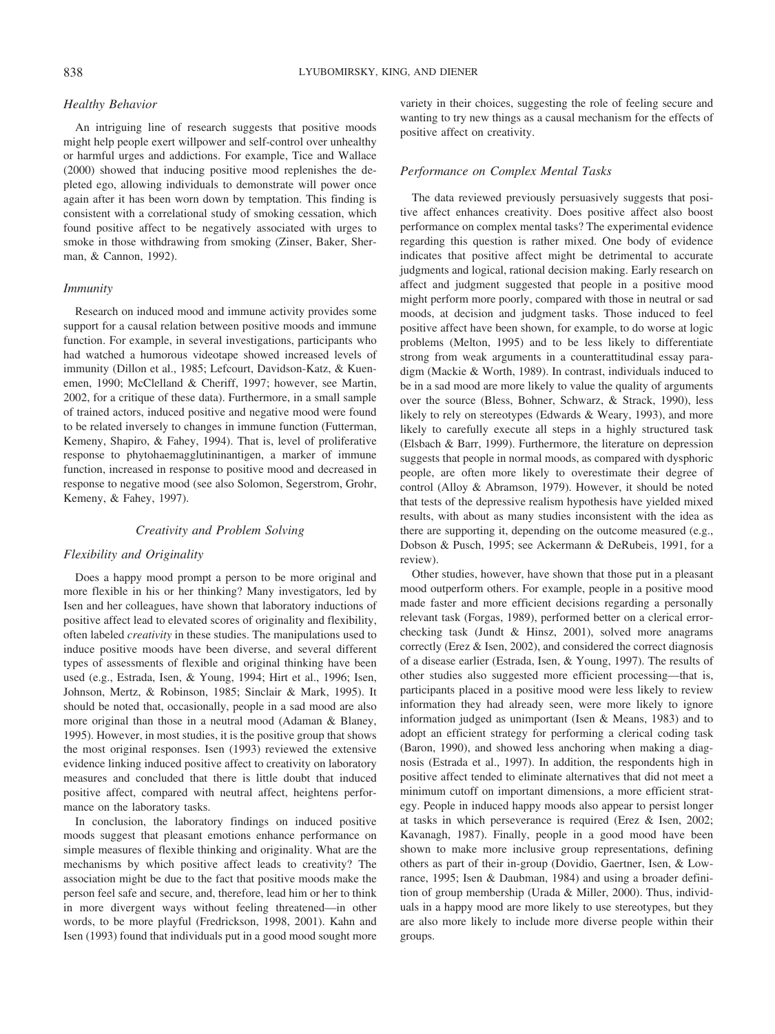## *Healthy Behavior*

An intriguing line of research suggests that positive moods might help people exert willpower and self-control over unhealthy or harmful urges and addictions. For example, Tice and Wallace (2000) showed that inducing positive mood replenishes the depleted ego, allowing individuals to demonstrate will power once again after it has been worn down by temptation. This finding is consistent with a correlational study of smoking cessation, which found positive affect to be negatively associated with urges to smoke in those withdrawing from smoking (Zinser, Baker, Sherman, & Cannon, 1992).

### *Immunity*

Research on induced mood and immune activity provides some support for a causal relation between positive moods and immune function. For example, in several investigations, participants who had watched a humorous videotape showed increased levels of immunity (Dillon et al., 1985; Lefcourt, Davidson-Katz, & Kuenemen, 1990; McClelland & Cheriff, 1997; however, see Martin, 2002, for a critique of these data). Furthermore, in a small sample of trained actors, induced positive and negative mood were found to be related inversely to changes in immune function (Futterman, Kemeny, Shapiro, & Fahey, 1994). That is, level of proliferative response to phytohaemagglutininantigen, a marker of immune function, increased in response to positive mood and decreased in response to negative mood (see also Solomon, Segerstrom, Grohr, Kemeny, & Fahey, 1997).

### *Creativity and Problem Solving*

### *Flexibility and Originality*

Does a happy mood prompt a person to be more original and more flexible in his or her thinking? Many investigators, led by Isen and her colleagues, have shown that laboratory inductions of positive affect lead to elevated scores of originality and flexibility, often labeled *creativity* in these studies. The manipulations used to induce positive moods have been diverse, and several different types of assessments of flexible and original thinking have been used (e.g., Estrada, Isen, & Young, 1994; Hirt et al., 1996; Isen, Johnson, Mertz, & Robinson, 1985; Sinclair & Mark, 1995). It should be noted that, occasionally, people in a sad mood are also more original than those in a neutral mood (Adaman & Blaney, 1995). However, in most studies, it is the positive group that shows the most original responses. Isen (1993) reviewed the extensive evidence linking induced positive affect to creativity on laboratory measures and concluded that there is little doubt that induced positive affect, compared with neutral affect, heightens performance on the laboratory tasks.

In conclusion, the laboratory findings on induced positive moods suggest that pleasant emotions enhance performance on simple measures of flexible thinking and originality. What are the mechanisms by which positive affect leads to creativity? The association might be due to the fact that positive moods make the person feel safe and secure, and, therefore, lead him or her to think in more divergent ways without feeling threatened—in other words, to be more playful (Fredrickson, 1998, 2001). Kahn and Isen (1993) found that individuals put in a good mood sought more variety in their choices, suggesting the role of feeling secure and wanting to try new things as a causal mechanism for the effects of positive affect on creativity.

### *Performance on Complex Mental Tasks*

The data reviewed previously persuasively suggests that positive affect enhances creativity. Does positive affect also boost performance on complex mental tasks? The experimental evidence regarding this question is rather mixed. One body of evidence indicates that positive affect might be detrimental to accurate judgments and logical, rational decision making. Early research on affect and judgment suggested that people in a positive mood might perform more poorly, compared with those in neutral or sad moods, at decision and judgment tasks. Those induced to feel positive affect have been shown, for example, to do worse at logic problems (Melton, 1995) and to be less likely to differentiate strong from weak arguments in a counterattitudinal essay paradigm (Mackie & Worth, 1989). In contrast, individuals induced to be in a sad mood are more likely to value the quality of arguments over the source (Bless, Bohner, Schwarz, & Strack, 1990), less likely to rely on stereotypes (Edwards & Weary, 1993), and more likely to carefully execute all steps in a highly structured task (Elsbach & Barr, 1999). Furthermore, the literature on depression suggests that people in normal moods, as compared with dysphoric people, are often more likely to overestimate their degree of control (Alloy & Abramson, 1979). However, it should be noted that tests of the depressive realism hypothesis have yielded mixed results, with about as many studies inconsistent with the idea as there are supporting it, depending on the outcome measured (e.g., Dobson & Pusch, 1995; see Ackermann & DeRubeis, 1991, for a review).

Other studies, however, have shown that those put in a pleasant mood outperform others. For example, people in a positive mood made faster and more efficient decisions regarding a personally relevant task (Forgas, 1989), performed better on a clerical errorchecking task (Jundt & Hinsz, 2001), solved more anagrams correctly (Erez & Isen, 2002), and considered the correct diagnosis of a disease earlier (Estrada, Isen, & Young, 1997). The results of other studies also suggested more efficient processing—that is, participants placed in a positive mood were less likely to review information they had already seen, were more likely to ignore information judged as unimportant (Isen & Means, 1983) and to adopt an efficient strategy for performing a clerical coding task (Baron, 1990), and showed less anchoring when making a diagnosis (Estrada et al., 1997). In addition, the respondents high in positive affect tended to eliminate alternatives that did not meet a minimum cutoff on important dimensions, a more efficient strategy. People in induced happy moods also appear to persist longer at tasks in which perseverance is required (Erez & Isen, 2002; Kavanagh, 1987). Finally, people in a good mood have been shown to make more inclusive group representations, defining others as part of their in-group (Dovidio, Gaertner, Isen, & Lowrance, 1995; Isen & Daubman, 1984) and using a broader definition of group membership (Urada & Miller, 2000). Thus, individuals in a happy mood are more likely to use stereotypes, but they are also more likely to include more diverse people within their groups.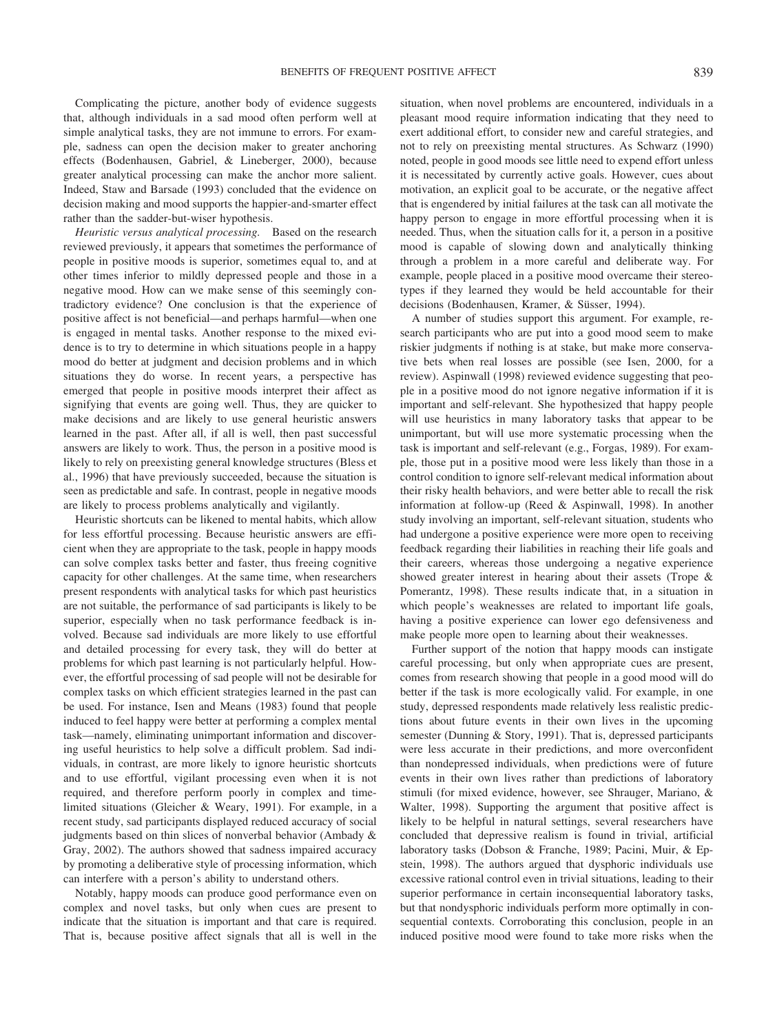Complicating the picture, another body of evidence suggests that, although individuals in a sad mood often perform well at simple analytical tasks, they are not immune to errors. For example, sadness can open the decision maker to greater anchoring effects (Bodenhausen, Gabriel, & Lineberger, 2000), because greater analytical processing can make the anchor more salient. Indeed, Staw and Barsade (1993) concluded that the evidence on decision making and mood supports the happier-and-smarter effect rather than the sadder-but-wiser hypothesis.

*Heuristic versus analytical processing.* Based on the research reviewed previously, it appears that sometimes the performance of people in positive moods is superior, sometimes equal to, and at other times inferior to mildly depressed people and those in a negative mood. How can we make sense of this seemingly contradictory evidence? One conclusion is that the experience of positive affect is not beneficial—and perhaps harmful—when one is engaged in mental tasks. Another response to the mixed evidence is to try to determine in which situations people in a happy mood do better at judgment and decision problems and in which situations they do worse. In recent years, a perspective has emerged that people in positive moods interpret their affect as signifying that events are going well. Thus, they are quicker to make decisions and are likely to use general heuristic answers learned in the past. After all, if all is well, then past successful answers are likely to work. Thus, the person in a positive mood is likely to rely on preexisting general knowledge structures (Bless et al., 1996) that have previously succeeded, because the situation is seen as predictable and safe. In contrast, people in negative moods are likely to process problems analytically and vigilantly.

Heuristic shortcuts can be likened to mental habits, which allow for less effortful processing. Because heuristic answers are efficient when they are appropriate to the task, people in happy moods can solve complex tasks better and faster, thus freeing cognitive capacity for other challenges. At the same time, when researchers present respondents with analytical tasks for which past heuristics are not suitable, the performance of sad participants is likely to be superior, especially when no task performance feedback is involved. Because sad individuals are more likely to use effortful and detailed processing for every task, they will do better at problems for which past learning is not particularly helpful. However, the effortful processing of sad people will not be desirable for complex tasks on which efficient strategies learned in the past can be used. For instance, Isen and Means (1983) found that people induced to feel happy were better at performing a complex mental task—namely, eliminating unimportant information and discovering useful heuristics to help solve a difficult problem. Sad individuals, in contrast, are more likely to ignore heuristic shortcuts and to use effortful, vigilant processing even when it is not required, and therefore perform poorly in complex and timelimited situations (Gleicher & Weary, 1991). For example, in a recent study, sad participants displayed reduced accuracy of social judgments based on thin slices of nonverbal behavior (Ambady & Gray, 2002). The authors showed that sadness impaired accuracy by promoting a deliberative style of processing information, which can interfere with a person's ability to understand others.

Notably, happy moods can produce good performance even on complex and novel tasks, but only when cues are present to indicate that the situation is important and that care is required. That is, because positive affect signals that all is well in the situation, when novel problems are encountered, individuals in a pleasant mood require information indicating that they need to exert additional effort, to consider new and careful strategies, and not to rely on preexisting mental structures. As Schwarz (1990) noted, people in good moods see little need to expend effort unless it is necessitated by currently active goals. However, cues about motivation, an explicit goal to be accurate, or the negative affect that is engendered by initial failures at the task can all motivate the happy person to engage in more effortful processing when it is needed. Thus, when the situation calls for it, a person in a positive mood is capable of slowing down and analytically thinking through a problem in a more careful and deliberate way. For example, people placed in a positive mood overcame their stereotypes if they learned they would be held accountable for their decisions (Bodenhausen, Kramer, & Süsser, 1994).

A number of studies support this argument. For example, research participants who are put into a good mood seem to make riskier judgments if nothing is at stake, but make more conservative bets when real losses are possible (see Isen, 2000, for a review). Aspinwall (1998) reviewed evidence suggesting that people in a positive mood do not ignore negative information if it is important and self-relevant. She hypothesized that happy people will use heuristics in many laboratory tasks that appear to be unimportant, but will use more systematic processing when the task is important and self-relevant (e.g., Forgas, 1989). For example, those put in a positive mood were less likely than those in a control condition to ignore self-relevant medical information about their risky health behaviors, and were better able to recall the risk information at follow-up (Reed & Aspinwall, 1998). In another study involving an important, self-relevant situation, students who had undergone a positive experience were more open to receiving feedback regarding their liabilities in reaching their life goals and their careers, whereas those undergoing a negative experience showed greater interest in hearing about their assets (Trope & Pomerantz, 1998). These results indicate that, in a situation in which people's weaknesses are related to important life goals, having a positive experience can lower ego defensiveness and make people more open to learning about their weaknesses.

Further support of the notion that happy moods can instigate careful processing, but only when appropriate cues are present, comes from research showing that people in a good mood will do better if the task is more ecologically valid. For example, in one study, depressed respondents made relatively less realistic predictions about future events in their own lives in the upcoming semester (Dunning & Story, 1991). That is, depressed participants were less accurate in their predictions, and more overconfident than nondepressed individuals, when predictions were of future events in their own lives rather than predictions of laboratory stimuli (for mixed evidence, however, see Shrauger, Mariano, & Walter, 1998). Supporting the argument that positive affect is likely to be helpful in natural settings, several researchers have concluded that depressive realism is found in trivial, artificial laboratory tasks (Dobson & Franche, 1989; Pacini, Muir, & Epstein, 1998). The authors argued that dysphoric individuals use excessive rational control even in trivial situations, leading to their superior performance in certain inconsequential laboratory tasks, but that nondysphoric individuals perform more optimally in consequential contexts. Corroborating this conclusion, people in an induced positive mood were found to take more risks when the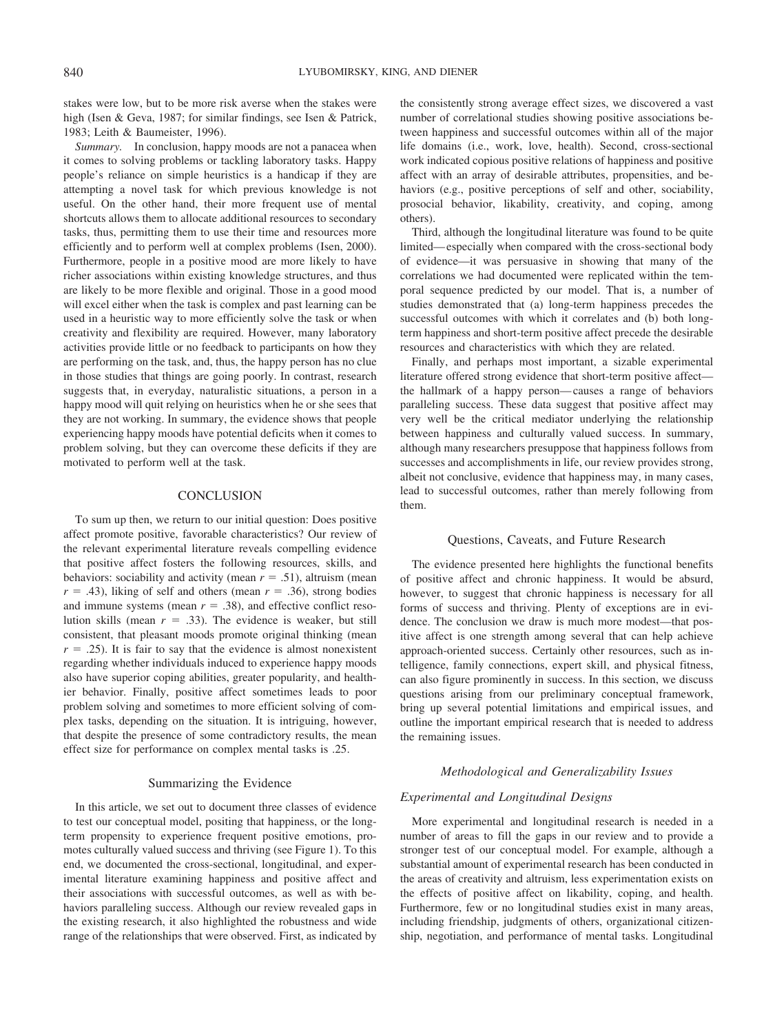stakes were low, but to be more risk averse when the stakes were high (Isen & Geva, 1987; for similar findings, see Isen & Patrick, 1983; Leith & Baumeister, 1996).

*Summary.* In conclusion, happy moods are not a panacea when it comes to solving problems or tackling laboratory tasks. Happy people's reliance on simple heuristics is a handicap if they are attempting a novel task for which previous knowledge is not useful. On the other hand, their more frequent use of mental shortcuts allows them to allocate additional resources to secondary tasks, thus, permitting them to use their time and resources more efficiently and to perform well at complex problems (Isen, 2000). Furthermore, people in a positive mood are more likely to have richer associations within existing knowledge structures, and thus are likely to be more flexible and original. Those in a good mood will excel either when the task is complex and past learning can be used in a heuristic way to more efficiently solve the task or when creativity and flexibility are required. However, many laboratory activities provide little or no feedback to participants on how they are performing on the task, and, thus, the happy person has no clue in those studies that things are going poorly. In contrast, research suggests that, in everyday, naturalistic situations, a person in a happy mood will quit relying on heuristics when he or she sees that they are not working. In summary, the evidence shows that people experiencing happy moods have potential deficits when it comes to problem solving, but they can overcome these deficits if they are motivated to perform well at the task.

### **CONCLUSION**

To sum up then, we return to our initial question: Does positive affect promote positive, favorable characteristics? Our review of the relevant experimental literature reveals compelling evidence that positive affect fosters the following resources, skills, and behaviors: sociability and activity (mean  $r = .51$ ), altruism (mean  $r = .43$ ), liking of self and others (mean  $r = .36$ ), strong bodies and immune systems (mean  $r = .38$ ), and effective conflict resolution skills (mean  $r = .33$ ). The evidence is weaker, but still consistent, that pleasant moods promote original thinking (mean  $r = .25$ ). It is fair to say that the evidence is almost nonexistent regarding whether individuals induced to experience happy moods also have superior coping abilities, greater popularity, and healthier behavior. Finally, positive affect sometimes leads to poor problem solving and sometimes to more efficient solving of complex tasks, depending on the situation. It is intriguing, however, that despite the presence of some contradictory results, the mean effect size for performance on complex mental tasks is .25.

### Summarizing the Evidence

In this article, we set out to document three classes of evidence to test our conceptual model, positing that happiness, or the longterm propensity to experience frequent positive emotions, promotes culturally valued success and thriving (see Figure 1). To this end, we documented the cross-sectional, longitudinal, and experimental literature examining happiness and positive affect and their associations with successful outcomes, as well as with behaviors paralleling success. Although our review revealed gaps in the existing research, it also highlighted the robustness and wide range of the relationships that were observed. First, as indicated by the consistently strong average effect sizes, we discovered a vast number of correlational studies showing positive associations between happiness and successful outcomes within all of the major life domains (i.e., work, love, health). Second, cross-sectional work indicated copious positive relations of happiness and positive affect with an array of desirable attributes, propensities, and behaviors (e.g., positive perceptions of self and other, sociability, prosocial behavior, likability, creativity, and coping, among others).

Third, although the longitudinal literature was found to be quite limited— especially when compared with the cross-sectional body of evidence—it was persuasive in showing that many of the correlations we had documented were replicated within the temporal sequence predicted by our model. That is, a number of studies demonstrated that (a) long-term happiness precedes the successful outcomes with which it correlates and (b) both longterm happiness and short-term positive affect precede the desirable resources and characteristics with which they are related.

Finally, and perhaps most important, a sizable experimental literature offered strong evidence that short-term positive affect the hallmark of a happy person— causes a range of behaviors paralleling success. These data suggest that positive affect may very well be the critical mediator underlying the relationship between happiness and culturally valued success. In summary, although many researchers presuppose that happiness follows from successes and accomplishments in life, our review provides strong, albeit not conclusive, evidence that happiness may, in many cases, lead to successful outcomes, rather than merely following from them.

### Questions, Caveats, and Future Research

The evidence presented here highlights the functional benefits of positive affect and chronic happiness. It would be absurd, however, to suggest that chronic happiness is necessary for all forms of success and thriving. Plenty of exceptions are in evidence. The conclusion we draw is much more modest—that positive affect is one strength among several that can help achieve approach-oriented success. Certainly other resources, such as intelligence, family connections, expert skill, and physical fitness, can also figure prominently in success. In this section, we discuss questions arising from our preliminary conceptual framework, bring up several potential limitations and empirical issues, and outline the important empirical research that is needed to address the remaining issues.

### *Methodological and Generalizability Issues*

### *Experimental and Longitudinal Designs*

More experimental and longitudinal research is needed in a number of areas to fill the gaps in our review and to provide a stronger test of our conceptual model. For example, although a substantial amount of experimental research has been conducted in the areas of creativity and altruism, less experimentation exists on the effects of positive affect on likability, coping, and health. Furthermore, few or no longitudinal studies exist in many areas, including friendship, judgments of others, organizational citizenship, negotiation, and performance of mental tasks. Longitudinal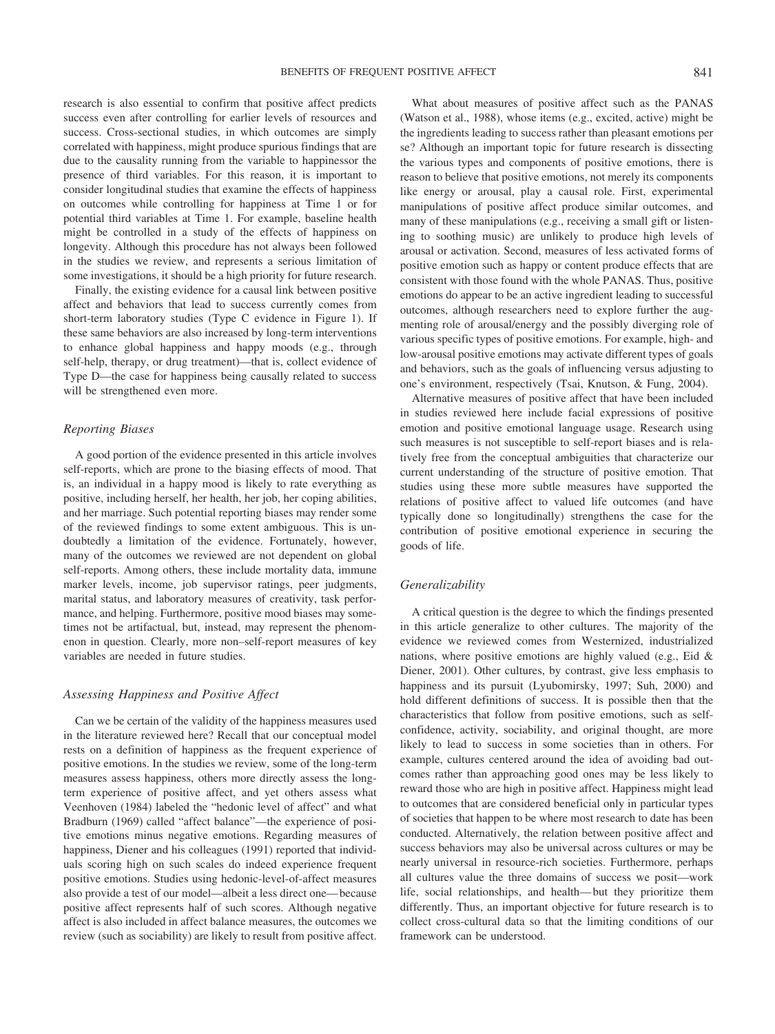research is also essential to confirm that positive affect predicts success even after controlling for earlier levels of resources and success. Cross-sectional studies, in which outcomes are simply correlated with happiness, might produce spurious findings that are due to the causality running from the variable to happinessor the presence of third variables. For this reason, it is important to consider longitudinal studies that examine the effects of happiness on outcomes while controlling for happiness at Time 1 or for potential third variables at Time 1. For example, baseline health might be controlled in a study of the effects of happiness on longevity. Although this procedure has not always been followed in the studies we review, and represents a serious limitation of some investigations, it should be a high priority for future research.

Finally, the existing evidence for a causal link between positive affect and behaviors that lead to success currently comes from short-term laboratory studies (Type C evidence in Figure 1). If these same behaviors are also increased by long-term interventions to enhance global happiness and happy moods (e.g., through self-help, therapy, or drug treatment)—that is, collect evidence of Type D—the case for happiness being causally related to success will be strengthened even more.

### *Reporting Biases*

A good portion of the evidence presented in this article involves self-reports, which are prone to the biasing effects of mood. That is, an individual in a happy mood is likely to rate everything as positive, including herself, her health, her job, her coping abilities, and her marriage. Such potential reporting biases may render some of the reviewed findings to some extent ambiguous. This is undoubtedly a limitation of the evidence. Fortunately, however, many of the outcomes we reviewed are not dependent on global self-reports. Among others, these include mortality data, immune marker levels, income, job supervisor ratings, peer judgments, marital status, and laboratory measures of creativity, task performance, and helping. Furthermore, positive mood biases may sometimes not be artifactual, but, instead, may represent the phenomenon in question. Clearly, more non–self-report measures of key variables are needed in future studies.

### *Assessing Happiness and Positive Affect*

Can we be certain of the validity of the happiness measures used in the literature reviewed here? Recall that our conceptual model rests on a definition of happiness as the frequent experience of positive emotions. In the studies we review, some of the long-term measures assess happiness, others more directly assess the longterm experience of positive affect, and yet others assess what Veenhoven (1984) labeled the "hedonic level of affect" and what Bradburn (1969) called "affect balance"—the experience of positive emotions minus negative emotions. Regarding measures of happiness, Diener and his colleagues (1991) reported that individuals scoring high on such scales do indeed experience frequent positive emotions. Studies using hedonic-level-of-affect measures also provide a test of our model—albeit a less direct one— because positive affect represents half of such scores. Although negative affect is also included in affect balance measures, the outcomes we review (such as sociability) are likely to result from positive affect.

What about measures of positive affect such as the PANAS (Watson et al., 1988), whose items (e.g., excited, active) might be the ingredients leading to success rather than pleasant emotions per se? Although an important topic for future research is dissecting the various types and components of positive emotions, there is reason to believe that positive emotions, not merely its components like energy or arousal, play a causal role. First, experimental manipulations of positive affect produce similar outcomes, and many of these manipulations (e.g., receiving a small gift or listening to soothing music) are unlikely to produce high levels of arousal or activation. Second, measures of less activated forms of positive emotion such as happy or content produce effects that are consistent with those found with the whole PANAS. Thus, positive emotions do appear to be an active ingredient leading to successful outcomes, although researchers need to explore further the augmenting role of arousal/energy and the possibly diverging role of various specific types of positive emotions. For example, high- and low-arousal positive emotions may activate different types of goals and behaviors, such as the goals of influencing versus adjusting to one's environment, respectively (Tsai, Knutson, & Fung, 2004).

Alternative measures of positive affect that have been included in studies reviewed here include facial expressions of positive emotion and positive emotional language usage. Research using such measures is not susceptible to self-report biases and is relatively free from the conceptual ambiguities that characterize our current understanding of the structure of positive emotion. That studies using these more subtle measures have supported the relations of positive affect to valued life outcomes (and have typically done so longitudinally) strengthens the case for the contribution of positive emotional experience in securing the goods of life.

### *Generalizability*

A critical question is the degree to which the findings presented in this article generalize to other cultures. The majority of the evidence we reviewed comes from Westernized, industrialized nations, where positive emotions are highly valued (e.g., Eid & Diener, 2001). Other cultures, by contrast, give less emphasis to happiness and its pursuit (Lyubomirsky, 1997; Suh, 2000) and hold different definitions of success. It is possible then that the characteristics that follow from positive emotions, such as selfconfidence, activity, sociability, and original thought, are more likely to lead to success in some societies than in others. For example, cultures centered around the idea of avoiding bad outcomes rather than approaching good ones may be less likely to reward those who are high in positive affect. Happiness might lead to outcomes that are considered beneficial only in particular types of societies that happen to be where most research to date has been conducted. Alternatively, the relation between positive affect and success behaviors may also be universal across cultures or may be nearly universal in resource-rich societies. Furthermore, perhaps all cultures value the three domains of success we posit—work life, social relationships, and health— but they prioritize them differently. Thus, an important objective for future research is to collect cross-cultural data so that the limiting conditions of our framework can be understood.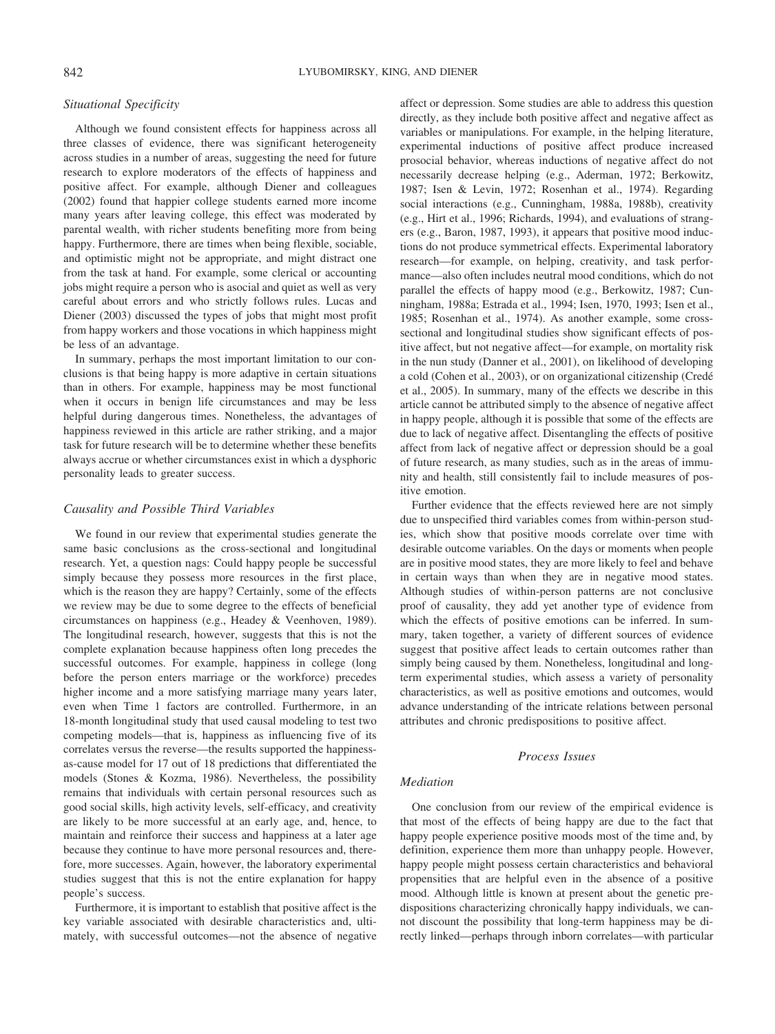## *Situational Specificity*

Although we found consistent effects for happiness across all three classes of evidence, there was significant heterogeneity across studies in a number of areas, suggesting the need for future research to explore moderators of the effects of happiness and positive affect. For example, although Diener and colleagues (2002) found that happier college students earned more income many years after leaving college, this effect was moderated by parental wealth, with richer students benefiting more from being happy. Furthermore, there are times when being flexible, sociable, and optimistic might not be appropriate, and might distract one from the task at hand. For example, some clerical or accounting jobs might require a person who is asocial and quiet as well as very careful about errors and who strictly follows rules. Lucas and Diener (2003) discussed the types of jobs that might most profit from happy workers and those vocations in which happiness might be less of an advantage.

In summary, perhaps the most important limitation to our conclusions is that being happy is more adaptive in certain situations than in others. For example, happiness may be most functional when it occurs in benign life circumstances and may be less helpful during dangerous times. Nonetheless, the advantages of happiness reviewed in this article are rather striking, and a major task for future research will be to determine whether these benefits always accrue or whether circumstances exist in which a dysphoric personality leads to greater success.

### *Causality and Possible Third Variables*

We found in our review that experimental studies generate the same basic conclusions as the cross-sectional and longitudinal research. Yet, a question nags: Could happy people be successful simply because they possess more resources in the first place, which is the reason they are happy? Certainly, some of the effects we review may be due to some degree to the effects of beneficial circumstances on happiness (e.g., Headey & Veenhoven, 1989). The longitudinal research, however, suggests that this is not the complete explanation because happiness often long precedes the successful outcomes. For example, happiness in college (long before the person enters marriage or the workforce) precedes higher income and a more satisfying marriage many years later, even when Time 1 factors are controlled. Furthermore, in an 18-month longitudinal study that used causal modeling to test two competing models—that is, happiness as influencing five of its correlates versus the reverse—the results supported the happinessas-cause model for 17 out of 18 predictions that differentiated the models (Stones & Kozma, 1986). Nevertheless, the possibility remains that individuals with certain personal resources such as good social skills, high activity levels, self-efficacy, and creativity are likely to be more successful at an early age, and, hence, to maintain and reinforce their success and happiness at a later age because they continue to have more personal resources and, therefore, more successes. Again, however, the laboratory experimental studies suggest that this is not the entire explanation for happy people's success.

Furthermore, it is important to establish that positive affect is the key variable associated with desirable characteristics and, ultimately, with successful outcomes—not the absence of negative affect or depression. Some studies are able to address this question directly, as they include both positive affect and negative affect as variables or manipulations. For example, in the helping literature, experimental inductions of positive affect produce increased prosocial behavior, whereas inductions of negative affect do not necessarily decrease helping (e.g., Aderman, 1972; Berkowitz, 1987; Isen & Levin, 1972; Rosenhan et al., 1974). Regarding social interactions (e.g., Cunningham, 1988a, 1988b), creativity (e.g., Hirt et al., 1996; Richards, 1994), and evaluations of strangers (e.g., Baron, 1987, 1993), it appears that positive mood inductions do not produce symmetrical effects. Experimental laboratory research—for example, on helping, creativity, and task performance—also often includes neutral mood conditions, which do not parallel the effects of happy mood (e.g., Berkowitz, 1987; Cunningham, 1988a; Estrada et al., 1994; Isen, 1970, 1993; Isen et al., 1985; Rosenhan et al., 1974). As another example, some crosssectional and longitudinal studies show significant effects of positive affect, but not negative affect—for example, on mortality risk in the nun study (Danner et al., 2001), on likelihood of developing a cold (Cohen et al., 2003), or on organizational citizenship (Crede´ et al., 2005). In summary, many of the effects we describe in this article cannot be attributed simply to the absence of negative affect in happy people, although it is possible that some of the effects are due to lack of negative affect. Disentangling the effects of positive affect from lack of negative affect or depression should be a goal of future research, as many studies, such as in the areas of immunity and health, still consistently fail to include measures of positive emotion.

Further evidence that the effects reviewed here are not simply due to unspecified third variables comes from within-person studies, which show that positive moods correlate over time with desirable outcome variables. On the days or moments when people are in positive mood states, they are more likely to feel and behave in certain ways than when they are in negative mood states. Although studies of within-person patterns are not conclusive proof of causality, they add yet another type of evidence from which the effects of positive emotions can be inferred. In summary, taken together, a variety of different sources of evidence suggest that positive affect leads to certain outcomes rather than simply being caused by them. Nonetheless, longitudinal and longterm experimental studies, which assess a variety of personality characteristics, as well as positive emotions and outcomes, would advance understanding of the intricate relations between personal attributes and chronic predispositions to positive affect.

### *Process Issues*

### *Mediation*

One conclusion from our review of the empirical evidence is that most of the effects of being happy are due to the fact that happy people experience positive moods most of the time and, by definition, experience them more than unhappy people. However, happy people might possess certain characteristics and behavioral propensities that are helpful even in the absence of a positive mood. Although little is known at present about the genetic predispositions characterizing chronically happy individuals, we cannot discount the possibility that long-term happiness may be directly linked—perhaps through inborn correlates—with particular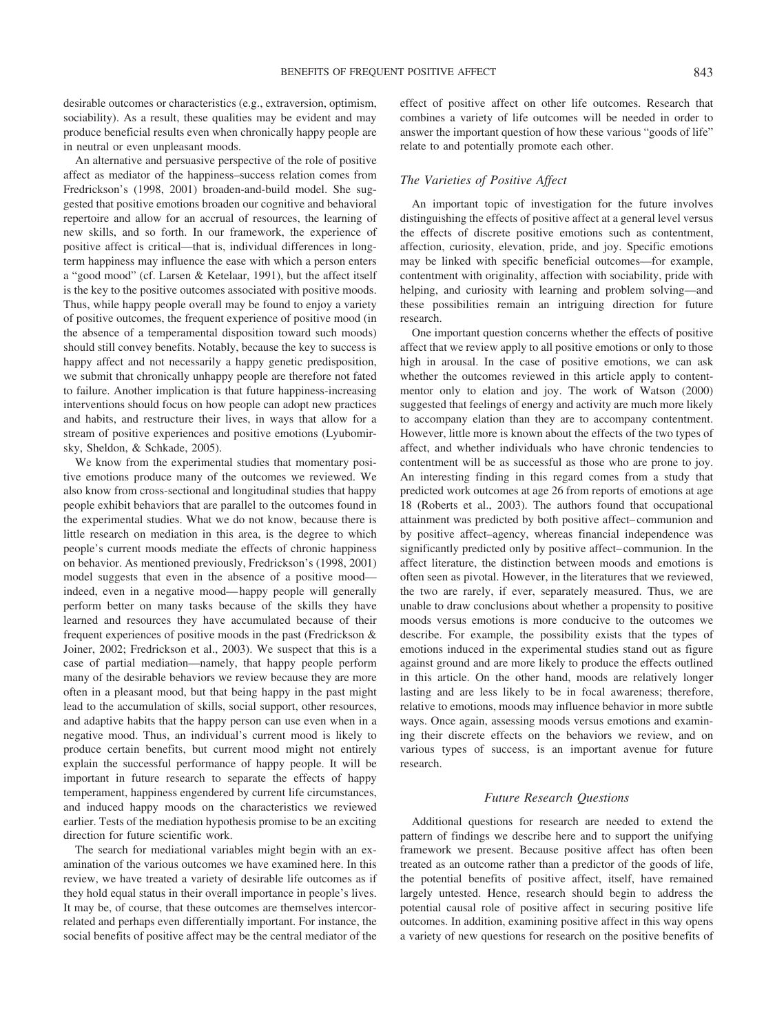desirable outcomes or characteristics (e.g., extraversion, optimism, sociability). As a result, these qualities may be evident and may produce beneficial results even when chronically happy people are in neutral or even unpleasant moods.

An alternative and persuasive perspective of the role of positive affect as mediator of the happiness–success relation comes from Fredrickson's (1998, 2001) broaden-and-build model. She suggested that positive emotions broaden our cognitive and behavioral repertoire and allow for an accrual of resources, the learning of new skills, and so forth. In our framework, the experience of positive affect is critical—that is, individual differences in longterm happiness may influence the ease with which a person enters a "good mood" (cf. Larsen & Ketelaar, 1991), but the affect itself is the key to the positive outcomes associated with positive moods. Thus, while happy people overall may be found to enjoy a variety of positive outcomes, the frequent experience of positive mood (in the absence of a temperamental disposition toward such moods) should still convey benefits. Notably, because the key to success is happy affect and not necessarily a happy genetic predisposition, we submit that chronically unhappy people are therefore not fated to failure. Another implication is that future happiness-increasing interventions should focus on how people can adopt new practices and habits, and restructure their lives, in ways that allow for a stream of positive experiences and positive emotions (Lyubomirsky, Sheldon, & Schkade, 2005).

We know from the experimental studies that momentary positive emotions produce many of the outcomes we reviewed. We also know from cross-sectional and longitudinal studies that happy people exhibit behaviors that are parallel to the outcomes found in the experimental studies. What we do not know, because there is little research on mediation in this area, is the degree to which people's current moods mediate the effects of chronic happiness on behavior. As mentioned previously, Fredrickson's (1998, 2001) model suggests that even in the absence of a positive mood indeed, even in a negative mood— happy people will generally perform better on many tasks because of the skills they have learned and resources they have accumulated because of their frequent experiences of positive moods in the past (Fredrickson & Joiner, 2002; Fredrickson et al., 2003). We suspect that this is a case of partial mediation—namely, that happy people perform many of the desirable behaviors we review because they are more often in a pleasant mood, but that being happy in the past might lead to the accumulation of skills, social support, other resources, and adaptive habits that the happy person can use even when in a negative mood. Thus, an individual's current mood is likely to produce certain benefits, but current mood might not entirely explain the successful performance of happy people. It will be important in future research to separate the effects of happy temperament, happiness engendered by current life circumstances, and induced happy moods on the characteristics we reviewed earlier. Tests of the mediation hypothesis promise to be an exciting direction for future scientific work.

The search for mediational variables might begin with an examination of the various outcomes we have examined here. In this review, we have treated a variety of desirable life outcomes as if they hold equal status in their overall importance in people's lives. It may be, of course, that these outcomes are themselves intercorrelated and perhaps even differentially important. For instance, the social benefits of positive affect may be the central mediator of the effect of positive affect on other life outcomes. Research that combines a variety of life outcomes will be needed in order to answer the important question of how these various "goods of life" relate to and potentially promote each other.

## *The Varieties of Positive Affect*

An important topic of investigation for the future involves distinguishing the effects of positive affect at a general level versus the effects of discrete positive emotions such as contentment, affection, curiosity, elevation, pride, and joy. Specific emotions may be linked with specific beneficial outcomes—for example, contentment with originality, affection with sociability, pride with helping, and curiosity with learning and problem solving—and these possibilities remain an intriguing direction for future research.

One important question concerns whether the effects of positive affect that we review apply to all positive emotions or only to those high in arousal. In the case of positive emotions, we can ask whether the outcomes reviewed in this article apply to contentmentor only to elation and joy. The work of Watson (2000) suggested that feelings of energy and activity are much more likely to accompany elation than they are to accompany contentment. However, little more is known about the effects of the two types of affect, and whether individuals who have chronic tendencies to contentment will be as successful as those who are prone to joy. An interesting finding in this regard comes from a study that predicted work outcomes at age 26 from reports of emotions at age 18 (Roberts et al., 2003). The authors found that occupational attainment was predicted by both positive affect– communion and by positive affect–agency, whereas financial independence was significantly predicted only by positive affect– communion. In the affect literature, the distinction between moods and emotions is often seen as pivotal. However, in the literatures that we reviewed, the two are rarely, if ever, separately measured. Thus, we are unable to draw conclusions about whether a propensity to positive moods versus emotions is more conducive to the outcomes we describe. For example, the possibility exists that the types of emotions induced in the experimental studies stand out as figure against ground and are more likely to produce the effects outlined in this article. On the other hand, moods are relatively longer lasting and are less likely to be in focal awareness; therefore, relative to emotions, moods may influence behavior in more subtle ways. Once again, assessing moods versus emotions and examining their discrete effects on the behaviors we review, and on various types of success, is an important avenue for future research.

### *Future Research Questions*

Additional questions for research are needed to extend the pattern of findings we describe here and to support the unifying framework we present. Because positive affect has often been treated as an outcome rather than a predictor of the goods of life, the potential benefits of positive affect, itself, have remained largely untested. Hence, research should begin to address the potential causal role of positive affect in securing positive life outcomes. In addition, examining positive affect in this way opens a variety of new questions for research on the positive benefits of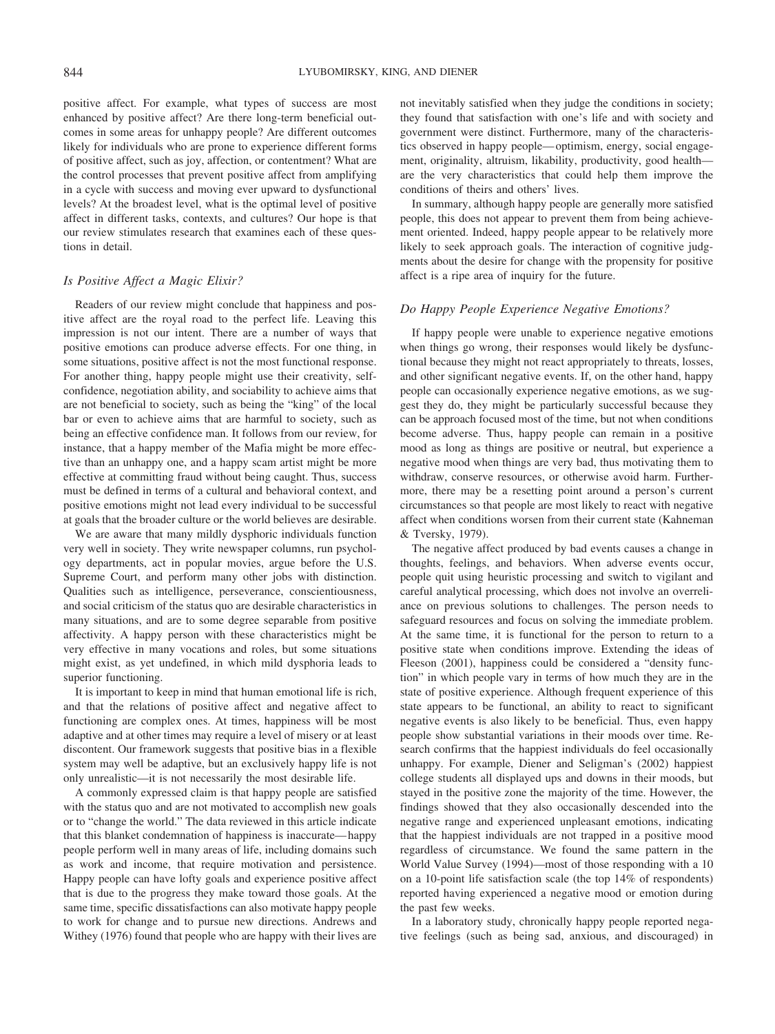positive affect. For example, what types of success are most enhanced by positive affect? Are there long-term beneficial outcomes in some areas for unhappy people? Are different outcomes likely for individuals who are prone to experience different forms of positive affect, such as joy, affection, or contentment? What are the control processes that prevent positive affect from amplifying in a cycle with success and moving ever upward to dysfunctional levels? At the broadest level, what is the optimal level of positive affect in different tasks, contexts, and cultures? Our hope is that our review stimulates research that examines each of these questions in detail.

### *Is Positive Affect a Magic Elixir?*

Readers of our review might conclude that happiness and positive affect are the royal road to the perfect life. Leaving this impression is not our intent. There are a number of ways that positive emotions can produce adverse effects. For one thing, in some situations, positive affect is not the most functional response. For another thing, happy people might use their creativity, selfconfidence, negotiation ability, and sociability to achieve aims that are not beneficial to society, such as being the "king" of the local bar or even to achieve aims that are harmful to society, such as being an effective confidence man. It follows from our review, for instance, that a happy member of the Mafia might be more effective than an unhappy one, and a happy scam artist might be more effective at committing fraud without being caught. Thus, success must be defined in terms of a cultural and behavioral context, and positive emotions might not lead every individual to be successful at goals that the broader culture or the world believes are desirable.

We are aware that many mildly dysphoric individuals function very well in society. They write newspaper columns, run psychology departments, act in popular movies, argue before the U.S. Supreme Court, and perform many other jobs with distinction. Qualities such as intelligence, perseverance, conscientiousness, and social criticism of the status quo are desirable characteristics in many situations, and are to some degree separable from positive affectivity. A happy person with these characteristics might be very effective in many vocations and roles, but some situations might exist, as yet undefined, in which mild dysphoria leads to superior functioning.

It is important to keep in mind that human emotional life is rich, and that the relations of positive affect and negative affect to functioning are complex ones. At times, happiness will be most adaptive and at other times may require a level of misery or at least discontent. Our framework suggests that positive bias in a flexible system may well be adaptive, but an exclusively happy life is not only unrealistic—it is not necessarily the most desirable life.

A commonly expressed claim is that happy people are satisfied with the status quo and are not motivated to accomplish new goals or to "change the world." The data reviewed in this article indicate that this blanket condemnation of happiness is inaccurate— happy people perform well in many areas of life, including domains such as work and income, that require motivation and persistence. Happy people can have lofty goals and experience positive affect that is due to the progress they make toward those goals. At the same time, specific dissatisfactions can also motivate happy people to work for change and to pursue new directions. Andrews and Withey (1976) found that people who are happy with their lives are not inevitably satisfied when they judge the conditions in society; they found that satisfaction with one's life and with society and government were distinct. Furthermore, many of the characteristics observed in happy people— optimism, energy, social engagement, originality, altruism, likability, productivity, good health are the very characteristics that could help them improve the conditions of theirs and others' lives.

In summary, although happy people are generally more satisfied people, this does not appear to prevent them from being achievement oriented. Indeed, happy people appear to be relatively more likely to seek approach goals. The interaction of cognitive judgments about the desire for change with the propensity for positive affect is a ripe area of inquiry for the future.

### *Do Happy People Experience Negative Emotions?*

If happy people were unable to experience negative emotions when things go wrong, their responses would likely be dysfunctional because they might not react appropriately to threats, losses, and other significant negative events. If, on the other hand, happy people can occasionally experience negative emotions, as we suggest they do, they might be particularly successful because they can be approach focused most of the time, but not when conditions become adverse. Thus, happy people can remain in a positive mood as long as things are positive or neutral, but experience a negative mood when things are very bad, thus motivating them to withdraw, conserve resources, or otherwise avoid harm. Furthermore, there may be a resetting point around a person's current circumstances so that people are most likely to react with negative affect when conditions worsen from their current state (Kahneman & Tversky, 1979).

The negative affect produced by bad events causes a change in thoughts, feelings, and behaviors. When adverse events occur, people quit using heuristic processing and switch to vigilant and careful analytical processing, which does not involve an overreliance on previous solutions to challenges. The person needs to safeguard resources and focus on solving the immediate problem. At the same time, it is functional for the person to return to a positive state when conditions improve. Extending the ideas of Fleeson (2001), happiness could be considered a "density function" in which people vary in terms of how much they are in the state of positive experience. Although frequent experience of this state appears to be functional, an ability to react to significant negative events is also likely to be beneficial. Thus, even happy people show substantial variations in their moods over time. Research confirms that the happiest individuals do feel occasionally unhappy. For example, Diener and Seligman's (2002) happiest college students all displayed ups and downs in their moods, but stayed in the positive zone the majority of the time. However, the findings showed that they also occasionally descended into the negative range and experienced unpleasant emotions, indicating that the happiest individuals are not trapped in a positive mood regardless of circumstance. We found the same pattern in the World Value Survey (1994)—most of those responding with a 10 on a 10-point life satisfaction scale (the top 14% of respondents) reported having experienced a negative mood or emotion during the past few weeks.

In a laboratory study, chronically happy people reported negative feelings (such as being sad, anxious, and discouraged) in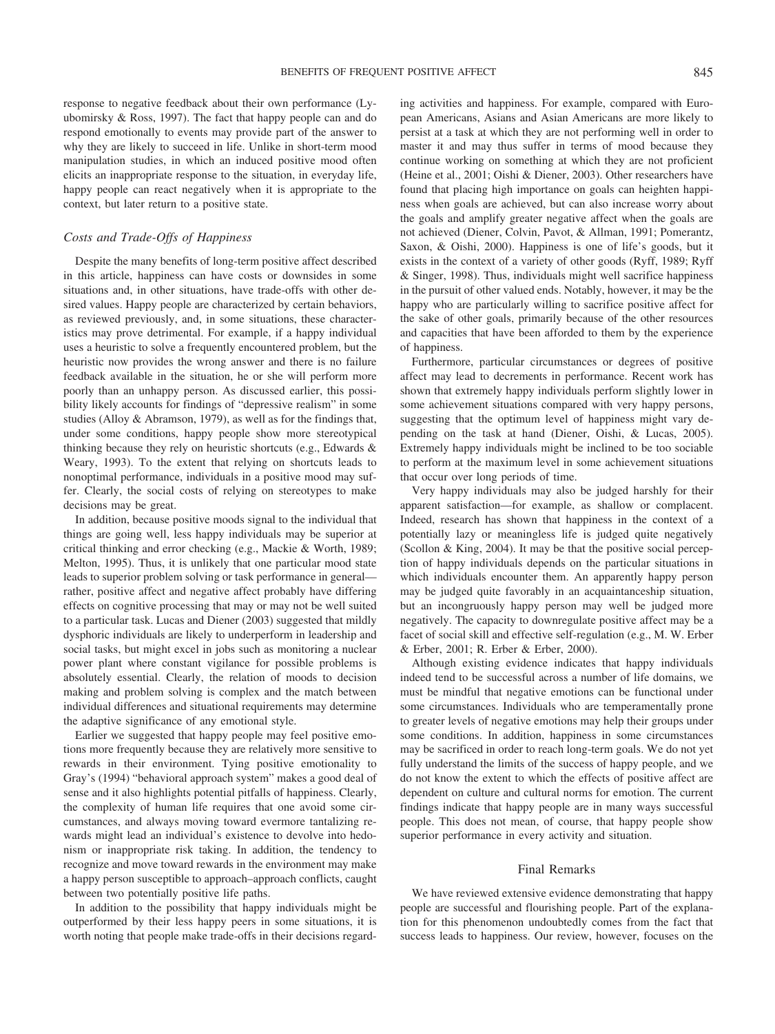response to negative feedback about their own performance (Lyubomirsky & Ross, 1997). The fact that happy people can and do respond emotionally to events may provide part of the answer to why they are likely to succeed in life. Unlike in short-term mood manipulation studies, in which an induced positive mood often elicits an inappropriate response to the situation, in everyday life, happy people can react negatively when it is appropriate to the context, but later return to a positive state.

### *Costs and Trade-Offs of Happiness*

Despite the many benefits of long-term positive affect described in this article, happiness can have costs or downsides in some situations and, in other situations, have trade-offs with other desired values. Happy people are characterized by certain behaviors, as reviewed previously, and, in some situations, these characteristics may prove detrimental. For example, if a happy individual uses a heuristic to solve a frequently encountered problem, but the heuristic now provides the wrong answer and there is no failure feedback available in the situation, he or she will perform more poorly than an unhappy person. As discussed earlier, this possibility likely accounts for findings of "depressive realism" in some studies (Alloy & Abramson, 1979), as well as for the findings that, under some conditions, happy people show more stereotypical thinking because they rely on heuristic shortcuts (e.g., Edwards & Weary, 1993). To the extent that relying on shortcuts leads to nonoptimal performance, individuals in a positive mood may suffer. Clearly, the social costs of relying on stereotypes to make decisions may be great.

In addition, because positive moods signal to the individual that things are going well, less happy individuals may be superior at critical thinking and error checking (e.g., Mackie & Worth, 1989; Melton, 1995). Thus, it is unlikely that one particular mood state leads to superior problem solving or task performance in general rather, positive affect and negative affect probably have differing effects on cognitive processing that may or may not be well suited to a particular task. Lucas and Diener (2003) suggested that mildly dysphoric individuals are likely to underperform in leadership and social tasks, but might excel in jobs such as monitoring a nuclear power plant where constant vigilance for possible problems is absolutely essential. Clearly, the relation of moods to decision making and problem solving is complex and the match between individual differences and situational requirements may determine the adaptive significance of any emotional style.

Earlier we suggested that happy people may feel positive emotions more frequently because they are relatively more sensitive to rewards in their environment. Tying positive emotionality to Gray's (1994) "behavioral approach system" makes a good deal of sense and it also highlights potential pitfalls of happiness. Clearly, the complexity of human life requires that one avoid some circumstances, and always moving toward evermore tantalizing rewards might lead an individual's existence to devolve into hedonism or inappropriate risk taking. In addition, the tendency to recognize and move toward rewards in the environment may make a happy person susceptible to approach–approach conflicts, caught between two potentially positive life paths.

In addition to the possibility that happy individuals might be outperformed by their less happy peers in some situations, it is worth noting that people make trade-offs in their decisions regarding activities and happiness. For example, compared with European Americans, Asians and Asian Americans are more likely to persist at a task at which they are not performing well in order to master it and may thus suffer in terms of mood because they continue working on something at which they are not proficient (Heine et al., 2001; Oishi & Diener, 2003). Other researchers have found that placing high importance on goals can heighten happiness when goals are achieved, but can also increase worry about the goals and amplify greater negative affect when the goals are not achieved (Diener, Colvin, Pavot, & Allman, 1991; Pomerantz, Saxon, & Oishi, 2000). Happiness is one of life's goods, but it exists in the context of a variety of other goods (Ryff, 1989; Ryff & Singer, 1998). Thus, individuals might well sacrifice happiness in the pursuit of other valued ends. Notably, however, it may be the happy who are particularly willing to sacrifice positive affect for the sake of other goals, primarily because of the other resources and capacities that have been afforded to them by the experience of happiness.

Furthermore, particular circumstances or degrees of positive affect may lead to decrements in performance. Recent work has shown that extremely happy individuals perform slightly lower in some achievement situations compared with very happy persons, suggesting that the optimum level of happiness might vary depending on the task at hand (Diener, Oishi, & Lucas, 2005). Extremely happy individuals might be inclined to be too sociable to perform at the maximum level in some achievement situations that occur over long periods of time.

Very happy individuals may also be judged harshly for their apparent satisfaction—for example, as shallow or complacent. Indeed, research has shown that happiness in the context of a potentially lazy or meaningless life is judged quite negatively (Scollon & King, 2004). It may be that the positive social perception of happy individuals depends on the particular situations in which individuals encounter them. An apparently happy person may be judged quite favorably in an acquaintanceship situation, but an incongruously happy person may well be judged more negatively. The capacity to downregulate positive affect may be a facet of social skill and effective self-regulation (e.g., M. W. Erber & Erber, 2001; R. Erber & Erber, 2000).

Although existing evidence indicates that happy individuals indeed tend to be successful across a number of life domains, we must be mindful that negative emotions can be functional under some circumstances. Individuals who are temperamentally prone to greater levels of negative emotions may help their groups under some conditions. In addition, happiness in some circumstances may be sacrificed in order to reach long-term goals. We do not yet fully understand the limits of the success of happy people, and we do not know the extent to which the effects of positive affect are dependent on culture and cultural norms for emotion. The current findings indicate that happy people are in many ways successful people. This does not mean, of course, that happy people show superior performance in every activity and situation.

## Final Remarks

We have reviewed extensive evidence demonstrating that happy people are successful and flourishing people. Part of the explanation for this phenomenon undoubtedly comes from the fact that success leads to happiness. Our review, however, focuses on the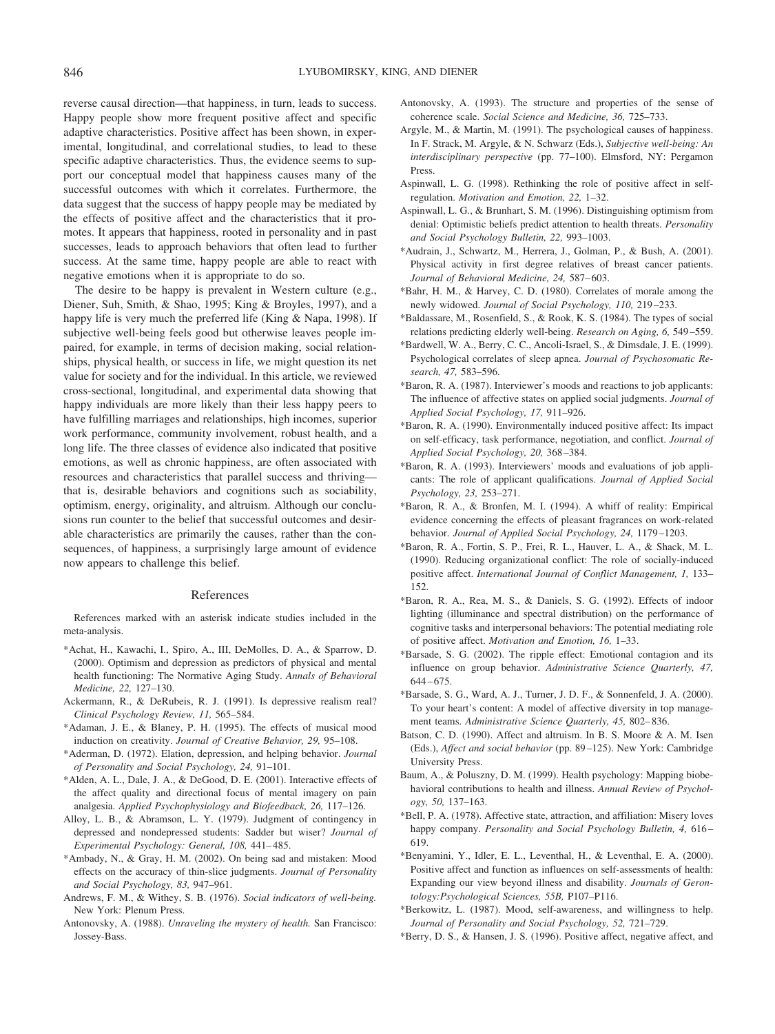reverse causal direction—that happiness, in turn, leads to success. Happy people show more frequent positive affect and specific adaptive characteristics. Positive affect has been shown, in experimental, longitudinal, and correlational studies, to lead to these specific adaptive characteristics. Thus, the evidence seems to support our conceptual model that happiness causes many of the successful outcomes with which it correlates. Furthermore, the data suggest that the success of happy people may be mediated by the effects of positive affect and the characteristics that it promotes. It appears that happiness, rooted in personality and in past successes, leads to approach behaviors that often lead to further success. At the same time, happy people are able to react with negative emotions when it is appropriate to do so.

The desire to be happy is prevalent in Western culture (e.g., Diener, Suh, Smith, & Shao, 1995; King & Broyles, 1997), and a happy life is very much the preferred life (King & Napa, 1998). If subjective well-being feels good but otherwise leaves people impaired, for example, in terms of decision making, social relationships, physical health, or success in life, we might question its net value for society and for the individual. In this article, we reviewed cross-sectional, longitudinal, and experimental data showing that happy individuals are more likely than their less happy peers to have fulfilling marriages and relationships, high incomes, superior work performance, community involvement, robust health, and a long life. The three classes of evidence also indicated that positive emotions, as well as chronic happiness, are often associated with resources and characteristics that parallel success and thriving that is, desirable behaviors and cognitions such as sociability, optimism, energy, originality, and altruism. Although our conclusions run counter to the belief that successful outcomes and desirable characteristics are primarily the causes, rather than the consequences, of happiness, a surprisingly large amount of evidence now appears to challenge this belief.

### References

References marked with an asterisk indicate studies included in the meta-analysis.

- \*Achat, H., Kawachi, I., Spiro, A., III, DeMolles, D. A., & Sparrow, D. (2000). Optimism and depression as predictors of physical and mental health functioning: The Normative Aging Study. *Annals of Behavioral Medicine, 22,* 127–130.
- Ackermann, R., & DeRubeis, R. J. (1991). Is depressive realism real? *Clinical Psychology Review, 11,* 565–584.
- \*Adaman, J. E., & Blaney, P. H. (1995). The effects of musical mood induction on creativity. *Journal of Creative Behavior, 29,* 95–108.
- \*Aderman, D. (1972). Elation, depression, and helping behavior. *Journal of Personality and Social Psychology, 24,* 91–101.
- \*Alden, A. L., Dale, J. A., & DeGood, D. E. (2001). Interactive effects of the affect quality and directional focus of mental imagery on pain analgesia. *Applied Psychophysiology and Biofeedback, 26,* 117–126.
- Alloy, L. B., & Abramson, L. Y. (1979). Judgment of contingency in depressed and nondepressed students: Sadder but wiser? *Journal of Experimental Psychology: General, 108,* 441– 485.
- \*Ambady, N., & Gray, H. M. (2002). On being sad and mistaken: Mood effects on the accuracy of thin-slice judgments. *Journal of Personality and Social Psychology, 83,* 947–961.
- Andrews, F. M., & Withey, S. B. (1976). *Social indicators of well-being.* New York: Plenum Press.
- Antonovsky, A. (1988). *Unraveling the mystery of health.* San Francisco: Jossey-Bass.
- Antonovsky, A. (1993). The structure and properties of the sense of coherence scale. *Social Science and Medicine, 36,* 725–733.
- Argyle, M., & Martin, M. (1991). The psychological causes of happiness. In F. Strack, M. Argyle, & N. Schwarz (Eds.), *Subjective well-being: An interdisciplinary perspective* (pp. 77–100). Elmsford, NY: Pergamon Press.
- Aspinwall, L. G. (1998). Rethinking the role of positive affect in selfregulation. *Motivation and Emotion, 22,* 1–32.
- Aspinwall, L. G., & Brunhart, S. M. (1996). Distinguishing optimism from denial: Optimistic beliefs predict attention to health threats. *Personality and Social Psychology Bulletin, 22,* 993–1003.
- \*Audrain, J., Schwartz, M., Herrera, J., Golman, P., & Bush, A. (2001). Physical activity in first degree relatives of breast cancer patients. *Journal of Behavioral Medicine, 24,* 587– 603.
- \*Bahr, H. M., & Harvey, C. D. (1980). Correlates of morale among the newly widowed. *Journal of Social Psychology, 110,* 219 –233.
- \*Baldassare, M., Rosenfield, S., & Rook, K. S. (1984). The types of social relations predicting elderly well-being. *Research on Aging, 6,* 549 –559.
- \*Bardwell, W. A., Berry, C. C., Ancoli-Israel, S., & Dimsdale, J. E. (1999). Psychological correlates of sleep apnea. *Journal of Psychosomatic Research, 47,* 583–596.
- \*Baron, R. A. (1987). Interviewer's moods and reactions to job applicants: The influence of affective states on applied social judgments. *Journal of Applied Social Psychology, 17,* 911–926.
- \*Baron, R. A. (1990). Environmentally induced positive affect: Its impact on self-efficacy, task performance, negotiation, and conflict. *Journal of Applied Social Psychology, 20,* 368 –384.
- \*Baron, R. A. (1993). Interviewers' moods and evaluations of job applicants: The role of applicant qualifications. *Journal of Applied Social Psychology, 23,* 253–271.
- \*Baron, R. A., & Bronfen, M. I. (1994). A whiff of reality: Empirical evidence concerning the effects of pleasant fragrances on work-related behavior. *Journal of Applied Social Psychology, 24,* 1179 –1203.
- \*Baron, R. A., Fortin, S. P., Frei, R. L., Hauver, L. A., & Shack, M. L. (1990). Reducing organizational conflict: The role of socially-induced positive affect. *International Journal of Conflict Management, 1,* 133– 152.
- \*Baron, R. A., Rea, M. S., & Daniels, S. G. (1992). Effects of indoor lighting (illuminance and spectral distribution) on the performance of cognitive tasks and interpersonal behaviors: The potential mediating role of positive affect. *Motivation and Emotion, 16,* 1–33.
- \*Barsade, S. G. (2002). The ripple effect: Emotional contagion and its influence on group behavior. *Administrative Science Quarterly, 47,* 644 – 675.
- \*Barsade, S. G., Ward, A. J., Turner, J. D. F., & Sonnenfeld, J. A. (2000). To your heart's content: A model of affective diversity in top management teams. *Administrative Science Quarterly, 45,* 802– 836.
- Batson, C. D. (1990). Affect and altruism. In B. S. Moore & A. M. Isen (Eds.), *Affect and social behavior* (pp. 89 –125). New York: Cambridge University Press.
- Baum, A., & Poluszny, D. M. (1999). Health psychology: Mapping biobehavioral contributions to health and illness. *Annual Review of Psychology, 50,* 137–163.
- \*Bell, P. A. (1978). Affective state, attraction, and affiliation: Misery loves happy company. *Personality and Social Psychology Bulletin, 4,* 616 – 619.
- \*Benyamini, Y., Idler, E. L., Leventhal, H., & Leventhal, E. A. (2000). Positive affect and function as influences on self-assessments of health: Expanding our view beyond illness and disability. *Journals of Gerontology:Psychological Sciences, 55B,* P107–P116.
- \*Berkowitz, L. (1987). Mood, self-awareness, and willingness to help. *Journal of Personality and Social Psychology, 52,* 721–729.
- \*Berry, D. S., & Hansen, J. S. (1996). Positive affect, negative affect, and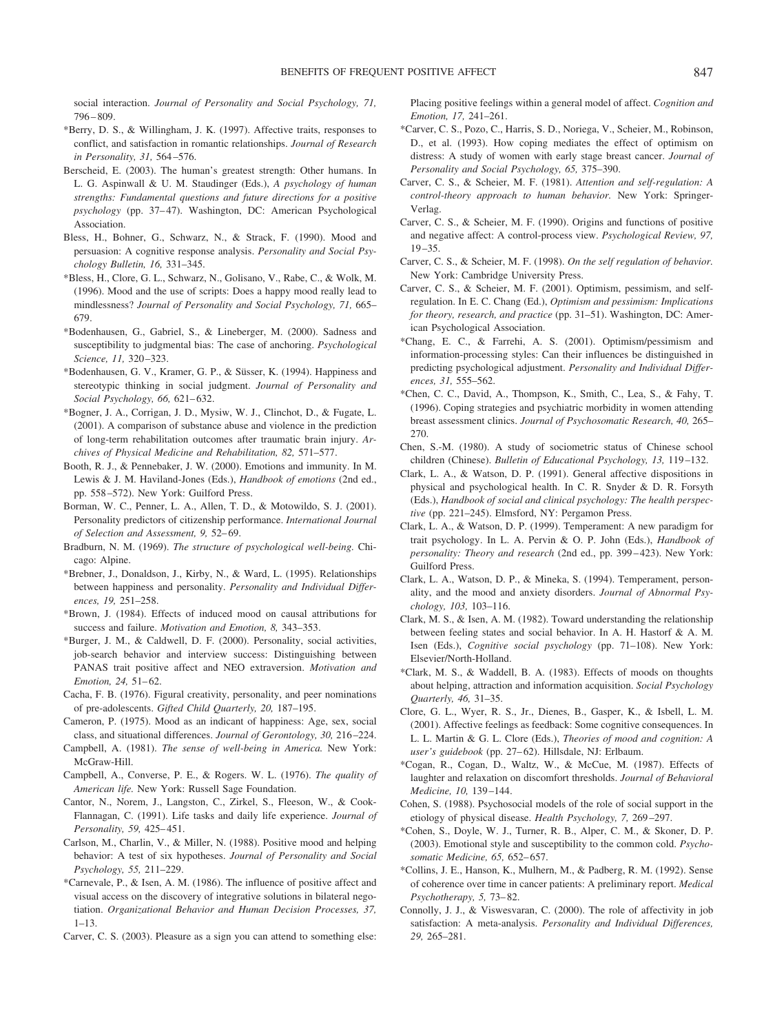social interaction. *Journal of Personality and Social Psychology, 71,* 796 – 809.

- \*Berry, D. S., & Willingham, J. K. (1997). Affective traits, responses to conflict, and satisfaction in romantic relationships. *Journal of Research in Personality, 31,* 564 –576.
- Berscheid, E. (2003). The human's greatest strength: Other humans. In L. G. Aspinwall & U. M. Staudinger (Eds.), *A psychology of human strengths: Fundamental questions and future directions for a positive psychology* (pp. 37–47). Washington, DC: American Psychological Association.
- Bless, H., Bohner, G., Schwarz, N., & Strack, F. (1990). Mood and persuasion: A cognitive response analysis. *Personality and Social Psychology Bulletin, 16,* 331–345.
- \*Bless, H., Clore, G. L., Schwarz, N., Golisano, V., Rabe, C., & Wolk, M. (1996). Mood and the use of scripts: Does a happy mood really lead to mindlessness? *Journal of Personality and Social Psychology, 71,* 665– 679.
- \*Bodenhausen, G., Gabriel, S., & Lineberger, M. (2000). Sadness and susceptibility to judgmental bias: The case of anchoring. *Psychological Science, 11,* 320 –323.
- \*Bodenhausen, G. V., Kramer, G. P., & Su¨sser, K. (1994). Happiness and stereotypic thinking in social judgment. *Journal of Personality and Social Psychology, 66,* 621– 632.
- \*Bogner, J. A., Corrigan, J. D., Mysiw, W. J., Clinchot, D., & Fugate, L. (2001). A comparison of substance abuse and violence in the prediction of long-term rehabilitation outcomes after traumatic brain injury. *Archives of Physical Medicine and Rehabilitation, 82,* 571–577.
- Booth, R. J., & Pennebaker, J. W. (2000). Emotions and immunity. In M. Lewis & J. M. Haviland-Jones (Eds.), *Handbook of emotions* (2nd ed., pp. 558 –572). New York: Guilford Press.
- Borman, W. C., Penner, L. A., Allen, T. D., & Motowildo, S. J. (2001). Personality predictors of citizenship performance. *International Journal of Selection and Assessment, 9,* 52– 69.
- Bradburn, N. M. (1969). *The structure of psychological well-being.* Chicago: Alpine.
- \*Brebner, J., Donaldson, J., Kirby, N., & Ward, L. (1995). Relationships between happiness and personality. *Personality and Individual Differences, 19,* 251–258.
- \*Brown, J. (1984). Effects of induced mood on causal attributions for success and failure. *Motivation and Emotion, 8,* 343–353.
- \*Burger, J. M., & Caldwell, D. F. (2000). Personality, social activities, job-search behavior and interview success: Distinguishing between PANAS trait positive affect and NEO extraversion. *Motivation and Emotion, 24, 51-62.*
- Cacha, F. B. (1976). Figural creativity, personality, and peer nominations of pre-adolescents. *Gifted Child Quarterly, 20,* 187–195.
- Cameron, P. (1975). Mood as an indicant of happiness: Age, sex, social class, and situational differences. *Journal of Gerontology, 30,* 216 –224.
- Campbell, A. (1981). *The sense of well-being in America.* New York: McGraw-Hill.
- Campbell, A., Converse, P. E., & Rogers. W. L. (1976). *The quality of American life.* New York: Russell Sage Foundation.
- Cantor, N., Norem, J., Langston, C., Zirkel, S., Fleeson, W., & Cook-Flannagan, C. (1991). Life tasks and daily life experience. *Journal of Personality, 59,* 425– 451.
- Carlson, M., Charlin, V., & Miller, N. (1988). Positive mood and helping behavior: A test of six hypotheses. *Journal of Personality and Social Psychology, 55,* 211–229.
- \*Carnevale, P., & Isen, A. M. (1986). The influence of positive affect and visual access on the discovery of integrative solutions in bilateral negotiation. *Organizational Behavior and Human Decision Processes, 37,* 1–13.
- Carver, C. S. (2003). Pleasure as a sign you can attend to something else:

Placing positive feelings within a general model of affect. *Cognition and Emotion, 17,* 241–261.

- \*Carver, C. S., Pozo, C., Harris, S. D., Noriega, V., Scheier, M., Robinson, D., et al. (1993). How coping mediates the effect of optimism on distress: A study of women with early stage breast cancer. *Journal of Personality and Social Psychology, 65,* 375–390.
- Carver, C. S., & Scheier, M. F. (1981). *Attention and self-regulation: A control-theory approach to human behavior.* New York: Springer-Verlag.
- Carver, C. S., & Scheier, M. F. (1990). Origins and functions of positive and negative affect: A control-process view. *Psychological Review, 97,*  $19 - 35$
- Carver, C. S., & Scheier, M. F. (1998). *On the self regulation of behavior.* New York: Cambridge University Press.
- Carver, C. S., & Scheier, M. F. (2001). Optimism, pessimism, and selfregulation. In E. C. Chang (Ed.), *Optimism and pessimism: Implications for theory, research, and practice* (pp. 31–51). Washington, DC: American Psychological Association.
- \*Chang, E. C., & Farrehi, A. S. (2001). Optimism/pessimism and information-processing styles: Can their influences be distinguished in predicting psychological adjustment. *Personality and Individual Differences, 31,* 555–562.
- \*Chen, C. C., David, A., Thompson, K., Smith, C., Lea, S., & Fahy, T. (1996). Coping strategies and psychiatric morbidity in women attending breast assessment clinics. *Journal of Psychosomatic Research, 40,* 265– 270.
- Chen, S.-M. (1980). A study of sociometric status of Chinese school children (Chinese). *Bulletin of Educational Psychology, 13,* 119 –132.
- Clark, L. A., & Watson, D. P. (1991). General affective dispositions in physical and psychological health. In C. R. Snyder & D. R. Forsyth (Eds.), *Handbook of social and clinical psychology: The health perspective* (pp. 221–245). Elmsford, NY: Pergamon Press.
- Clark, L. A., & Watson, D. P. (1999). Temperament: A new paradigm for trait psychology. In L. A. Pervin & O. P. John (Eds.), *Handbook of personality: Theory and research* (2nd ed., pp. 399 – 423). New York: Guilford Press.
- Clark, L. A., Watson, D. P., & Mineka, S. (1994). Temperament, personality, and the mood and anxiety disorders. *Journal of Abnormal Psychology, 103,* 103–116.
- Clark, M. S., & Isen, A. M. (1982). Toward understanding the relationship between feeling states and social behavior. In A. H. Hastorf & A. M. Isen (Eds.), *Cognitive social psychology* (pp. 71–108). New York: Elsevier/North-Holland.
- \*Clark, M. S., & Waddell, B. A. (1983). Effects of moods on thoughts about helping, attraction and information acquisition. *Social Psychology Quarterly, 46,* 31–35.
- Clore, G. L., Wyer, R. S., Jr., Dienes, B., Gasper, K., & Isbell, L. M. (2001). Affective feelings as feedback: Some cognitive consequences. In L. L. Martin & G. L. Clore (Eds.), *Theories of mood and cognition: A* user's guidebook (pp. 27–62). Hillsdale, NJ: Erlbaum.
- \*Cogan, R., Cogan, D., Waltz, W., & McCue, M. (1987). Effects of laughter and relaxation on discomfort thresholds. *Journal of Behavioral Medicine, 10,* 139 –144.
- Cohen, S. (1988). Psychosocial models of the role of social support in the etiology of physical disease. *Health Psychology, 7,* 269 –297.
- \*Cohen, S., Doyle, W. J., Turner, R. B., Alper, C. M., & Skoner, D. P. (2003). Emotional style and susceptibility to the common cold. *Psychosomatic Medicine, 65,* 652– 657.
- \*Collins, J. E., Hanson, K., Mulhern, M., & Padberg, R. M. (1992). Sense of coherence over time in cancer patients: A preliminary report. *Medical Psychotherapy, 5,* 73– 82.
- Connolly, J. J., & Viswesvaran, C. (2000). The role of affectivity in job satisfaction: A meta-analysis. *Personality and Individual Differences, 29,* 265–281.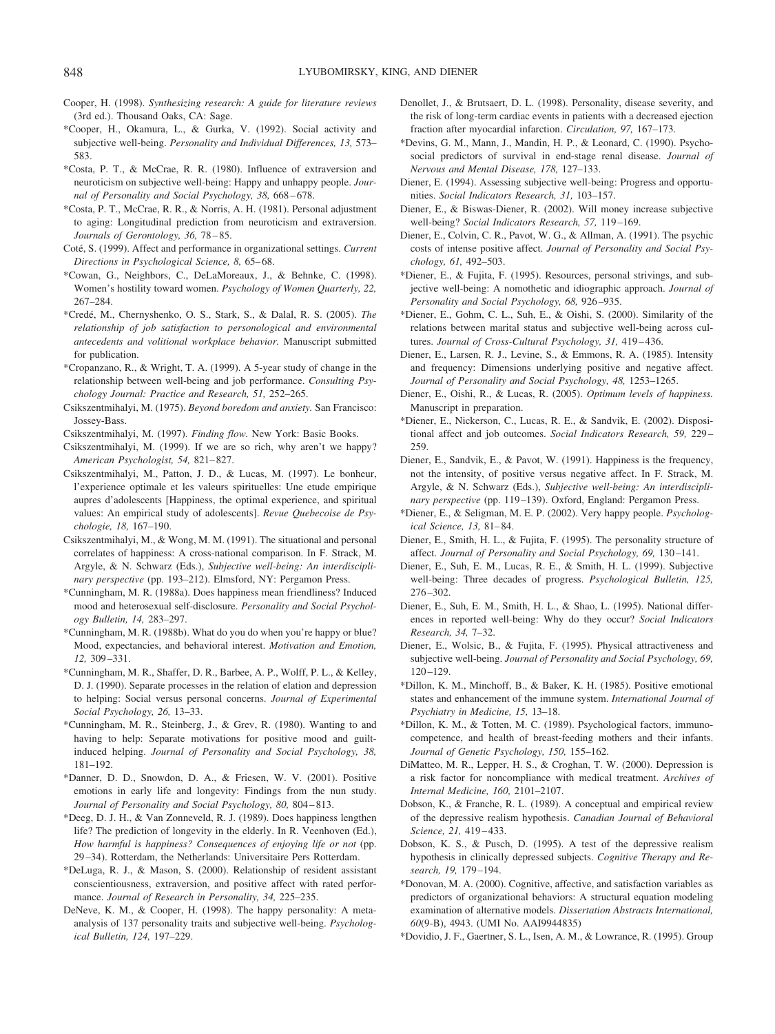- Cooper, H. (1998). *Synthesizing research: A guide for literature reviews* (3rd ed.). Thousand Oaks, CA: Sage.
- \*Cooper, H., Okamura, L., & Gurka, V. (1992). Social activity and subjective well-being. *Personality and Individual Differences, 13,* 573– 583.
- \*Costa, P. T., & McCrae, R. R. (1980). Influence of extraversion and neuroticism on subjective well-being: Happy and unhappy people. *Journal of Personality and Social Psychology, 38,* 668 – 678.
- \*Costa, P. T., McCrae, R. R., & Norris, A. H. (1981). Personal adjustment to aging: Longitudinal prediction from neuroticism and extraversion. *Journals of Gerontology, 36,* 78 – 85.
- Cote´, S. (1999). Affect and performance in organizational settings. *Current Directions in Psychological Science, 8,* 65– 68.
- \*Cowan, G., Neighbors, C., DeLaMoreaux, J., & Behnke, C. (1998). Women's hostility toward women. *Psychology of Women Quarterly, 22,* 267–284.
- \*Crede´, M., Chernyshenko, O. S., Stark, S., & Dalal, R. S. (2005). *The relationship of job satisfaction to personological and environmental antecedents and volitional workplace behavior.* Manuscript submitted for publication.
- \*Cropanzano, R., & Wright, T. A. (1999). A 5-year study of change in the relationship between well-being and job performance. *Consulting Psychology Journal: Practice and Research, 51,* 252–265.
- Csikszentmihalyi, M. (1975). *Beyond boredom and anxiety.* San Francisco: Jossey-Bass.
- Csikszentmihalyi, M. (1997). *Finding flow.* New York: Basic Books.
- Csikszentmihalyi, M. (1999). If we are so rich, why aren't we happy? *American Psychologist, 54,* 821– 827.
- Csikszentmihalyi, M., Patton, J. D., & Lucas, M. (1997). Le bonheur, l'experience optimale et les valeurs spirituelles: Une etude empirique aupres d'adolescents [Happiness, the optimal experience, and spiritual values: An empirical study of adolescents]. *Revue Quebecoise de Psychologie, 18,* 167–190.
- Csikszentmihalyi, M., & Wong, M. M. (1991). The situational and personal correlates of happiness: A cross-national comparison. In F. Strack, M. Argyle, & N. Schwarz (Eds.), *Subjective well-being: An interdisciplinary perspective* (pp. 193–212). Elmsford, NY: Pergamon Press.
- \*Cunningham, M. R. (1988a). Does happiness mean friendliness? Induced mood and heterosexual self-disclosure. *Personality and Social Psychology Bulletin, 14,* 283–297.
- \*Cunningham, M. R. (1988b). What do you do when you're happy or blue? Mood, expectancies, and behavioral interest. *Motivation and Emotion, 12,* 309 –331.
- \*Cunningham, M. R., Shaffer, D. R., Barbee, A. P., Wolff, P. L., & Kelley, D. J. (1990). Separate processes in the relation of elation and depression to helping: Social versus personal concerns. *Journal of Experimental Social Psychology, 26,* 13–33.
- \*Cunningham, M. R., Steinberg, J., & Grev, R. (1980). Wanting to and having to help: Separate motivations for positive mood and guiltinduced helping. *Journal of Personality and Social Psychology, 38,* 181–192.
- \*Danner, D. D., Snowdon, D. A., & Friesen, W. V. (2001). Positive emotions in early life and longevity: Findings from the nun study. *Journal of Personality and Social Psychology, 80,* 804 – 813.
- \*Deeg, D. J. H., & Van Zonneveld, R. J. (1989). Does happiness lengthen life? The prediction of longevity in the elderly. In R. Veenhoven (Ed.), *How harmful is happiness? Consequences of enjoying life or not* (pp. 29 –34). Rotterdam, the Netherlands: Universitaire Pers Rotterdam.
- \*DeLuga, R. J., & Mason, S. (2000). Relationship of resident assistant conscientiousness, extraversion, and positive affect with rated performance. *Journal of Research in Personality, 34,* 225–235.
- DeNeve, K. M., & Cooper, H. (1998). The happy personality: A metaanalysis of 137 personality traits and subjective well-being. *Psychological Bulletin, 124,* 197–229.
- Denollet, J., & Brutsaert, D. L. (1998). Personality, disease severity, and the risk of long-term cardiac events in patients with a decreased ejection fraction after myocardial infarction. *Circulation, 97,* 167–173.
- \*Devins, G. M., Mann, J., Mandin, H. P., & Leonard, C. (1990). Psychosocial predictors of survival in end-stage renal disease. *Journal of Nervous and Mental Disease, 178,* 127–133.
- Diener, E. (1994). Assessing subjective well-being: Progress and opportunities. *Social Indicators Research, 31,* 103–157.
- Diener, E., & Biswas-Diener, R. (2002). Will money increase subjective well-being? *Social Indicators Research, 57,* 119 –169.
- Diener, E., Colvin, C. R., Pavot, W. G., & Allman, A. (1991). The psychic costs of intense positive affect. *Journal of Personality and Social Psychology, 61,* 492–503.
- \*Diener, E., & Fujita, F. (1995). Resources, personal strivings, and subjective well-being: A nomothetic and idiographic approach. *Journal of Personality and Social Psychology, 68,* 926 –935.
- \*Diener, E., Gohm, C. L., Suh, E., & Oishi, S. (2000). Similarity of the relations between marital status and subjective well-being across cultures. *Journal of Cross-Cultural Psychology, 31, 419-436.*
- Diener, E., Larsen, R. J., Levine, S., & Emmons, R. A. (1985). Intensity and frequency: Dimensions underlying positive and negative affect. *Journal of Personality and Social Psychology, 48,* 1253–1265.
- Diener, E., Oishi, R., & Lucas, R. (2005). *Optimum levels of happiness.* Manuscript in preparation.
- \*Diener, E., Nickerson, C., Lucas, R. E., & Sandvik, E. (2002). Dispositional affect and job outcomes. *Social Indicators Research, 59,* 229 – 259.
- Diener, E., Sandvik, E., & Pavot, W. (1991). Happiness is the frequency, not the intensity, of positive versus negative affect. In F. Strack, M. Argyle, & N. Schwarz (Eds.), *Subjective well-being: An interdisciplinary perspective* (pp. 119 –139). Oxford, England: Pergamon Press.
- \*Diener, E., & Seligman, M. E. P. (2002). Very happy people. *Psychological Science, 13,* 81– 84.
- Diener, E., Smith, H. L., & Fujita, F. (1995). The personality structure of affect. *Journal of Personality and Social Psychology, 69,* 130 –141.
- Diener, E., Suh, E. M., Lucas, R. E., & Smith, H. L. (1999). Subjective well-being: Three decades of progress. *Psychological Bulletin, 125,* 276 –302.
- Diener, E., Suh, E. M., Smith, H. L., & Shao, L. (1995). National differences in reported well-being: Why do they occur? *Social Indicators Research, 34,* 7–32.
- Diener, E., Wolsic, B., & Fujita, F. (1995). Physical attractiveness and subjective well-being. *Journal of Personality and Social Psychology, 69,*  $120 - 129$ .
- \*Dillon, K. M., Minchoff, B., & Baker, K. H. (1985). Positive emotional states and enhancement of the immune system. *International Journal of Psychiatry in Medicine, 15,* 13–18.
- \*Dillon, K. M., & Totten, M. C. (1989). Psychological factors, immunocompetence, and health of breast-feeding mothers and their infants. *Journal of Genetic Psychology, 150,* 155–162.
- DiMatteo, M. R., Lepper, H. S., & Croghan, T. W. (2000). Depression is a risk factor for noncompliance with medical treatment. *Archives of Internal Medicine, 160,* 2101–2107.
- Dobson, K., & Franche, R. L. (1989). A conceptual and empirical review of the depressive realism hypothesis. *Canadian Journal of Behavioral Science, 21,* 419 – 433.
- Dobson, K. S., & Pusch, D. (1995). A test of the depressive realism hypothesis in clinically depressed subjects. *Cognitive Therapy and Research, 19,* 179 –194.
- \*Donovan, M. A. (2000). Cognitive, affective, and satisfaction variables as predictors of organizational behaviors: A structural equation modeling examination of alternative models. *Dissertation Abstracts International, 60*(9-B), 4943. (UMI No. AAI9944835)
- \*Dovidio, J. F., Gaertner, S. L., Isen, A. M., & Lowrance, R. (1995). Group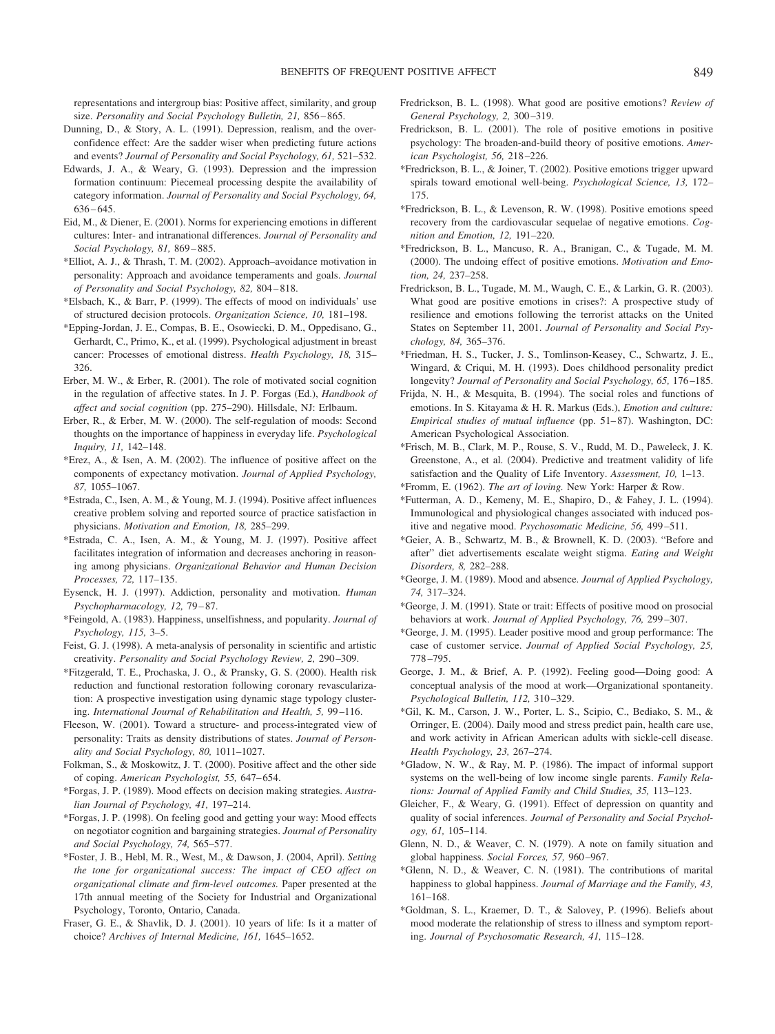representations and intergroup bias: Positive affect, similarity, and group size. *Personality and Social Psychology Bulletin, 21,* 856 – 865.

- Dunning, D., & Story, A. L. (1991). Depression, realism, and the overconfidence effect: Are the sadder wiser when predicting future actions and events? *Journal of Personality and Social Psychology, 61,* 521–532.
- Edwards, J. A., & Weary, G. (1993). Depression and the impression formation continuum: Piecemeal processing despite the availability of category information. *Journal of Personality and Social Psychology, 64,*  $636 - 645.$
- Eid, M., & Diener, E. (2001). Norms for experiencing emotions in different cultures: Inter- and intranational differences. *Journal of Personality and Social Psychology, 81,* 869 – 885.
- \*Elliot, A. J., & Thrash, T. M. (2002). Approach–avoidance motivation in personality: Approach and avoidance temperaments and goals. *Journal of Personality and Social Psychology, 82,* 804 – 818.
- \*Elsbach, K., & Barr, P. (1999). The effects of mood on individuals' use of structured decision protocols. *Organization Science, 10,* 181–198.
- \*Epping-Jordan, J. E., Compas, B. E., Osowiecki, D. M., Oppedisano, G., Gerhardt, C., Primo, K., et al. (1999). Psychological adjustment in breast cancer: Processes of emotional distress. *Health Psychology, 18,* 315– 326.
- Erber, M. W., & Erber, R. (2001). The role of motivated social cognition in the regulation of affective states. In J. P. Forgas (Ed.), *Handbook of affect and social cognition* (pp. 275–290). Hillsdale, NJ: Erlbaum.
- Erber, R., & Erber, M. W. (2000). The self-regulation of moods: Second thoughts on the importance of happiness in everyday life. *Psychological Inquiry, 11,* 142–148.
- \*Erez, A., & Isen, A. M. (2002). The influence of positive affect on the components of expectancy motivation. *Journal of Applied Psychology, 87,* 1055–1067.
- \*Estrada, C., Isen, A. M., & Young, M. J. (1994). Positive affect influences creative problem solving and reported source of practice satisfaction in physicians. *Motivation and Emotion, 18,* 285–299.
- \*Estrada, C. A., Isen, A. M., & Young, M. J. (1997). Positive affect facilitates integration of information and decreases anchoring in reasoning among physicians. *Organizational Behavior and Human Decision Processes, 72,* 117–135.
- Eysenck, H. J. (1997). Addiction, personality and motivation. *Human Psychopharmacology, 12,* 79 – 87.
- \*Feingold, A. (1983). Happiness, unselfishness, and popularity. *Journal of Psychology, 115,* 3–5.
- Feist, G. J. (1998). A meta-analysis of personality in scientific and artistic creativity. *Personality and Social Psychology Review, 2,* 290 –309.
- \*Fitzgerald, T. E., Prochaska, J. O., & Pransky, G. S. (2000). Health risk reduction and functional restoration following coronary revascularization: A prospective investigation using dynamic stage typology clustering. *International Journal of Rehabilitation and Health, 5,* 99 –116.
- Fleeson, W. (2001). Toward a structure- and process-integrated view of personality: Traits as density distributions of states. *Journal of Personality and Social Psychology, 80,* 1011–1027.
- Folkman, S., & Moskowitz, J. T. (2000). Positive affect and the other side of coping. *American Psychologist, 55,* 647– 654.
- \*Forgas, J. P. (1989). Mood effects on decision making strategies. *Australian Journal of Psychology, 41,* 197–214.
- \*Forgas, J. P. (1998). On feeling good and getting your way: Mood effects on negotiator cognition and bargaining strategies. *Journal of Personality and Social Psychology, 74,* 565–577.
- \*Foster, J. B., Hebl, M. R., West, M., & Dawson, J. (2004, April). *Setting the tone for organizational success: The impact of CEO affect on organizational climate and firm-level outcomes.* Paper presented at the 17th annual meeting of the Society for Industrial and Organizational Psychology, Toronto, Ontario, Canada.
- Fraser, G. E., & Shavlik, D. J. (2001). 10 years of life: Is it a matter of choice? *Archives of Internal Medicine, 161,* 1645–1652.
- Fredrickson, B. L. (1998). What good are positive emotions? *Review of General Psychology, 2,* 300 –319.
- Fredrickson, B. L. (2001). The role of positive emotions in positive psychology: The broaden-and-build theory of positive emotions. *American Psychologist, 56,* 218 –226.
- \*Fredrickson, B. L., & Joiner, T. (2002). Positive emotions trigger upward spirals toward emotional well-being. *Psychological Science, 13,* 172– 175.
- \*Fredrickson, B. L., & Levenson, R. W. (1998). Positive emotions speed recovery from the cardiovascular sequelae of negative emotions. *Cognition and Emotion, 12,* 191–220.
- \*Fredrickson, B. L., Mancuso, R. A., Branigan, C., & Tugade, M. M. (2000). The undoing effect of positive emotions. *Motivation and Emotion, 24,* 237–258.
- Fredrickson, B. L., Tugade, M. M., Waugh, C. E., & Larkin, G. R. (2003). What good are positive emotions in crises?: A prospective study of resilience and emotions following the terrorist attacks on the United States on September 11, 2001. *Journal of Personality and Social Psychology, 84,* 365–376.
- \*Friedman, H. S., Tucker, J. S., Tomlinson-Keasey, C., Schwartz, J. E., Wingard, & Criqui, M. H. (1993). Does childhood personality predict longevity? *Journal of Personality and Social Psychology, 65,* 176 –185.
- Frijda, N. H., & Mesquita, B. (1994). The social roles and functions of emotions. In S. Kitayama & H. R. Markus (Eds.), *Emotion and culture: Empirical studies of mutual influence* (pp. 51-87). Washington, DC: American Psychological Association.
- \*Frisch, M. B., Clark, M. P., Rouse, S. V., Rudd, M. D., Paweleck, J. K. Greenstone, A., et al. (2004). Predictive and treatment validity of life satisfaction and the Quality of Life Inventory. *Assessment, 10,* 1–13.
- \*Fromm, E. (1962). *The art of loving.* New York: Harper & Row.
- \*Futterman, A. D., Kemeny, M. E., Shapiro, D., & Fahey, J. L. (1994). Immunological and physiological changes associated with induced positive and negative mood. *Psychosomatic Medicine, 56,* 499 –511.
- \*Geier, A. B., Schwartz, M. B., & Brownell, K. D. (2003). "Before and after" diet advertisements escalate weight stigma. *Eating and Weight Disorders, 8,* 282–288.
- \*George, J. M. (1989). Mood and absence. *Journal of Applied Psychology, 74,* 317–324.
- \*George, J. M. (1991). State or trait: Effects of positive mood on prosocial behaviors at work. *Journal of Applied Psychology, 76,* 299 –307.
- \*George, J. M. (1995). Leader positive mood and group performance: The case of customer service. *Journal of Applied Social Psychology, 25,* 778 –795.
- George, J. M., & Brief, A. P. (1992). Feeling good—Doing good: A conceptual analysis of the mood at work—Organizational spontaneity. *Psychological Bulletin, 112,* 310 –329.
- \*Gil, K. M., Carson, J. W., Porter, L. S., Scipio, C., Bediako, S. M., & Orringer, E. (2004). Daily mood and stress predict pain, health care use, and work activity in African American adults with sickle-cell disease. *Health Psychology, 23,* 267–274.
- \*Gladow, N. W., & Ray, M. P. (1986). The impact of informal support systems on the well-being of low income single parents. *Family Relations: Journal of Applied Family and Child Studies, 35,* 113–123.
- Gleicher, F., & Weary, G. (1991). Effect of depression on quantity and quality of social inferences. *Journal of Personality and Social Psychology, 61,* 105–114.
- Glenn, N. D., & Weaver, C. N. (1979). A note on family situation and global happiness. *Social Forces, 57,* 960 –967.
- \*Glenn, N. D., & Weaver, C. N. (1981). The contributions of marital happiness to global happiness. *Journal of Marriage and the Family, 43,* 161–168.
- \*Goldman, S. L., Kraemer, D. T., & Salovey, P. (1996). Beliefs about mood moderate the relationship of stress to illness and symptom reporting. *Journal of Psychosomatic Research, 41,* 115–128.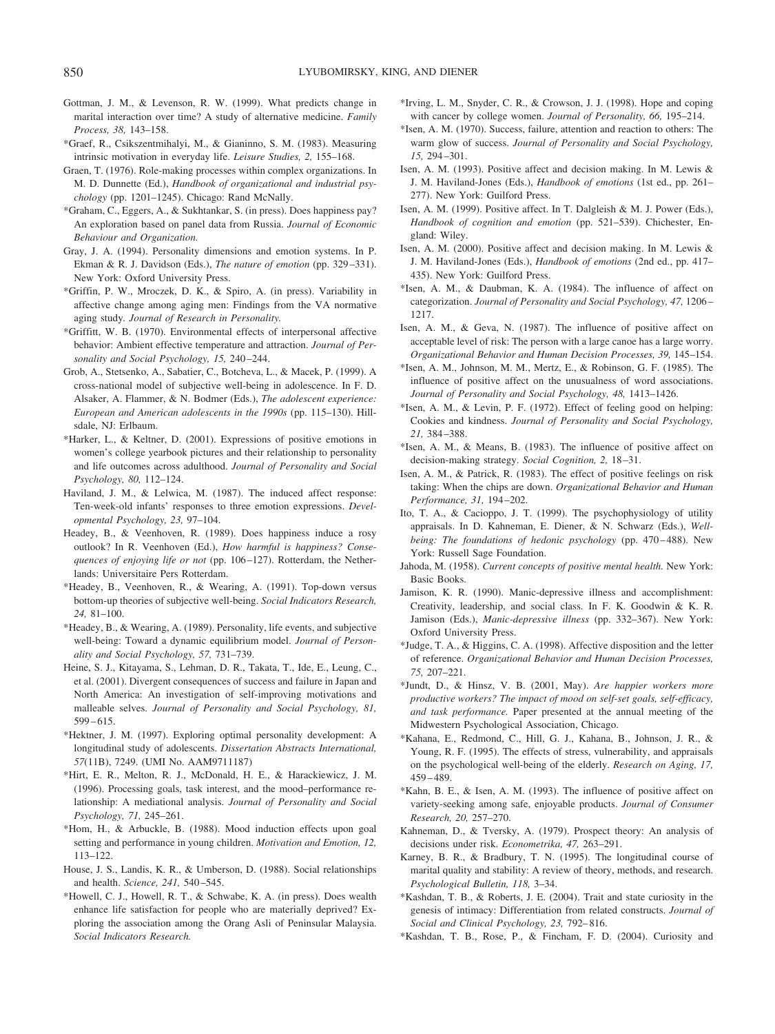- Gottman, J. M., & Levenson, R. W. (1999). What predicts change in marital interaction over time? A study of alternative medicine. *Family Process, 38,* 143–158.
- \*Graef, R., Csikszentmihalyi, M., & Gianinno, S. M. (1983). Measuring intrinsic motivation in everyday life. *Leisure Studies, 2,* 155–168.
- Graen, T. (1976). Role-making processes within complex organizations. In M. D. Dunnette (Ed.), *Handbook of organizational and industrial psychology* (pp. 1201–1245). Chicago: Rand McNally.
- \*Graham, C., Eggers, A., & Sukhtankar, S. (in press). Does happiness pay? An exploration based on panel data from Russia. *Journal of Economic Behaviour and Organization.*
- Gray, J. A. (1994). Personality dimensions and emotion systems. In P. Ekman & R. J. Davidson (Eds.), *The nature of emotion* (pp. 329 –331). New York: Oxford University Press.
- \*Griffin, P. W., Mroczek, D. K., & Spiro, A. (in press). Variability in affective change among aging men: Findings from the VA normative aging study*. Journal of Research in Personality.*
- \*Griffitt, W. B. (1970). Environmental effects of interpersonal affective behavior: Ambient effective temperature and attraction. *Journal of Personality and Social Psychology, 15,* 240 –244.
- Grob, A., Stetsenko, A., Sabatier, C., Botcheva, L., & Macek, P. (1999). A cross-national model of subjective well-being in adolescence. In F. D. Alsaker, A. Flammer, & N. Bodmer (Eds.), *The adolescent experience: European and American adolescents in the 1990s* (pp. 115–130). Hillsdale, NJ: Erlbaum.
- \*Harker, L., & Keltner, D. (2001). Expressions of positive emotions in women's college yearbook pictures and their relationship to personality and life outcomes across adulthood. *Journal of Personality and Social Psychology, 80,* 112–124.
- Haviland, J. M., & Lelwica, M. (1987). The induced affect response: Ten-week-old infants' responses to three emotion expressions. *Developmental Psychology, 23,* 97–104.
- Headey, B., & Veenhoven, R. (1989). Does happiness induce a rosy outlook? In R. Veenhoven (Ed.), *How harmful is happiness? Consequences of enjoying life or not* (pp. 106 –127). Rotterdam, the Netherlands: Universitaire Pers Rotterdam.
- \*Headey, B., Veenhoven, R., & Wearing, A. (1991). Top-down versus bottom-up theories of subjective well-being. *Social Indicators Research, 24,* 81–100.
- \*Headey, B., & Wearing, A. (1989). Personality, life events, and subjective well-being: Toward a dynamic equilibrium model. *Journal of Personality and Social Psychology, 57,* 731–739.
- Heine, S. J., Kitayama, S., Lehman, D. R., Takata, T., Ide, E., Leung, C., et al. (2001). Divergent consequences of success and failure in Japan and North America: An investigation of self-improving motivations and malleable selves. *Journal of Personality and Social Psychology, 81,*  $599 - 615$ .
- \*Hektner, J. M. (1997). Exploring optimal personality development: A longitudinal study of adolescents. *Dissertation Abstracts International, 57*(11B), 7249. (UMI No. AAM9711187)
- \*Hirt, E. R., Melton, R. J., McDonald, H. E., & Harackiewicz, J. M. (1996). Processing goals, task interest, and the mood–performance relationship: A mediational analysis. *Journal of Personality and Social Psychology, 71,* 245–261.
- \*Hom, H., & Arbuckle, B. (1988). Mood induction effects upon goal setting and performance in young children. *Motivation and Emotion, 12,* 113–122.
- House, J. S., Landis, K. R., & Umberson, D. (1988). Social relationships and health. *Science, 241,* 540 –545.
- \*Howell, C. J., Howell, R. T., & Schwabe, K. A. (in press). Does wealth enhance life satisfaction for people who are materially deprived? Exploring the association among the Orang Asli of Peninsular Malaysia. *Social Indicators Research.*
- \*Irving, L. M., Snyder, C. R., & Crowson, J. J. (1998). Hope and coping with cancer by college women. *Journal of Personality, 66,* 195–214.
- \*Isen, A. M. (1970). Success, failure, attention and reaction to others: The warm glow of success. *Journal of Personality and Social Psychology, 15,* 294 –301.
- Isen, A. M. (1993). Positive affect and decision making. In M. Lewis & J. M. Haviland-Jones (Eds.), *Handbook of emotions* (1st ed., pp. 261– 277). New York: Guilford Press.
- Isen, A. M. (1999). Positive affect. In T. Dalgleish & M. J. Power (Eds.), *Handbook of cognition and emotion* (pp. 521–539). Chichester, England: Wiley.
- Isen, A. M. (2000). Positive affect and decision making. In M. Lewis & J. M. Haviland-Jones (Eds.), *Handbook of emotions* (2nd ed., pp. 417– 435). New York: Guilford Press.
- \*Isen, A. M., & Daubman, K. A. (1984). The influence of affect on categorization. *Journal of Personality and Social Psychology, 47,* 1206 – 1217.
- Isen, A. M., & Geva, N. (1987). The influence of positive affect on acceptable level of risk: The person with a large canoe has a large worry. *Organizational Behavior and Human Decision Processes, 39,* 145–154.
- \*Isen, A. M., Johnson, M. M., Mertz, E., & Robinson, G. F. (1985). The influence of positive affect on the unusualness of word associations. *Journal of Personality and Social Psychology, 48,* 1413–1426.
- \*Isen, A. M., & Levin, P. F. (1972). Effect of feeling good on helping: Cookies and kindness. *Journal of Personality and Social Psychology, 21,* 384 –388.
- \*Isen, A. M., & Means, B. (1983). The influence of positive affect on decision-making strategy. *Social Cognition, 2,* 18 –31.
- Isen, A. M., & Patrick, R. (1983). The effect of positive feelings on risk taking: When the chips are down. *Organizational Behavior and Human Performance, 31,* 194 –202.
- Ito, T. A., & Cacioppo, J. T. (1999). The psychophysiology of utility appraisals. In D. Kahneman, E. Diener, & N. Schwarz (Eds.), *Wellbeing: The foundations of hedonic psychology* (pp. 470-488). New York: Russell Sage Foundation.
- Jahoda, M. (1958). *Current concepts of positive mental health.* New York: Basic Books.
- Jamison, K. R. (1990). Manic-depressive illness and accomplishment: Creativity, leadership, and social class. In F. K. Goodwin & K. R. Jamison (Eds.), *Manic-depressive illness* (pp. 332–367). New York: Oxford University Press.
- \*Judge, T. A., & Higgins, C. A. (1998). Affective disposition and the letter of reference. *Organizational Behavior and Human Decision Processes, 75,* 207–221.
- \*Jundt, D., & Hinsz, V. B. (2001, May). *Are happier workers more productive workers? The impact of mood on self-set goals, self-efficacy, and task performance.* Paper presented at the annual meeting of the Midwestern Psychological Association, Chicago.
- \*Kahana, E., Redmond, C., Hill, G. J., Kahana, B., Johnson, J. R., & Young, R. F. (1995). The effects of stress, vulnerability, and appraisals on the psychological well-being of the elderly. *Research on Aging, 17,* 459 – 489.
- \*Kahn, B. E., & Isen, A. M. (1993). The influence of positive affect on variety-seeking among safe, enjoyable products. *Journal of Consumer Research, 20,* 257–270.
- Kahneman, D., & Tversky, A. (1979). Prospect theory: An analysis of decisions under risk. *Econometrika, 47,* 263–291.
- Karney, B. R., & Bradbury, T. N. (1995). The longitudinal course of marital quality and stability: A review of theory, methods, and research. *Psychological Bulletin, 118,* 3–34.
- \*Kashdan, T. B., & Roberts, J. E. (2004). Trait and state curiosity in the genesis of intimacy: Differentiation from related constructs. *Journal of Social and Clinical Psychology, 23,* 792– 816.
- \*Kashdan, T. B., Rose, P., & Fincham, F. D. (2004). Curiosity and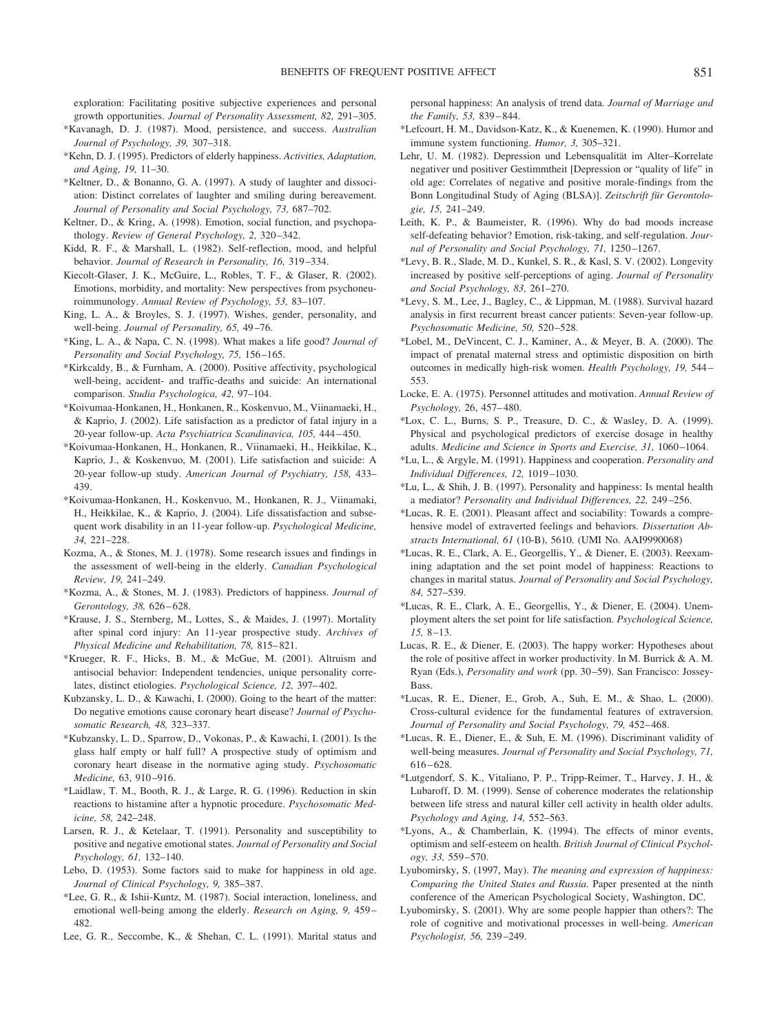exploration: Facilitating positive subjective experiences and personal growth opportunities. *Journal of Personality Assessment, 82,* 291–305.

- \*Kavanagh, D. J. (1987). Mood, persistence, and success. *Australian Journal of Psychology, 39,* 307–318.
- \*Kehn, D. J. (1995). Predictors of elderly happiness. *Activities, Adaptation, and Aging, 19,* 11–30.
- \*Keltner, D., & Bonanno, G. A. (1997). A study of laughter and dissociation: Distinct correlates of laughter and smiling during bereavement. *Journal of Personality and Social Psychology, 73,* 687–702.
- Keltner, D., & Kring, A. (1998). Emotion, social function, and psychopathology. *Review of General Psychology, 2, 320-342.*
- Kidd, R. F., & Marshall, L. (1982). Self-reflection, mood, and helpful behavior. *Journal of Research in Personality, 16,* 319 –334.
- Kiecolt-Glaser, J. K., McGuire, L., Robles, T. F., & Glaser, R. (2002). Emotions, morbidity, and mortality: New perspectives from psychoneuroimmunology. *Annual Review of Psychology, 53,* 83–107.
- King, L. A., & Broyles, S. J. (1997). Wishes, gender, personality, and well-being. *Journal of Personality, 65,* 49 –76.
- \*King, L. A., & Napa, C. N. (1998). What makes a life good? *Journal of Personality and Social Psychology, 75,* 156 –165.
- \*Kirkcaldy, B., & Furnham, A. (2000). Positive affectivity, psychological well-being, accident- and traffic-deaths and suicide: An international comparison. *Studia Psychologica, 42,* 97–104.
- \*Koivumaa-Honkanen, H., Honkanen, R., Koskenvuo, M., Viinamaeki, H., & Kaprio, J. (2002). Life satisfaction as a predictor of fatal injury in a 20-year follow-up. *Acta Psychiatrica Scandinavica, 105,* 444 – 450.
- \*Koivumaa-Honkanen, H., Honkanen, R., Viinamaeki, H., Heikkilae, K., Kaprio, J., & Koskenvuo, M. (2001). Life satisfaction and suicide: A 20-year follow-up study. *American Journal of Psychiatry, 158,* 433– 439.
- \*Koivumaa-Honkanen, H., Koskenvuo, M., Honkanen, R. J., Viinamaki, H., Heikkilae, K., & Kaprio, J. (2004). Life dissatisfaction and subsequent work disability in an 11-year follow-up. *Psychological Medicine, 34,* 221–228.
- Kozma, A., & Stones, M. J. (1978). Some research issues and findings in the assessment of well-being in the elderly. *Canadian Psychological Review, 19,* 241–249.
- \*Kozma, A., & Stones, M. J. (1983). Predictors of happiness. *Journal of Gerontology, 38,* 626 – 628.
- \*Krause, J. S., Sternberg, M., Lottes, S., & Maides, J. (1997). Mortality after spinal cord injury: An 11-year prospective study. *Archives of Physical Medicine and Rehabilitation, 78,* 815– 821.
- \*Krueger, R. F., Hicks, B. M., & McGue, M. (2001). Altruism and antisocial behavior: Independent tendencies, unique personality correlates, distinct etiologies. *Psychological Science, 12,* 397– 402.
- Kubzansky, L. D., & Kawachi, I. (2000). Going to the heart of the matter: Do negative emotions cause coronary heart disease? *Journal of Psychosomatic Research, 48,* 323–337.
- \*Kubzansky, L. D., Sparrow, D., Vokonas, P., & Kawachi, I. (2001). Is the glass half empty or half full? A prospective study of optimism and coronary heart disease in the normative aging study. *Psychosomatic Medicine,* 63, 910 –916.
- \*Laidlaw, T. M., Booth, R. J., & Large, R. G. (1996). Reduction in skin reactions to histamine after a hypnotic procedure. *Psychosomatic Medicine, 58,* 242–248.
- Larsen, R. J., & Ketelaar, T. (1991). Personality and susceptibility to positive and negative emotional states. *Journal of Personality and Social Psychology, 61,* 132–140.
- Lebo, D. (1953). Some factors said to make for happiness in old age. *Journal of Clinical Psychology, 9,* 385–387.
- \*Lee, G. R., & Ishii-Kuntz, M. (1987). Social interaction, loneliness, and emotional well-being among the elderly. *Research on Aging, 9,* 459 – 482.
- Lee, G. R., Seccombe, K., & Shehan, C. L. (1991). Marital status and

personal happiness: An analysis of trend data. *Journal of Marriage and the Family, 53,* 839 – 844.

- \*Lefcourt, H. M., Davidson-Katz, K., & Kuenemen, K. (1990). Humor and immune system functioning. *Humor, 3,* 305–321.
- Lehr, U. M. (1982). Depression und Lebensqualität im Alter-Korrelate negativer und positiver Gestimmtheit [Depression or "quality of life" in old age: Correlates of negative and positive morale-findings from the Bonn Longitudinal Study of Aging (BLSA)]. *Zeitschrift für Gerontologie, 15,* 241–249.
- Leith, K. P., & Baumeister, R. (1996). Why do bad moods increase self-defeating behavior? Emotion, risk-taking, and self-regulation. *Jour*nal of Personality and Social Psychology, 71, 1250-1267.
- \*Levy, B. R., Slade, M. D., Kunkel, S. R., & Kasl, S. V. (2002). Longevity increased by positive self-perceptions of aging. *Journal of Personality and Social Psychology, 83,* 261–270.
- \*Levy, S. M., Lee, J., Bagley, C., & Lippman, M. (1988). Survival hazard analysis in first recurrent breast cancer patients: Seven-year follow-up. *Psychosomatic Medicine, 50,* 520 –528.
- \*Lobel, M., DeVincent, C. J., Kaminer, A., & Meyer, B. A. (2000). The impact of prenatal maternal stress and optimistic disposition on birth outcomes in medically high-risk women. *Health Psychology, 19,* 544 – 553.
- Locke, E. A. (1975). Personnel attitudes and motivation. *Annual Review of Psychology,* 26, 457– 480.
- \*Lox, C. L., Burns, S. P., Treasure, D. C., & Wasley, D. A. (1999). Physical and psychological predictors of exercise dosage in healthy adults. *Medicine and Science in Sports and Exercise, 31,* 1060 –1064.
- \*Lu, L., & Argyle, M. (1991). Happiness and cooperation. *Personality and Individual Differences, 12,* 1019 –1030.
- \*Lu, L., & Shih, J. B. (1997). Personality and happiness: Is mental health a mediator? *Personality and Individual Differences, 22,* 249 –256.
- \*Lucas, R. E. (2001). Pleasant affect and sociability: Towards a comprehensive model of extraverted feelings and behaviors. *Dissertation Abstracts International, 61* (10-B), 5610. (UMI No. AAI9990068)
- \*Lucas, R. E., Clark, A. E., Georgellis, Y., & Diener, E. (2003). Reexamining adaptation and the set point model of happiness: Reactions to changes in marital status. *Journal of Personality and Social Psychology, 84,* 527–539.
- \*Lucas, R. E., Clark, A. E., Georgellis, Y., & Diener, E. (2004). Unemployment alters the set point for life satisfaction. *Psychological Science, 15,* 8 –13.
- Lucas, R. E., & Diener, E. (2003). The happy worker: Hypotheses about the role of positive affect in worker productivity. In M. Burrick & A. M. Ryan (Eds.), *Personality and work* (pp. 30 –59). San Francisco: Jossey-Bass.
- \*Lucas, R. E., Diener, E., Grob, A., Suh, E. M., & Shao, L. (2000). Cross-cultural evidence for the fundamental features of extraversion. *Journal of Personality and Social Psychology, 79,* 452– 468.
- \*Lucas, R. E., Diener, E., & Suh, E. M. (1996). Discriminant validity of well-being measures. *Journal of Personality and Social Psychology, 71,*  $616 - 628.$
- \*Lutgendorf, S. K., Vitaliano, P. P., Tripp-Reimer, T., Harvey, J. H., & Lubaroff, D. M. (1999). Sense of coherence moderates the relationship between life stress and natural killer cell activity in health older adults. *Psychology and Aging, 14,* 552–563.
- \*Lyons, A., & Chamberlain, K. (1994). The effects of minor events, optimism and self-esteem on health. *British Journal of Clinical Psychology, 33,* 559 –570.
- Lyubomirsky, S. (1997, May). *The meaning and expression of happiness: Comparing the United States and Russia.* Paper presented at the ninth conference of the American Psychological Society, Washington, DC.
- Lyubomirsky, S. (2001). Why are some people happier than others?: The role of cognitive and motivational processes in well-being. *American Psychologist, 56,* 239 –249.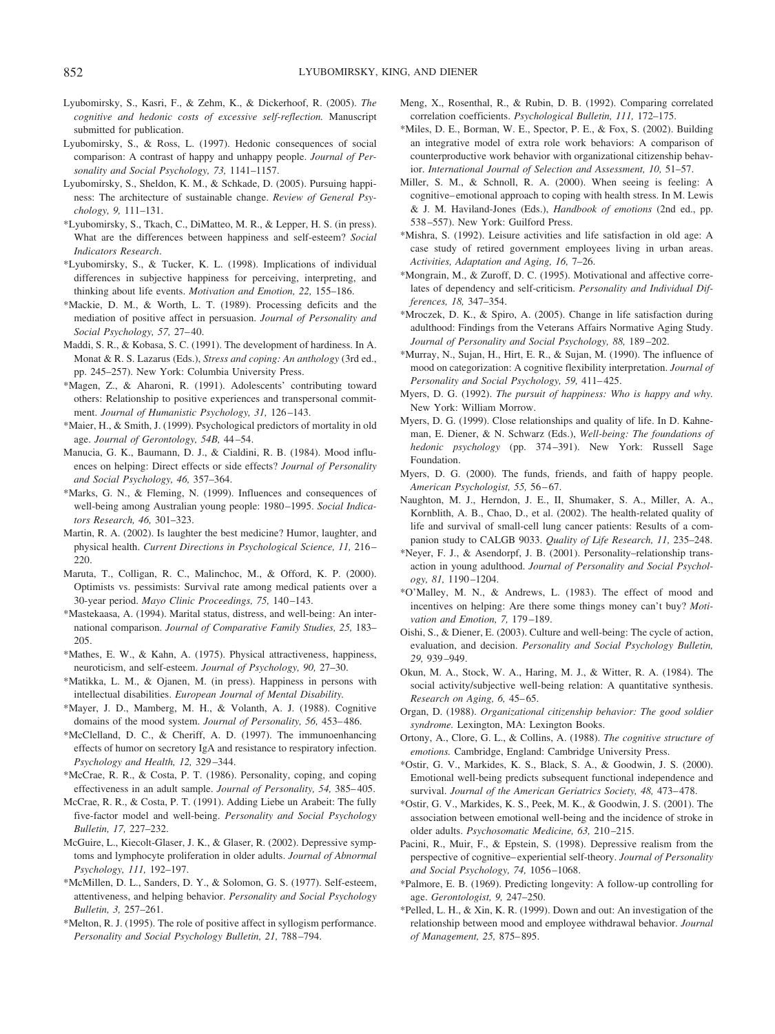- Lyubomirsky, S., Kasri, F., & Zehm, K., & Dickerhoof, R. (2005). *The cognitive and hedonic costs of excessive self-reflection.* Manuscript submitted for publication.
- Lyubomirsky, S., & Ross, L. (1997). Hedonic consequences of social comparison: A contrast of happy and unhappy people. *Journal of Personality and Social Psychology, 73,* 1141–1157.
- Lyubomirsky, S., Sheldon, K. M., & Schkade, D. (2005). Pursuing happiness: The architecture of sustainable change. *Review of General Psychology, 9,* 111–131.
- \*Lyubomirsky, S., Tkach, C., DiMatteo, M. R., & Lepper, H. S. (in press). What are the differences between happiness and self-esteem? *Social Indicators Research*.
- \*Lyubomirsky, S., & Tucker, K. L. (1998). Implications of individual differences in subjective happiness for perceiving, interpreting, and thinking about life events. *Motivation and Emotion, 22,* 155–186.
- \*Mackie, D. M., & Worth, L. T. (1989). Processing deficits and the mediation of positive affect in persuasion. *Journal of Personality and Social Psychology, 57,* 27– 40.
- Maddi, S. R., & Kobasa, S. C. (1991). The development of hardiness. In A. Monat & R. S. Lazarus (Eds.), *Stress and coping: An anthology* (3rd ed., pp. 245–257). New York: Columbia University Press.
- \*Magen, Z., & Aharoni, R. (1991). Adolescents' contributing toward others: Relationship to positive experiences and transpersonal commitment. Journal of Humanistic Psychology, 31, 126-143.
- \*Maier, H., & Smith, J. (1999). Psychological predictors of mortality in old age. *Journal of Gerontology, 54B,* 44 –54.
- Manucia, G. K., Baumann, D. J., & Cialdini, R. B. (1984). Mood influences on helping: Direct effects or side effects? *Journal of Personality and Social Psychology, 46,* 357–364.
- \*Marks, G. N., & Fleming, N. (1999). Influences and consequences of well-being among Australian young people: 1980 –1995. *Social Indicators Research, 46,* 301–323.
- Martin, R. A. (2002). Is laughter the best medicine? Humor, laughter, and physical health. *Current Directions in Psychological Science, 11,* 216 – 220.
- Maruta, T., Colligan, R. C., Malinchoc, M., & Offord, K. P. (2000). Optimists vs. pessimists: Survival rate among medical patients over a 30-year period. *Mayo Clinic Proceedings, 75,* 140 –143.
- \*Mastekaasa, A. (1994). Marital status, distress, and well-being: An international comparison. *Journal of Comparative Family Studies, 25,* 183– 205.
- \*Mathes, E. W., & Kahn, A. (1975). Physical attractiveness, happiness, neuroticism, and self-esteem. *Journal of Psychology, 90,* 27–30.
- \*Matikka, L. M., & Ojanen, M. (in press). Happiness in persons with intellectual disabilities. *European Journal of Mental Disability.*
- \*Mayer, J. D., Mamberg, M. H., & Volanth, A. J. (1988). Cognitive domains of the mood system. *Journal of Personality*, 56, 453-486.
- \*McClelland, D. C., & Cheriff, A. D. (1997). The immunoenhancing effects of humor on secretory IgA and resistance to respiratory infection. *Psychology and Health, 12,* 329 –344.
- \*McCrae, R. R., & Costa, P. T. (1986). Personality, coping, and coping effectiveness in an adult sample. *Journal of Personality, 54,* 385– 405.
- McCrae, R. R., & Costa, P. T. (1991). Adding Liebe un Arabeit: The fully five-factor model and well-being. *Personality and Social Psychology Bulletin, 17,* 227–232.
- McGuire, L., Kiecolt-Glaser, J. K., & Glaser, R. (2002). Depressive symptoms and lymphocyte proliferation in older adults. *Journal of Abnormal Psychology, 111,* 192–197.
- \*McMillen, D. L., Sanders, D. Y., & Solomon, G. S. (1977). Self-esteem, attentiveness, and helping behavior. *Personality and Social Psychology Bulletin, 3,* 257–261.
- \*Melton, R. J. (1995). The role of positive affect in syllogism performance. *Personality and Social Psychology Bulletin, 21,* 788 –794.
- Meng, X., Rosenthal, R., & Rubin, D. B. (1992). Comparing correlated correlation coefficients. *Psychological Bulletin, 111,* 172–175.
- \*Miles, D. E., Borman, W. E., Spector, P. E., & Fox, S. (2002). Building an integrative model of extra role work behaviors: A comparison of counterproductive work behavior with organizational citizenship behavior. *International Journal of Selection and Assessment, 10,* 51–57.
- Miller, S. M., & Schnoll, R. A. (2000). When seeing is feeling: A cognitive– emotional approach to coping with health stress. In M. Lewis & J. M. Haviland-Jones (Eds.), *Handbook of emotions* (2nd ed., pp. 538 –557). New York: Guilford Press.
- \*Mishra, S. (1992). Leisure activities and life satisfaction in old age: A case study of retired government employees living in urban areas. *Activities, Adaptation and Aging, 16,* 7–26.
- \*Mongrain, M., & Zuroff, D. C. (1995). Motivational and affective correlates of dependency and self-criticism. *Personality and Individual Differences, 18,* 347–354.
- \*Mroczek, D. K., & Spiro, A. (2005). Change in life satisfaction during adulthood: Findings from the Veterans Affairs Normative Aging Study. *Journal of Personality and Social Psychology, 88,* 189 –202.
- \*Murray, N., Sujan, H., Hirt, E. R., & Sujan, M. (1990). The influence of mood on categorization: A cognitive flexibility interpretation. *Journal of Personality and Social Psychology, 59,* 411– 425.
- Myers, D. G. (1992). *The pursuit of happiness: Who is happy and why.* New York: William Morrow.
- Myers, D. G. (1999). Close relationships and quality of life. In D. Kahneman, E. Diener, & N. Schwarz (Eds.), *Well-being: The foundations of hedonic psychology* (pp. 374 –391). New York: Russell Sage Foundation.
- Myers, D. G. (2000). The funds, friends, and faith of happy people. *American Psychologist, 55,* 56 – 67.
- Naughton, M. J., Herndon, J. E., II, Shumaker, S. A., Miller, A. A., Kornblith, A. B., Chao, D., et al. (2002). The health-related quality of life and survival of small-cell lung cancer patients: Results of a companion study to CALGB 9033. *Quality of Life Research, 11,* 235–248.
- \*Neyer, F. J., & Asendorpf, J. B. (2001). Personality–relationship transaction in young adulthood. *Journal of Personality and Social Psychology, 81,* 1190 –1204.
- \*O'Malley, M. N., & Andrews, L. (1983). The effect of mood and incentives on helping: Are there some things money can't buy? *Motivation and Emotion, 7,* 179 –189.
- Oishi, S., & Diener, E. (2003). Culture and well-being: The cycle of action, evaluation, and decision. *Personality and Social Psychology Bulletin, 29,* 939 –949.
- Okun, M. A., Stock, W. A., Haring, M. J., & Witter, R. A. (1984). The social activity/subjective well-being relation: A quantitative synthesis. *Research on Aging, 6,* 45– 65.
- Organ, D. (1988). *Organizational citizenship behavior: The good soldier syndrome.* Lexington, MA: Lexington Books.
- Ortony, A., Clore, G. L., & Collins, A. (1988). *The cognitive structure of emotions.* Cambridge, England: Cambridge University Press.
- \*Ostir, G. V., Markides, K. S., Black, S. A., & Goodwin, J. S. (2000). Emotional well-being predicts subsequent functional independence and survival. *Journal of the American Geriatrics Society, 48, 473-478*.
- \*Ostir, G. V., Markides, K. S., Peek, M. K., & Goodwin, J. S. (2001). The association between emotional well-being and the incidence of stroke in older adults. *Psychosomatic Medicine, 63,* 210 –215.
- Pacini, R., Muir, F., & Epstein, S. (1998). Depressive realism from the perspective of cognitive– experiential self-theory. *Journal of Personality and Social Psychology, 74,* 1056 –1068.
- \*Palmore, E. B. (1969). Predicting longevity: A follow-up controlling for age. *Gerontologist, 9,* 247–250.
- \*Pelled, L. H., & Xin, K. R. (1999). Down and out: An investigation of the relationship between mood and employee withdrawal behavior. *Journal of Management, 25,* 875– 895.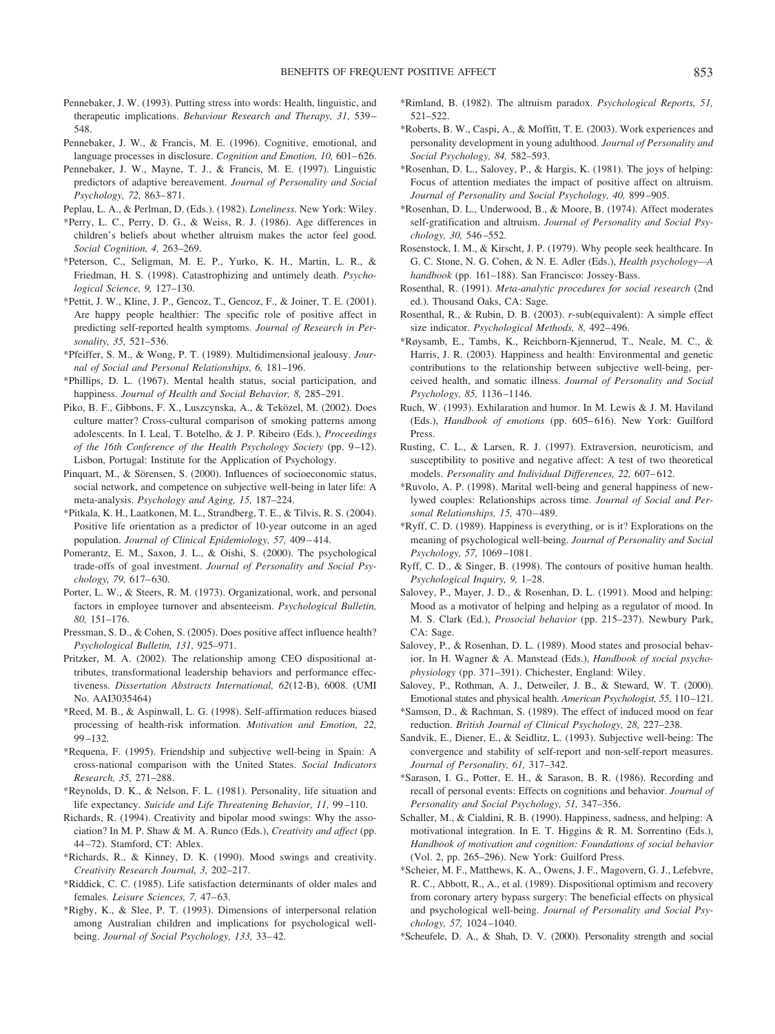- Pennebaker, J. W. (1993). Putting stress into words: Health, linguistic, and therapeutic implications. *Behaviour Research and Therapy, 31,* 539 – 548.
- Pennebaker, J. W., & Francis, M. E. (1996). Cognitive, emotional, and language processes in disclosure. *Cognition and Emotion, 10,* 601–626.
- Pennebaker, J. W., Mayne, T. J., & Francis, M. E. (1997). Linguistic predictors of adaptive bereavement. *Journal of Personality and Social Psychology, 72,* 863– 871.
- Peplau, L. A., & Perlman, D. (Eds.). (1982). *Loneliness.* New York: Wiley.
- \*Perry, L. C., Perry, D. G., & Weiss, R. J. (1986). Age differences in children's beliefs about whether altruism makes the actor feel good. *Social Cognition, 4,* 263–269.
- \*Peterson, C., Seligman, M. E. P., Yurko, K. H., Martin, L. R., & Friedman, H. S. (1998). Catastrophizing and untimely death. *Psychological Science, 9,* 127–130.
- \*Pettit, J. W., Kline, J. P., Gencoz, T., Gencoz, F., & Joiner, T. E. (2001). Are happy people healthier: The specific role of positive affect in predicting self-reported health symptoms. *Journal of Research in Personality, 35,* 521–536.
- \*Pfeiffer, S. M., & Wong, P. T. (1989). Multidimensional jealousy. *Journal of Social and Personal Relationships, 6,* 181–196.
- \*Phillips, D. L. (1967). Mental health status, social participation, and happiness. *Journal of Health and Social Behavior, 8,* 285–291.
- Piko, B. F., Gibbons, F. X., Luszcynska, A., & Teközel, M. (2002). Does culture matter? Cross-cultural comparison of smoking patterns among adolescents. In I. Leal, T. Botelho, & J. P. Ribeiro (Eds.), *Proceedings of the 16th Conference of the Health Psychology Society* (pp. 9 –12). Lisbon, Portugal: Institute for the Application of Psychology.
- Pinquart, M., & Sörensen, S. (2000). Influences of socioeconomic status, social network, and competence on subjective well-being in later life: A meta-analysis. *Psychology and Aging, 15,* 187–224.
- \*Pitkala, K. H., Laatkonen, M. L., Strandberg, T. E., & Tilvis, R. S. (2004). Positive life orientation as a predictor of 10-year outcome in an aged population. *Journal of Clinical Epidemiology, 57,* 409 – 414.
- Pomerantz, E. M., Saxon, J. L., & Oishi, S. (2000). The psychological trade-offs of goal investment. *Journal of Personality and Social Psychology, 79,* 617– 630.
- Porter, L. W., & Steers, R. M. (1973). Organizational, work, and personal factors in employee turnover and absenteeism. *Psychological Bulletin, 80,* 151–176.
- Pressman, S. D., & Cohen, S. (2005). Does positive affect influence health? *Psychological Bulletin, 131,* 925–971.
- Pritzker, M. A. (2002). The relationship among CEO dispositional attributes, transformational leadership behaviors and performance effectiveness. *Dissertation Abstracts International, 62*(12-B), 6008. (UMI No. AAI3035464)
- \*Reed, M. B., & Aspinwall, L. G. (1998). Self-affirmation reduces biased processing of health-risk information. *Motivation and Emotion, 22,*  $99 - 132.$
- \*Requena, F. (1995). Friendship and subjective well-being in Spain: A cross-national comparison with the United States. *Social Indicators Research, 35,* 271–288.
- \*Reynolds, D. K., & Nelson, F. L. (1981). Personality, life situation and life expectancy. *Suicide and Life Threatening Behavior, 11,* 99 –110.
- Richards, R. (1994). Creativity and bipolar mood swings: Why the association? In M. P. Shaw & M. A. Runco (Eds.), *Creativity and affect* (pp. 44 –72). Stamford, CT: Ablex.
- \*Richards, R., & Kinney, D. K. (1990). Mood swings and creativity. *Creativity Research Journal, 3,* 202–217.
- \*Riddick, C. C. (1985). Life satisfaction determinants of older males and females. *Leisure Sciences*, 7, 47–63.
- \*Rigby, K., & Slee, P. T. (1993). Dimensions of interpersonal relation among Australian children and implications for psychological wellbeing. *Journal of Social Psychology, 133,* 33– 42.
- \*Rimland, B. (1982). The altruism paradox. *Psychological Reports, 51,* 521–522.
- \*Roberts, B. W., Caspi, A., & Moffitt, T. E. (2003). Work experiences and personality development in young adulthood. *Journal of Personality and Social Psychology, 84,* 582–593.
- \*Rosenhan, D. L., Salovey, P., & Hargis, K. (1981). The joys of helping: Focus of attention mediates the impact of positive affect on altruism. *Journal of Personality and Social Psychology, 40,* 899 –905.
- \*Rosenhan, D. L., Underwood, B., & Moore, B. (1974). Affect moderates self-gratification and altruism. *Journal of Personality and Social Psychology, 30,* 546 –552.
- Rosenstock, I. M., & Kirscht, J. P. (1979). Why people seek healthcare. In G. C. Stone, N. G. Cohen, & N. E. Adler (Eds.), *Health psychology—A handbook* (pp. 161–188). San Francisco: Jossey-Bass.
- Rosenthal, R. (1991). *Meta-analytic procedures for social research* (2nd ed.). Thousand Oaks, CA: Sage.
- Rosenthal, R., & Rubin, D. B. (2003). *r*-sub(equivalent): A simple effect size indicator. *Psychological Methods, 8,* 492– 496.
- \*Røysamb, E., Tambs, K., Reichborn-Kjennerud, T., Neale, M. C., & Harris, J. R. (2003). Happiness and health: Environmental and genetic contributions to the relationship between subjective well-being, perceived health, and somatic illness. *Journal of Personality and Social Psychology, 85,* 1136 –1146.
- Ruch, W. (1993). Exhilaration and humor. In M. Lewis & J. M. Haviland (Eds.), *Handbook of emotions* (pp. 605–616). New York: Guilford Press.
- Rusting, C. L., & Larsen, R. J. (1997). Extraversion, neuroticism, and susceptibility to positive and negative affect: A test of two theoretical models. Personality and Individual Differences, 22, 607-612.
- \*Ruvolo, A. P. (1998). Marital well-being and general happiness of newlywed couples: Relationships across time. *Journal of Social and Personal Relationships, 15,* 470 – 489.
- \*Ryff, C. D. (1989). Happiness is everything, or is it? Explorations on the meaning of psychological well-being. *Journal of Personality and Social Psychology, 57,* 1069 –1081.
- Ryff, C. D., & Singer, B. (1998). The contours of positive human health. *Psychological Inquiry, 9,* 1–28.
- Salovey, P., Mayer, J. D., & Rosenhan, D. L. (1991). Mood and helping: Mood as a motivator of helping and helping as a regulator of mood. In M. S. Clark (Ed.), *Prosocial behavior* (pp. 215–237). Newbury Park, CA: Sage.
- Salovey, P., & Rosenhan, D. L. (1989). Mood states and prosocial behavior. In H. Wagner & A. Manstead (Eds.), *Handbook of social psychophysiology* (pp. 371–391). Chichester, England: Wiley.
- Salovey, P., Rothman, A. J., Detweiler, J. B., & Steward, W. T. (2000). Emotional states and physical health. *American Psychologist, 55,* 110 –121.
- \*Samson, D., & Rachman, S. (1989). The effect of induced mood on fear reduction. *British Journal of Clinical Psychology, 28,* 227–238.
- Sandvik, E., Diener, E., & Seidlitz, L. (1993). Subjective well-being: The convergence and stability of self-report and non-self-report measures. *Journal of Personality, 61,* 317–342.
- \*Sarason, I. G., Potter, E. H., & Sarason, B. R. (1986). Recording and recall of personal events: Effects on cognitions and behavior. *Journal of Personality and Social Psychology, 51,* 347–356.
- Schaller, M., & Cialdini, R. B. (1990). Happiness, sadness, and helping: A motivational integration. In E. T. Higgins & R. M. Sorrentino (Eds.), *Handbook of motivation and cognition: Foundations of social behavior* (Vol. 2, pp. 265–296). New York: Guilford Press.
- \*Scheier, M. F., Matthews, K. A., Owens, J. F., Magovern, G. J., Lefebvre, R. C., Abbott, R., A., et al. (1989). Dispositional optimism and recovery from coronary artery bypass surgery: The beneficial effects on physical and psychological well-being. *Journal of Personality and Social Psychology, 57,* 1024 –1040.
- \*Scheufele, D. A., & Shah, D. V. (2000). Personality strength and social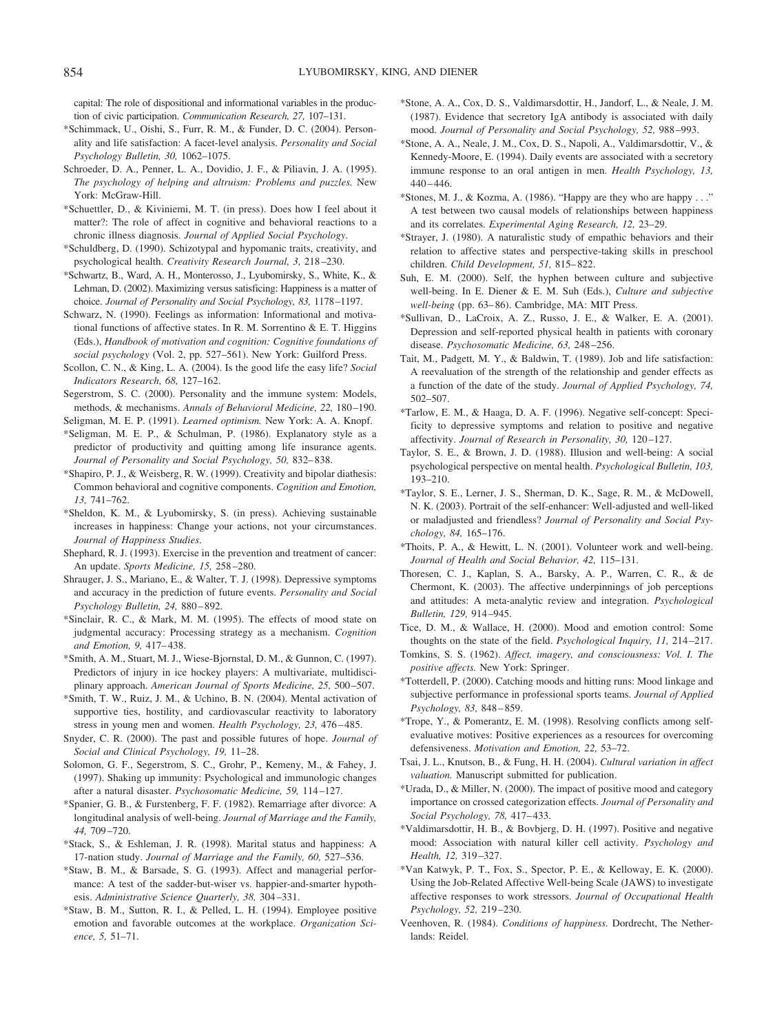capital: The role of dispositional and informational variables in the production of civic participation. *Communication Research, 27,* 107–131.

- \*Schimmack, U., Oishi, S., Furr, R. M., & Funder, D. C. (2004). Personality and life satisfaction: A facet-level analysis. *Personality and Social Psychology Bulletin, 30,* 1062–1075.
- Schroeder, D. A., Penner, L. A., Dovidio, J. F., & Piliavin, J. A. (1995). *The psychology of helping and altruism: Problems and puzzles.* New York: McGraw-Hill.
- \*Schuettler, D., & Kiviniemi, M. T. (in press). Does how I feel about it matter?: The role of affect in cognitive and behavioral reactions to a chronic illness diagnosis. *Journal of Applied Social Psychology*.
- \*Schuldberg, D. (1990). Schizotypal and hypomanic traits, creativity, and psychological health. *Creativity Research Journal, 3,* 218 –230.
- \*Schwartz, B., Ward, A. H., Monterosso, J., Lyubomirsky, S., White, K., & Lehman, D. (2002). Maximizing versus satisficing: Happiness is a matter of choice. *Journal of Personality and Social Psychology, 83,* 1178 –1197.
- Schwarz, N. (1990). Feelings as information: Informational and motivational functions of affective states. In R. M. Sorrentino & E. T. Higgins (Eds.), *Handbook of motivation and cognition: Cognitive foundations of social psychology* (Vol. 2, pp. 527–561). New York: Guilford Press.
- Scollon, C. N., & King, L. A. (2004). Is the good life the easy life? *Social Indicators Research, 68,* 127–162.
- Segerstrom, S. C. (2000). Personality and the immune system: Models, methods, & mechanisms. *Annals of Behavioral Medicine*, 22, 180–190.
- Seligman, M. E. P. (1991). *Learned optimism.* New York: A. A. Knopf.
- \*Seligman, M. E. P., & Schulman, P. (1986). Explanatory style as a predictor of productivity and quitting among life insurance agents. *Journal of Personality and Social Psychology, 50,* 832– 838.
- \*Shapiro, P. J., & Weisberg, R. W. (1999). Creativity and bipolar diathesis: Common behavioral and cognitive components. *Cognition and Emotion, 13,* 741–762.
- \*Sheldon, K. M., & Lyubomirsky, S. (in press). Achieving sustainable increases in happiness: Change your actions, not your circumstances. *Journal of Happiness Studies*.
- Shephard, R. J. (1993). Exercise in the prevention and treatment of cancer: An update. *Sports Medicine, 15,* 258 –280.
- Shrauger, J. S., Mariano, E., & Walter, T. J. (1998). Depressive symptoms and accuracy in the prediction of future events. *Personality and Social Psychology Bulletin, 24,* 880 – 892.
- \*Sinclair, R. C., & Mark, M. M. (1995). The effects of mood state on judgmental accuracy: Processing strategy as a mechanism. *Cognition and Emotion, 9,* 417– 438.
- \*Smith, A. M., Stuart, M. J., Wiese-Bjornstal, D. M., & Gunnon, C. (1997). Predictors of injury in ice hockey players: A multivariate, multidisciplinary approach. *American Journal of Sports Medicine, 25,* 500 –507.
- \*Smith, T. W., Ruiz, J. M., & Uchino, B. N. (2004). Mental activation of supportive ties, hostility, and cardiovascular reactivity to laboratory stress in young men and women. *Health Psychology, 23,* 476 – 485.
- Snyder, C. R. (2000). The past and possible futures of hope. *Journal of Social and Clinical Psychology, 19,* 11–28.
- Solomon, G. F., Segerstrom, S. C., Grohr, P., Kemeny, M., & Fahey, J. (1997). Shaking up immunity: Psychological and immunologic changes after a natural disaster. *Psychosomatic Medicine, 59,* 114 –127.
- \*Spanier, G. B., & Furstenberg, F. F. (1982). Remarriage after divorce: A longitudinal analysis of well-being. *Journal of Marriage and the Family, 44,* 709 –720.
- \*Stack, S., & Eshleman, J. R. (1998). Marital status and happiness: A 17-nation study. *Journal of Marriage and the Family, 60,* 527–536.
- \*Staw, B. M., & Barsade, S. G. (1993). Affect and managerial performance: A test of the sadder-but-wiser vs. happier-and-smarter hypothesis. *Administrative Science Quarterly, 38,* 304 –331.
- \*Staw, B. M., Sutton, R. I., & Pelled, L. H. (1994). Employee positive emotion and favorable outcomes at the workplace. *Organization Science, 5,* 51–71.
- \*Stone, A. A., Cox, D. S., Valdimarsdottir, H., Jandorf, L., & Neale, J. M. (1987). Evidence that secretory IgA antibody is associated with daily mood. *Journal of Personality and Social Psychology, 52,* 988 –993.
- \*Stone, A. A., Neale, J. M., Cox, D. S., Napoli, A., Valdimarsdottir, V., & Kennedy-Moore, E. (1994). Daily events are associated with a secretory immune response to an oral antigen in men. *Health Psychology, 13,*  $440 - 446$ .
- \*Stones, M. J., & Kozma, A. (1986). "Happy are they who are happy . . ." A test between two causal models of relationships between happiness and its correlates. *Experimental Aging Research, 12,* 23–29.
- \*Strayer, J. (1980). A naturalistic study of empathic behaviors and their relation to affective states and perspective-taking skills in preschool children. *Child Development, 51,* 815– 822.
- Suh, E. M. (2000). Self, the hyphen between culture and subjective well-being. In E. Diener & E. M. Suh (Eds.), *Culture and subjective well-being* (pp. 63– 86). Cambridge, MA: MIT Press.
- \*Sullivan, D., LaCroix, A. Z., Russo, J. E., & Walker, E. A. (2001). Depression and self-reported physical health in patients with coronary disease. *Psychosomatic Medicine, 63,* 248 –256.
- Tait, M., Padgett, M. Y., & Baldwin, T. (1989). Job and life satisfaction: A reevaluation of the strength of the relationship and gender effects as a function of the date of the study. *Journal of Applied Psychology, 74,* 502–507.
- \*Tarlow, E. M., & Haaga, D. A. F. (1996). Negative self-concept: Specificity to depressive symptoms and relation to positive and negative affectivity. Journal of Research in Personality, 30, 120-127.
- Taylor, S. E., & Brown, J. D. (1988). Illusion and well-being: A social psychological perspective on mental health. *Psychological Bulletin, 103,* 193–210.
- \*Taylor, S. E., Lerner, J. S., Sherman, D. K., Sage, R. M., & McDowell, N. K. (2003). Portrait of the self-enhancer: Well-adjusted and well-liked or maladjusted and friendless? *Journal of Personality and Social Psychology, 84,* 165–176.
- \*Thoits, P. A., & Hewitt, L. N. (2001). Volunteer work and well-being. *Journal of Health and Social Behavior, 42,* 115–131.
- Thoresen, C. J., Kaplan, S. A., Barsky, A. P., Warren, C. R., & de Chermont, K. (2003). The affective underpinnings of job perceptions and attitudes: A meta-analytic review and integration. *Psychological Bulletin, 129,* 914 –945.
- Tice, D. M., & Wallace, H. (2000). Mood and emotion control: Some thoughts on the state of the field. *Psychological Inquiry, 11,* 214 –217.
- Tomkins, S. S. (1962). *Affect, imagery, and consciousness: Vol. I. The positive affects.* New York: Springer.
- \*Totterdell, P. (2000). Catching moods and hitting runs: Mood linkage and subjective performance in professional sports teams. *Journal of Applied Psychology, 83,* 848 – 859.
- \*Trope, Y., & Pomerantz, E. M. (1998). Resolving conflicts among selfevaluative motives: Positive experiences as a resources for overcoming defensiveness. *Motivation and Emotion, 22,* 53–72.
- Tsai, J. L., Knutson, B., & Fung, H. H. (2004). *Cultural variation in affect valuation.* Manuscript submitted for publication.
- \*Urada, D., & Miller, N. (2000). The impact of positive mood and category importance on crossed categorization effects. *Journal of Personality and Social Psychology, 78,* 417– 433.
- \*Valdimarsdottir, H. B., & Bovbjerg, D. H. (1997). Positive and negative mood: Association with natural killer cell activity. *Psychology and Health, 12,* 319 –327.
- \*Van Katwyk, P. T., Fox, S., Spector, P. E., & Kelloway, E. K. (2000). Using the Job-Related Affective Well-being Scale (JAWS) to investigate affective responses to work stressors. *Journal of Occupational Health Psychology, 52,* 219 –230.
- Veenhoven, R. (1984). *Conditions of happiness.* Dordrecht, The Netherlands: Reidel.